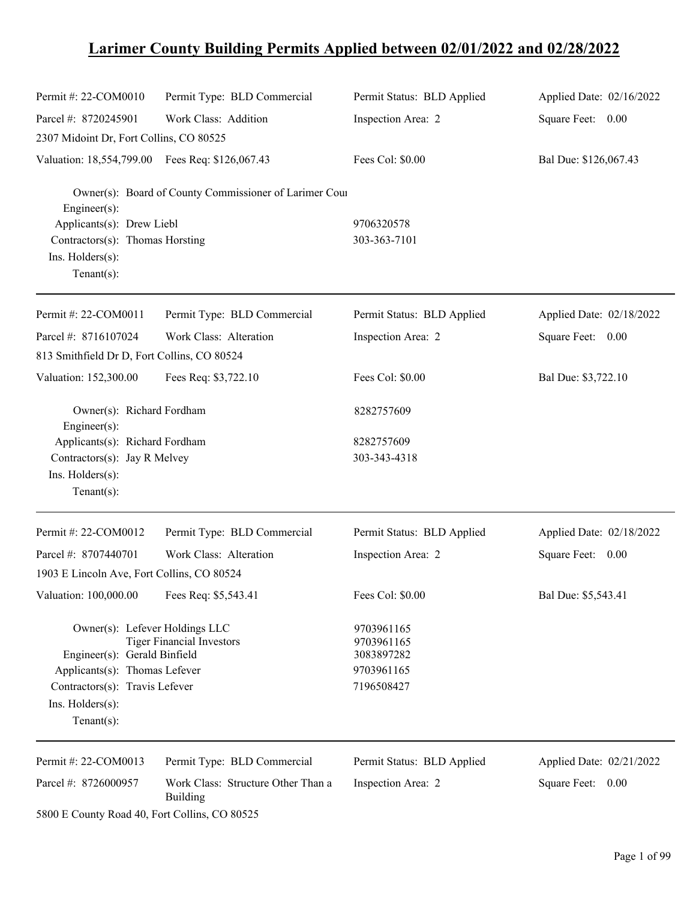# **Larimer County Building Permits Applied between 02/01/2022 and 02/28/2022**

| Permit #: 22-COM0010                                                 | Permit Type: BLD Commercial                            | Permit Status: BLD Applied             | Applied Date: 02/16/2022 |
|----------------------------------------------------------------------|--------------------------------------------------------|----------------------------------------|--------------------------|
| Parcel #: 8720245901                                                 | Work Class: Addition                                   | Inspection Area: 2                     | Square Feet: 0.00        |
| 2307 Midoint Dr, Fort Collins, CO 80525                              |                                                        |                                        |                          |
| Valuation: 18,554,799.00 Fees Req: \$126,067.43                      |                                                        | Fees Col: \$0.00                       | Bal Due: \$126,067.43    |
| Engineer(s):<br>Applicants(s): Drew Liebl                            | Owner(s): Board of County Commissioner of Larimer Cour | 9706320578                             |                          |
| Contractors(s): Thomas Horsting<br>Ins. Holders(s):<br>$Tenant(s)$ : |                                                        | 303-363-7101                           |                          |
| Permit #: 22-COM0011                                                 | Permit Type: BLD Commercial                            | Permit Status: BLD Applied             | Applied Date: 02/18/2022 |
| Parcel #: 8716107024                                                 | Work Class: Alteration                                 | Inspection Area: 2                     | Square Feet: 0.00        |
| 813 Smithfield Dr D, Fort Collins, CO 80524                          |                                                        |                                        |                          |
| Valuation: 152,300.00                                                | Fees Req: \$3,722.10                                   | Fees Col: \$0.00                       | Bal Due: \$3,722.10      |
| Owner(s): Richard Fordham<br>Engineer(s):                            |                                                        | 8282757609                             |                          |
| Applicants(s): Richard Fordham                                       |                                                        | 8282757609                             |                          |
| Contractors(s): Jay R Melvey                                         |                                                        | 303-343-4318                           |                          |
| Ins. Holders(s):                                                     |                                                        |                                        |                          |
| Tenant $(s)$ :                                                       |                                                        |                                        |                          |
| Permit #: 22-COM0012                                                 | Permit Type: BLD Commercial                            | Permit Status: BLD Applied             | Applied Date: 02/18/2022 |
| Parcel #: 8707440701                                                 | Work Class: Alteration                                 | Inspection Area: 2                     | Square Feet: 0.00        |
| 1903 E Lincoln Ave, Fort Collins, CO 80524                           |                                                        |                                        |                          |
| Valuation: 100,000.00 Fees Req: \$5,543.41                           |                                                        | Fees Col: \$0.00                       | Bal Due: \$5,543.41      |
| Owner(s): Lefever Holdings LLC<br>Engineer(s): Gerald Binfield       | <b>Tiger Financial Investors</b>                       | 9703961165<br>9703961165<br>3083897282 |                          |
| Applicants(s): Thomas Lefever                                        |                                                        | 9703961165                             |                          |
| Contractors(s): Travis Lefever                                       |                                                        | 7196508427                             |                          |
| Ins. Holders(s):<br>$Tenant(s)$ :                                    |                                                        |                                        |                          |
| Permit #: 22-COM0013                                                 | Permit Type: BLD Commercial                            | Permit Status: BLD Applied             | Applied Date: 02/21/2022 |
| Parcel #: 8726000957                                                 | Work Class: Structure Other Than a<br><b>Building</b>  | Inspection Area: 2                     | Square Feet: 0.00        |
| 5800 E County Road 40, Fort Collins, CO 80525                        |                                                        |                                        |                          |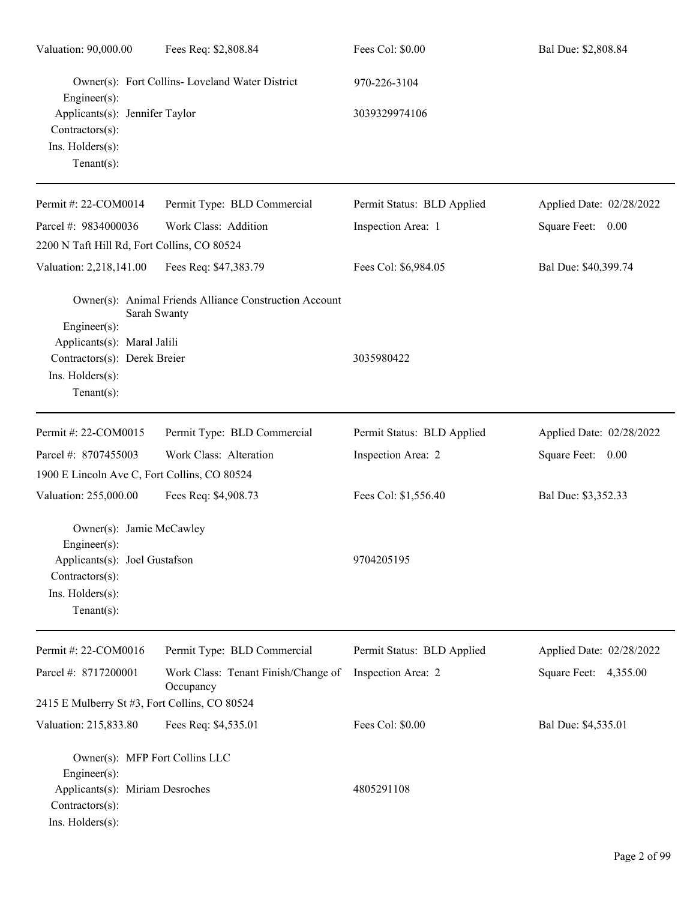| Valuation: 90,000.00                                                                                                                     | Fees Req: \$2,808.84                                                   | Fees Col: \$0.00           | Bal Due: \$2,808.84      |
|------------------------------------------------------------------------------------------------------------------------------------------|------------------------------------------------------------------------|----------------------------|--------------------------|
| $Engineering(s)$ :                                                                                                                       | Owner(s): Fort Collins- Loveland Water District                        | 970-226-3104               |                          |
| Applicants(s): Jennifer Taylor<br>$Contractors(s)$ :<br>Ins. Holders(s):<br>Tenant $(s)$ :                                               |                                                                        | 3039329974106              |                          |
| Permit #: 22-COM0014                                                                                                                     | Permit Type: BLD Commercial                                            | Permit Status: BLD Applied | Applied Date: 02/28/2022 |
| Parcel #: 9834000036                                                                                                                     | Work Class: Addition                                                   | Inspection Area: 1         | Square Feet: 0.00        |
| 2200 N Taft Hill Rd, Fort Collins, CO 80524                                                                                              |                                                                        |                            |                          |
| Valuation: 2,218,141.00                                                                                                                  | Fees Req: \$47,383.79                                                  | Fees Col: \$6,984.05       | Bal Due: \$40,399.74     |
| $Engineering(s)$ :<br>Applicants(s): Maral Jalili<br>Contractors(s): Derek Breier<br>Ins. Holders(s):<br>Tenant $(s)$ :                  | Owner(s): Animal Friends Alliance Construction Account<br>Sarah Swanty | 3035980422                 |                          |
| Permit #: 22-COM0015                                                                                                                     | Permit Type: BLD Commercial                                            | Permit Status: BLD Applied | Applied Date: 02/28/2022 |
| Parcel #: 8707455003                                                                                                                     | Work Class: Alteration                                                 | Inspection Area: 2         | Square Feet: 0.00        |
| 1900 E Lincoln Ave C, Fort Collins, CO 80524                                                                                             |                                                                        |                            |                          |
| Valuation: 255,000.00                                                                                                                    | Fees Req: \$4,908.73                                                   | Fees Col: \$1,556.40       | Bal Due: \$3,352.33      |
| Owner(s): Jamie McCawley<br>$Engineering(s)$ :<br>Applicants(s): Joel Gustafson<br>Contractors(s):<br>Ins. Holders(s):<br>Tenant $(s)$ : |                                                                        | 9704205195                 |                          |
| Permit #: 22-COM0016                                                                                                                     | Permit Type: BLD Commercial                                            | Permit Status: BLD Applied | Applied Date: 02/28/2022 |
| Parcel #: 8717200001                                                                                                                     | Work Class: Tenant Finish/Change of<br>Occupancy                       | Inspection Area: 2         | Square Feet: 4,355.00    |
| 2415 E Mulberry St #3, Fort Collins, CO 80524                                                                                            |                                                                        |                            |                          |
| Valuation: 215,833.80                                                                                                                    | Fees Req: \$4,535.01                                                   | Fees Col: \$0.00           | Bal Due: \$4,535.01      |
| Owner(s): MFP Fort Collins LLC<br>Engineer $(s)$ :<br>Applicants(s): Miriam Desroches<br>$Contractors(s)$ :<br>Ins. Holders(s):          |                                                                        | 4805291108                 |                          |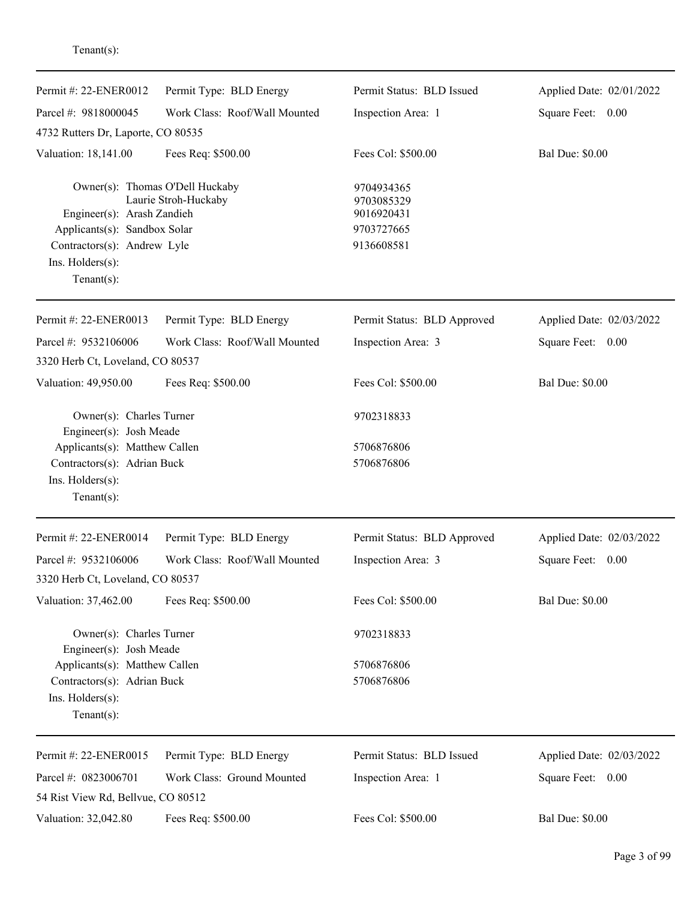| Permit #: 22-ENER0012                                                                                                                                              | Permit Type: BLD Energy       | Permit Status: BLD Issued                                          | Applied Date: 02/01/2022 |
|--------------------------------------------------------------------------------------------------------------------------------------------------------------------|-------------------------------|--------------------------------------------------------------------|--------------------------|
| Parcel #: 9818000045                                                                                                                                               | Work Class: Roof/Wall Mounted | Inspection Area: 1                                                 | Square Feet: 0.00        |
| 4732 Rutters Dr, Laporte, CO 80535                                                                                                                                 |                               |                                                                    |                          |
| Valuation: 18,141.00                                                                                                                                               | Fees Req: \$500.00            | Fees Col: \$500.00                                                 | <b>Bal Due: \$0.00</b>   |
| Owner(s): Thomas O'Dell Huckaby<br>Engineer(s): Arash Zandieh<br>Applicants(s): Sandbox Solar<br>Contractors(s): Andrew Lyle<br>Ins. Holders(s):<br>Tenant $(s)$ : | Laurie Stroh-Huckaby          | 9704934365<br>9703085329<br>9016920431<br>9703727665<br>9136608581 |                          |
| Permit #: 22-ENER0013                                                                                                                                              | Permit Type: BLD Energy       | Permit Status: BLD Approved                                        | Applied Date: 02/03/2022 |
| Parcel #: 9532106006<br>3320 Herb Ct, Loveland, CO 80537                                                                                                           | Work Class: Roof/Wall Mounted | Inspection Area: 3                                                 | Square Feet: 0.00        |
| Valuation: 49,950.00                                                                                                                                               | Fees Req: \$500.00            | Fees Col: \$500.00                                                 | <b>Bal Due: \$0.00</b>   |
| Owner(s): Charles Turner<br>Engineer(s): Josh Meade                                                                                                                |                               | 9702318833                                                         |                          |
| Applicants(s): Matthew Callen<br>Contractors(s): Adrian Buck<br>Ins. Holders(s):<br>Tenant $(s)$ :                                                                 |                               | 5706876806<br>5706876806                                           |                          |
| Permit #: 22-ENER0014                                                                                                                                              | Permit Type: BLD Energy       | Permit Status: BLD Approved                                        | Applied Date: 02/03/2022 |
| Parcel #: 9532106006                                                                                                                                               | Work Class: Roof/Wall Mounted | Inspection Area: 3                                                 | Square Feet:<br>0.00     |
| 3320 Herb Ct, Loveland, CO 80537                                                                                                                                   |                               |                                                                    |                          |
| Valuation: 37,462.00                                                                                                                                               | Fees Req: \$500.00            | Fees Col: \$500.00                                                 | <b>Bal Due: \$0.00</b>   |
| Owner(s): Charles Turner<br>Engineer(s): Josh Meade                                                                                                                |                               | 9702318833                                                         |                          |
| Applicants(s): Matthew Callen<br>Contractors(s): Adrian Buck<br>Ins. Holders(s):<br>Tenant $(s)$ :                                                                 |                               | 5706876806<br>5706876806                                           |                          |
| Permit #: 22-ENER0015                                                                                                                                              | Permit Type: BLD Energy       | Permit Status: BLD Issued                                          | Applied Date: 02/03/2022 |
| Parcel #: 0823006701                                                                                                                                               | Work Class: Ground Mounted    | Inspection Area: 1                                                 | Square Feet: 0.00        |
| 54 Rist View Rd, Bellvue, CO 80512                                                                                                                                 |                               |                                                                    |                          |
| Valuation: 32,042.80                                                                                                                                               | Fees Req: \$500.00            | Fees Col: \$500.00                                                 | <b>Bal Due: \$0.00</b>   |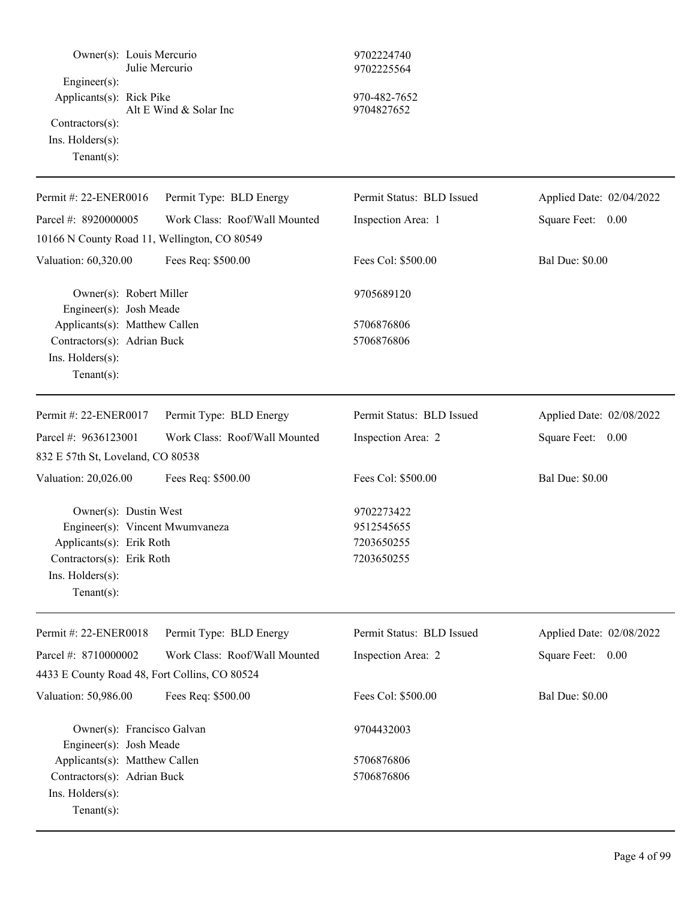| Owner(s): Louis Mercurio<br>Engineer(s):<br>Applicants(s): Rick Pike<br>Contractors(s):<br>Ins. $H$ olders $(s)$ :<br>Tenant $(s)$ :                   | Julie Mercurio<br>Alt E Wind & Solar Inc | 9702224740<br>9702225564<br>970-482-7652<br>9704827652 |                          |
|--------------------------------------------------------------------------------------------------------------------------------------------------------|------------------------------------------|--------------------------------------------------------|--------------------------|
| Permit #: 22-ENER0016                                                                                                                                  | Permit Type: BLD Energy                  | Permit Status: BLD Issued                              | Applied Date: 02/04/2022 |
| Parcel #: 8920000005<br>10166 N County Road 11, Wellington, CO 80549                                                                                   | Work Class: Roof/Wall Mounted            | Inspection Area: 1                                     | Square Feet: 0.00        |
| Valuation: 60,320.00                                                                                                                                   | Fees Req: \$500.00                       | Fees Col: \$500.00                                     | <b>Bal Due: \$0.00</b>   |
| Owner(s): Robert Miller<br>Engineer(s): Josh Meade                                                                                                     |                                          | 9705689120                                             |                          |
| Applicants(s): Matthew Callen<br>Contractors(s): Adrian Buck<br>Ins. Holders(s):<br>$Tenant(s)$ :                                                      |                                          | 5706876806<br>5706876806                               |                          |
| Permit #: 22-ENER0017                                                                                                                                  | Permit Type: BLD Energy                  | Permit Status: BLD Issued                              | Applied Date: 02/08/2022 |
| Parcel #: 9636123001<br>832 E 57th St, Loveland, CO 80538                                                                                              | Work Class: Roof/Wall Mounted            | Inspection Area: 2                                     | Square Feet: 0.00        |
| Valuation: 20,026.00                                                                                                                                   | Fees Req: \$500.00                       | Fees Col: \$500.00                                     | <b>Bal Due: \$0.00</b>   |
| Owner(s): Dustin West<br>Engineer(s): Vincent Mwumvaneza<br>Applicants(s): Erik Roth<br>Contractors(s): Erik Roth<br>Ins. Holders(s):<br>$Tenant(s)$ : |                                          | 9702273422<br>9512545655<br>7203650255<br>7203650255   |                          |
| Permit #: 22-ENER0018                                                                                                                                  | Permit Type: BLD Energy                  | Permit Status: BLD Issued                              | Applied Date: 02/08/2022 |
| Parcel #: 8710000002                                                                                                                                   | Work Class: Roof/Wall Mounted            | Inspection Area: 2                                     | Square Feet: 0.00        |
| 4433 E County Road 48, Fort Collins, CO 80524                                                                                                          |                                          |                                                        |                          |
| Valuation: 50,986.00                                                                                                                                   | Fees Req: \$500.00                       | Fees Col: \$500.00                                     | <b>Bal Due: \$0.00</b>   |
| Owner(s): Francisco Galvan<br>Engineer(s): Josh Meade                                                                                                  |                                          | 9704432003                                             |                          |
| Applicants(s): Matthew Callen<br>Contractors(s): Adrian Buck<br>Ins. Holders(s):<br>$Tenant(s)$ :                                                      |                                          | 5706876806<br>5706876806                               |                          |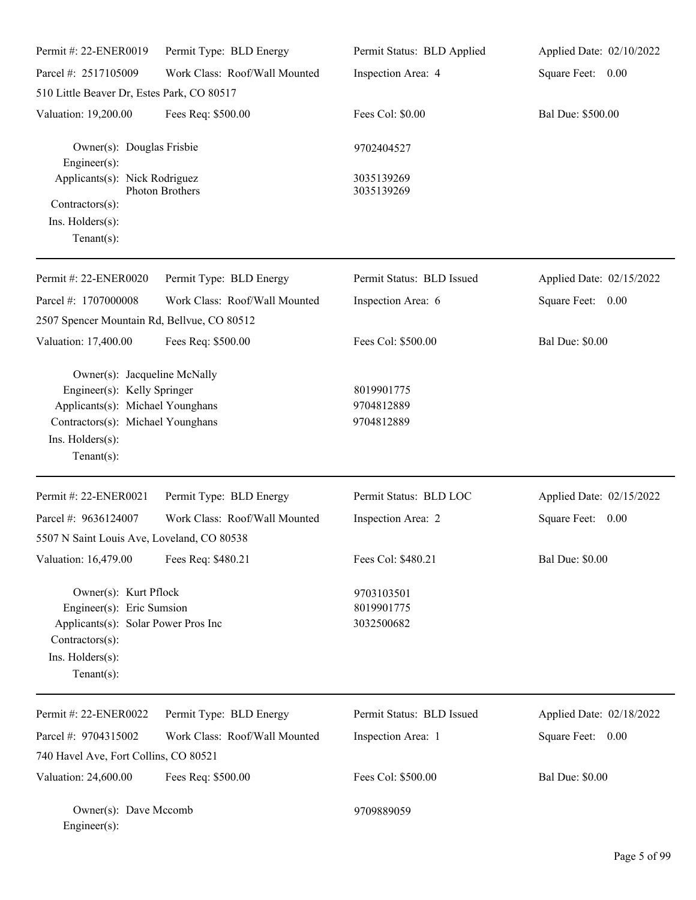| Permit #: 22-ENER0019                                                                                                                                                      | Permit Type: BLD Energy       | Permit Status: BLD Applied             | Applied Date: 02/10/2022 |
|----------------------------------------------------------------------------------------------------------------------------------------------------------------------------|-------------------------------|----------------------------------------|--------------------------|
| Parcel #: 2517105009                                                                                                                                                       | Work Class: Roof/Wall Mounted | Inspection Area: 4                     | Square Feet: 0.00        |
| 510 Little Beaver Dr, Estes Park, CO 80517                                                                                                                                 |                               |                                        |                          |
| Valuation: 19,200.00                                                                                                                                                       | Fees Req: \$500.00            | Fees Col: \$0.00                       | Bal Due: \$500.00        |
| Owner(s): Douglas Frisbie<br>$Engineering(s)$ :                                                                                                                            |                               | 9702404527                             |                          |
| Applicants(s): Nick Rodriguez                                                                                                                                              | Photon Brothers               | 3035139269<br>3035139269               |                          |
| Contractors(s):<br>Ins. Holders(s):<br>Tenant $(s)$ :                                                                                                                      |                               |                                        |                          |
| Permit #: 22-ENER0020                                                                                                                                                      | Permit Type: BLD Energy       | Permit Status: BLD Issued              | Applied Date: 02/15/2022 |
| Parcel #: 1707000008                                                                                                                                                       | Work Class: Roof/Wall Mounted | Inspection Area: 6                     | Square Feet: 0.00        |
| 2507 Spencer Mountain Rd, Bellvue, CO 80512                                                                                                                                |                               |                                        |                          |
| Valuation: 17,400.00                                                                                                                                                       | Fees Req: \$500.00            | Fees Col: \$500.00                     | <b>Bal Due: \$0.00</b>   |
| Owner(s): Jacqueline McNally<br>Engineer(s): Kelly Springer<br>Applicants(s): Michael Younghans<br>Contractors(s): Michael Younghans<br>Ins. Holders(s):<br>Tenant $(s)$ : |                               | 8019901775<br>9704812889<br>9704812889 |                          |
| Permit #: 22-ENER0021                                                                                                                                                      | Permit Type: BLD Energy       | Permit Status: BLD LOC                 | Applied Date: 02/15/2022 |
| Parcel #: 9636124007                                                                                                                                                       | Work Class: Roof/Wall Mounted | Inspection Area: 2                     | Square Feet: 0.00        |
| 5507 N Saint Louis Ave, Loveland, CO 80538                                                                                                                                 |                               |                                        |                          |
| Valuation: 16,479.00                                                                                                                                                       | Fees Req: \$480.21            | Fees Col: \$480.21                     | <b>Bal Due: \$0.00</b>   |
| Owner(s): Kurt Pflock<br>Engineer(s): Eric Sumsion<br>Applicants(s): Solar Power Pros Inc<br>Contractors(s):<br>Ins. Holders(s):<br>Tenant $(s)$ :                         |                               | 9703103501<br>8019901775<br>3032500682 |                          |
| Permit #: 22-ENER0022                                                                                                                                                      | Permit Type: BLD Energy       | Permit Status: BLD Issued              | Applied Date: 02/18/2022 |
| Parcel #: 9704315002                                                                                                                                                       | Work Class: Roof/Wall Mounted | Inspection Area: 1                     | Square Feet: 0.00        |
| 740 Havel Ave, Fort Collins, CO 80521                                                                                                                                      |                               |                                        |                          |
| Valuation: 24,600.00                                                                                                                                                       | Fees Req: \$500.00            | Fees Col: \$500.00                     | <b>Bal Due: \$0.00</b>   |
| Owner(s): Dave Mccomb<br>Engineer(s):                                                                                                                                      |                               | 9709889059                             |                          |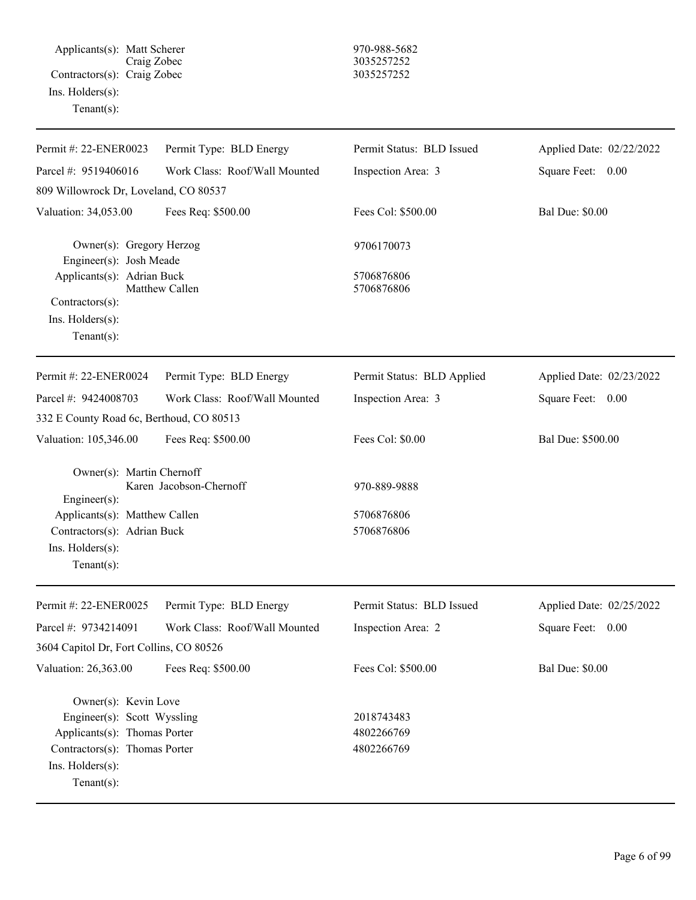Applicants(s): Matt Scherer 970-988-5682 Craig Zobec 3035257252 Contractors(s): Craig Zobec 3035257252 Ins. Holders(s): Tenant(s):

| Permit #: 22-ENER0023                                                                                                                                     | Permit Type: BLD Energy       | Permit Status: BLD Issued              | Applied Date: 02/22/2022 |
|-----------------------------------------------------------------------------------------------------------------------------------------------------------|-------------------------------|----------------------------------------|--------------------------|
| Parcel #: 9519406016                                                                                                                                      | Work Class: Roof/Wall Mounted | Inspection Area: 3                     | Square Feet: 0.00        |
| 809 Willowrock Dr, Loveland, CO 80537                                                                                                                     |                               |                                        |                          |
| Valuation: 34,053.00                                                                                                                                      | Fees Req: \$500.00            | Fees Col: \$500.00                     | <b>Bal Due: \$0.00</b>   |
| Owner(s): Gregory Herzog<br>Engineer(s): Josh Meade                                                                                                       |                               | 9706170073                             |                          |
| Applicants(s): Adrian Buck<br>Contractors(s):                                                                                                             | Matthew Callen                | 5706876806<br>5706876806               |                          |
| Ins. Holders(s):<br>$Tenant(s)$ :                                                                                                                         |                               |                                        |                          |
| Permit #: 22-ENER0024                                                                                                                                     | Permit Type: BLD Energy       | Permit Status: BLD Applied             | Applied Date: 02/23/2022 |
| Parcel #: 9424008703                                                                                                                                      | Work Class: Roof/Wall Mounted | Inspection Area: 3                     | Square Feet: 0.00        |
| 332 E County Road 6c, Berthoud, CO 80513                                                                                                                  |                               |                                        |                          |
| Valuation: 105,346.00                                                                                                                                     | Fees Req: \$500.00            | Fees Col: \$0.00                       | Bal Due: \$500.00        |
| Owner(s): Martin Chernoff<br>$Engineering(s)$ :                                                                                                           | Karen Jacobson-Chernoff       | 970-889-9888                           |                          |
| Applicants(s): Matthew Callen                                                                                                                             |                               | 5706876806                             |                          |
| Contractors(s): Adrian Buck                                                                                                                               |                               | 5706876806                             |                          |
| Ins. Holders(s):<br>$Tenant(s)$ :                                                                                                                         |                               |                                        |                          |
| Permit #: 22-ENER0025                                                                                                                                     | Permit Type: BLD Energy       | Permit Status: BLD Issued              | Applied Date: 02/25/2022 |
| Parcel #: 9734214091                                                                                                                                      | Work Class: Roof/Wall Mounted | Inspection Area: 2                     | Square Feet: 0.00        |
| 3604 Capitol Dr, Fort Collins, CO 80526                                                                                                                   |                               |                                        |                          |
| Valuation: 26,363.00                                                                                                                                      | Fees Req: \$500.00            | Fees Col: \$500.00                     | <b>Bal Due: \$0.00</b>   |
| Owner(s): Kevin Love<br>Engineer(s): Scott Wyssling<br>Applicants(s): Thomas Porter<br>Contractors(s): Thomas Porter<br>Ins. Holders(s):<br>$Tenant(s)$ : |                               | 2018743483<br>4802266769<br>4802266769 |                          |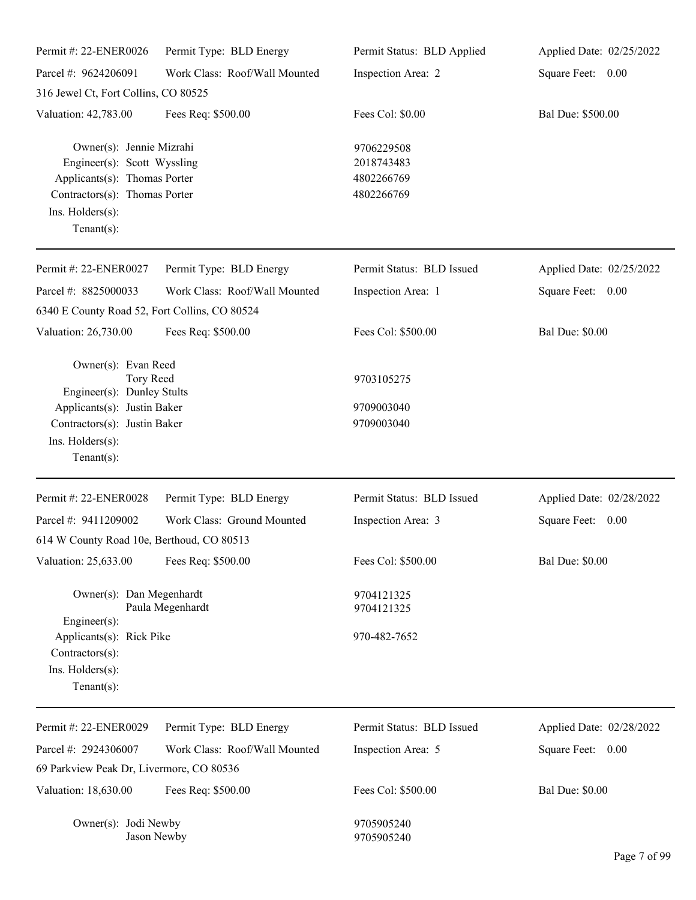| Permit #: 22-ENER0026                                                                                                                                               | Permit Type: BLD Energy       | Permit Status: BLD Applied                           | Applied Date: 02/25/2022 |
|---------------------------------------------------------------------------------------------------------------------------------------------------------------------|-------------------------------|------------------------------------------------------|--------------------------|
| Parcel #: 9624206091                                                                                                                                                | Work Class: Roof/Wall Mounted | Inspection Area: 2                                   | Square Feet: 0.00        |
| 316 Jewel Ct, Fort Collins, CO 80525                                                                                                                                |                               |                                                      |                          |
| Valuation: 42,783.00                                                                                                                                                | Fees Req: \$500.00            | Fees Col: \$0.00                                     | Bal Due: \$500.00        |
| Owner(s): Jennie Mizrahi<br>Engineer(s): Scott Wyssling<br>Applicants(s): Thomas Porter<br>Contractors(s): Thomas Porter<br>Ins. Holders(s):<br>Tenant $(s)$ :      |                               | 9706229508<br>2018743483<br>4802266769<br>4802266769 |                          |
| Permit #: 22-ENER0027                                                                                                                                               | Permit Type: BLD Energy       | Permit Status: BLD Issued                            | Applied Date: 02/25/2022 |
| Parcel #: 8825000033<br>6340 E County Road 52, Fort Collins, CO 80524                                                                                               | Work Class: Roof/Wall Mounted | Inspection Area: 1                                   | Square Feet: 0.00        |
| Valuation: 26,730.00                                                                                                                                                | Fees Req: \$500.00            | Fees Col: \$500.00                                   | <b>Bal Due: \$0.00</b>   |
| Owner(s): Evan Reed<br>Tory Reed<br>Engineer(s): Dunley Stults<br>Applicants(s): Justin Baker<br>Contractors(s): Justin Baker<br>Ins. Holders(s):<br>Tenant $(s)$ : |                               | 9703105275<br>9709003040<br>9709003040               |                          |
| Permit #: 22-ENER0028                                                                                                                                               | Permit Type: BLD Energy       | Permit Status: BLD Issued                            | Applied Date: 02/28/2022 |
| Parcel #: 9411209002                                                                                                                                                | Work Class: Ground Mounted    | Inspection Area: 3                                   | Square Feet:<br>0.00     |
| 614 W County Road 10e, Berthoud, CO 80513                                                                                                                           |                               |                                                      |                          |
| Valuation: 25,633.00                                                                                                                                                | Fees Req: \$500.00            | Fees Col: \$500.00                                   | <b>Bal Due: \$0.00</b>   |
| Owner(s): Dan Megenhardt<br>Engineer(s):                                                                                                                            | Paula Megenhardt              | 9704121325<br>9704121325                             |                          |
| Applicants(s): Rick Pike<br>Contractors(s):<br>Ins. Holders(s):<br>Tenant $(s)$ :                                                                                   |                               | 970-482-7652                                         |                          |
| Permit #: 22-ENER0029                                                                                                                                               | Permit Type: BLD Energy       | Permit Status: BLD Issued                            | Applied Date: 02/28/2022 |
| Parcel #: 2924306007                                                                                                                                                | Work Class: Roof/Wall Mounted | Inspection Area: 5                                   | Square Feet: 0.00        |
| 69 Parkview Peak Dr, Livermore, CO 80536                                                                                                                            |                               |                                                      |                          |
| Valuation: 18,630.00                                                                                                                                                | Fees Req: \$500.00            | Fees Col: \$500.00                                   | <b>Bal Due: \$0.00</b>   |
| Owner(s): Jodi Newby<br>Jason Newby                                                                                                                                 |                               | 9705905240<br>9705905240                             |                          |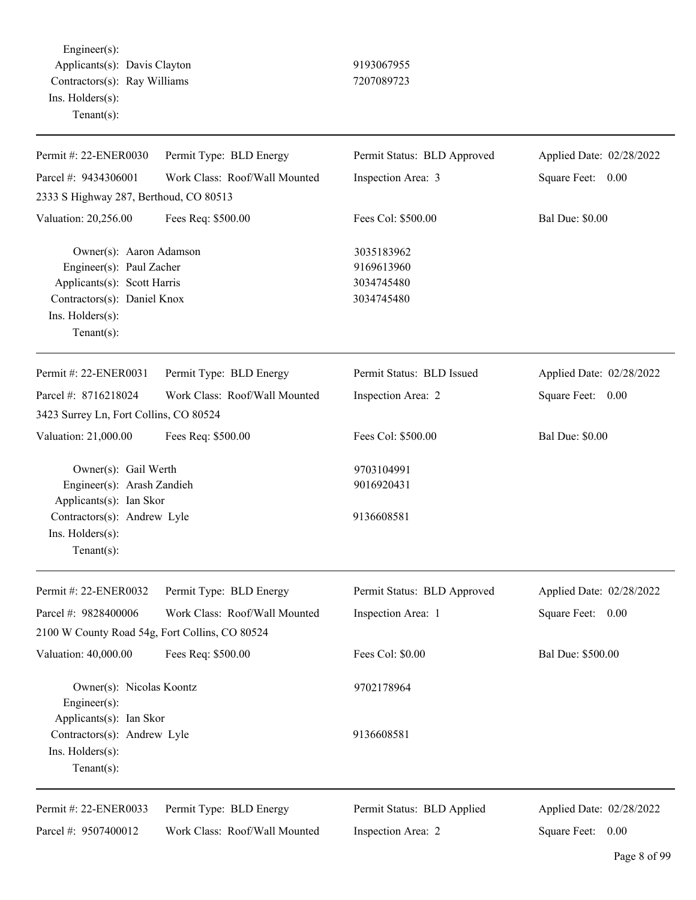Engineer(s): Applicants(s): Davis Clayton 9193067955 Contractors(s): Ray Williams 7207089723 Ins. Holders(s): Tenant(s):

| Permit #: 22-ENER0030                                                              | Permit Type: BLD Energy       | Permit Status: BLD Approved            | Applied Date: 02/28/2022 |
|------------------------------------------------------------------------------------|-------------------------------|----------------------------------------|--------------------------|
| Parcel #: 9434306001                                                               | Work Class: Roof/Wall Mounted | Inspection Area: 3                     | Square Feet: 0.00        |
| 2333 S Highway 287, Berthoud, CO 80513                                             |                               |                                        |                          |
| Valuation: 20,256.00                                                               | Fees Req: \$500.00            | Fees Col: \$500.00                     | <b>Bal Due: \$0.00</b>   |
| Owner(s): Aaron Adamson<br>Engineer(s): Paul Zacher<br>Applicants(s): Scott Harris |                               | 3035183962<br>9169613960<br>3034745480 |                          |
| Contractors(s): Daniel Knox<br>Ins. Holders(s):<br>Tenant(s):                      |                               | 3034745480                             |                          |
| Permit #: 22-ENER0031                                                              | Permit Type: BLD Energy       | Permit Status: BLD Issued              | Applied Date: 02/28/2022 |
| Parcel #: 8716218024                                                               | Work Class: Roof/Wall Mounted | Inspection Area: 2                     | Square Feet: 0.00        |
| 3423 Surrey Ln, Fort Collins, CO 80524                                             |                               |                                        |                          |
| Valuation: 21,000.00                                                               | Fees Req: \$500.00            | Fees Col: \$500.00                     | <b>Bal Due: \$0.00</b>   |
| Owner(s): Gail Werth<br>Engineer(s): Arash Zandieh<br>Applicants(s): Ian Skor      |                               | 9703104991<br>9016920431               |                          |
| Contractors(s): Andrew Lyle<br>Ins. Holders(s):<br>$Tenant(s)$ :                   |                               | 9136608581                             |                          |
| Permit #: 22-ENER0032                                                              | Permit Type: BLD Energy       | Permit Status: BLD Approved            | Applied Date: 02/28/2022 |
| Parcel #: 9828400006<br>2100 W County Road 54g, Fort Collins, CO 80524             | Work Class: Roof/Wall Mounted | Inspection Area: 1                     | Square Feet: 0.00        |
| Valuation: 40,000.00                                                               | Fees Req: \$500.00            | Fees Col: \$0.00                       | Bal Due: \$500.00        |
| Owner(s): Nicolas Koontz<br>Engineer(s):<br>Applicants(s): Ian Skor                |                               | 9702178964                             |                          |
| Contractors(s): Andrew Lyle<br>Ins. Holders(s):<br>$Tenant(s)$ :                   |                               | 9136608581                             |                          |
| Permit #: 22-ENER0033                                                              | Permit Type: BLD Energy       | Permit Status: BLD Applied             | Applied Date: 02/28/2022 |
| Parcel #: 9507400012                                                               | Work Class: Roof/Wall Mounted | Inspection Area: 2                     | Square Feet: 0.00        |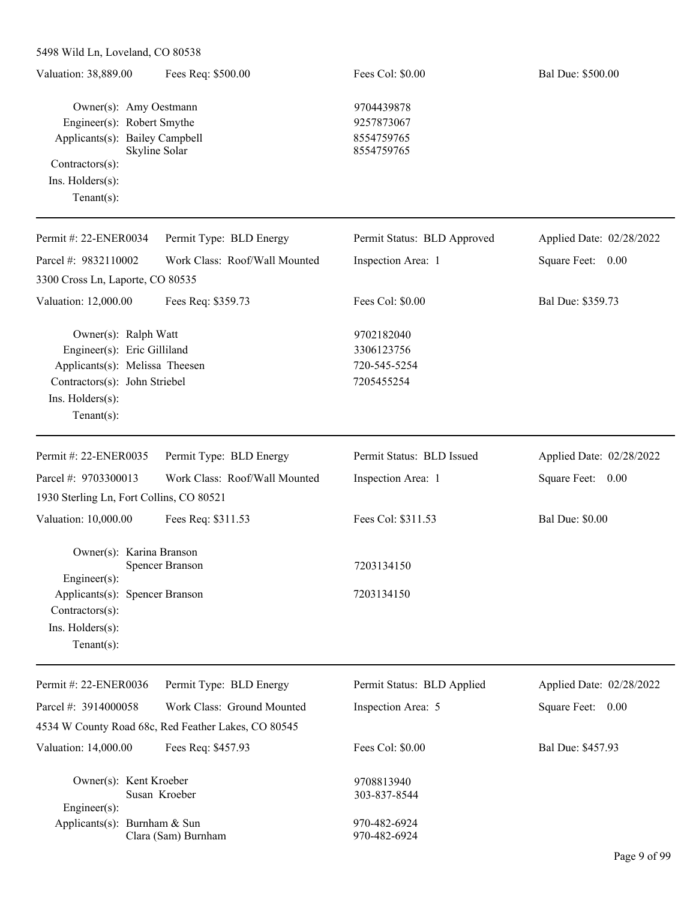| 5498 Wild Ln, Loveland, CO 80538 |                               |                             |                          |
|----------------------------------|-------------------------------|-----------------------------|--------------------------|
| Valuation: 38,889.00             | Fees Req: \$500.00            | Fees Col: \$0.00            | Bal Due: \$500.00        |
|                                  |                               |                             |                          |
| Owner(s): Amy Oestmann           |                               | 9704439878                  |                          |
| Engineer(s): Robert Smythe       |                               | 9257873067                  |                          |
| Applicants(s): Bailey Campbell   |                               | 8554759765                  |                          |
|                                  | Skyline Solar                 | 8554759765                  |                          |
| $Contractors(s)$ :               |                               |                             |                          |
| $Ins.$ Holders $(s)$ :           |                               |                             |                          |
| Tenant $(s)$ :                   |                               |                             |                          |
|                                  |                               |                             |                          |
| Permit #: 22-ENER0034            | Permit Type: BLD Energy       | Permit Status: BLD Approved | Applied Date: 02/28/2022 |
| Parcel #: $9832110002$           | Work Class: Roof/Wall Mounted | Inspection Area: 1          | Square Feet:<br>$0.00\,$ |
| 3300 Cross Ln, Laporte, CO 80535 |                               |                             |                          |
| Valuation: 12,000.00             | Fees Req: \$359.73            | Fees Col: \$0.00            | Bal Due: \$359.73        |
| Owner(s): Ralph Watt             |                               | 9702182040                  |                          |
|                                  |                               |                             |                          |

Engineer(s): Eric Gilliland 3306123756 Applicants(s): Melissa Theesen 720-545-5254 Contractors(s): John Striebel 7205455254 Ins. Holders(s): Tenant(s):

| Permit #: 22-ENER0035                    | Permit Type: BLD Energy       | Permit Status: BLD Issued | Applied Date: 02/28/2022 |
|------------------------------------------|-------------------------------|---------------------------|--------------------------|
| Parcel #: 9703300013                     | Work Class: Roof/Wall Mounted | Inspection Area: 1        | Square Feet:<br>0.00     |
| 1930 Sterling Ln, Fort Collins, CO 80521 |                               |                           |                          |
| Valuation: 10,000.00                     | Fees Req: \$311.53            | Fees Col: \$311.53        | <b>Bal Due: \$0.00</b>   |
| Owner(s): Karina Branson                 | <b>Spencer Branson</b>        | 7203134150                |                          |
| Engineer $(s)$ :                         |                               |                           |                          |
| Applicants(s): Spencer Branson           |                               | 7203134150                |                          |
| $Contractors(s)$ :                       |                               |                           |                          |
| $Ins.$ Holders $(s)$ :                   |                               |                           |                          |
| Tenant $(s)$ :                           |                               |                           |                          |

| Permit #: 22-ENER0036        | Permit Type: BLD Energy                             | Permit Status: BLD Applied | Applied Date: 02/28/2022 |
|------------------------------|-----------------------------------------------------|----------------------------|--------------------------|
| Parcel #: $3914000058$       | Work Class: Ground Mounted                          | Inspection Area: 5         | Square Feet:<br>0.00     |
|                              | 4534 W County Road 68c, Red Feather Lakes, CO 80545 |                            |                          |
| Valuation: 14,000.00         | Fees Req: \$457.93                                  | Fees Col: $$0.00$          | Bal Due: \$457.93        |
| Owner(s): Kent Kroeber       |                                                     | 9708813940                 |                          |
|                              | Susan Kroeber                                       | 303-837-8544               |                          |
| $Engineering(s)$ :           |                                                     |                            |                          |
| Applicants(s): Burnham & Sun |                                                     | 970-482-6924               |                          |
|                              | Clara (Sam) Burnham                                 | 970-482-6924               |                          |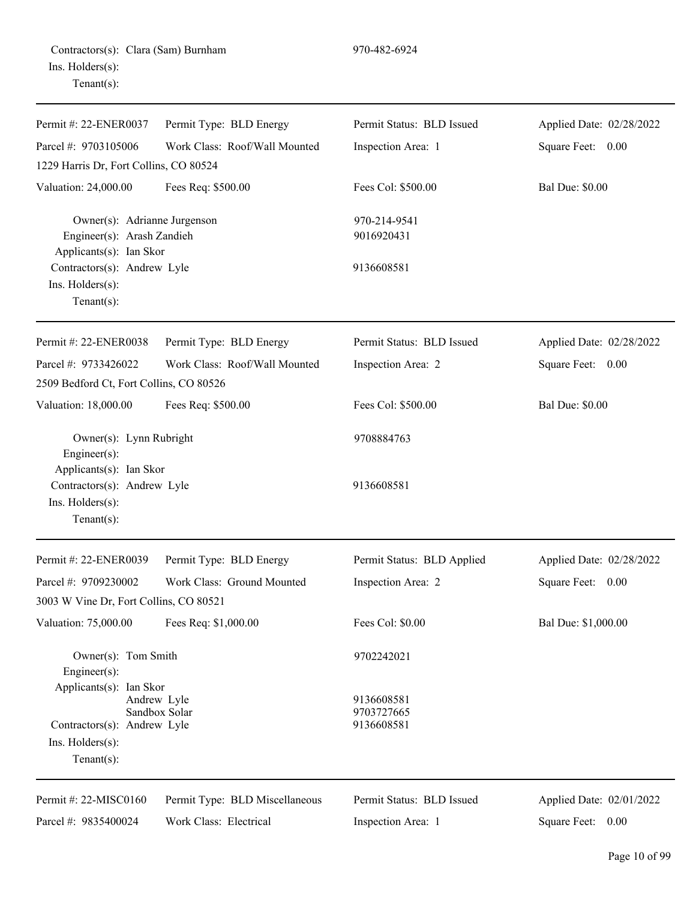Contractors(s): Clara (Sam) Burnham 970-482-6924 Ins. Holders(s): Tenant(s):

| Permit #: 22-ENER0037                                                                                                        | Permit Type: BLD Energy        | Permit Status: BLD Issued              | Applied Date: 02/28/2022 |
|------------------------------------------------------------------------------------------------------------------------------|--------------------------------|----------------------------------------|--------------------------|
| Parcel #: 9703105006                                                                                                         | Work Class: Roof/Wall Mounted  | Inspection Area: 1                     | Square Feet: 0.00        |
| 1229 Harris Dr, Fort Collins, CO 80524                                                                                       |                                |                                        |                          |
| Valuation: 24,000.00                                                                                                         | Fees Req: \$500.00             | Fees Col: \$500.00                     | <b>Bal Due: \$0.00</b>   |
| Owner(s): Adrianne Jurgenson<br>Engineer(s): Arash Zandieh<br>Applicants(s): Ian Skor                                        |                                | 970-214-9541<br>9016920431             |                          |
| Contractors(s): Andrew Lyle<br>Ins. Holders(s):<br>Tenant $(s)$ :                                                            |                                | 9136608581                             |                          |
| Permit #: 22-ENER0038                                                                                                        | Permit Type: BLD Energy        | Permit Status: BLD Issued              | Applied Date: 02/28/2022 |
| Parcel #: 9733426022<br>2509 Bedford Ct, Fort Collins, CO 80526                                                              | Work Class: Roof/Wall Mounted  | Inspection Area: 2                     | Square Feet: 0.00        |
| Valuation: 18,000.00                                                                                                         | Fees Req: \$500.00             | Fees Col: \$500.00                     | <b>Bal Due: \$0.00</b>   |
| Owner(s): Lynn Rubright<br>Engineer $(s)$ :<br>Applicants(s): Ian Skor                                                       |                                | 9708884763                             |                          |
| Contractors(s): Andrew Lyle<br>Ins. Holders(s):<br>Tenant $(s)$ :                                                            |                                | 9136608581                             |                          |
| Permit #: 22-ENER0039                                                                                                        | Permit Type: BLD Energy        | Permit Status: BLD Applied             | Applied Date: 02/28/2022 |
| Parcel #: 9709230002<br>3003 W Vine Dr, Fort Collins, CO 80521                                                               | Work Class: Ground Mounted     | Inspection Area: 2                     | Square Feet: 0.00        |
| Valuation: 75,000.00 Fees Req: \$1,000.00                                                                                    |                                | Fees Col: \$0.00                       | Bal Due: \$1,000.00      |
| Owner(s): Tom Smith<br>Engineer(s):                                                                                          |                                | 9702242021                             |                          |
| Applicants(s): Ian Skor<br>Andrew Lyle<br>Sandbox Solar<br>Contractors(s): Andrew Lyle<br>Ins. Holders(s):<br>Tenant $(s)$ : |                                | 9136608581<br>9703727665<br>9136608581 |                          |
| Permit #: 22-MISC0160                                                                                                        | Permit Type: BLD Miscellaneous | Permit Status: BLD Issued              | Applied Date: 02/01/2022 |
| Parcel #: 9835400024                                                                                                         | Work Class: Electrical         | Inspection Area: 1                     | Square Feet: 0.00        |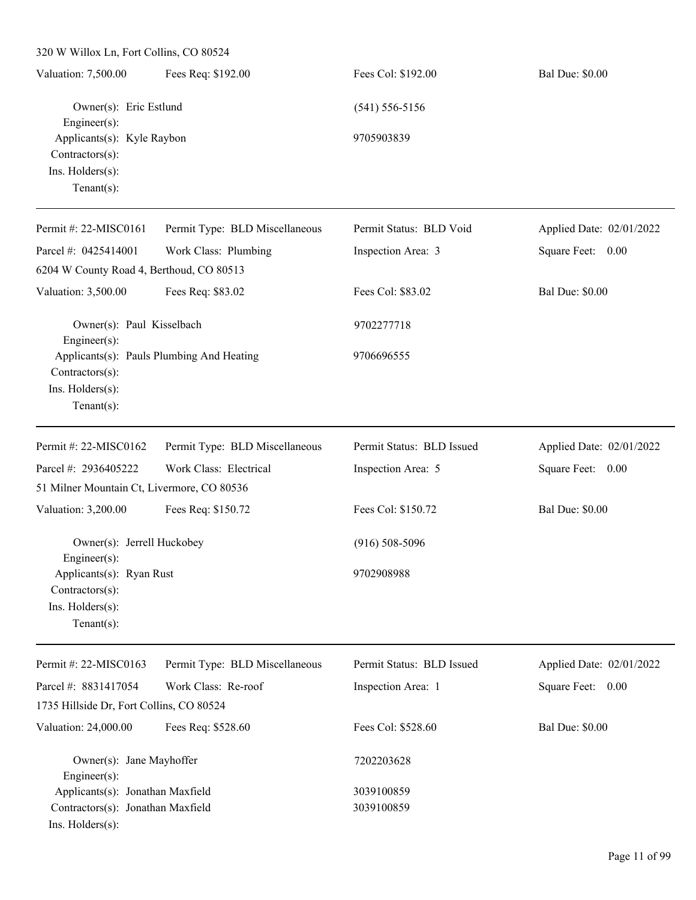| 320 W Willox Ln, Fort Collins, CO 80524                                                            |                                |                           |                          |
|----------------------------------------------------------------------------------------------------|--------------------------------|---------------------------|--------------------------|
| Valuation: 7,500.00                                                                                | Fees Req: \$192.00             | Fees Col: \$192.00        | <b>Bal Due: \$0.00</b>   |
| Owner(s): Eric Estlund<br>Engineer $(s)$ :                                                         |                                | $(541) 556 - 5156$        |                          |
| Applicants(s): Kyle Raybon<br>Contractors(s):<br>Ins. Holders(s):<br>Tenant $(s)$ :                |                                | 9705903839                |                          |
| Permit #: 22-MISC0161                                                                              | Permit Type: BLD Miscellaneous | Permit Status: BLD Void   | Applied Date: 02/01/2022 |
| Parcel #: 0425414001                                                                               | Work Class: Plumbing           | Inspection Area: 3        | Square Feet:<br>0.00     |
| 6204 W County Road 4, Berthoud, CO 80513                                                           |                                |                           |                          |
| Valuation: 3,500.00                                                                                | Fees Req: \$83.02              | Fees Col: \$83.02         | <b>Bal Due: \$0.00</b>   |
| Owner(s): Paul Kisselbach<br>Engineer $(s)$ :                                                      |                                | 9702277718                |                          |
| Applicants(s): Pauls Plumbing And Heating<br>Contractors(s):<br>Ins. Holders(s):<br>Tenant $(s)$ : |                                | 9706696555                |                          |
| Permit #: 22-MISC0162                                                                              | Permit Type: BLD Miscellaneous | Permit Status: BLD Issued | Applied Date: 02/01/2022 |
| Parcel #: 2936405222                                                                               | Work Class: Electrical         | Inspection Area: 5        | Square Feet:<br>0.00     |
| 51 Milner Mountain Ct, Livermore, CO 80536                                                         |                                |                           |                          |
| Valuation: 3,200.00                                                                                | Fees Req: \$150.72             | Fees Col: \$150.72        | <b>Bal Due: \$0.00</b>   |
| Owner(s): Jerrell Huckobey<br>Engineer(s):                                                         |                                | $(916) 508 - 5096$        |                          |
| Applicants(s): Ryan Rust<br>Contractors(s):<br>Ins. Holders(s):<br>Tenant $(s)$ :                  |                                | 9702908988                |                          |
| Permit #: 22-MISC0163                                                                              | Permit Type: BLD Miscellaneous | Permit Status: BLD Issued | Applied Date: 02/01/2022 |
| Parcel #: 8831417054<br>1735 Hillside Dr, Fort Collins, CO 80524                                   | Work Class: Re-roof            | Inspection Area: 1        | Square Feet: 0.00        |
| Valuation: 24,000.00                                                                               | Fees Req: \$528.60             | Fees Col: \$528.60        | <b>Bal Due: \$0.00</b>   |
|                                                                                                    |                                |                           |                          |
| Owner(s): Jane Mayhoffer<br>Engineer(s):                                                           |                                | 7202203628                |                          |
| Applicants(s): Jonathan Maxfield                                                                   |                                | 3039100859                |                          |
| Contractors(s): Jonathan Maxfield<br>Ins. Holders(s):                                              |                                | 3039100859                |                          |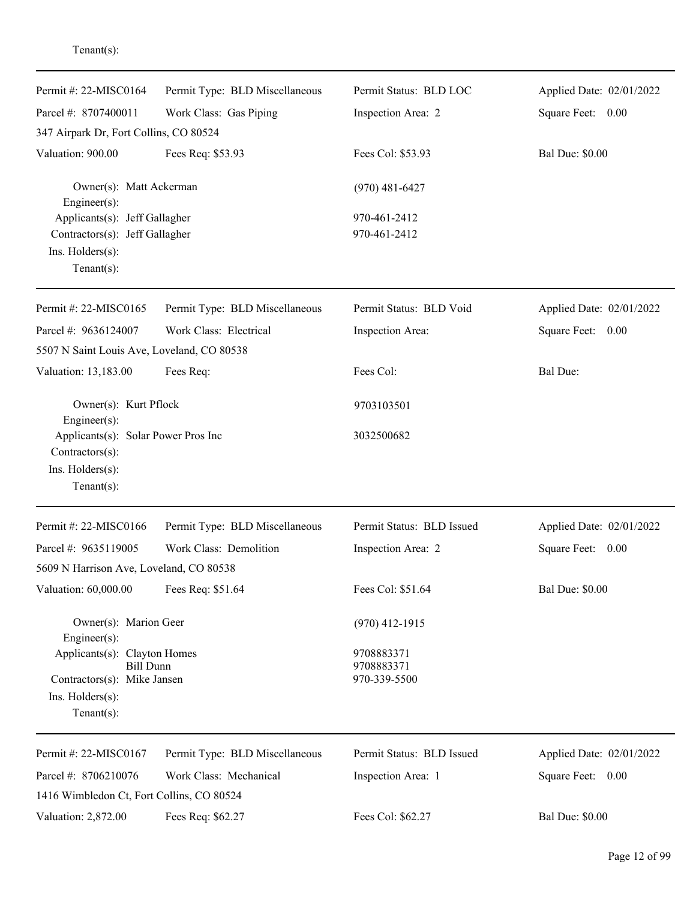| Permit #: $22-MISCO164$                         | Permit Type: BLD Miscellaneous | Permit Status: BLD LOC     | Applied Date: 02/01/2022 |
|-------------------------------------------------|--------------------------------|----------------------------|--------------------------|
| Parcel #: 8707400011                            | Work Class: Gas Piping         | Inspection Area: 2         | Square Feet: 0.00        |
| 347 Airpark Dr, Fort Collins, CO 80524          |                                |                            |                          |
| Valuation: 900.00                               | Fees Req: \$53.93              | Fees Col: \$53.93          | <b>Bal Due: \$0.00</b>   |
| Owner(s): Matt Ackerman<br>Engineer(s):         |                                | $(970)$ 481-6427           |                          |
| Applicants(s): Jeff Gallagher                   |                                | 970-461-2412               |                          |
| Contractors(s): Jeff Gallagher                  |                                | 970-461-2412               |                          |
| Ins. Holders(s):<br>Tenant $(s)$ :              |                                |                            |                          |
| Permit #: $22-MISCO165$                         | Permit Type: BLD Miscellaneous | Permit Status: BLD Void    | Applied Date: 02/01/2022 |
| Parcel #: 9636124007                            | Work Class: Electrical         | Inspection Area:           | Square Feet: 0.00        |
| 5507 N Saint Louis Ave, Loveland, CO 80538      |                                |                            |                          |
| Valuation: 13,183.00                            | Fees Req:                      | Fees Col:                  | <b>Bal Due:</b>          |
| Owner(s): Kurt Pflock<br>Engineer(s):           |                                | 9703103501                 |                          |
| Applicants(s): Solar Power Pros Inc             |                                | 3032500682                 |                          |
| Contractors(s):                                 |                                |                            |                          |
| Ins. Holders(s):                                |                                |                            |                          |
| Tenant $(s)$ :                                  |                                |                            |                          |
| Permit #: 22-MISC0166                           | Permit Type: BLD Miscellaneous | Permit Status: BLD Issued  | Applied Date: 02/01/2022 |
| Parcel #: 9635119005                            | Work Class: Demolition         | Inspection Area: 2         | Square Feet:<br>0.00     |
| 5609 N Harrison Ave, Loveland, CO 80538         |                                |                            |                          |
| Valuation: 60,000.00                            | Fees Req: \$51.64              | Fees Col: \$51.64          | <b>Bal Due: \$0.00</b>   |
| Owner(s): Marion Geer<br>Engineer(s):           |                                | $(970)$ 412-1915           |                          |
| Applicants(s): Clayton Homes                    |                                | 9708883371                 |                          |
| <b>Bill Dunn</b><br>Contractors(s): Mike Jansen |                                | 9708883371<br>970-339-5500 |                          |
| $Ins.$ Holders $(s)$ :                          |                                |                            |                          |
| Tenant $(s)$ :                                  |                                |                            |                          |
| Permit #: 22-MISC0167                           | Permit Type: BLD Miscellaneous | Permit Status: BLD Issued  | Applied Date: 02/01/2022 |
| Parcel #: 8706210076                            | Work Class: Mechanical         | Inspection Area: 1         | Square Feet: 0.00        |
| 1416 Wimbledon Ct, Fort Collins, CO 80524       |                                |                            |                          |
| Valuation: 2,872.00                             | Fees Req: \$62.27              | Fees Col: \$62.27          | <b>Bal Due: \$0.00</b>   |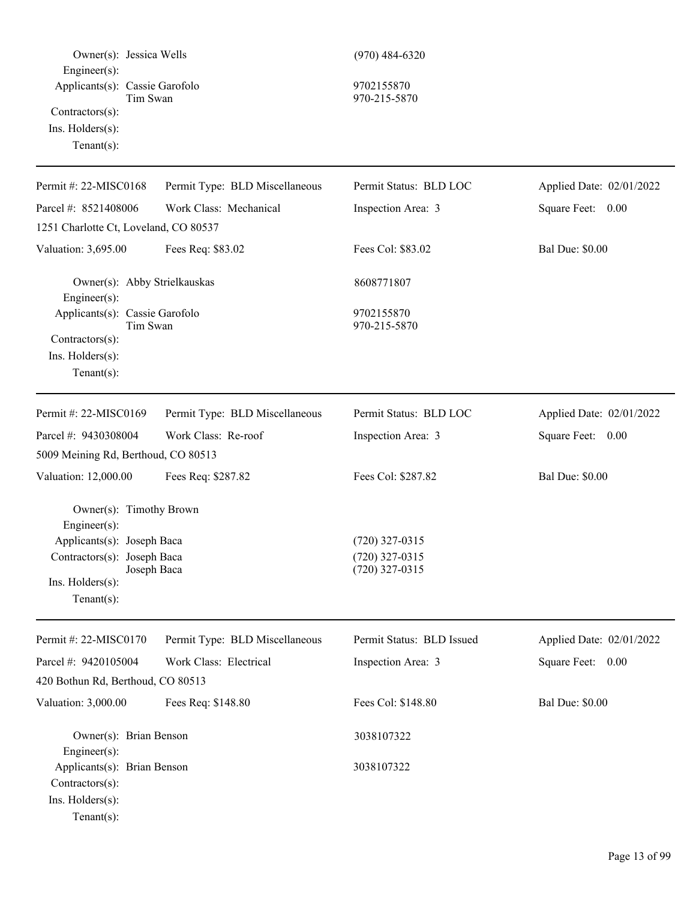| Owner(s): Jessica Wells<br>$Engineer(s)$ :<br>Applicants(s): Cassie Garofolo<br>Tim Swan<br>Contractors(s):<br>Ins. Holders(s):<br>Tenant $(s)$ :         |                                | $(970)$ 484-6320<br>9702155870<br>970-215-5870           |                          |
|-----------------------------------------------------------------------------------------------------------------------------------------------------------|--------------------------------|----------------------------------------------------------|--------------------------|
| Permit #: 22-MISC0168                                                                                                                                     | Permit Type: BLD Miscellaneous | Permit Status: BLD LOC                                   | Applied Date: 02/01/2022 |
| Parcel #: 8521408006                                                                                                                                      | Work Class: Mechanical         | Inspection Area: 3                                       | Square Feet: 0.00        |
| 1251 Charlotte Ct, Loveland, CO 80537                                                                                                                     |                                |                                                          |                          |
| Valuation: 3,695.00                                                                                                                                       | Fees Req: \$83.02              | Fees Col: \$83.02                                        | <b>Bal Due: \$0.00</b>   |
| Owner(s): Abby Strielkauskas<br>Engineer $(s)$ :                                                                                                          |                                | 8608771807                                               |                          |
| Applicants(s): Cassie Garofolo<br>Tim Swan<br>Contractors(s):<br>Ins. $H$ olders $(s)$ :<br>Tenant $(s)$ :                                                |                                | 9702155870<br>970-215-5870                               |                          |
| Permit #: 22-MISC0169                                                                                                                                     | Permit Type: BLD Miscellaneous | Permit Status: BLD LOC                                   | Applied Date: 02/01/2022 |
| Parcel #: 9430308004                                                                                                                                      | Work Class: Re-roof            | Inspection Area: 3                                       | Square Feet: 0.00        |
| 5009 Meining Rd, Berthoud, CO 80513                                                                                                                       |                                |                                                          |                          |
| Valuation: 12,000.00                                                                                                                                      | Fees Req: \$287.82             | Fees Col: \$287.82                                       | <b>Bal Due: \$0.00</b>   |
| Owner(s): Timothy Brown<br>Engineer(s):<br>Applicants(s): Joseph Baca<br>Contractors(s): Joseph Baca<br>Joseph Baca<br>Ins. Holders(s):<br>Tenant $(s)$ : |                                | $(720)$ 327-0315<br>$(720)$ 327-0315<br>$(720)$ 327-0315 |                          |
| Permit #: 22-MISC0170                                                                                                                                     | Permit Type: BLD Miscellaneous | Permit Status: BLD Issued                                | Applied Date: 02/01/2022 |
| Parcel #: 9420105004                                                                                                                                      | Work Class: Electrical         | Inspection Area: 3                                       | Square Feet: 0.00        |
| 420 Bothun Rd, Berthoud, CO 80513                                                                                                                         |                                |                                                          |                          |
| Valuation: 3,000.00                                                                                                                                       | Fees Req: \$148.80             | Fees Col: \$148.80                                       | <b>Bal Due: \$0.00</b>   |
| Owner(s): Brian Benson<br>Engineer(s):<br>Applicants(s): Brian Benson<br>$Contractors(s)$ :                                                               |                                | 3038107322<br>3038107322                                 |                          |
| Ins. Holders(s):<br>Tenant $(s)$ :                                                                                                                        |                                |                                                          |                          |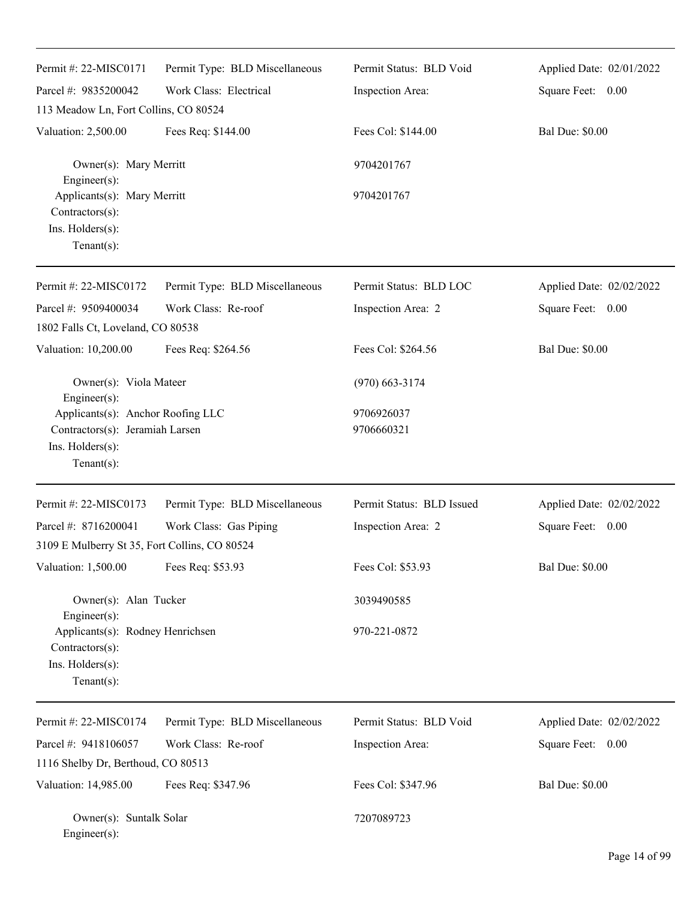| Permit #: 22-MISC0171                                                                                    | Permit Type: BLD Miscellaneous | Permit Status: BLD Void   | Applied Date: 02/01/2022 |
|----------------------------------------------------------------------------------------------------------|--------------------------------|---------------------------|--------------------------|
| Parcel #: 9835200042                                                                                     | Work Class: Electrical         | Inspection Area:          | Square Feet: 0.00        |
| 113 Meadow Ln, Fort Collins, CO 80524                                                                    |                                |                           |                          |
| Valuation: 2,500.00                                                                                      | Fees Req: \$144.00             | Fees Col: \$144.00        | <b>Bal Due: \$0.00</b>   |
| Owner(s): Mary Merritt<br>Engineer(s):                                                                   |                                | 9704201767                |                          |
| Applicants(s): Mary Merritt<br>Contractors(s):                                                           |                                | 9704201767                |                          |
| Ins. Holders(s):<br>$Tenant(s)$ :                                                                        |                                |                           |                          |
| Permit #: 22-MISC0172                                                                                    | Permit Type: BLD Miscellaneous | Permit Status: BLD LOC    | Applied Date: 02/02/2022 |
| Parcel #: 9509400034<br>1802 Falls Ct, Loveland, CO 80538                                                | Work Class: Re-roof            | Inspection Area: 2        | Square Feet: 0.00        |
| Valuation: 10,200.00                                                                                     | Fees Req: \$264.56             | Fees Col: \$264.56        | <b>Bal Due: \$0.00</b>   |
| Owner(s): Viola Mateer                                                                                   |                                | $(970)$ 663-3174          |                          |
| Engineer(s):<br>Applicants(s): Anchor Roofing LLC<br>Contractors(s): Jeramiah Larsen<br>Ins. Holders(s): |                                | 9706926037<br>9706660321  |                          |
| $Tenant(s)$ :                                                                                            |                                |                           |                          |
| Permit #: 22-MISC0173                                                                                    | Permit Type: BLD Miscellaneous | Permit Status: BLD Issued | Applied Date: 02/02/2022 |
| Parcel #: 8716200041                                                                                     | Work Class: Gas Piping         | Inspection Area: 2        | Square Feet: 0.00        |
| 3109 E Mulberry St 35, Fort Collins, CO 80524                                                            |                                |                           |                          |
| Valuation: 1,500.00                                                                                      | Fees Req: \$53.93              | Fees Col: \$53.93         | <b>Bal Due: \$0.00</b>   |
| Owner(s): Alan Tucker<br>Engineer(s):                                                                    |                                | 3039490585                |                          |
| Applicants(s): Rodney Henrichsen<br>Contractors(s):<br>Ins. Holders(s):<br>Tenant $(s)$ :                |                                | 970-221-0872              |                          |
| Permit #: 22-MISC0174                                                                                    | Permit Type: BLD Miscellaneous | Permit Status: BLD Void   | Applied Date: 02/02/2022 |
| Parcel #: 9418106057                                                                                     | Work Class: Re-roof            | Inspection Area:          | Square Feet: 0.00        |
| 1116 Shelby Dr, Berthoud, CO 80513                                                                       |                                |                           |                          |
| Valuation: 14,985.00                                                                                     | Fees Req: \$347.96             | Fees Col: \$347.96        | <b>Bal Due: \$0.00</b>   |
| Owner(s): Suntalk Solar<br>Engineer(s):                                                                  |                                | 7207089723                |                          |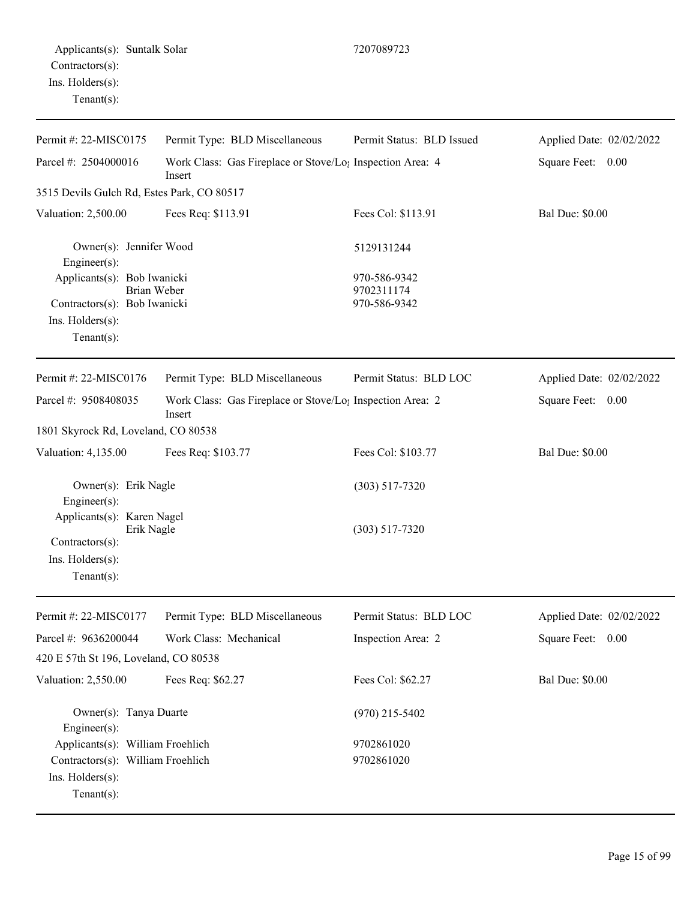Ins. Holders(s): Tenant(s):

| Permit #: 22-MISC0175                                                                                   | Permit Type: BLD Miscellaneous                                      | Permit Status: BLD Issued                  | Applied Date: 02/02/2022 |
|---------------------------------------------------------------------------------------------------------|---------------------------------------------------------------------|--------------------------------------------|--------------------------|
| Parcel #: 2504000016<br>Work Class: Gas Fireplace or Stove/Lo <sub>1</sub> Inspection Area: 4<br>Insert |                                                                     |                                            | Square Feet:<br>0.00     |
| 3515 Devils Gulch Rd, Estes Park, CO 80517                                                              |                                                                     |                                            |                          |
| Valuation: 2,500.00                                                                                     | Fees Req: \$113.91                                                  | Fees Col: \$113.91                         | <b>Bal Due: \$0.00</b>   |
| Owner(s): Jennifer Wood<br>Engineer(s):                                                                 |                                                                     | 5129131244                                 |                          |
| Applicants(s): Bob Iwanicki<br>Contractors(s): Bob Iwanicki<br>Ins. Holders(s):<br>Tenant $(s)$ :       | Brian Weber                                                         | 970-586-9342<br>9702311174<br>970-586-9342 |                          |
| Permit #: 22-MISC0176                                                                                   | Permit Type: BLD Miscellaneous                                      | Permit Status: BLD LOC                     | Applied Date: 02/02/2022 |
| Parcel #: 9508408035                                                                                    | Work Class: Gas Fireplace or Stove/Lo; Inspection Area: 2<br>Insert |                                            | Square Feet: 0.00        |
| 1801 Skyrock Rd, Loveland, CO 80538                                                                     |                                                                     |                                            |                          |
| Valuation: 4,135.00                                                                                     | Fees Req: \$103.77                                                  | Fees Col: \$103.77                         | <b>Bal Due: \$0.00</b>   |
| Owner(s): Erik Nagle<br>Engineer(s):                                                                    |                                                                     | $(303) 517 - 7320$                         |                          |
| Applicants(s): Karen Nagel<br>Erik Nagle<br>Contractors(s):<br>$Ins.$ Holders $(s)$ :<br>Tenant $(s)$ : |                                                                     | $(303) 517 - 7320$                         |                          |
| Permit #: 22-MISC0177                                                                                   | Permit Type: BLD Miscellaneous                                      | Permit Status: BLD LOC                     | Applied Date: 02/02/2022 |
| Parcel #: 9636200044                                                                                    | Work Class: Mechanical                                              | Inspection Area: 2                         | Square Feet: 0.00        |
| 420 E 57th St 196, Loveland, CO 80538                                                                   |                                                                     |                                            |                          |
| Valuation: 2,550.00                                                                                     | Fees Req: \$62.27                                                   | Fees Col: \$62.27                          | <b>Bal Due: \$0.00</b>   |
| Owner(s): Tanya Duarte<br>$Engineering(s)$ :                                                            |                                                                     | $(970)$ 215-5402                           |                          |
| Applicants(s): William Froehlich                                                                        |                                                                     | 9702861020                                 |                          |
| Contractors(s): William Froehlich                                                                       |                                                                     | 9702861020                                 |                          |

Page 15 of 99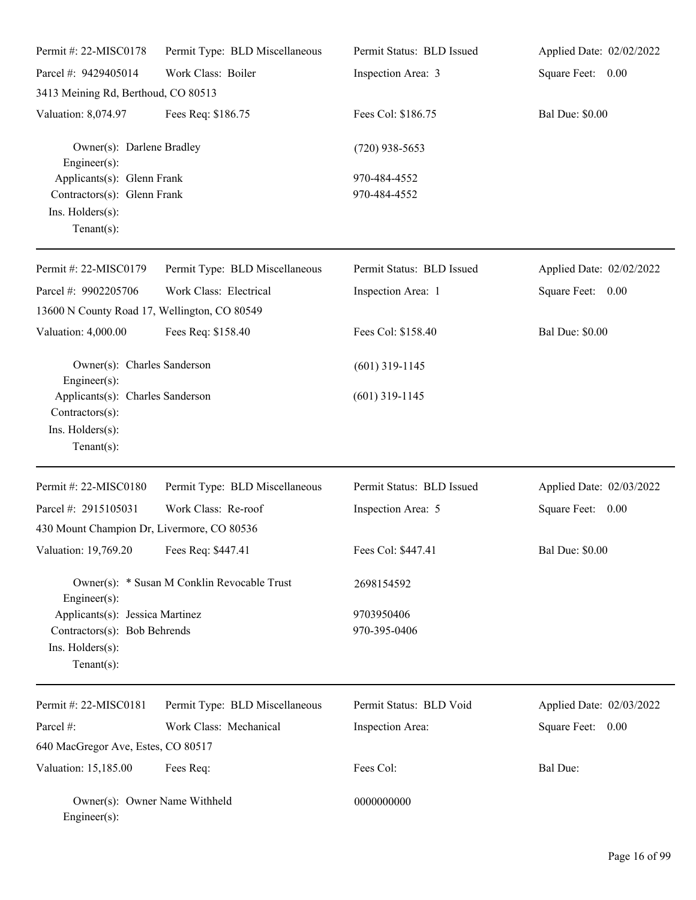| Permit #: 22-MISC0178                                                                                 | Permit Type: BLD Miscellaneous              | Permit Status: BLD Issued    | Applied Date: 02/02/2022 |
|-------------------------------------------------------------------------------------------------------|---------------------------------------------|------------------------------|--------------------------|
| Parcel #: 9429405014                                                                                  | Work Class: Boiler                          | Inspection Area: 3           | Square Feet: 0.00        |
| 3413 Meining Rd, Berthoud, CO 80513                                                                   |                                             |                              |                          |
| Valuation: 8,074.97                                                                                   | Fees Req: \$186.75                          | Fees Col: \$186.75           | <b>Bal Due: \$0.00</b>   |
| Owner(s): Darlene Bradley<br>$Engineering(s)$ :                                                       |                                             | $(720)$ 938-5653             |                          |
| Applicants(s): Glenn Frank<br>Contractors(s): Glenn Frank<br>Ins. Holders(s):<br>Tenant $(s)$ :       |                                             | 970-484-4552<br>970-484-4552 |                          |
| Permit #: 22-MISC0179                                                                                 | Permit Type: BLD Miscellaneous              | Permit Status: BLD Issued    | Applied Date: 02/02/2022 |
| Parcel #: 9902205706                                                                                  | Work Class: Electrical                      | Inspection Area: 1           | Square Feet: 0.00        |
| 13600 N County Road 17, Wellington, CO 80549                                                          |                                             |                              |                          |
| Valuation: 4,000.00                                                                                   | Fees Req: \$158.40                          | Fees Col: \$158.40           | <b>Bal Due: \$0.00</b>   |
| Owner(s): Charles Sanderson<br>$Engineering(s)$ :                                                     |                                             | $(601)$ 319-1145             |                          |
| Applicants(s): Charles Sanderson<br>Contractors(s):<br>Ins. Holders(s):<br>Tenant $(s)$ :             |                                             | $(601)$ 319-1145             |                          |
| Permit #: 22-MISC0180                                                                                 | Permit Type: BLD Miscellaneous              | Permit Status: BLD Issued    | Applied Date: 02/03/2022 |
| Parcel #: 2915105031                                                                                  | Work Class: Re-roof                         | Inspection Area: 5           | Square Feet: 0.00        |
| 430 Mount Champion Dr, Livermore, CO 80536                                                            |                                             |                              |                          |
| Valuation: 19,769.20 Fees Req: \$447.41                                                               |                                             | Fees Col: \$447.41           | <b>Bal Due: \$0.00</b>   |
| $Engineering(s)$ :                                                                                    | Owner(s): * Susan M Conklin Revocable Trust | 2698154592                   |                          |
| Applicants(s): Jessica Martinez<br>Contractors(s): Bob Behrends<br>Ins. Holders(s):<br>Tenant $(s)$ : |                                             | 9703950406<br>970-395-0406   |                          |
| Permit #: 22-MISC0181                                                                                 | Permit Type: BLD Miscellaneous              | Permit Status: BLD Void      | Applied Date: 02/03/2022 |
| Parcel #:                                                                                             | Work Class: Mechanical                      | Inspection Area:             | Square Feet: 0.00        |
| 640 MacGregor Ave, Estes, CO 80517                                                                    |                                             |                              |                          |
| Valuation: 15,185.00                                                                                  | Fees Req:                                   | Fees Col:                    | Bal Due:                 |
| Owner(s): Owner Name Withheld<br>Engineer(s):                                                         |                                             | 0000000000                   |                          |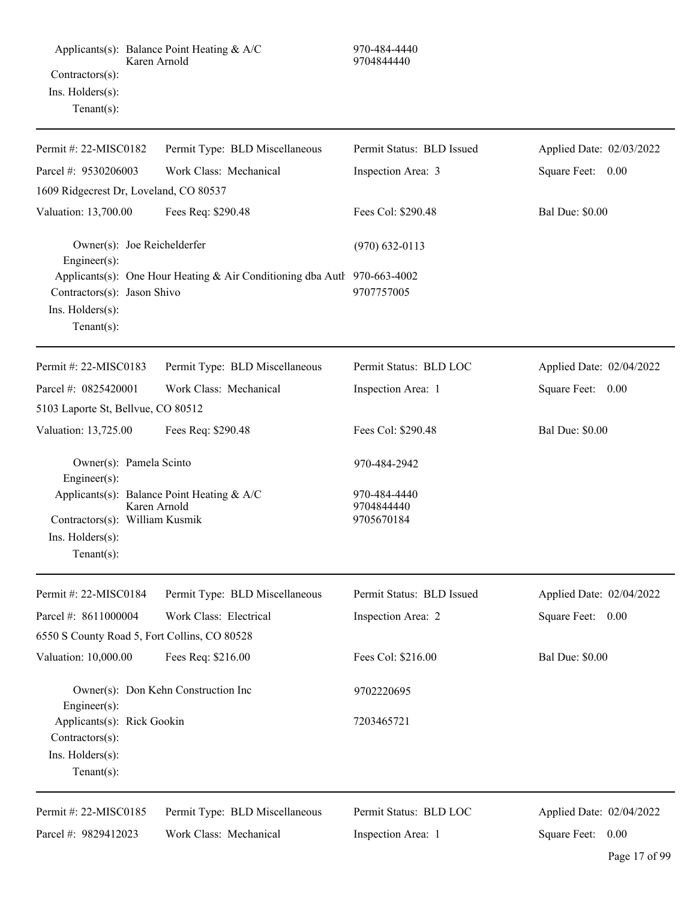| Permit #: $22-MISCO182$                                                             | Permit Type: BLD Miscellaneous                                           | Permit Status: BLD Issued                | Applied Date: 02/03/2022 |
|-------------------------------------------------------------------------------------|--------------------------------------------------------------------------|------------------------------------------|--------------------------|
| Parcel #: 9530206003                                                                | Work Class: Mechanical                                                   | Inspection Area: 3                       | Square Feet: 0.00        |
| 1609 Ridgecrest Dr, Loveland, CO 80537                                              |                                                                          |                                          |                          |
| Valuation: 13,700.00                                                                | Fees Req: \$290.48                                                       | Fees Col: \$290.48                       | <b>Bal Due: \$0.00</b>   |
| Owner(s): Joe Reichelderfer<br>Engineer(s):                                         |                                                                          | $(970) 632 - 0113$                       |                          |
| Contractors(s): Jason Shivo<br>Ins. Holders(s):<br>Tenant $(s)$ :                   | Applicants(s): One Hour Heating & Air Conditioning dba Autl 970-663-4002 | 9707757005                               |                          |
| Permit #: 22-MISC0183                                                               | Permit Type: BLD Miscellaneous                                           | Permit Status: BLD LOC                   | Applied Date: 02/04/2022 |
| Parcel #: 0825420001                                                                | Work Class: Mechanical                                                   | Inspection Area: 1                       | Square Feet: 0.00        |
| 5103 Laporte St, Bellvue, CO 80512                                                  |                                                                          |                                          |                          |
| Valuation: 13,725.00                                                                | Fees Req: \$290.48                                                       | Fees Col: \$290.48                       | <b>Bal Due: \$0.00</b>   |
| Owner(s): Pamela Scinto<br>Engineer(s):                                             |                                                                          | 970-484-2942                             |                          |
| Contractors(s): William Kusmik<br>Ins. Holders(s):<br>Tenant $(s)$ :                | Applicants(s): Balance Point Heating & A/C<br>Karen Arnold               | 970-484-4440<br>9704844440<br>9705670184 |                          |
| Permit #: 22-MISC0184                                                               | Permit Type: BLD Miscellaneous                                           | Permit Status: BLD Issued                | Applied Date: 02/04/2022 |
| Parcel #: 8611000004                                                                | Work Class: Electrical                                                   | Inspection Area: 2                       | Square Feet:<br>0.00     |
| 6550 S County Road 5, Fort Collins, CO 80528                                        |                                                                          |                                          |                          |
| Valuation: 10,000.00                                                                | Fees Req: \$216.00                                                       | Fees Col: \$216.00                       | <b>Bal Due: \$0.00</b>   |
| Engineer(s):                                                                        | Owner(s): Don Kehn Construction Inc                                      | 9702220695                               |                          |
| Applicants(s): Rick Gookin<br>Contractors(s):<br>Ins. Holders(s):<br>Tenant $(s)$ : |                                                                          | 7203465721                               |                          |
| Permit #: 22-MISC0185                                                               | Permit Type: BLD Miscellaneous                                           | Permit Status: BLD LOC                   | Applied Date: 02/04/2022 |
| Parcel #: 9829412023                                                                | Work Class: Mechanical                                                   | Inspection Area: 1                       | Square Feet: 0.00        |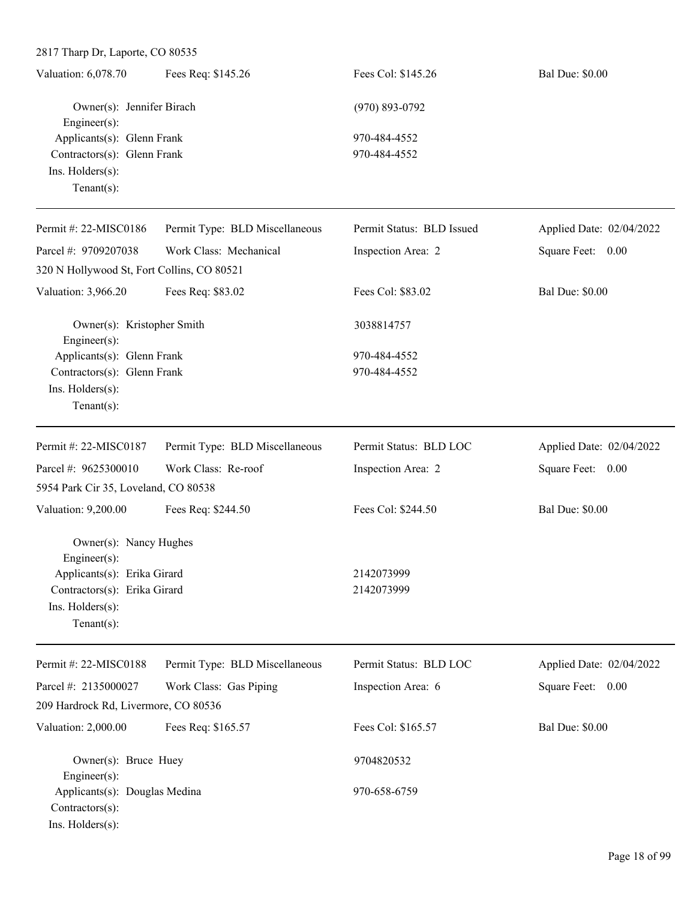| Valuation: 6,078.70         | Fees Req: \$145.26        | Fees Col: \$145.26 | <b>Bal Due: \$0.00</b> |  |
|-----------------------------|---------------------------|--------------------|------------------------|--|
|                             | Owner(s): Jennifer Birach | $(970) 893 - 0792$ |                        |  |
| Engineer $(s)$ :            |                           |                    |                        |  |
| Applicants(s): Glenn Frank  |                           | 970-484-4552       |                        |  |
| Contractors(s): Glenn Frank |                           | 970-484-4552       |                        |  |
| Ins. $H$ olders $(s)$ :     |                           |                    |                        |  |
| $Tenant(s)$ :               |                           |                    |                        |  |

| Permit #: 22-MISC0186                                                                                 | Permit Type: BLD Miscellaneous | Permit Status: BLD Issued | Applied Date: 02/04/2022 |
|-------------------------------------------------------------------------------------------------------|--------------------------------|---------------------------|--------------------------|
| Parcel #: 9709207038                                                                                  | Work Class: Mechanical         | Inspection Area: 2        | Square Feet: 0.00        |
| 320 N Hollywood St, Fort Collins, CO 80521                                                            |                                |                           |                          |
| Valuation: 3,966.20                                                                                   | Fees Req: \$83.02              | Fees Col: \$83.02         | <b>Bal Due: \$0.00</b>   |
| Owner(s): Kristopher Smith<br>Engineer(s):                                                            |                                | 3038814757                |                          |
| Applicants(s): Glenn Frank                                                                            |                                | 970-484-4552              |                          |
| Contractors(s): Glenn Frank                                                                           |                                | 970-484-4552              |                          |
| Ins. Holders(s):<br>$Tenant(s)$ :                                                                     |                                |                           |                          |
| Permit #: 22-MISC0187                                                                                 | Permit Type: BLD Miscellaneous | Permit Status: BLD LOC    | Applied Date: 02/04/2022 |
| Parcel #: 9625300010                                                                                  | Work Class: Re-roof            | Inspection Area: 2        | Square Feet: 0.00        |
| 5954 Park Cir 35, Loveland, CO 80538                                                                  |                                |                           |                          |
| Valuation: 9,200.00                                                                                   | Fees Req: \$244.50             | Fees Col: \$244.50        | <b>Bal Due: \$0.00</b>   |
| Owner(s): Nancy Hughes<br>Engineer(s):<br>Applicants(s): Erika Girard<br>Contractors(s): Erika Girard |                                | 2142073999<br>2142073999  |                          |
| Ins. Holders(s):<br>Tenant $(s)$ :                                                                    |                                |                           |                          |
| Permit #: 22-MISC0188                                                                                 | Permit Type: BLD Miscellaneous | Permit Status: BLD LOC    | Applied Date: 02/04/2022 |
| Parcel #: 2135000027                                                                                  | Work Class: Gas Piping         | Inspection Area: 6        | Square Feet: 0.00        |
| 209 Hardrock Rd, Livermore, CO 80536                                                                  |                                |                           |                          |
| Valuation: 2,000.00                                                                                   | Fees Req: \$165.57             | Fees Col: \$165.57        | <b>Bal Due: \$0.00</b>   |
| Owner(s): Bruce Huey<br>Engineer $(s)$ :                                                              |                                | 9704820532                |                          |
| Applicants(s): Douglas Medina<br>$Contractors(s)$ :                                                   |                                | 970-658-6759              |                          |

Ins. Holders(s):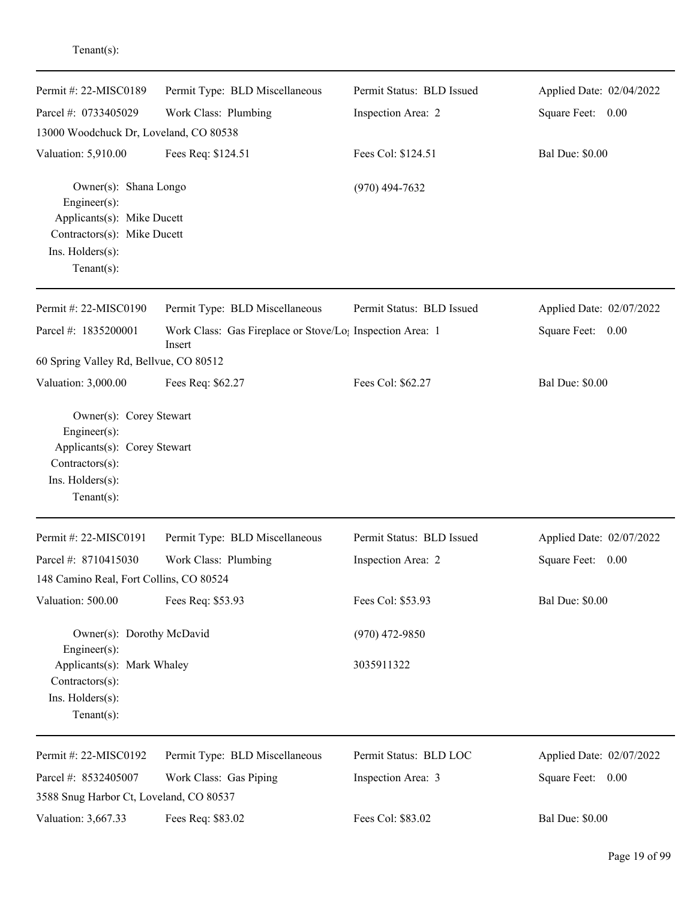| Permit #: 22-MISC0189                                                                                                                   | Permit Type: BLD Miscellaneous                                      | Permit Status: BLD Issued | Applied Date: 02/04/2022 |
|-----------------------------------------------------------------------------------------------------------------------------------------|---------------------------------------------------------------------|---------------------------|--------------------------|
| Parcel #: 0733405029                                                                                                                    | Work Class: Plumbing                                                | Inspection Area: 2        | Square Feet: 0.00        |
| 13000 Woodchuck Dr, Loveland, CO 80538                                                                                                  |                                                                     |                           |                          |
| Valuation: 5,910.00                                                                                                                     | Fees Req: \$124.51                                                  | Fees Col: \$124.51        | <b>Bal Due: \$0.00</b>   |
| Owner(s): Shana Longo<br>Engineer(s):<br>Applicants(s): Mike Ducett<br>Contractors(s): Mike Ducett<br>Ins. Holders(s):<br>$Tenant(s)$ : |                                                                     | $(970)$ 494-7632          |                          |
| Permit #: 22-MISC0190                                                                                                                   | Permit Type: BLD Miscellaneous                                      | Permit Status: BLD Issued | Applied Date: 02/07/2022 |
| Parcel #: 1835200001                                                                                                                    | Work Class: Gas Fireplace or Stove/Lo; Inspection Area: 1<br>Insert |                           | Square Feet: 0.00        |
| 60 Spring Valley Rd, Bellvue, CO 80512                                                                                                  |                                                                     |                           |                          |
| Valuation: 3,000.00                                                                                                                     | Fees Req: \$62.27                                                   | Fees Col: \$62.27         | <b>Bal Due: \$0.00</b>   |
| Engineer(s):<br>Applicants(s): Corey Stewart<br>Contractors(s):<br>Ins. Holders(s):<br>Tenant $(s)$ :                                   |                                                                     |                           |                          |
| Permit #: 22-MISC0191                                                                                                                   | Permit Type: BLD Miscellaneous                                      | Permit Status: BLD Issued | Applied Date: 02/07/2022 |
| Parcel #: 8710415030                                                                                                                    | Work Class: Plumbing                                                | Inspection Area: 2        | Square Feet: 0.00        |
| 148 Camino Real, Fort Collins, CO 80524                                                                                                 |                                                                     |                           |                          |
| Valuation: 500.00                                                                                                                       | Fees Req: \$53.93                                                   | Fees Col: \$53.93         | <b>Bal Due: \$0.00</b>   |
| Owner(s): Dorothy McDavid<br>Engineer $(s)$ :                                                                                           |                                                                     | $(970)$ 472-9850          |                          |
| Applicants(s): Mark Whaley<br>Contractors(s):<br>Ins. Holders(s):<br>Tenant(s):                                                         |                                                                     | 3035911322                |                          |
| Permit #: 22-MISC0192                                                                                                                   | Permit Type: BLD Miscellaneous                                      | Permit Status: BLD LOC    | Applied Date: 02/07/2022 |
| Parcel #: 8532405007                                                                                                                    | Work Class: Gas Piping                                              | Inspection Area: 3        | Square Feet: 0.00        |
| 3588 Snug Harbor Ct, Loveland, CO 80537                                                                                                 |                                                                     |                           |                          |
| Valuation: 3,667.33                                                                                                                     | Fees Req: \$83.02                                                   | Fees Col: \$83.02         | <b>Bal Due: \$0.00</b>   |
|                                                                                                                                         |                                                                     |                           | Page 19 of 99            |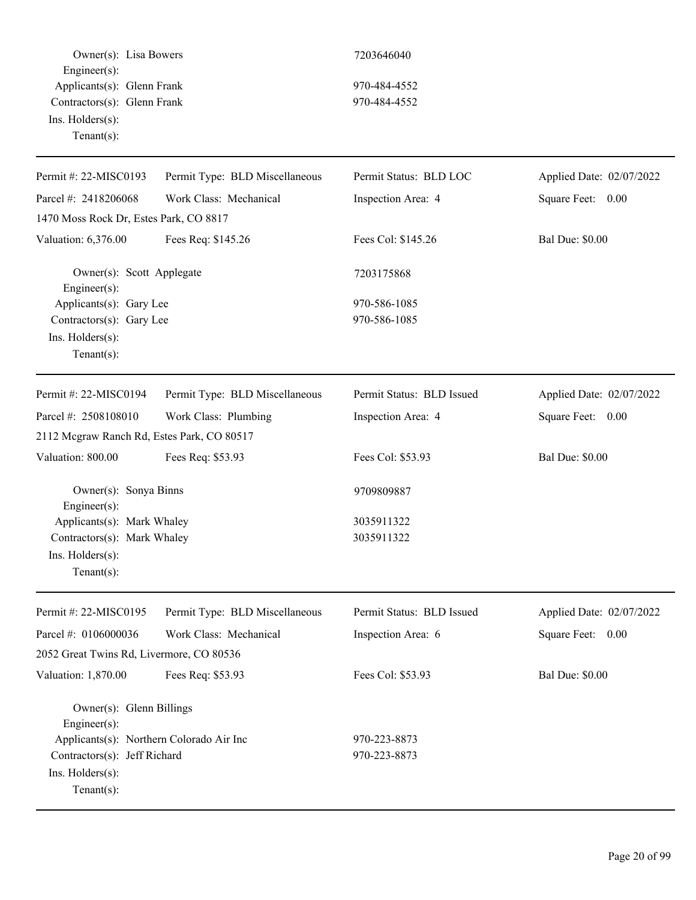Owner(s): Lisa Bowers 7203646040 Engineer(s): Applicants(s): Glenn Frank 970-484-4552 Contractors(s): Glenn Frank 970-484-4552 Ins. Holders(s): Tenant(s):

| Permit #: 22-MISC0193                                                                                                                                      | Permit Type: BLD Miscellaneous | Permit Status: BLD LOC       | Applied Date: 02/07/2022 |
|------------------------------------------------------------------------------------------------------------------------------------------------------------|--------------------------------|------------------------------|--------------------------|
| Parcel #: 2418206068                                                                                                                                       | Work Class: Mechanical         | Inspection Area: 4           | Square Feet: 0.00        |
| 1470 Moss Rock Dr, Estes Park, CO 8817                                                                                                                     |                                |                              |                          |
| Valuation: 6,376.00                                                                                                                                        | Fees Req: \$145.26             | Fees Col: \$145.26           | <b>Bal Due: \$0.00</b>   |
| Owner(s): Scott Applegate<br>Engineer(s):                                                                                                                  |                                | 7203175868                   |                          |
| Applicants(s): Gary Lee                                                                                                                                    |                                | 970-586-1085                 |                          |
| Contractors(s): Gary Lee                                                                                                                                   |                                | 970-586-1085                 |                          |
| Ins. Holders(s):<br>$Tenant(s)$ :                                                                                                                          |                                |                              |                          |
| Permit #: 22-MISC0194                                                                                                                                      | Permit Type: BLD Miscellaneous | Permit Status: BLD Issued    | Applied Date: 02/07/2022 |
| Parcel #: 2508108010                                                                                                                                       | Work Class: Plumbing           | Inspection Area: 4           | Square Feet: 0.00        |
| 2112 Mcgraw Ranch Rd, Estes Park, CO 80517                                                                                                                 |                                |                              |                          |
| Valuation: 800.00                                                                                                                                          | Fees Req: \$53.93              | Fees Col: \$53.93            | <b>Bal Due: \$0.00</b>   |
| Owner(s): Sonya Binns<br>Engineer(s):                                                                                                                      |                                | 9709809887                   |                          |
| Applicants(s): Mark Whaley<br>Contractors(s): Mark Whaley<br>Ins. Holders(s):<br>$Tenant(s)$ :                                                             |                                | 3035911322<br>3035911322     |                          |
| Permit #: 22-MISC0195                                                                                                                                      | Permit Type: BLD Miscellaneous | Permit Status: BLD Issued    | Applied Date: 02/07/2022 |
| Parcel #: 0106000036                                                                                                                                       | Work Class: Mechanical         | Inspection Area: 6           | Square Feet: 0.00        |
| 2052 Great Twins Rd, Livermore, CO 80536                                                                                                                   |                                |                              |                          |
| Valuation: 1,870.00                                                                                                                                        | Fees Req: \$53.93              | Fees Col: \$53.93            | <b>Bal Due: \$0.00</b>   |
| Owner(s): Glenn Billings<br>Engineer(s):<br>Applicants(s): Northern Colorado Air Inc<br>Contractors(s): Jeff Richard<br>Ins. Holders(s):<br>Tenant $(s)$ : |                                | 970-223-8873<br>970-223-8873 |                          |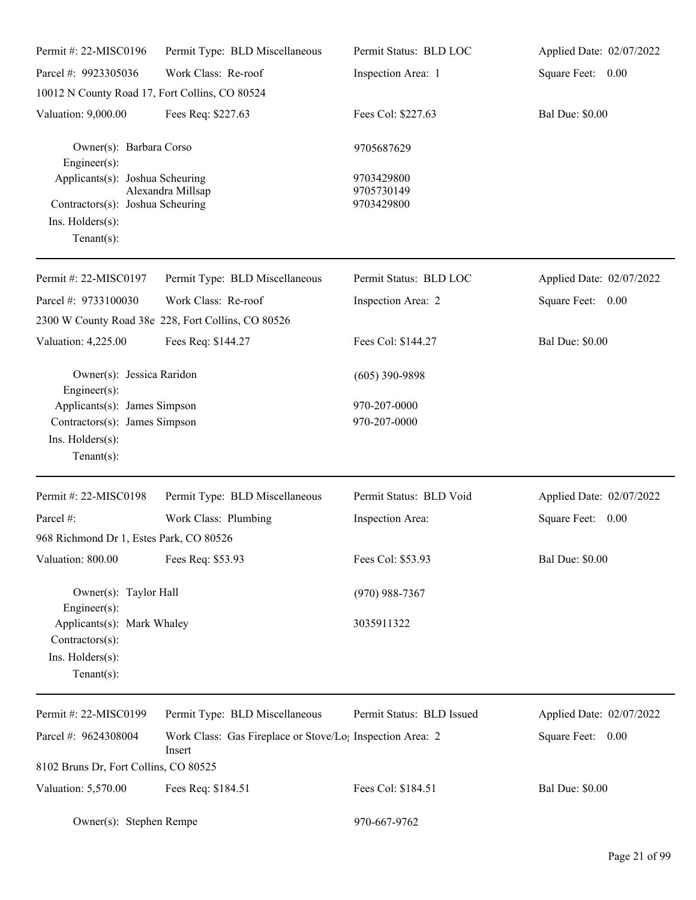| Permit #: 22-MISC0196                                                                                     | Permit Type: BLD Miscellaneous                                                  | Permit Status: BLD LOC                 | Applied Date: 02/07/2022 |
|-----------------------------------------------------------------------------------------------------------|---------------------------------------------------------------------------------|----------------------------------------|--------------------------|
| Parcel #: 9923305036                                                                                      | Work Class: Re-roof                                                             | Inspection Area: 1                     | Square Feet: 0.00        |
| 10012 N County Road 17, Fort Collins, CO 80524                                                            |                                                                                 |                                        |                          |
| Valuation: 9,000.00                                                                                       | Fees Req: \$227.63                                                              | Fees Col: \$227.63                     | <b>Bal Due: \$0.00</b>   |
| Owner(s): Barbara Corso<br>Engineer $(s)$ :                                                               |                                                                                 | 9705687629                             |                          |
| Applicants(s): Joshua Scheuring<br>Contractors(s): Joshua Scheuring<br>Ins. Holders(s):<br>Tenant $(s)$ : | Alexandra Millsap                                                               | 9703429800<br>9705730149<br>9703429800 |                          |
| Permit #: 22-MISC0197                                                                                     | Permit Type: BLD Miscellaneous                                                  | Permit Status: BLD LOC                 | Applied Date: 02/07/2022 |
| Parcel #: 9733100030                                                                                      | Work Class: Re-roof                                                             | Inspection Area: 2                     | Square Feet: 0.00        |
|                                                                                                           | 2300 W County Road 38e 228, Fort Collins, CO 80526                              |                                        |                          |
| Valuation: 4,225.00                                                                                       | Fees Req: \$144.27                                                              | Fees Col: \$144.27                     | <b>Bal Due: \$0.00</b>   |
| Owner(s): Jessica Raridon<br>$Engineering(s)$ :                                                           |                                                                                 | $(605)$ 390-9898                       |                          |
| Applicants(s): James Simpson                                                                              |                                                                                 | 970-207-0000                           |                          |
| Contractors(s): James Simpson<br>Ins. Holders(s):<br>Tenant $(s)$ :                                       |                                                                                 | 970-207-0000                           |                          |
| Permit #: $22-MISCO198$                                                                                   | Permit Type: BLD Miscellaneous                                                  | Permit Status: BLD Void                | Applied Date: 02/07/2022 |
| Parcel #:                                                                                                 | Work Class: Plumbing                                                            | Inspection Area:                       | Square Feet: 0.00        |
| 968 Richmond Dr 1, Estes Park, CO 80526                                                                   |                                                                                 |                                        |                          |
| Valuation: 800.00                                                                                         | Fees Req: \$53.93                                                               | Fees Col: \$53.93                      | <b>Bal Due: \$0.00</b>   |
| Owner(s): Taylor Hall<br>Engineer(s):                                                                     |                                                                                 | $(970)$ 988-7367                       |                          |
| Applicants(s): Mark Whaley<br>Contractors(s):<br>Ins. Holders(s):<br>Tenant $(s)$ :                       |                                                                                 | 3035911322                             |                          |
| Permit #: 22-MISC0199                                                                                     | Permit Type: BLD Miscellaneous                                                  | Permit Status: BLD Issued              | Applied Date: 02/07/2022 |
| Parcel #: 9624308004                                                                                      | Work Class: Gas Fireplace or Stove/Lo <sub>l</sub> Inspection Area: 2<br>Insert |                                        | Square Feet: 0.00        |
| 8102 Bruns Dr, Fort Collins, CO 80525                                                                     |                                                                                 |                                        |                          |
| Valuation: 5,570.00                                                                                       | Fees Req: \$184.51                                                              | Fees Col: \$184.51                     | <b>Bal Due: \$0.00</b>   |
| Owner(s): Stephen Rempe                                                                                   |                                                                                 | 970-667-9762                           |                          |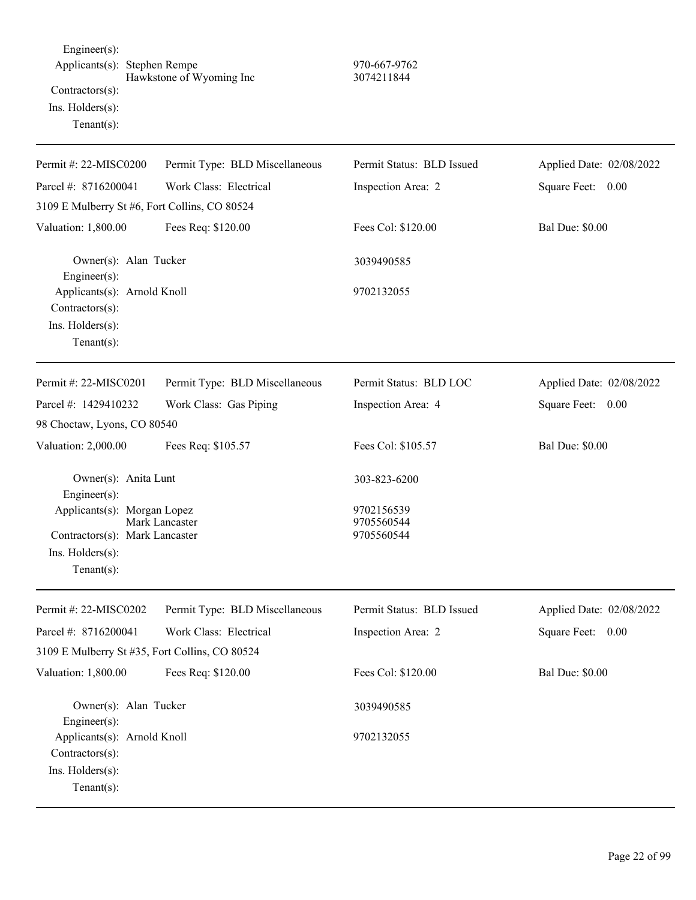Engineer(s): Applicants(s): Stephen Rempe 970-667-9762 Hawkstone of Wyoming Inc 3074211844 Contractors(s): Ins. Holders(s): Tenant(s):

| Permit #: 22-MISC0200                                                                               | Permit Type: BLD Miscellaneous | Permit Status: BLD Issued              | Applied Date: 02/08/2022 |
|-----------------------------------------------------------------------------------------------------|--------------------------------|----------------------------------------|--------------------------|
| Parcel #: 8716200041                                                                                | Work Class: Electrical         | Inspection Area: 2                     | Square Feet: 0.00        |
| 3109 E Mulberry St #6, Fort Collins, CO 80524                                                       |                                |                                        |                          |
| Valuation: 1,800.00                                                                                 | Fees Req: \$120.00             | Fees Col: \$120.00                     | <b>Bal Due: \$0.00</b>   |
| Owner(s): Alan Tucker<br>Engineer(s):                                                               |                                | 3039490585                             |                          |
| Applicants(s): Arnold Knoll<br>$Contractors(s)$ :<br>Ins. Holders(s):<br>Tenant $(s)$ :             |                                | 9702132055                             |                          |
| Permit #: 22-MISC0201                                                                               | Permit Type: BLD Miscellaneous | Permit Status: BLD LOC                 | Applied Date: 02/08/2022 |
| Parcel #: 1429410232                                                                                |                                |                                        |                          |
|                                                                                                     | Work Class: Gas Piping         | Inspection Area: 4                     | Square Feet: 0.00        |
| 98 Choctaw, Lyons, CO 80540                                                                         |                                |                                        |                          |
| Valuation: 2,000.00                                                                                 | Fees Req: \$105.57             | Fees Col: \$105.57                     | <b>Bal Due: \$0.00</b>   |
| Owner(s): Anita Lunt<br>Engineer(s):                                                                |                                | 303-823-6200                           |                          |
| Applicants(s): Morgan Lopez<br>Contractors(s): Mark Lancaster<br>Ins. Holders(s):<br>Tenant $(s)$ : | Mark Lancaster                 | 9702156539<br>9705560544<br>9705560544 |                          |
| Permit #: 22-MISC0202                                                                               | Permit Type: BLD Miscellaneous | Permit Status: BLD Issued              | Applied Date: 02/08/2022 |
| Parcel #: 8716200041                                                                                | Work Class: Electrical         | Inspection Area: 2                     | Square Feet:<br>0.00     |
| 3109 E Mulberry St #35, Fort Collins, CO 80524                                                      |                                |                                        |                          |
| Valuation: 1,800.00                                                                                 | Fees Req: \$120.00             | Fees Col: \$120.00                     | <b>Bal Due: \$0.00</b>   |
| Owner(s): Alan Tucker<br>Engineer $(s)$ :                                                           |                                | 3039490585                             |                          |
| Applicants(s): Arnold Knoll<br>$Contractors(s)$ :<br>Ins. Holders(s):<br>Tenant $(s)$ :             |                                | 9702132055                             |                          |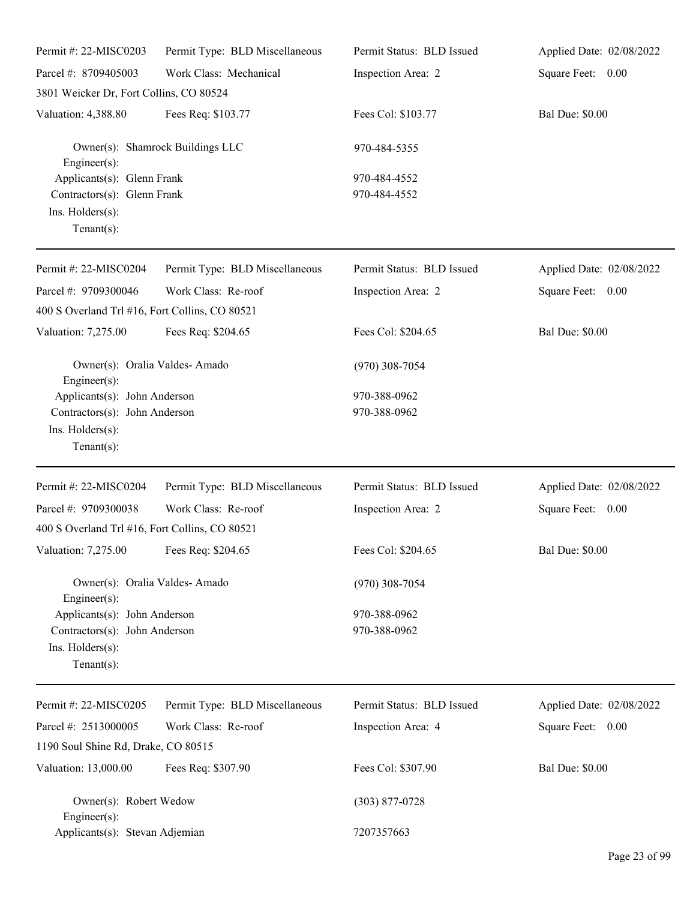| Permit #: 22-MISC0203                                                                               | Permit Type: BLD Miscellaneous   | Permit Status: BLD Issued    | Applied Date: 02/08/2022 |
|-----------------------------------------------------------------------------------------------------|----------------------------------|------------------------------|--------------------------|
| Parcel #: 8709405003                                                                                | Work Class: Mechanical           | Inspection Area: 2           | Square Feet: 0.00        |
| 3801 Weicker Dr, Fort Collins, CO 80524                                                             |                                  |                              |                          |
| Valuation: 4,388.80                                                                                 | Fees Req: \$103.77               | Fees Col: \$103.77           | <b>Bal Due: \$0.00</b>   |
| $Engineering(s)$ :                                                                                  | Owner(s): Shamrock Buildings LLC | 970-484-5355                 |                          |
| Applicants(s): Glenn Frank<br>Contractors(s): Glenn Frank<br>Ins. Holders(s):<br>Tenant $(s)$ :     |                                  | 970-484-4552<br>970-484-4552 |                          |
| Permit #: 22-MISC0204                                                                               | Permit Type: BLD Miscellaneous   | Permit Status: BLD Issued    | Applied Date: 02/08/2022 |
| Parcel #: 9709300046<br>400 S Overland Trl #16, Fort Collins, CO 80521                              | Work Class: Re-roof              | Inspection Area: 2           | Square Feet: 0.00        |
| Valuation: 7,275.00                                                                                 | Fees Req: \$204.65               | Fees Col: \$204.65           | <b>Bal Due: \$0.00</b>   |
| Owner(s): Oralia Valdes-Amado<br>$Engineering(s)$ :                                                 |                                  | $(970)$ 308-7054             |                          |
| Applicants(s): John Anderson<br>Contractors(s): John Anderson<br>Ins. Holders(s):<br>Tenant $(s)$ : |                                  | 970-388-0962<br>970-388-0962 |                          |
| Permit #: 22-MISC0204                                                                               | Permit Type: BLD Miscellaneous   | Permit Status: BLD Issued    | Applied Date: 02/08/2022 |
| Parcel #: 9709300038<br>400 S Overland Trl #16, Fort Collins, CO 80521                              | Work Class: Re-roof              | Inspection Area: 2           | Square Feet: 0.00        |
| Valuation: 7,275.00 Fees Req: \$204.65                                                              |                                  | Fees Col: \$204.65           | <b>Bal Due: \$0.00</b>   |
| Owner(s): Oralia Valdes-Amado<br>$Engineering(s)$ :                                                 |                                  | $(970)$ 308-7054             |                          |
| Applicants(s): John Anderson<br>Contractors(s): John Anderson<br>Ins. Holders(s):<br>Tenant $(s)$ : |                                  | 970-388-0962<br>970-388-0962 |                          |
| Permit #: 22-MISC0205                                                                               | Permit Type: BLD Miscellaneous   | Permit Status: BLD Issued    | Applied Date: 02/08/2022 |
| Parcel #: 2513000005                                                                                | Work Class: Re-roof              | Inspection Area: 4           | Square Feet: 0.00        |
| 1190 Soul Shine Rd, Drake, CO 80515                                                                 |                                  |                              |                          |
| Valuation: 13,000.00                                                                                | Fees Req: \$307.90               | Fees Col: \$307.90           | <b>Bal Due: \$0.00</b>   |
| Owner(s): Robert Wedow<br>$Engineering(s)$ :                                                        |                                  | $(303)$ 877-0728             |                          |
| Applicants(s): Stevan Adjemian                                                                      |                                  | 7207357663                   |                          |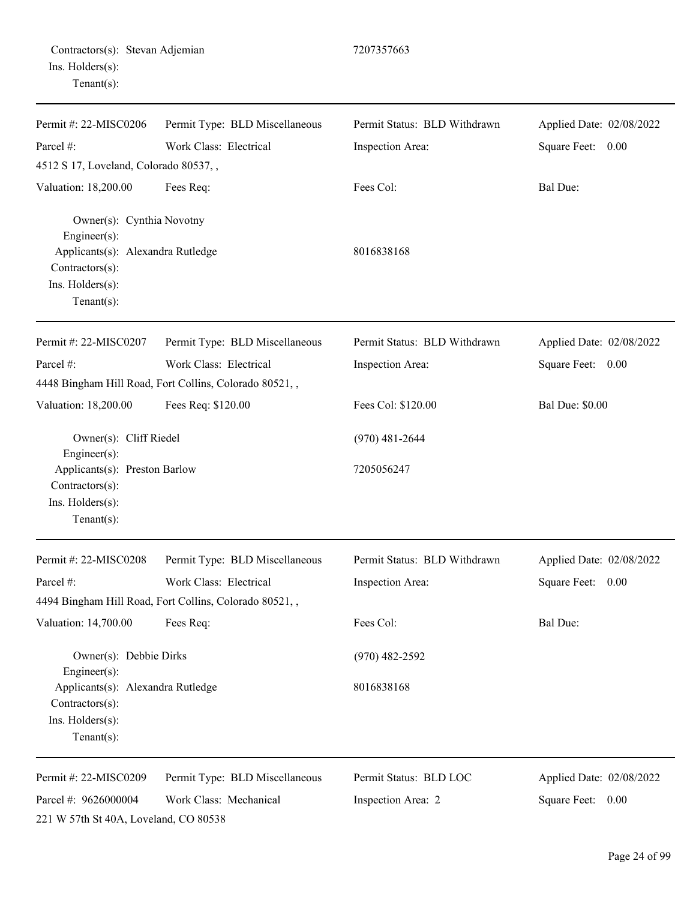|                  | Contractors(s): Stevan Adjemian |
|------------------|---------------------------------|
| Ins. Holders(s): |                                 |
| $Tenant(s)$ :    |                                 |

| Permit #: 22-MISC0206                                                                                                                   | Permit Type: BLD Miscellaneous                         | Permit Status: BLD Withdrawn | Applied Date: 02/08/2022 |
|-----------------------------------------------------------------------------------------------------------------------------------------|--------------------------------------------------------|------------------------------|--------------------------|
| Parcel #:                                                                                                                               | Work Class: Electrical                                 | Inspection Area:             | Square Feet: 0.00        |
| 4512 S 17, Loveland, Colorado 80537,,                                                                                                   |                                                        |                              |                          |
| Valuation: 18,200.00                                                                                                                    | Fees Req:                                              | Fees Col:                    | Bal Due:                 |
| Owner(s): Cynthia Novotny<br>Engineer(s):<br>Applicants(s): Alexandra Rutledge<br>Contractors(s):<br>Ins. Holders(s):<br>Tenant $(s)$ : |                                                        | 8016838168                   |                          |
| Permit #: 22-MISC0207                                                                                                                   | Permit Type: BLD Miscellaneous                         | Permit Status: BLD Withdrawn | Applied Date: 02/08/2022 |
| Parcel #:                                                                                                                               | Work Class: Electrical                                 | Inspection Area:             | Square Feet: 0.00        |
|                                                                                                                                         | 4448 Bingham Hill Road, Fort Collins, Colorado 80521,, |                              |                          |
| Valuation: 18,200.00                                                                                                                    | Fees Req: \$120.00                                     | Fees Col: \$120.00           | <b>Bal Due: \$0.00</b>   |
| Owner(s): Cliff Riedel<br>Engineer(s):                                                                                                  |                                                        | $(970)$ 481-2644             |                          |
| Applicants(s): Preston Barlow<br>Contractors(s):<br>Ins. Holders(s):<br>Tenant $(s)$ :                                                  |                                                        | 7205056247                   |                          |
| Permit #: 22-MISC0208                                                                                                                   | Permit Type: BLD Miscellaneous                         | Permit Status: BLD Withdrawn | Applied Date: 02/08/2022 |
| Parcel #:                                                                                                                               | Work Class: Electrical                                 | Inspection Area:             | Square Feet: 0.00        |
|                                                                                                                                         | 4494 Bingham Hill Road, Fort Collins, Colorado 80521,, |                              |                          |
| Valuation: 14,700.00                                                                                                                    | Fees Req:                                              | Fees Col:                    | Bal Due:                 |
| Owner(s): Debbie Dirks<br>Engineer(s):                                                                                                  |                                                        | $(970)$ 482-2592             |                          |
| Applicants(s): Alexandra Rutledge<br>Contractors(s):<br>Ins. Holders(s):<br>Tenant $(s)$ :                                              |                                                        | 8016838168                   |                          |
| Permit #: 22-MISC0209                                                                                                                   | Permit Type: BLD Miscellaneous                         | Permit Status: BLD LOC       | Applied Date: 02/08/2022 |
| Parcel #: 9626000004                                                                                                                    | Work Class: Mechanical                                 | Inspection Area: 2           | Square Feet:<br>0.00     |
| 221 W 57th St 40A, Loveland, CO 80538                                                                                                   |                                                        |                              |                          |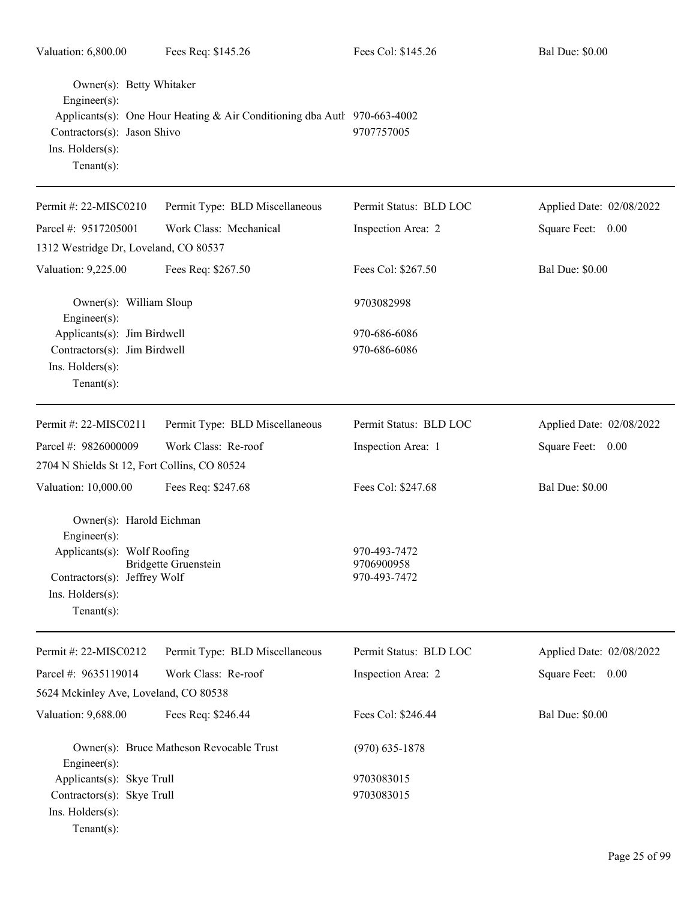| Valuation: 6,800.00                                                                                                                           | Fees Req: \$145.26                                                       | Fees Col: \$145.26                           | <b>Bal Due: \$0.00</b>   |
|-----------------------------------------------------------------------------------------------------------------------------------------------|--------------------------------------------------------------------------|----------------------------------------------|--------------------------|
| Owner(s): Betty Whitaker<br>$Engineer(s)$ :<br>Contractors(s): Jason Shivo<br>Ins. Holders(s):<br>$Tenant(s)$ :                               | Applicants(s): One Hour Heating & Air Conditioning dba Autl 970-663-4002 | 9707757005                                   |                          |
| Permit #: 22-MISC0210                                                                                                                         | Permit Type: BLD Miscellaneous                                           | Permit Status: BLD LOC                       | Applied Date: 02/08/2022 |
| Parcel #: 9517205001                                                                                                                          | Work Class: Mechanical                                                   | Inspection Area: 2                           | Square Feet: 0.00        |
| 1312 Westridge Dr, Loveland, CO 80537                                                                                                         |                                                                          |                                              |                          |
| Valuation: 9,225.00                                                                                                                           | Fees Req: \$267.50                                                       | Fees Col: \$267.50                           | <b>Bal Due: \$0.00</b>   |
| Owner(s): William Sloup<br>$Engineer(s)$ :                                                                                                    |                                                                          | 9703082998                                   |                          |
| Applicants(s): Jim Birdwell<br>Contractors(s): Jim Birdwell<br>Ins. Holders(s):<br>Tenant $(s)$ :                                             |                                                                          | 970-686-6086<br>970-686-6086                 |                          |
| Permit #: 22-MISC0211                                                                                                                         | Permit Type: BLD Miscellaneous                                           | Permit Status: BLD LOC                       | Applied Date: 02/08/2022 |
| Parcel #: 9826000009                                                                                                                          | Work Class: Re-roof                                                      | Inspection Area: 1                           | Square Feet: 0.00        |
| 2704 N Shields St 12, Fort Collins, CO 80524                                                                                                  |                                                                          |                                              |                          |
| Valuation: 10,000.00                                                                                                                          | Fees Req: \$247.68                                                       | Fees Col: \$247.68                           | <b>Bal Due: \$0.00</b>   |
| Owner(s): Harold Eichman<br>Engineer(s):<br>Applicants(s): Wolf Roofing<br>Contractors(s): Jeffrey Wolf<br>Ins. Holders(s):<br>Tenant $(s)$ : | <b>Bridgette Gruenstein</b>                                              | 970-493-7472<br>9706900958<br>970-493-7472   |                          |
| Permit #: 22-MISC0212                                                                                                                         | Permit Type: BLD Miscellaneous                                           | Permit Status: BLD LOC                       | Applied Date: 02/08/2022 |
| Parcel #: 9635119014                                                                                                                          | Work Class: Re-roof                                                      | Inspection Area: 2                           | Square Feet: 0.00        |
| 5624 Mckinley Ave, Loveland, CO 80538                                                                                                         |                                                                          |                                              |                          |
| Valuation: 9,688.00                                                                                                                           | Fees Req: \$246.44                                                       | Fees Col: \$246.44                           | <b>Bal Due: \$0.00</b>   |
| Engineer $(s)$ :<br>Applicants(s): Skye Trull<br>Contractors(s): Skye Trull<br>Ins. Holders(s):<br>$Tenant(s)$ :                              | Owner(s): Bruce Matheson Revocable Trust                                 | $(970)$ 635-1878<br>9703083015<br>9703083015 |                          |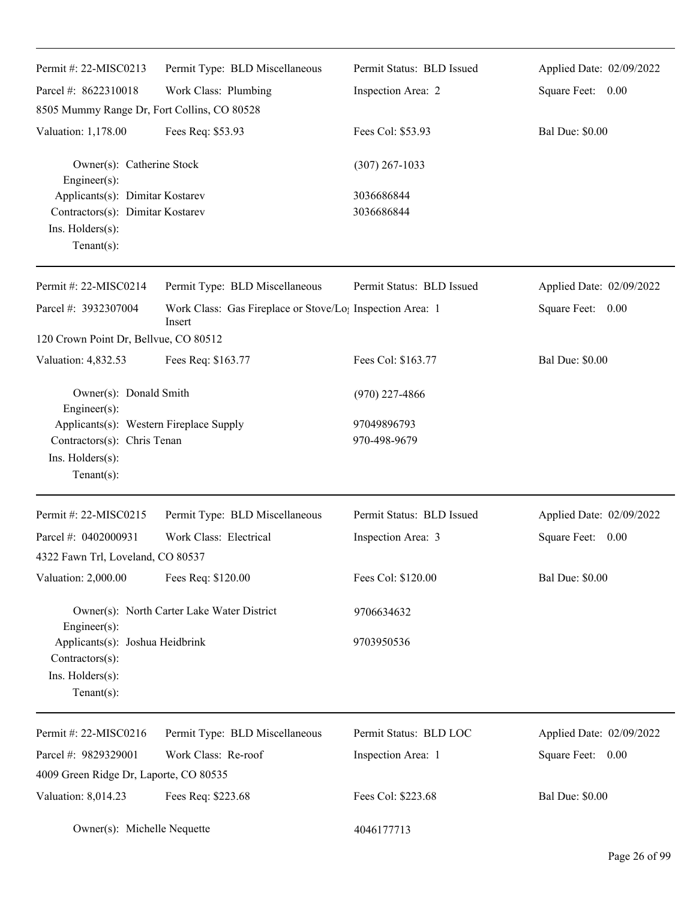| Permit #: 22-MISC0213                                                                                    | Permit Type: BLD Miscellaneous                                                  | Permit Status: BLD Issued | Applied Date: 02/09/2022 |
|----------------------------------------------------------------------------------------------------------|---------------------------------------------------------------------------------|---------------------------|--------------------------|
| Parcel #: 8622310018                                                                                     | Work Class: Plumbing                                                            | Inspection Area: 2        | Square Feet: 0.00        |
| 8505 Mummy Range Dr, Fort Collins, CO 80528                                                              |                                                                                 |                           |                          |
| Valuation: 1,178.00                                                                                      | Fees Req: \$53.93                                                               | Fees Col: \$53.93         | <b>Bal Due: \$0.00</b>   |
| Owner(s): Catherine Stock<br>Engineer(s):                                                                |                                                                                 | $(307)$ 267-1033          |                          |
| Applicants(s): Dimitar Kostarev<br>Contractors(s): Dimitar Kostarev<br>Ins. Holders(s):<br>$Tenant(s)$ : |                                                                                 | 3036686844<br>3036686844  |                          |
| Permit #: 22-MISC0214                                                                                    | Permit Type: BLD Miscellaneous                                                  | Permit Status: BLD Issued | Applied Date: 02/09/2022 |
| Parcel #: 3932307004                                                                                     | Work Class: Gas Fireplace or Stove/Lo <sub>1</sub> Inspection Area: 1<br>Insert |                           | Square Feet: 0.00        |
| 120 Crown Point Dr, Bellvue, CO 80512                                                                    |                                                                                 |                           |                          |
| Valuation: 4,832.53                                                                                      | Fees Req: \$163.77                                                              | Fees Col: \$163.77        | <b>Bal Due: \$0.00</b>   |
| Owner(s): Donald Smith<br>Engineer(s):                                                                   |                                                                                 | $(970)$ 227-4866          |                          |
| Applicants(s): Western Fireplace Supply                                                                  |                                                                                 | 97049896793               |                          |
| Contractors(s): Chris Tenan<br>Ins. Holders(s):<br>$Tenant(s)$ :                                         |                                                                                 | 970-498-9679              |                          |
| Permit #: 22-MISC0215                                                                                    | Permit Type: BLD Miscellaneous                                                  | Permit Status: BLD Issued | Applied Date: 02/09/2022 |
| Parcel #: 0402000931                                                                                     | Work Class: Electrical                                                          | Inspection Area: 3        | Square Feet: 0.00        |
| 4322 Fawn Trl, Loveland, CO 80537                                                                        |                                                                                 |                           |                          |
| Valuation: 2,000.00                                                                                      | Fees Req: \$120.00                                                              | Fees Col: \$120.00        | <b>Bal Due: \$0.00</b>   |
| $Engineering(s)$ :                                                                                       | Owner(s): North Carter Lake Water District                                      | 9706634632                |                          |
| Applicants(s): Joshua Heidbrink<br>Contractors(s):<br>Ins. Holders(s):<br>$Tenant(s)$ :                  |                                                                                 | 9703950536                |                          |
| Permit #: 22-MISC0216                                                                                    | Permit Type: BLD Miscellaneous                                                  | Permit Status: BLD LOC    | Applied Date: 02/09/2022 |
| Parcel #: 9829329001                                                                                     | Work Class: Re-roof                                                             | Inspection Area: 1        | Square Feet: 0.00        |
| 4009 Green Ridge Dr, Laporte, CO 80535                                                                   |                                                                                 |                           |                          |
| Valuation: 8,014.23                                                                                      | Fees Req: \$223.68                                                              | Fees Col: \$223.68        | <b>Bal Due: \$0.00</b>   |
| Owner(s): Michelle Nequette                                                                              |                                                                                 | 4046177713                |                          |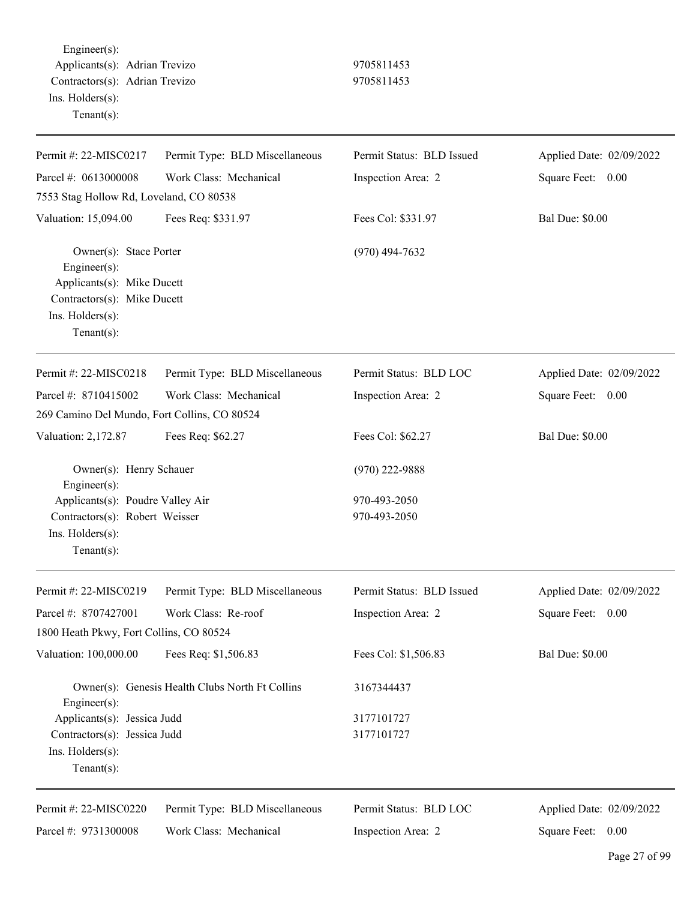Engineer(s): Applicants(s): Adrian Trevizo 9705811453 Contractors(s): Adrian Trevizo 9705811453 Ins. Holders(s): Tenant(s):

| Permit #: 22-MISC0217                                                                                                                     | Permit Type: BLD Miscellaneous                  | Permit Status: BLD Issued    | Applied Date: 02/09/2022 |
|-------------------------------------------------------------------------------------------------------------------------------------------|-------------------------------------------------|------------------------------|--------------------------|
| Parcel #: 0613000008                                                                                                                      | Work Class: Mechanical                          | Inspection Area: 2           | Square Feet:<br>0.00     |
| 7553 Stag Hollow Rd, Loveland, CO 80538                                                                                                   |                                                 |                              |                          |
| Valuation: 15,094.00                                                                                                                      | Fees Req: \$331.97                              | Fees Col: \$331.97           | <b>Bal Due: \$0.00</b>   |
| Owner(s): Stace Porter<br>Engineer(s):<br>Applicants(s): Mike Ducett<br>Contractors(s): Mike Ducett<br>Ins. Holders(s):<br>Tenant $(s)$ : |                                                 | $(970)$ 494-7632             |                          |
| Permit #: 22-MISC0218                                                                                                                     | Permit Type: BLD Miscellaneous                  | Permit Status: BLD LOC       | Applied Date: 02/09/2022 |
| Parcel #: 8710415002                                                                                                                      | Work Class: Mechanical                          | Inspection Area: 2           | Square Feet:<br>0.00     |
| 269 Camino Del Mundo, Fort Collins, CO 80524                                                                                              |                                                 |                              |                          |
| Valuation: 2,172.87                                                                                                                       | Fees Req: \$62.27                               | Fees Col: \$62.27            | <b>Bal Due: \$0.00</b>   |
| Owner(s): Henry Schauer<br>Engineer(s):                                                                                                   |                                                 | $(970)$ 222-9888             |                          |
| Applicants(s): Poudre Valley Air<br>Contractors(s): Robert Weisser<br>Ins. Holders(s):<br>$Tenant(s)$ :                                   |                                                 | 970-493-2050<br>970-493-2050 |                          |
| Permit #: 22-MISC0219                                                                                                                     | Permit Type: BLD Miscellaneous                  | Permit Status: BLD Issued    | Applied Date: 02/09/2022 |
| Parcel #: 8707427001                                                                                                                      | Work Class: Re-roof                             | Inspection Area: 2           | Square Feet:<br>0.00     |
| 1800 Heath Pkwy, Fort Collins, CO 80524                                                                                                   |                                                 |                              |                          |
| Valuation: 100,000.00                                                                                                                     | Fees Req: \$1,506.83                            | Fees Col: \$1,506.83         | <b>Bal Due: \$0.00</b>   |
| Engineer(s):                                                                                                                              | Owner(s): Genesis Health Clubs North Ft Collins | 3167344437                   |                          |
| Applicants(s): Jessica Judd                                                                                                               |                                                 | 3177101727                   |                          |
| Contractors(s): Jessica Judd<br>Ins. Holders(s):<br>Tenant $(s)$ :                                                                        |                                                 | 3177101727                   |                          |
| Permit #: 22-MISC0220                                                                                                                     | Permit Type: BLD Miscellaneous                  | Permit Status: BLD LOC       | Applied Date: 02/09/2022 |
| Parcel #: 9731300008                                                                                                                      | Work Class: Mechanical                          | Inspection Area: 2           | Square Feet:<br>0.00     |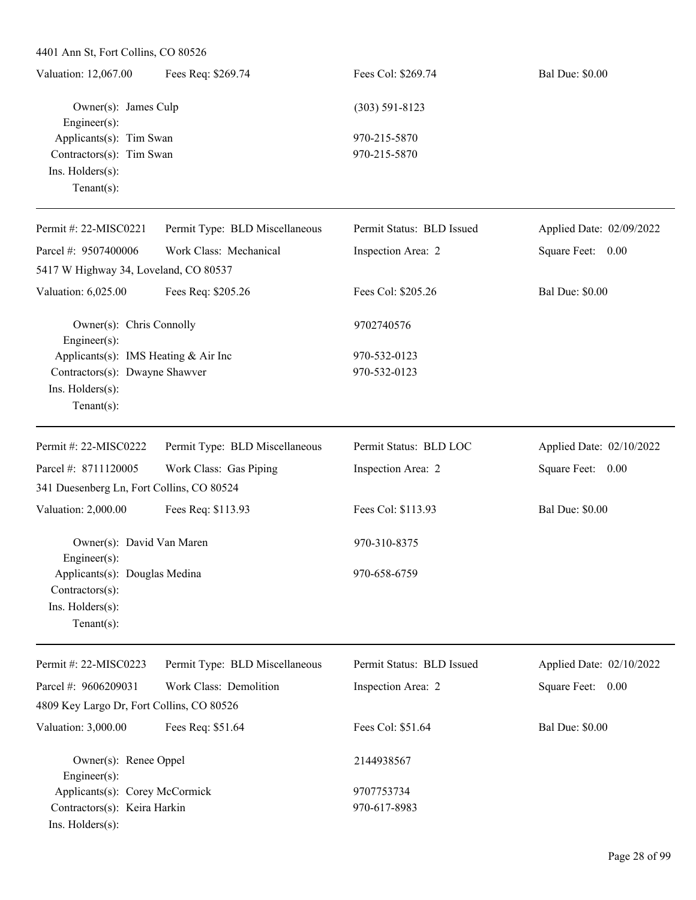| Valuation: 12,067.00     | Fees Req: \$269.74   | Fees Col: \$269.74 | <b>Bal Due: \$0.00</b> |
|--------------------------|----------------------|--------------------|------------------------|
|                          | Owner(s): James Culp | $(303)$ 591-8123   |                        |
| Engineer $(s)$ :         |                      |                    |                        |
| Applicants(s): Tim Swan  |                      | 970-215-5870       |                        |
| Contractors(s): Tim Swan |                      | 970-215-5870       |                        |
| $Ins.$ Holders $(s)$ :   |                      |                    |                        |
| Tenant $(s)$ :           |                      |                    |                        |
|                          |                      |                    |                        |

| Permit #: 22-MISC0221                         | Permit Type: BLD Miscellaneous | Permit Status: BLD Issued | Applied Date: 02/09/2022 |
|-----------------------------------------------|--------------------------------|---------------------------|--------------------------|
| Parcel #: 9507400006                          | Work Class: Mechanical         | Inspection Area: 2        | Square Feet: 0.00        |
| 5417 W Highway 34, Loveland, CO 80537         |                                |                           |                          |
| Valuation: 6,025.00                           | Fees Req: \$205.26             | Fees Col: \$205.26        | <b>Bal Due: \$0.00</b>   |
| Owner(s): Chris Connolly<br>Engineer $(s)$ :  |                                | 9702740576                |                          |
| Applicants(s): IMS Heating $& Air Inc$        |                                | 970-532-0123              |                          |
| Contractors(s): Dwayne Shawver                |                                | 970-532-0123              |                          |
| Ins. Holders(s):<br>Tenant $(s)$ :            |                                |                           |                          |
| Permit #: 22-MISC0222                         | Permit Type: BLD Miscellaneous | Permit Status: BLD LOC    | Applied Date: 02/10/2022 |
| Parcel #: 8711120005                          | Work Class: Gas Piping         | Inspection Area: 2        | Square Feet: 0.00        |
| 341 Duesenberg Ln, Fort Collins, CO 80524     |                                |                           |                          |
| Valuation: 2,000.00                           | Fees Req: \$113.93             | Fees Col: \$113.93        | <b>Bal Due: \$0.00</b>   |
| Owner(s): David Van Maren<br>Engineer $(s)$ : |                                | 970-310-8375              |                          |
| Applicants(s): Douglas Medina                 |                                | 970-658-6759              |                          |
| Contractors(s):                               |                                |                           |                          |
| Ins. $H$ olders $(s)$ :                       |                                |                           |                          |
| $Tenant(s)$ :                                 |                                |                           |                          |
| Permit #: 22-MISC0223                         | Permit Type: BLD Miscellaneous | Permit Status: BLD Issued | Applied Date: 02/10/2022 |

|                                                    | $1 \text{ cm}$ $\mu$ , $22 \text{ m}$ $\sigma$ $22 \sigma$ $\tau$ chant $1 \gamma$ $\beta$ . $D$ $D$ misechance $\alpha$ s | T emme blatas. DED 18840a | Typphed Date: $0\angle$ TV $\angle 0\angle 2$ |
|----------------------------------------------------|----------------------------------------------------------------------------------------------------------------------------|---------------------------|-----------------------------------------------|
| Parcel #: $9606209031$                             | Work Class: Demolition                                                                                                     | Inspection Area: 2        | Square Feet:<br>0.00                          |
|                                                    | 4809 Key Largo Dr, Fort Collins, CO 80526                                                                                  |                           |                                               |
| Valuation: 3,000.00                                | Fees Req: \$51.64                                                                                                          | Fees Col: \$51.64         | <b>Bal Due: \$0.00</b>                        |
| Owner(s): Renee Oppel                              |                                                                                                                            | 2144938567                |                                               |
| Engineer $(s)$ :<br>Applicants(s): Corey McCormick |                                                                                                                            | 9707753734                |                                               |
| Contractors(s): Keira Harkin                       |                                                                                                                            | 970-617-8983              |                                               |
| $Ins.$ Holders $(s)$ :                             |                                                                                                                            |                           |                                               |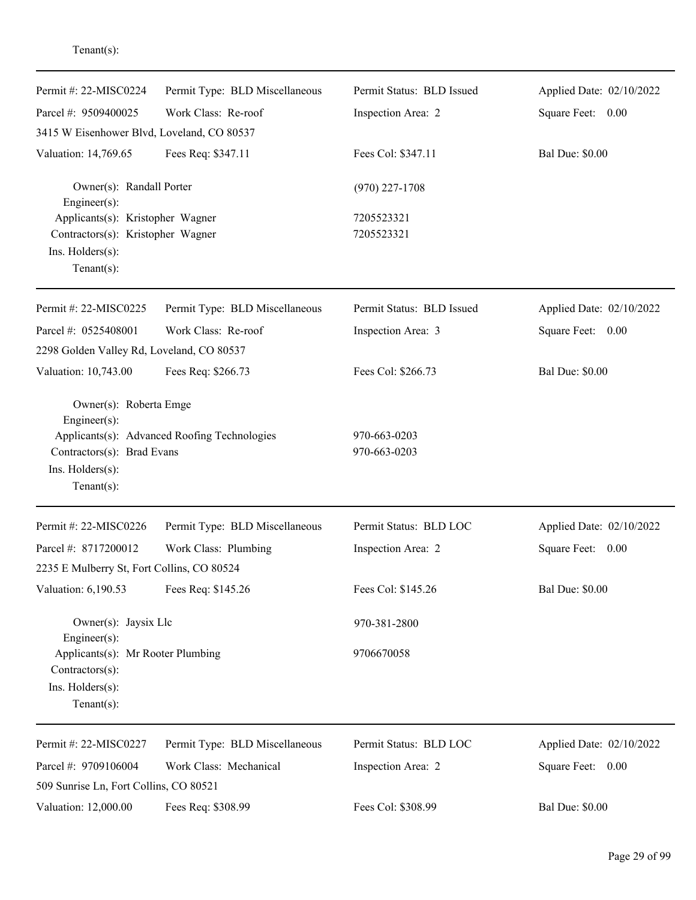| Permit #: 22-MISC0224                                                                                                                                                                                                                                                                                                                                                                                                                                                                                                                                                                                                                                                                                                                                                                                                                                                                                                                                                 | Permit Type: BLD Miscellaneous | Permit Status: BLD Issued    | Applied Date: 02/10/2022 |
|-----------------------------------------------------------------------------------------------------------------------------------------------------------------------------------------------------------------------------------------------------------------------------------------------------------------------------------------------------------------------------------------------------------------------------------------------------------------------------------------------------------------------------------------------------------------------------------------------------------------------------------------------------------------------------------------------------------------------------------------------------------------------------------------------------------------------------------------------------------------------------------------------------------------------------------------------------------------------|--------------------------------|------------------------------|--------------------------|
| Parcel #: 9509400025                                                                                                                                                                                                                                                                                                                                                                                                                                                                                                                                                                                                                                                                                                                                                                                                                                                                                                                                                  | Work Class: Re-roof            | Inspection Area: 2           | Square Feet: 0.00        |
| 3415 W Eisenhower Blvd, Loveland, CO 80537<br>Valuation: 14,769.65<br>Fees Req: \$347.11<br>Owner(s): Randall Porter<br>Engineer $(s)$ :<br>Applicants(s): Kristopher Wagner<br>Contractors(s): Kristopher Wagner<br>Ins. Holders(s):<br>$Tenant(s)$ :<br>Permit #: 22-MISC0225<br>Permit Type: BLD Miscellaneous<br>Work Class: Re-roof<br>Parcel #: 0525408001<br>2298 Golden Valley Rd, Loveland, CO 80537<br>Valuation: 10,743.00<br>Fees Req: \$266.73<br>Owner(s): Roberta Emge<br>Engineer(s):<br>Applicants(s): Advanced Roofing Technologies<br>Contractors(s): Brad Evans<br>Ins. Holders(s):<br>Tenant $(s)$ :<br>Permit #: 22-MISC0226<br>Permit Type: BLD Miscellaneous<br>Parcel #: 8717200012<br>Work Class: Plumbing<br>2235 E Mulberry St, Fort Collins, CO 80524<br>Valuation: 6,190.53<br>Fees Req: \$145.26<br>Owner(s): Jaysix Llc<br>Engineer(s):<br>Applicants(s): Mr Rooter Plumbing<br>Contractors(s):<br>Ins. Holders(s):<br>Tenant $(s)$ : |                                |                              |                          |
|                                                                                                                                                                                                                                                                                                                                                                                                                                                                                                                                                                                                                                                                                                                                                                                                                                                                                                                                                                       |                                | Fees Col: \$347.11           | <b>Bal Due: \$0.00</b>   |
|                                                                                                                                                                                                                                                                                                                                                                                                                                                                                                                                                                                                                                                                                                                                                                                                                                                                                                                                                                       |                                | $(970)$ 227-1708             |                          |
|                                                                                                                                                                                                                                                                                                                                                                                                                                                                                                                                                                                                                                                                                                                                                                                                                                                                                                                                                                       |                                | 7205523321                   |                          |
|                                                                                                                                                                                                                                                                                                                                                                                                                                                                                                                                                                                                                                                                                                                                                                                                                                                                                                                                                                       |                                | 7205523321                   |                          |
|                                                                                                                                                                                                                                                                                                                                                                                                                                                                                                                                                                                                                                                                                                                                                                                                                                                                                                                                                                       |                                | Permit Status: BLD Issued    | Applied Date: 02/10/2022 |
|                                                                                                                                                                                                                                                                                                                                                                                                                                                                                                                                                                                                                                                                                                                                                                                                                                                                                                                                                                       |                                | Inspection Area: 3           | Square Feet: 0.00        |
|                                                                                                                                                                                                                                                                                                                                                                                                                                                                                                                                                                                                                                                                                                                                                                                                                                                                                                                                                                       |                                |                              |                          |
|                                                                                                                                                                                                                                                                                                                                                                                                                                                                                                                                                                                                                                                                                                                                                                                                                                                                                                                                                                       |                                | Fees Col: \$266.73           | <b>Bal Due: \$0.00</b>   |
|                                                                                                                                                                                                                                                                                                                                                                                                                                                                                                                                                                                                                                                                                                                                                                                                                                                                                                                                                                       |                                |                              |                          |
|                                                                                                                                                                                                                                                                                                                                                                                                                                                                                                                                                                                                                                                                                                                                                                                                                                                                                                                                                                       |                                | 970-663-0203<br>970-663-0203 |                          |
|                                                                                                                                                                                                                                                                                                                                                                                                                                                                                                                                                                                                                                                                                                                                                                                                                                                                                                                                                                       |                                | Permit Status: BLD LOC       | Applied Date: 02/10/2022 |
|                                                                                                                                                                                                                                                                                                                                                                                                                                                                                                                                                                                                                                                                                                                                                                                                                                                                                                                                                                       |                                | Inspection Area: 2           | Square Feet:<br>0.00     |
|                                                                                                                                                                                                                                                                                                                                                                                                                                                                                                                                                                                                                                                                                                                                                                                                                                                                                                                                                                       |                                |                              |                          |
|                                                                                                                                                                                                                                                                                                                                                                                                                                                                                                                                                                                                                                                                                                                                                                                                                                                                                                                                                                       |                                | Fees Col: \$145.26           | <b>Bal Due: \$0.00</b>   |
|                                                                                                                                                                                                                                                                                                                                                                                                                                                                                                                                                                                                                                                                                                                                                                                                                                                                                                                                                                       |                                | 970-381-2800                 |                          |
|                                                                                                                                                                                                                                                                                                                                                                                                                                                                                                                                                                                                                                                                                                                                                                                                                                                                                                                                                                       |                                | 9706670058                   |                          |
| Permit #: 22-MISC0227                                                                                                                                                                                                                                                                                                                                                                                                                                                                                                                                                                                                                                                                                                                                                                                                                                                                                                                                                 | Permit Type: BLD Miscellaneous | Permit Status: BLD LOC       | Applied Date: 02/10/2022 |
| Parcel #: 9709106004                                                                                                                                                                                                                                                                                                                                                                                                                                                                                                                                                                                                                                                                                                                                                                                                                                                                                                                                                  | Work Class: Mechanical         | Inspection Area: 2           | Square Feet: 0.00        |
| 509 Sunrise Ln, Fort Collins, CO 80521                                                                                                                                                                                                                                                                                                                                                                                                                                                                                                                                                                                                                                                                                                                                                                                                                                                                                                                                |                                |                              |                          |
| Valuation: 12,000.00                                                                                                                                                                                                                                                                                                                                                                                                                                                                                                                                                                                                                                                                                                                                                                                                                                                                                                                                                  | Fees Req: \$308.99             | Fees Col: \$308.99           | <b>Bal Due: \$0.00</b>   |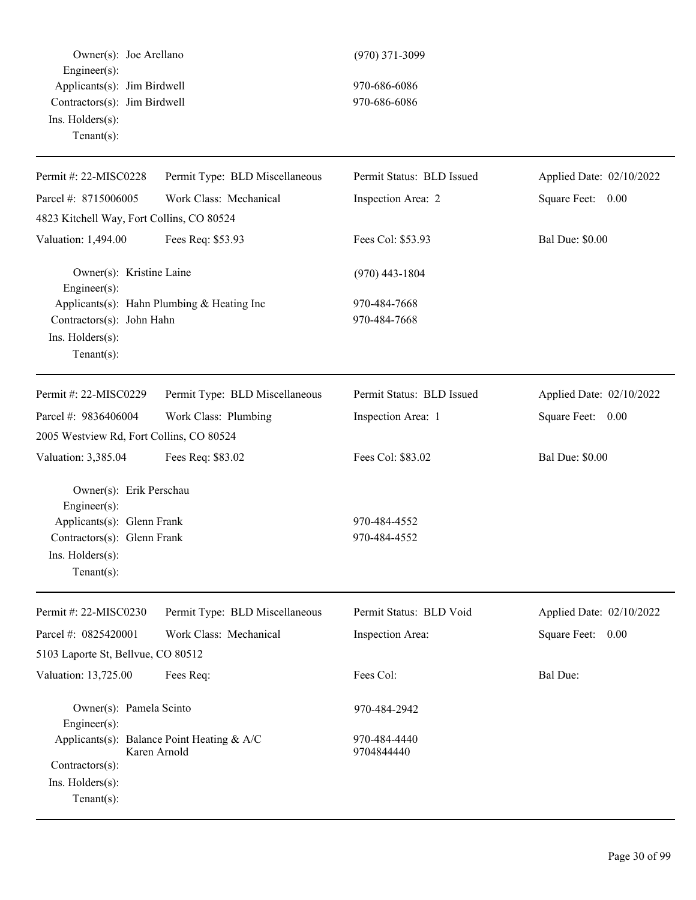Owner(s): Joe Arellano (970) 371-3099 Engineer(s): Applicants(s): Jim Birdwell 970-686-6086 Contractors(s): Jim Birdwell 970-686-6086 Ins. Holders(s): Tenant(s):

| Permit #: 22-MISC0228                                                                                                                      | Permit Type: BLD Miscellaneous                             | Permit Status: BLD Issued    | Applied Date: 02/10/2022 |
|--------------------------------------------------------------------------------------------------------------------------------------------|------------------------------------------------------------|------------------------------|--------------------------|
| Parcel #: 8715006005                                                                                                                       | Work Class: Mechanical                                     | Inspection Area: 2           | Square Feet: 0.00        |
| 4823 Kitchell Way, Fort Collins, CO 80524                                                                                                  |                                                            |                              |                          |
| Valuation: 1,494.00                                                                                                                        | Fees Req: \$53.93                                          | Fees Col: \$53.93            | <b>Bal Due: \$0.00</b>   |
| Owner(s): Kristine Laine<br>Engineer(s):                                                                                                   |                                                            | $(970)$ 443-1804             |                          |
| Contractors(s): John Hahn<br>Ins. Holders(s):<br>Tenant $(s)$ :                                                                            | Applicants(s): Hahn Plumbing & Heating Inc                 | 970-484-7668<br>970-484-7668 |                          |
| Permit #: 22-MISC0229                                                                                                                      | Permit Type: BLD Miscellaneous                             | Permit Status: BLD Issued    | Applied Date: 02/10/2022 |
| Parcel #: 9836406004                                                                                                                       | Work Class: Plumbing                                       | Inspection Area: 1           | Square Feet: 0.00        |
| 2005 Westview Rd, Fort Collins, CO 80524                                                                                                   |                                                            |                              |                          |
| Valuation: 3,385.04                                                                                                                        | Fees Req: \$83.02                                          | Fees Col: \$83.02            | <b>Bal Due: \$0.00</b>   |
| Owner(s): Erik Perschau<br>Engineer(s):<br>Applicants(s): Glenn Frank<br>Contractors(s): Glenn Frank<br>Ins. Holders(s):<br>Tenant $(s)$ : |                                                            | 970-484-4552<br>970-484-4552 |                          |
| Permit #: 22-MISC0230                                                                                                                      | Permit Type: BLD Miscellaneous                             | Permit Status: BLD Void      | Applied Date: 02/10/2022 |
| Parcel #: 0825420001                                                                                                                       | Work Class: Mechanical                                     | Inspection Area:             | Square Feet:<br>0.00     |
| 5103 Laporte St, Bellvue, CO 80512                                                                                                         |                                                            |                              |                          |
| Valuation: 13,725.00                                                                                                                       | Fees Req:                                                  | Fees Col:                    | Bal Due:                 |
| Owner(s): Pamela Scinto<br>Engineer(s):                                                                                                    |                                                            | 970-484-2942                 |                          |
| Contractors(s):<br>Ins. Holders(s):<br>Tenant $(s)$ :                                                                                      | Applicants(s): Balance Point Heating & A/C<br>Karen Arnold | 970-484-4440<br>9704844440   |                          |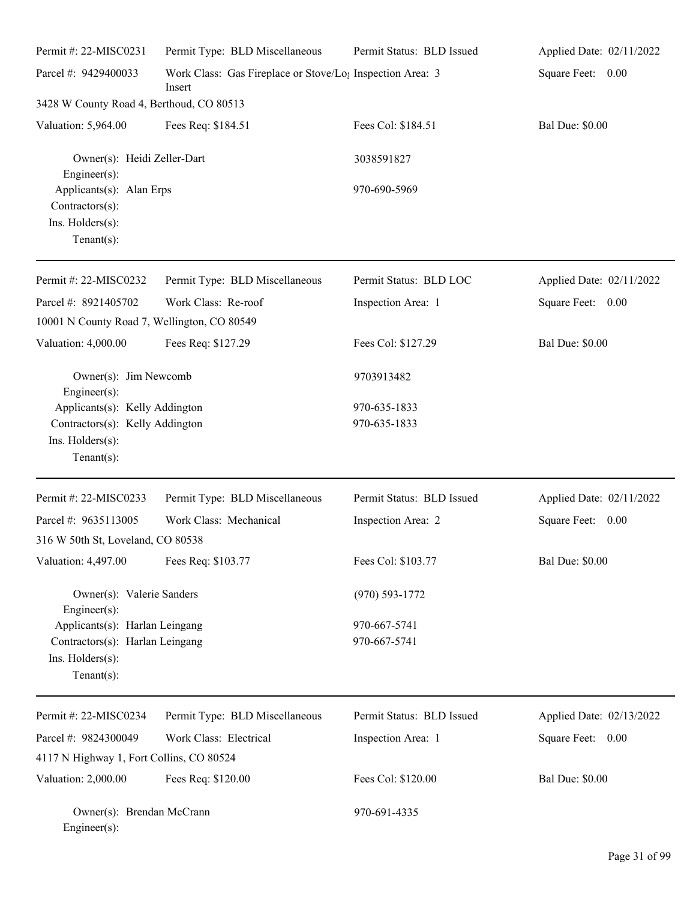| Permit #: 22-MISC0231                                                             | Permit Type: BLD Miscellaneous                                                  | Permit Status: BLD Issued | Applied Date: 02/11/2022 |
|-----------------------------------------------------------------------------------|---------------------------------------------------------------------------------|---------------------------|--------------------------|
| Parcel #: 9429400033                                                              | Work Class: Gas Fireplace or Stove/Lo <sub>1</sub> Inspection Area: 3<br>Insert |                           | Square Feet: 0.00        |
| 3428 W County Road 4, Berthoud, CO 80513                                          |                                                                                 |                           |                          |
| Valuation: 5,964.00                                                               | Fees Req: \$184.51                                                              | Fees Col: \$184.51        | <b>Bal Due: \$0.00</b>   |
| Owner(s): Heidi Zeller-Dart<br>Engineer(s):                                       |                                                                                 | 3038591827                |                          |
| Applicants(s): Alan Erps<br>Contractors(s):<br>Ins. Holders(s):<br>Tenant $(s)$ : |                                                                                 | 970-690-5969              |                          |
| Permit #: 22-MISC0232                                                             | Permit Type: BLD Miscellaneous                                                  | Permit Status: BLD LOC    | Applied Date: 02/11/2022 |
| Parcel #: 8921405702                                                              | Work Class: Re-roof                                                             | Inspection Area: 1        | Square Feet: 0.00        |
| 10001 N County Road 7, Wellington, CO 80549                                       |                                                                                 |                           |                          |
| Valuation: 4,000.00                                                               | Fees Req: \$127.29                                                              | Fees Col: \$127.29        | <b>Bal Due: \$0.00</b>   |
| Owner(s): Jim Newcomb<br>Engineer(s):                                             |                                                                                 | 9703913482                |                          |
| Applicants(s): Kelly Addington                                                    |                                                                                 | 970-635-1833              |                          |
| Contractors(s): Kelly Addington<br>Ins. Holders(s):<br>Tenant $(s)$ :             |                                                                                 | 970-635-1833              |                          |
| Permit #: 22-MISC0233                                                             | Permit Type: BLD Miscellaneous                                                  | Permit Status: BLD Issued | Applied Date: 02/11/2022 |
| Parcel #: 9635113005                                                              | Work Class: Mechanical                                                          | Inspection Area: 2        | Square Feet:<br>0.00     |
| 316 W 50th St, Loveland, CO 80538                                                 |                                                                                 |                           |                          |
| Valuation: 4,497.00                                                               | Fees Req: \$103.77                                                              | Fees Col: \$103.77        | <b>Bal Due: \$0.00</b>   |
| Owner(s): Valerie Sanders<br>$Engineering(s)$ :                                   |                                                                                 | $(970) 593 - 1772$        |                          |
| Applicants(s): Harlan Leingang                                                    |                                                                                 | 970-667-5741              |                          |
| Contractors(s): Harlan Leingang<br>Ins. Holders(s):<br>Tenant $(s)$ :             |                                                                                 | 970-667-5741              |                          |
| Permit #: 22-MISC0234                                                             | Permit Type: BLD Miscellaneous                                                  | Permit Status: BLD Issued | Applied Date: 02/13/2022 |
| Parcel #: 9824300049                                                              | Work Class: Electrical                                                          | Inspection Area: 1        | Square Feet: 0.00        |
| 4117 N Highway 1, Fort Collins, CO 80524                                          |                                                                                 |                           |                          |
| Valuation: 2,000.00                                                               | Fees Req: \$120.00                                                              | Fees Col: \$120.00        | <b>Bal Due: \$0.00</b>   |
| Owner(s): Brendan McCrann<br>Engineer(s):                                         |                                                                                 | 970-691-4335              |                          |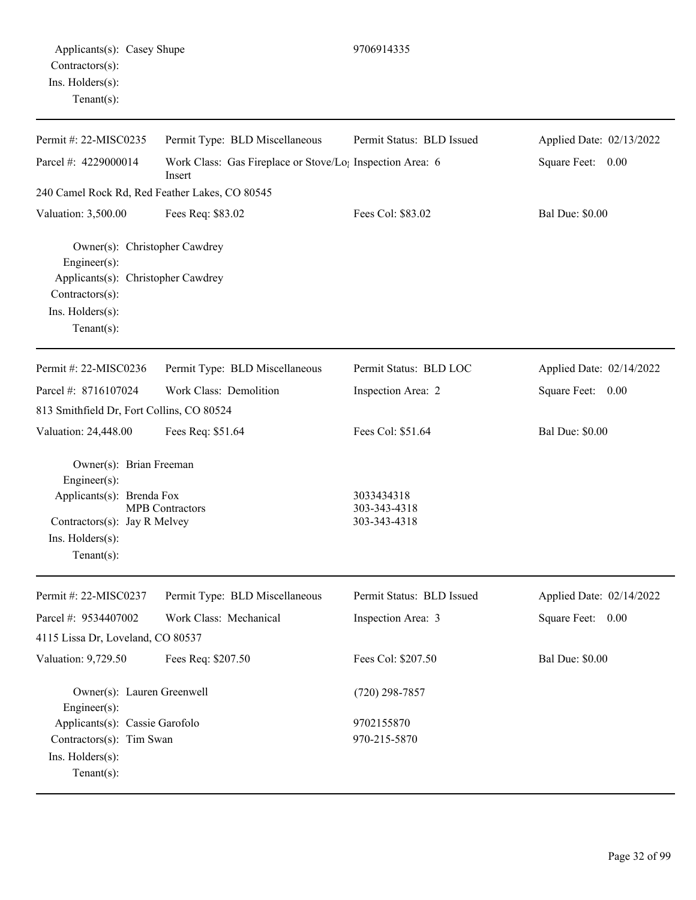| Applicants(s): Casey Shupe<br>Contractors(s):<br>Ins. Holders(s):<br>Tenant $(s)$ :                                                              |                                                                                 | 9706914335                |                          |
|--------------------------------------------------------------------------------------------------------------------------------------------------|---------------------------------------------------------------------------------|---------------------------|--------------------------|
| Permit #: 22-MISC0235                                                                                                                            | Permit Type: BLD Miscellaneous                                                  | Permit Status: BLD Issued | Applied Date: 02/13/2022 |
| Parcel #: 4229000014                                                                                                                             | Work Class: Gas Fireplace or Stove/Lo <sub>1</sub> Inspection Area: 6<br>Insert |                           | Square Feet: 0.00        |
| 240 Camel Rock Rd, Red Feather Lakes, CO 80545                                                                                                   |                                                                                 |                           |                          |
| Valuation: 3,500.00                                                                                                                              | Fees Req: \$83.02                                                               | Fees Col: \$83.02         | <b>Bal Due: \$0.00</b>   |
| Owner(s): Christopher Cawdrey<br>Engineer $(s)$ :<br>Applicants(s): Christopher Cawdrey<br>Contractors(s):<br>Ins. Holders(s):<br>Tenant $(s)$ : |                                                                                 |                           |                          |
| Permit #: 22-MISC0236                                                                                                                            | Permit Type: BLD Miscellaneous                                                  | Permit Status: BLD LOC    | Applied Date: 02/14/2022 |
| Parcel #: 8716107024                                                                                                                             | Work Class: Demolition                                                          | Inspection Area: 2        | Square Feet: 0.00        |
| 813 Smithfield Dr, Fort Collins, CO 80524                                                                                                        |                                                                                 |                           |                          |
| Valuation: 24,448.00                                                                                                                             | Fees Req: \$51.64                                                               | Fees Col: \$51.64         | <b>Bal Due: \$0.00</b>   |
| Owner(s): Brian Freeman                                                                                                                          |                                                                                 |                           |                          |

Engineer(s): Applicants(s): Brenda Fox 3033434318<br>MPB Contractors 303-343-4318 MPB Contractors 303-343-4318<br>Jay R Melvey 303-343-4318 Contractors(s): Jay R Melvey Ins. Holders(s): Tenant(s):

| Permit #: $22-MISCO237$                          | Permit Type: BLD Miscellaneous | Permit Status: BLD Issued | Applied Date: 02/14/2022 |
|--------------------------------------------------|--------------------------------|---------------------------|--------------------------|
| Parcel #: 9534407002                             | Work Class: Mechanical         | Inspection Area: 3        | Square Feet:<br>0.00     |
| 4115 Lissa Dr, Loveland, CO 80537                |                                |                           |                          |
| Valuation: 9,729.50                              | Fees Req: \$207.50             | Fees Col: \$207.50        | <b>Bal Due: \$0.00</b>   |
| Owner(s): Lauren Greenwell<br>$Engineering(s)$ : |                                | $(720)$ 298-7857          |                          |
| Applicants(s): Cassie Garofolo                   |                                | 9702155870                |                          |
| Contractors(s): Tim Swan                         |                                | 970-215-5870              |                          |
| $Ins.$ Holders $(s)$ :                           |                                |                           |                          |
| Tenant $(s)$ :                                   |                                |                           |                          |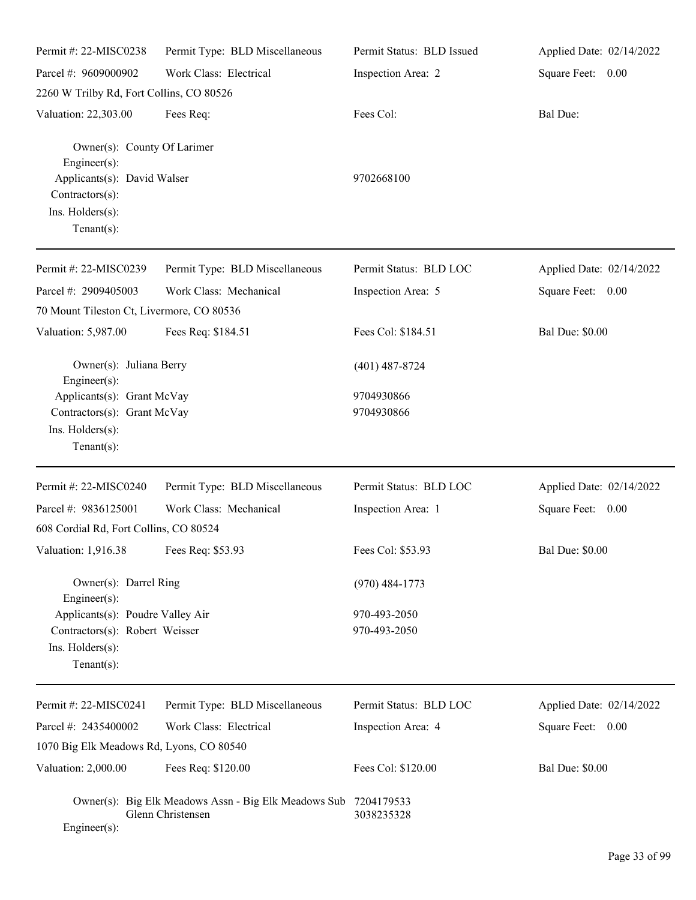| Permit#: 22-MISC0238                                                           | Permit Type: BLD Miscellaneous                                            | Permit Status: BLD Issued | Applied Date: 02/14/2022 |
|--------------------------------------------------------------------------------|---------------------------------------------------------------------------|---------------------------|--------------------------|
| Parcel #: 9609000902                                                           | Work Class: Electrical                                                    | Inspection Area: 2        | Square Feet: 0.00        |
| 2260 W Trilby Rd, Fort Collins, CO 80526                                       |                                                                           |                           |                          |
| Valuation: 22,303.00                                                           | Fees Req:                                                                 | Fees Col:                 | <b>Bal Due:</b>          |
| Owner(s): County Of Larimer<br>Engineer $(s)$ :<br>Applicants(s): David Walser |                                                                           | 9702668100                |                          |
| Contractors(s):<br>Ins. Holders(s):<br>Tenant $(s)$ :                          |                                                                           |                           |                          |
| Permit #: 22-MISC0239                                                          | Permit Type: BLD Miscellaneous                                            | Permit Status: BLD LOC    | Applied Date: 02/14/2022 |
| Parcel #: 2909405003                                                           | Work Class: Mechanical                                                    | Inspection Area: 5        | Square Feet: 0.00        |
| 70 Mount Tileston Ct, Livermore, CO 80536                                      |                                                                           |                           |                          |
| Valuation: 5,987.00                                                            | Fees Req: \$184.51                                                        | Fees Col: \$184.51        | <b>Bal Due: \$0.00</b>   |
| Owner(s): Juliana Berry<br>Engineer(s):                                        |                                                                           | $(401)$ 487-8724          |                          |
| Applicants(s): Grant McVay                                                     |                                                                           | 9704930866                |                          |
| Contractors(s): Grant McVay                                                    |                                                                           | 9704930866                |                          |
| Ins. Holders(s):<br>Tenant $(s)$ :                                             |                                                                           |                           |                          |
| Permit #: 22-MISC0240                                                          | Permit Type: BLD Miscellaneous                                            | Permit Status: BLD LOC    | Applied Date: 02/14/2022 |
| Parcel #: 9836125001                                                           | Work Class: Mechanical                                                    | Inspection Area: 1        | Square Feet: 0.00        |
| 608 Cordial Rd, Fort Collins, CO 80524                                         |                                                                           |                           |                          |
| Valuation: 1,916.38 Fees Req: \$53.93                                          |                                                                           | Fees Col: \$53.93         | Bal Due: \$0.00          |
| Owner(s): Darrel Ring<br>Engineer(s):                                          |                                                                           | $(970)$ 484-1773          |                          |
| Applicants(s): Poudre Valley Air                                               |                                                                           | 970-493-2050              |                          |
| Contractors(s): Robert Weisser                                                 |                                                                           | 970-493-2050              |                          |
| Ins. Holders(s):                                                               |                                                                           |                           |                          |
| Tenant $(s)$ :                                                                 |                                                                           |                           |                          |
| Permit #: 22-MISC0241                                                          | Permit Type: BLD Miscellaneous                                            | Permit Status: BLD LOC    | Applied Date: 02/14/2022 |
| Parcel #: 2435400002                                                           | Work Class: Electrical                                                    | Inspection Area: 4        | Square Feet: 0.00        |
| 1070 Big Elk Meadows Rd, Lyons, CO 80540                                       |                                                                           |                           |                          |
| Valuation: 2,000.00                                                            | Fees Req: \$120.00                                                        | Fees Col: \$120.00        | <b>Bal Due: \$0.00</b>   |
| Engineer(s):                                                                   | Owner(s): Big Elk Meadows Assn - Big Elk Meadows Sub<br>Glenn Christensen | 7204179533<br>3038235328  |                          |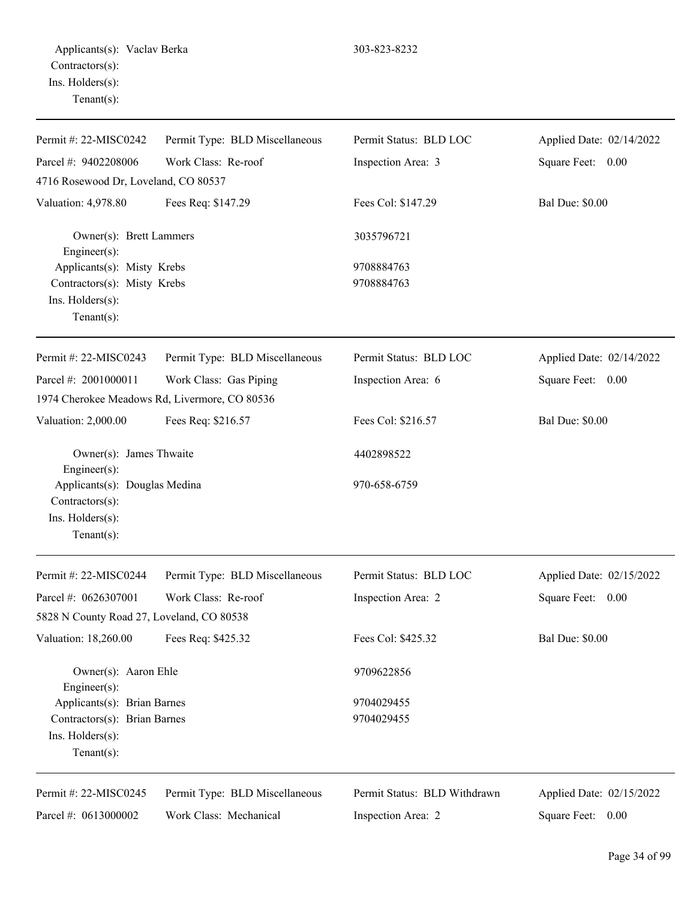| Permit #: 22-MISC0242                                                 | Permit Type: BLD Miscellaneous                | Permit Status: BLD LOC       | Applied Date: 02/14/2022 |
|-----------------------------------------------------------------------|-----------------------------------------------|------------------------------|--------------------------|
| Parcel #: 9402208006                                                  | Work Class: Re-roof                           | Inspection Area: 3           | Square Feet: 0.00        |
| 4716 Rosewood Dr, Loveland, CO 80537                                  |                                               |                              |                          |
| Valuation: 4,978.80                                                   | Fees Req: \$147.29                            | Fees Col: \$147.29           | <b>Bal Due: \$0.00</b>   |
| Owner(s): Brett Lammers<br>Engineer(s):<br>Applicants(s): Misty Krebs |                                               | 3035796721                   |                          |
|                                                                       |                                               | 9708884763                   |                          |
| Contractors(s): Misty Krebs                                           |                                               | 9708884763                   |                          |
| Ins. Holders(s):<br>Tenant $(s)$ :                                    |                                               |                              |                          |
| Permit #: 22-MISC0243                                                 | Permit Type: BLD Miscellaneous                | Permit Status: BLD LOC       | Applied Date: 02/14/2022 |
| Parcel #: 2001000011                                                  | Work Class: Gas Piping                        | Inspection Area: 6           | Square Feet: 0.00        |
|                                                                       | 1974 Cherokee Meadows Rd, Livermore, CO 80536 |                              |                          |
| Valuation: 2,000.00                                                   | Fees Req: \$216.57                            | Fees Col: \$216.57           | <b>Bal Due: \$0.00</b>   |
| Owner(s): James Thwaite<br>Engineer(s):                               |                                               | 4402898522                   |                          |
| Applicants(s): Douglas Medina<br>Contractors(s):                      |                                               | 970-658-6759                 |                          |
| Ins. Holders(s):<br>Tenant $(s)$ :                                    |                                               |                              |                          |
| Permit #: 22-MISC0244                                                 | Permit Type: BLD Miscellaneous                | Permit Status: BLD LOC       | Applied Date: 02/15/2022 |
| Parcel #: 0626307001                                                  | Work Class: Re-roof                           | Inspection Area: 2           | Square Feet:<br>0.00     |
| 5828 N County Road 27, Loveland, CO 80538                             |                                               |                              |                          |
| Valuation: 18,260.00                                                  | Fees Req: \$425.32                            | Fees Col: \$425.32           | <b>Bal Due: \$0.00</b>   |
| Owner(s): Aaron Ehle<br>Engineer(s):                                  |                                               | 9709622856                   |                          |
| Applicants(s): Brian Barnes                                           |                                               | 9704029455                   |                          |
| Contractors(s): Brian Barnes                                          |                                               | 9704029455                   |                          |
| Ins. Holders(s):<br>Tenant $(s)$ :                                    |                                               |                              |                          |
| Permit #: 22-MISC0245                                                 | Permit Type: BLD Miscellaneous                | Permit Status: BLD Withdrawn | Applied Date: 02/15/2022 |
| Parcel #: 0613000002                                                  | Work Class: Mechanical                        | Inspection Area: 2           | Square Feet: 0.00        |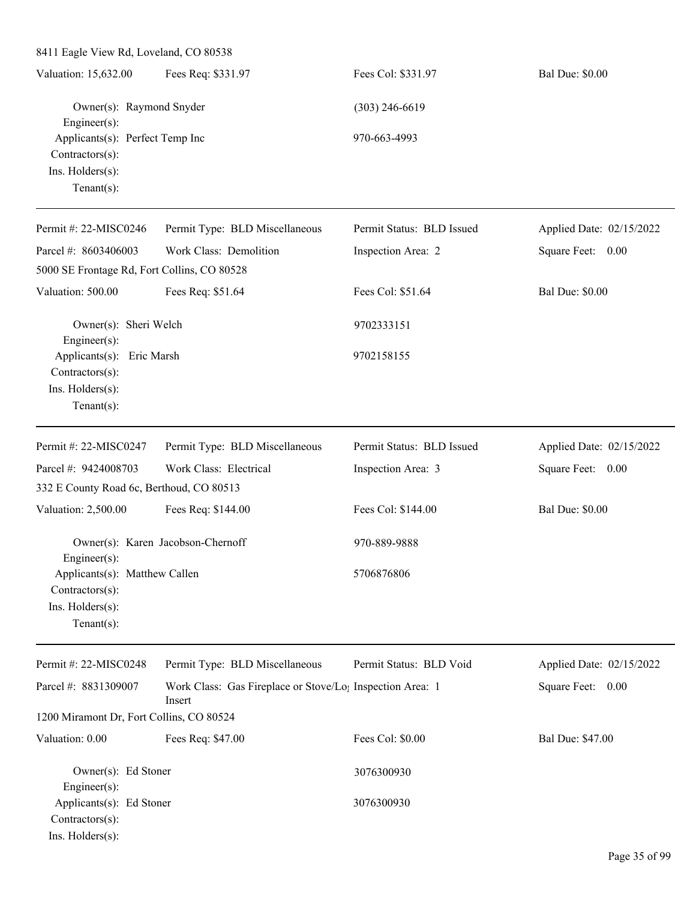| 8411 Eagle View Rd, Loveland, CO 80538                                                            |                                                                                 |                           |                          |  |  |
|---------------------------------------------------------------------------------------------------|---------------------------------------------------------------------------------|---------------------------|--------------------------|--|--|
| Valuation: 15,632.00                                                                              | Fees Req: \$331.97                                                              | Fees Col: \$331.97        | <b>Bal Due: \$0.00</b>   |  |  |
| Owner(s): Raymond Snyder<br>Engineer(s):                                                          |                                                                                 | $(303)$ 246-6619          |                          |  |  |
| Applicants(s): Perfect Temp Inc<br>Contractors(s):<br>Ins. Holders(s):<br>Tenant $(s)$ :          |                                                                                 | 970-663-4993              |                          |  |  |
| Permit #: 22-MISC0246                                                                             | Permit Type: BLD Miscellaneous                                                  | Permit Status: BLD Issued | Applied Date: 02/15/2022 |  |  |
| Parcel #: 8603406003<br>5000 SE Frontage Rd, Fort Collins, CO 80528                               | Work Class: Demolition                                                          | Inspection Area: 2        | Square Feet: 0.00        |  |  |
| Valuation: 500.00                                                                                 | Fees Req: \$51.64                                                               | Fees Col: \$51.64         | <b>Bal Due: \$0.00</b>   |  |  |
| Owner(s): Sheri Welch                                                                             |                                                                                 | 9702333151                |                          |  |  |
| Engineer(s):<br>Applicants(s): Eric Marsh<br>Contractors(s):<br>Ins. Holders(s):<br>$Tenant(s)$ : |                                                                                 | 9702158155                |                          |  |  |
| Permit #: 22-MISC0247                                                                             | Permit Type: BLD Miscellaneous                                                  | Permit Status: BLD Issued | Applied Date: 02/15/2022 |  |  |
| Parcel #: 9424008703                                                                              | Work Class: Electrical                                                          | Inspection Area: 3        | Square Feet: 0.00        |  |  |
| 332 E County Road 6c, Berthoud, CO 80513                                                          |                                                                                 |                           |                          |  |  |
| Valuation: 2,500.00                                                                               | Fees Req: \$144.00                                                              | Fees Col: \$144.00        | <b>Bal Due: \$0.00</b>   |  |  |
| $Engineering(s)$ :                                                                                | Owner(s): Karen Jacobson-Chernoff                                               | 970-889-9888              |                          |  |  |
| Applicants(s): Matthew Callen<br>Contractors(s):<br>Ins. Holders(s):<br>$Tenant(s)$ :             |                                                                                 | 5706876806                |                          |  |  |
| Permit #: 22-MISC0248                                                                             | Permit Type: BLD Miscellaneous                                                  | Permit Status: BLD Void   | Applied Date: 02/15/2022 |  |  |
| Parcel #: 8831309007                                                                              | Work Class: Gas Fireplace or Stove/Lo <sub>1</sub> Inspection Area: 1<br>Insert |                           | Square Feet: 0.00        |  |  |
| 1200 Miramont Dr, Fort Collins, CO 80524                                                          |                                                                                 |                           |                          |  |  |
| Valuation: 0.00                                                                                   | Fees Req: \$47.00                                                               | Fees Col: \$0.00          | Bal Due: \$47.00         |  |  |
| Owner(s): Ed Stoner<br>Engineer(s):                                                               |                                                                                 | 3076300930                |                          |  |  |
| Applicants(s): Ed Stoner<br>Contractors(s):<br>Ins. Holders(s):                                   |                                                                                 | 3076300930                |                          |  |  |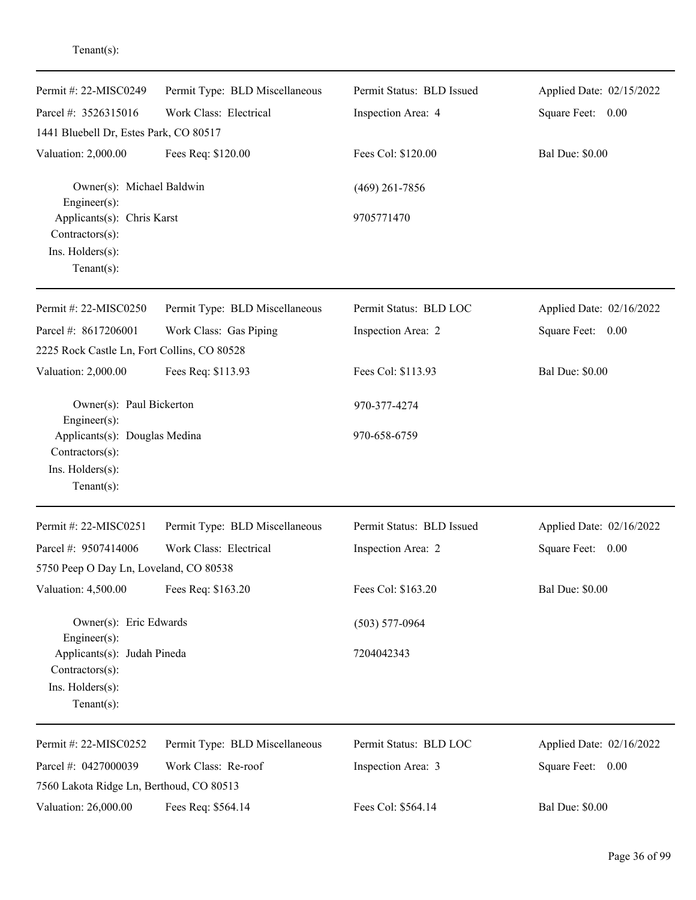| Permit #: 22-MISC0249                                                                                       | Permit Type: BLD Miscellaneous | Permit Status: BLD Issued | Applied Date: 02/15/2022 |
|-------------------------------------------------------------------------------------------------------------|--------------------------------|---------------------------|--------------------------|
| Parcel #: 3526315016                                                                                        | Work Class: Electrical         | Inspection Area: 4        | Square Feet: 0.00        |
| 1441 Bluebell Dr, Estes Park, CO 80517                                                                      |                                |                           |                          |
| Valuation: 2,000.00                                                                                         | Fees Req: \$120.00             | Fees Col: \$120.00        | <b>Bal Due: \$0.00</b>   |
| Owner(s): Michael Baldwin<br>Engineer $(s)$ :                                                               |                                | $(469)$ 261-7856          |                          |
| Applicants(s): Chris Karst<br>Contractors(s):<br>Ins. Holders(s):<br>Tenant $(s)$ :                         |                                | 9705771470                |                          |
| Permit #: 22-MISC0250                                                                                       | Permit Type: BLD Miscellaneous | Permit Status: BLD LOC    | Applied Date: 02/16/2022 |
| Parcel #: 8617206001                                                                                        | Work Class: Gas Piping         | Inspection Area: 2        | Square Feet: 0.00        |
| 2225 Rock Castle Ln, Fort Collins, CO 80528                                                                 |                                |                           |                          |
| Valuation: 2,000.00                                                                                         | Fees Req: \$113.93             | Fees Col: \$113.93        | <b>Bal Due: \$0.00</b>   |
| Owner(s): Paul Bickerton                                                                                    |                                | 970-377-4274              |                          |
| $Engineering(s)$ :<br>Applicants(s): Douglas Medina<br>Contractors(s):<br>Ins. Holders(s):<br>$Tenant(s)$ : |                                | 970-658-6759              |                          |
| Permit#: 22-MISC0251                                                                                        | Permit Type: BLD Miscellaneous | Permit Status: BLD Issued | Applied Date: 02/16/2022 |
| Parcel #: 9507414006                                                                                        | Work Class: Electrical         | Inspection Area: 2        | Square Feet:<br>0.00     |
| 5750 Peep O Day Ln, Loveland, CO 80538                                                                      |                                |                           |                          |
| Valuation: 4,500.00                                                                                         | Fees Req: \$163.20             | Fees Col: \$163.20        | <b>Bal Due: \$0.00</b>   |
| Owner(s): Eric Edwards                                                                                      |                                | $(503) 577 - 0964$        |                          |
| $Engineering(s)$ :<br>Applicants(s): Judah Pineda<br>Contractors(s):<br>Ins. Holders(s):<br>Tenant $(s)$ :  |                                | 7204042343                |                          |
| Permit #: 22-MISC0252                                                                                       | Permit Type: BLD Miscellaneous | Permit Status: BLD LOC    | Applied Date: 02/16/2022 |
| Parcel #: 0427000039                                                                                        | Work Class: Re-roof            | Inspection Area: 3        | Square Feet: 0.00        |
| 7560 Lakota Ridge Ln, Berthoud, CO 80513                                                                    |                                |                           |                          |
| Valuation: 26,000.00                                                                                        | Fees Req: \$564.14             | Fees Col: \$564.14        | <b>Bal Due: \$0.00</b>   |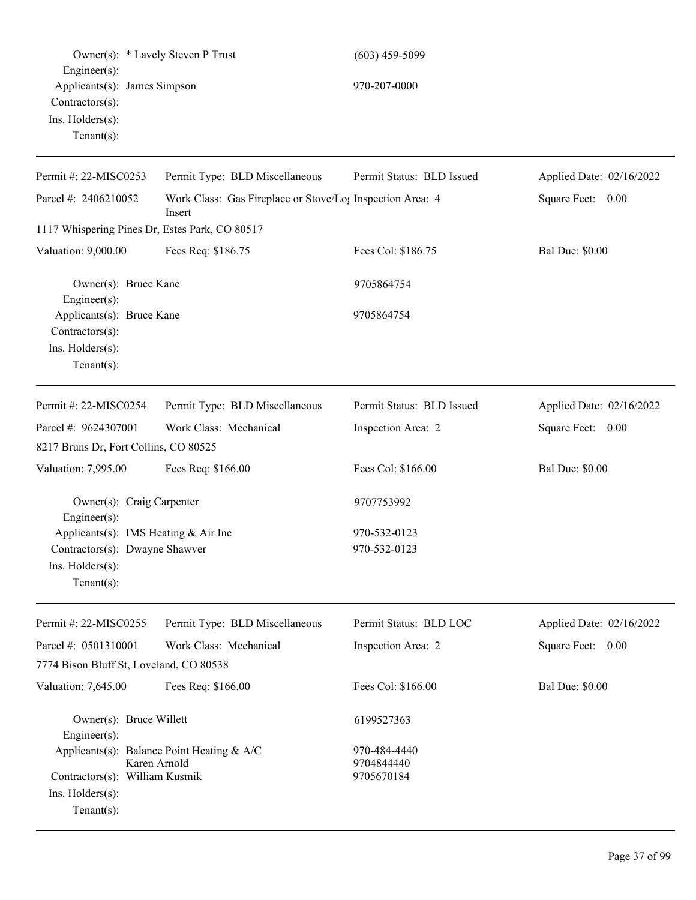| Owner(s): * Lavely Steven P Trust<br>Engineer(s):                                                                  |                                                                                 | $(603)$ 459-5099                         |                          |
|--------------------------------------------------------------------------------------------------------------------|---------------------------------------------------------------------------------|------------------------------------------|--------------------------|
| Applicants(s): James Simpson<br>Contractors(s):<br>Ins. Holders(s):                                                |                                                                                 | 970-207-0000                             |                          |
| $Tenant(s)$ :                                                                                                      |                                                                                 |                                          |                          |
| Permit #: 22-MISC0253                                                                                              | Permit Type: BLD Miscellaneous                                                  | Permit Status: BLD Issued                | Applied Date: 02/16/2022 |
| Parcel #: 2406210052                                                                                               | Work Class: Gas Fireplace or Stove/Lo <sub>1</sub> Inspection Area: 4<br>Insert |                                          | Square Feet: 0.00        |
| 1117 Whispering Pines Dr, Estes Park, CO 80517                                                                     |                                                                                 |                                          |                          |
| Valuation: 9,000.00                                                                                                | Fees Req: \$186.75                                                              | Fees Col: \$186.75                       | <b>Bal Due: \$0.00</b>   |
| Owner(s): Bruce Kane<br>Engineer(s):                                                                               |                                                                                 | 9705864754                               |                          |
| Applicants(s): Bruce Kane<br>Contractors(s):                                                                       |                                                                                 | 9705864754                               |                          |
| Ins. Holders(s):<br>$Tenant(s)$ :                                                                                  |                                                                                 |                                          |                          |
| Permit #: 22-MISC0254                                                                                              | Permit Type: BLD Miscellaneous                                                  | Permit Status: BLD Issued                | Applied Date: 02/16/2022 |
| Parcel #: 9624307001                                                                                               | Work Class: Mechanical                                                          | Inspection Area: 2                       | Square Feet: 0.00        |
| 8217 Bruns Dr, Fort Collins, CO 80525                                                                              |                                                                                 |                                          |                          |
| Valuation: 7,995.00                                                                                                | Fees Req: \$166.00                                                              | Fees Col: \$166.00                       | <b>Bal Due: \$0.00</b>   |
| Owner(s): Craig Carpenter<br>$Engineering(s)$ :                                                                    |                                                                                 | 9707753992                               |                          |
| Applicants(s): IMS Heating & Air Inc<br>Contractors(s): Dwayne Shawver<br>$Ins.$ Holders $(s)$ :<br>Tenant $(s)$ : |                                                                                 | 970-532-0123<br>970-532-0123             |                          |
| Permit #: 22-MISC0255                                                                                              | Permit Type: BLD Miscellaneous                                                  | Permit Status: BLD LOC                   | Applied Date: 02/16/2022 |
| Parcel #: 0501310001                                                                                               | Work Class: Mechanical                                                          | Inspection Area: 2                       | Square Feet: 0.00        |
| 7774 Bison Bluff St, Loveland, CO 80538                                                                            |                                                                                 |                                          |                          |
| Valuation: 7,645.00                                                                                                | Fees Req: \$166.00                                                              | Fees Col: \$166.00                       | <b>Bal Due: \$0.00</b>   |
| Owner(s): Bruce Willett<br>Engineer(s):                                                                            |                                                                                 | 6199527363                               |                          |
| Karen Arnold<br>Contractors(s): William Kusmik<br>Ins. Holders(s):<br>Tenant $(s)$ :                               | Applicants(s): Balance Point Heating & A/C                                      | 970-484-4440<br>9704844440<br>9705670184 |                          |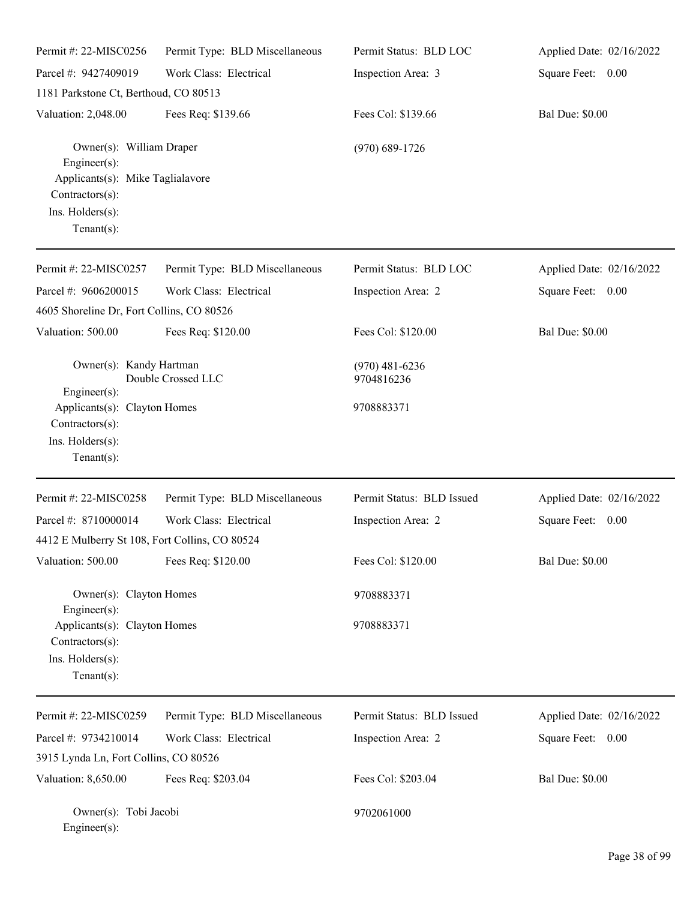| Permit #: 22-MISC0256                                                                                                                       | Permit Type: BLD Miscellaneous | Permit Status: BLD LOC                       | Applied Date: 02/16/2022 |
|---------------------------------------------------------------------------------------------------------------------------------------------|--------------------------------|----------------------------------------------|--------------------------|
| Parcel #: 9427409019                                                                                                                        | Work Class: Electrical         | Inspection Area: 3                           | Square Feet: 0.00        |
| 1181 Parkstone Ct, Berthoud, CO 80513                                                                                                       |                                |                                              |                          |
| Valuation: 2,048.00                                                                                                                         | Fees Req: \$139.66             | Fees Col: \$139.66                           | <b>Bal Due: \$0.00</b>   |
| Owner(s): William Draper<br>$Engineering(s)$ :<br>Applicants(s): Mike Taglialavore<br>Contractors(s):<br>Ins. Holders(s):<br>Tenant $(s)$ : |                                | $(970)$ 689-1726                             |                          |
| Permit #: 22-MISC0257                                                                                                                       | Permit Type: BLD Miscellaneous | Permit Status: BLD LOC                       | Applied Date: 02/16/2022 |
| Parcel #: 9606200015                                                                                                                        | Work Class: Electrical         | Inspection Area: 2                           | Square Feet: 0.00        |
| 4605 Shoreline Dr, Fort Collins, CO 80526                                                                                                   |                                |                                              |                          |
| Valuation: 500.00                                                                                                                           | Fees Req: \$120.00             | Fees Col: \$120.00                           | <b>Bal Due: \$0.00</b>   |
| Owner(s): Kandy Hartman<br>$Engineering(s)$ :<br>Applicants(s): Clayton Homes<br>Contractors(s):                                            | Double Crossed LLC             | $(970)$ 481-6236<br>9704816236<br>9708883371 |                          |
| Ins. Holders(s):<br>Tenant $(s)$ :                                                                                                          |                                |                                              |                          |
| Permit #: 22-MISC0258                                                                                                                       | Permit Type: BLD Miscellaneous | Permit Status: BLD Issued                    | Applied Date: 02/16/2022 |
| Parcel #: 8710000014                                                                                                                        | Work Class: Electrical         | Inspection Area: 2                           | Square Feet: 0.00        |
| 4412 E Mulberry St 108, Fort Collins, CO 80524                                                                                              |                                |                                              |                          |
| Valuation: 500.00                                                                                                                           | Fees Req: \$120.00             | Fees Col: \$120.00                           | <b>Bal Due: \$0.00</b>   |
| Owner(s): Clayton Homes<br>Engineer(s):                                                                                                     |                                | 9708883371                                   |                          |
| Applicants(s): Clayton Homes<br>Contractors(s):<br>Ins. Holders(s):<br>Tenant $(s)$ :                                                       |                                | 9708883371                                   |                          |
| Permit #: 22-MISC0259                                                                                                                       | Permit Type: BLD Miscellaneous | Permit Status: BLD Issued                    | Applied Date: 02/16/2022 |
| Parcel #: 9734210014                                                                                                                        | Work Class: Electrical         | Inspection Area: 2                           | Square Feet: 0.00        |
| 3915 Lynda Ln, Fort Collins, CO 80526                                                                                                       |                                |                                              |                          |
| Valuation: 8,650.00                                                                                                                         | Fees Req: \$203.04             | Fees Col: \$203.04                           | <b>Bal Due: \$0.00</b>   |
| Owner(s): Tobi Jacobi<br>$Engineer(s)$ :                                                                                                    |                                | 9702061000                                   |                          |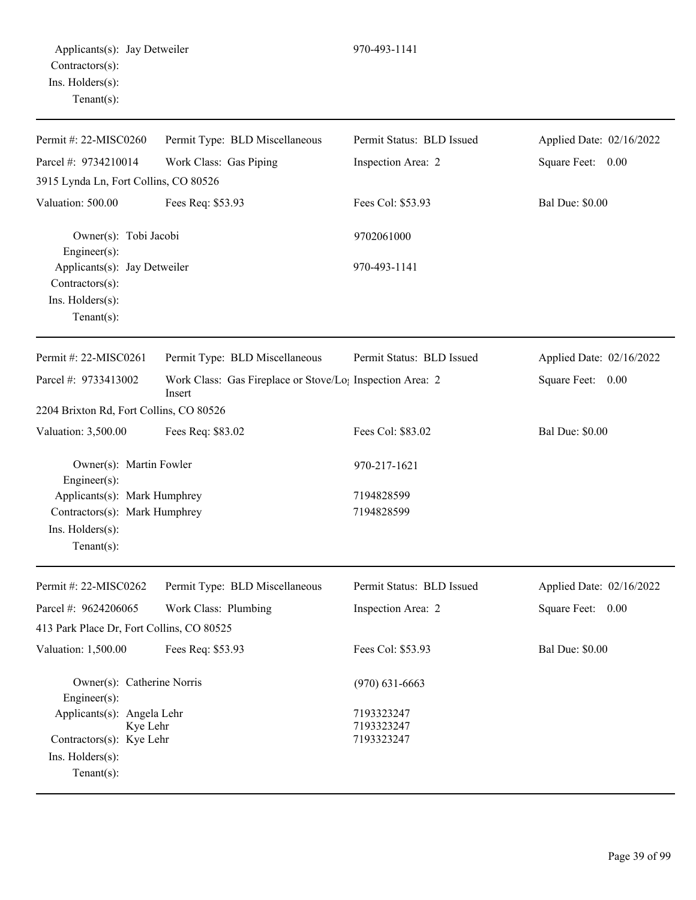| $1 \times 1 \times 1 \times 1 \times 1$     |                                                                                 |                           |                          |
|---------------------------------------------|---------------------------------------------------------------------------------|---------------------------|--------------------------|
| Permit #: $22-MISCO260$                     | Permit Type: BLD Miscellaneous                                                  | Permit Status: BLD Issued | Applied Date: 02/16/2022 |
| Parcel #: 9734210014                        | Work Class: Gas Piping                                                          | Inspection Area: 2        | Square Feet: 0.00        |
| 3915 Lynda Ln, Fort Collins, CO 80526       |                                                                                 |                           |                          |
| Valuation: 500.00                           | Fees Req: \$53.93                                                               | Fees Col: \$53.93         | <b>Bal Due: \$0.00</b>   |
| Owner(s): Tobi Jacobi<br>$Engineering(s)$ : |                                                                                 | 9702061000                |                          |
| Applicants(s): Jay Detweiler                |                                                                                 | 970-493-1141              |                          |
| $Contractors(s)$ :                          |                                                                                 |                           |                          |
| $Ins.$ Holders $(s)$ :                      |                                                                                 |                           |                          |
| Tenant $(s)$ :                              |                                                                                 |                           |                          |
| Permit #: 22-MISC0261                       | Permit Type: BLD Miscellaneous                                                  | Permit Status: BLD Issued | Applied Date: 02/16/2022 |
| Parcel #: 9733413002                        | Work Class: Gas Fireplace or Stove/Lo <sub>1</sub> Inspection Area: 2<br>Insert |                           | Square Feet: 0.00        |
| 2204 Brixton Rd, Fort Collins, CO 80526     |                                                                                 |                           |                          |
| Valuation: 3,500.00                         | Fees Req: \$83.02                                                               | Fees Col: \$83.02         | <b>Bal Due: \$0.00</b>   |
| Owner(s): Martin Fowler                     |                                                                                 | 970-217-1621              |                          |

Engineer(s): Applicants(s): Mark Humphrey 7194828599 Contractors(s): Mark Humphrey 7194828599 Ins. Holders(s): Tenant(s):

| Permit #: $22-MISCO262$                                            | Permit Type: BLD Miscellaneous | Permit Status: BLD Issued              | Applied Date: 02/16/2022 |
|--------------------------------------------------------------------|--------------------------------|----------------------------------------|--------------------------|
| Parcel #: $9624206065$                                             | Work Class: Plumbing           | Inspection Area: 2                     | Square Feet: 0.00        |
| 413 Park Place Dr, Fort Collins, CO 80525                          |                                |                                        |                          |
| Valuation: 1,500.00                                                | Fees Req: \$53.93              | Fees Col: \$53.93                      | <b>Bal Due: \$0.00</b>   |
| Owner(s): Catherine Norris<br>$Engineering(s)$ :                   |                                | $(970)$ 631-6663                       |                          |
| Applicants(s): Angela Lehr<br>Kye Lehr<br>Contractors(s): Kye Lehr |                                | 7193323247<br>7193323247<br>7193323247 |                          |
| $Ins.$ Holders $(s)$ :<br>Tenant $(s)$ :                           |                                |                                        |                          |
|                                                                    |                                |                                        |                          |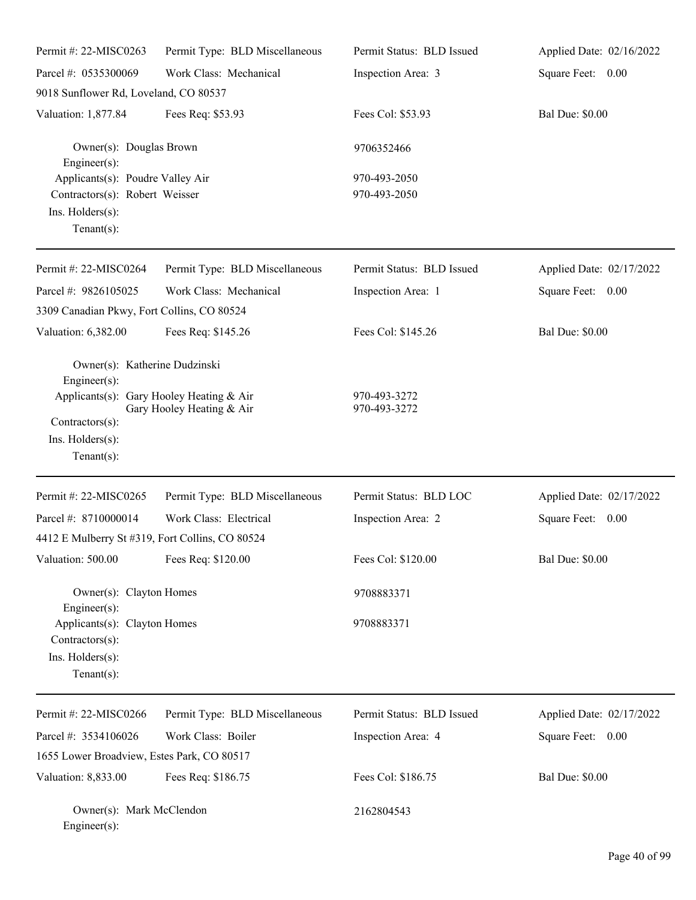| Permit #: 22-MISC0263                                                                                                                                 | Permit Type: BLD Miscellaneous | Permit Status: BLD Issued    | Applied Date: 02/16/2022 |
|-------------------------------------------------------------------------------------------------------------------------------------------------------|--------------------------------|------------------------------|--------------------------|
| Parcel #: 0535300069                                                                                                                                  | Work Class: Mechanical         | Inspection Area: 3           | Square Feet: 0.00        |
| 9018 Sunflower Rd, Loveland, CO 80537                                                                                                                 |                                |                              |                          |
| Valuation: 1,877.84                                                                                                                                   | Fees Req: \$53.93              | Fees Col: \$53.93            | <b>Bal Due: \$0.00</b>   |
| Owner(s): Douglas Brown<br>Engineer(s):                                                                                                               |                                | 9706352466                   |                          |
| Applicants(s): Poudre Valley Air<br>Contractors(s): Robert Weisser<br>Ins. $H$ olders $(s)$ :<br>Tenant $(s)$ :                                       |                                | 970-493-2050<br>970-493-2050 |                          |
| Permit #: 22-MISC0264                                                                                                                                 | Permit Type: BLD Miscellaneous | Permit Status: BLD Issued    | Applied Date: 02/17/2022 |
| Parcel #: 9826105025                                                                                                                                  | Work Class: Mechanical         | Inspection Area: 1           | Square Feet: 0.00        |
| 3309 Canadian Pkwy, Fort Collins, CO 80524                                                                                                            |                                |                              |                          |
| Valuation: 6,382.00                                                                                                                                   | Fees Req: \$145.26             | Fees Col: \$145.26           | <b>Bal Due: \$0.00</b>   |
| Owner(s): Katherine Dudzinski<br>Engineer(s):<br>Applicants(s): Gary Hooley Heating & Air<br>$Contractors(s)$ :<br>Ins. Holders(s):<br>Tenant $(s)$ : | Gary Hooley Heating & Air      | 970-493-3272<br>970-493-3272 |                          |
| Permit #: 22-MISC0265                                                                                                                                 | Permit Type: BLD Miscellaneous | Permit Status: BLD LOC       | Applied Date: 02/17/2022 |
| Parcel #: 8710000014                                                                                                                                  | Work Class: Electrical         | Inspection Area: 2           | Square Feet: 0.00        |
| 4412 E Mulberry St #319, Fort Collins, CO 80524                                                                                                       |                                |                              |                          |
| Valuation: 500.00                                                                                                                                     | Fees Req: \$120.00             | Fees Col: \$120.00           | <b>Bal Due: \$0.00</b>   |
| Owner(s): Clayton Homes<br>Engineer(s):                                                                                                               |                                | 9708883371                   |                          |
| Applicants(s): Clayton Homes<br>Contractors(s):<br>Ins. Holders(s):<br>Tenant $(s)$ :                                                                 |                                | 9708883371                   |                          |
| Permit #: 22-MISC0266                                                                                                                                 | Permit Type: BLD Miscellaneous | Permit Status: BLD Issued    | Applied Date: 02/17/2022 |
| Parcel #: 3534106026                                                                                                                                  | Work Class: Boiler             | Inspection Area: 4           | Square Feet: 0.00        |
| 1655 Lower Broadview, Estes Park, CO 80517                                                                                                            |                                |                              |                          |
| Valuation: 8,833.00                                                                                                                                   | Fees Req: \$186.75             | Fees Col: \$186.75           | <b>Bal Due: \$0.00</b>   |
| Owner(s): Mark McClendon<br>$Engineer(s)$ :                                                                                                           |                                | 2162804543                   |                          |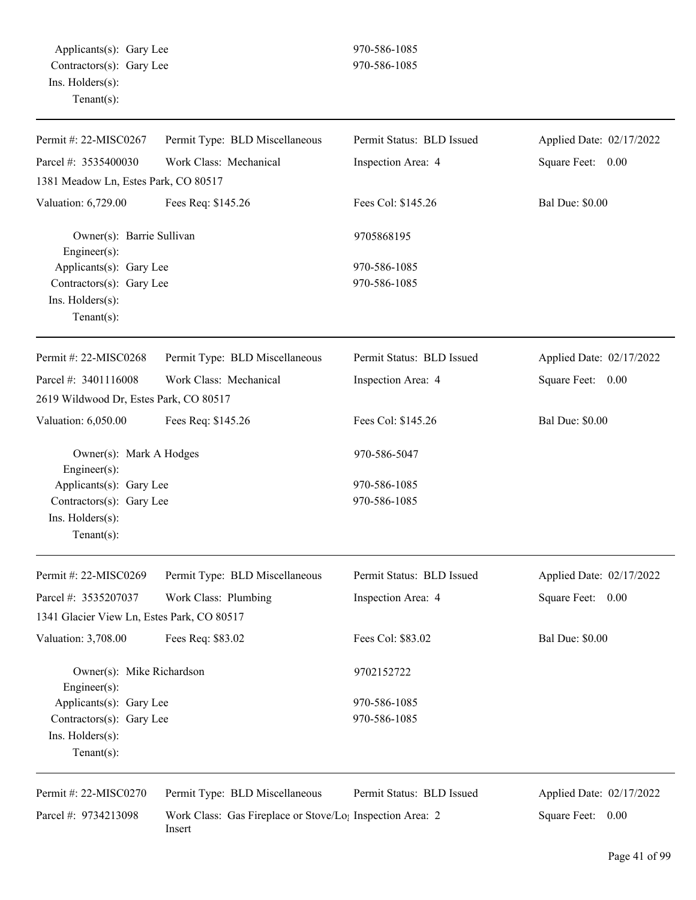| Permit #: 22-MISC0267                               | Permit Type: BLD Miscellaneous                                                  | Permit Status: BLD Issued | Applied Date: 02/17/2022 |
|-----------------------------------------------------|---------------------------------------------------------------------------------|---------------------------|--------------------------|
| Parcel #: 3535400030                                | Work Class: Mechanical                                                          | Inspection Area: 4        | Square Feet: 0.00        |
| 1381 Meadow Ln, Estes Park, CO 80517                |                                                                                 |                           |                          |
| Valuation: 6,729.00                                 | Fees Req: \$145.26                                                              | Fees Col: \$145.26        | <b>Bal Due: \$0.00</b>   |
| Owner(s): Barrie Sullivan<br>Engineer(s):           |                                                                                 | 9705868195                |                          |
| Applicants(s): Gary Lee                             |                                                                                 | 970-586-1085              |                          |
| Contractors(s): Gary Lee                            |                                                                                 | 970-586-1085              |                          |
| Ins. Holders(s):<br>$Tenant(s)$ :                   |                                                                                 |                           |                          |
| Permit #: 22-MISC0268                               | Permit Type: BLD Miscellaneous                                                  | Permit Status: BLD Issued | Applied Date: 02/17/2022 |
| Parcel #: 3401116008                                | Work Class: Mechanical                                                          | Inspection Area: 4        | Square Feet: 0.00        |
| 2619 Wildwood Dr, Estes Park, CO 80517              |                                                                                 |                           |                          |
| Valuation: 6,050.00                                 | Fees Req: \$145.26                                                              | Fees Col: \$145.26        | <b>Bal Due: \$0.00</b>   |
| Owner(s): Mark A Hodges                             |                                                                                 | 970-586-5047              |                          |
| Engineer(s):                                        |                                                                                 | 970-586-1085              |                          |
| Applicants(s): Gary Lee<br>Contractors(s): Gary Lee |                                                                                 | 970-586-1085              |                          |
| Ins. Holders(s):                                    |                                                                                 |                           |                          |
| $Tenant(s)$ :                                       |                                                                                 |                           |                          |
| Permit #: 22-MISC0269                               | Permit Type: BLD Miscellaneous                                                  | Permit Status: BLD Issued | Applied Date: 02/17/2022 |
| Parcel #: 3535207037                                | Work Class: Plumbing                                                            | Inspection Area: 4        | Square Feet: 0.00        |
| 1341 Glacier View Ln, Estes Park, CO 80517          |                                                                                 |                           |                          |
| Valuation: 3,708.00                                 | Fees Req: \$83.02                                                               | Fees Col: \$83.02         | <b>Bal Due: \$0.00</b>   |
| Owner(s): Mike Richardson<br>Engineer(s):           |                                                                                 | 9702152722                |                          |
| Applicants(s): Gary Lee                             |                                                                                 | 970-586-1085              |                          |
| Contractors(s): Gary Lee                            |                                                                                 | 970-586-1085              |                          |
| Ins. Holders(s):<br>Tenant $(s)$ :                  |                                                                                 |                           |                          |
| Permit #: 22-MISC0270                               | Permit Type: BLD Miscellaneous                                                  | Permit Status: BLD Issued | Applied Date: 02/17/2022 |
| Parcel #: 9734213098                                | Work Class: Gas Fireplace or Stove/Lo <sub>1</sub> Inspection Area: 2<br>Insert |                           | Square Feet: 0.00        |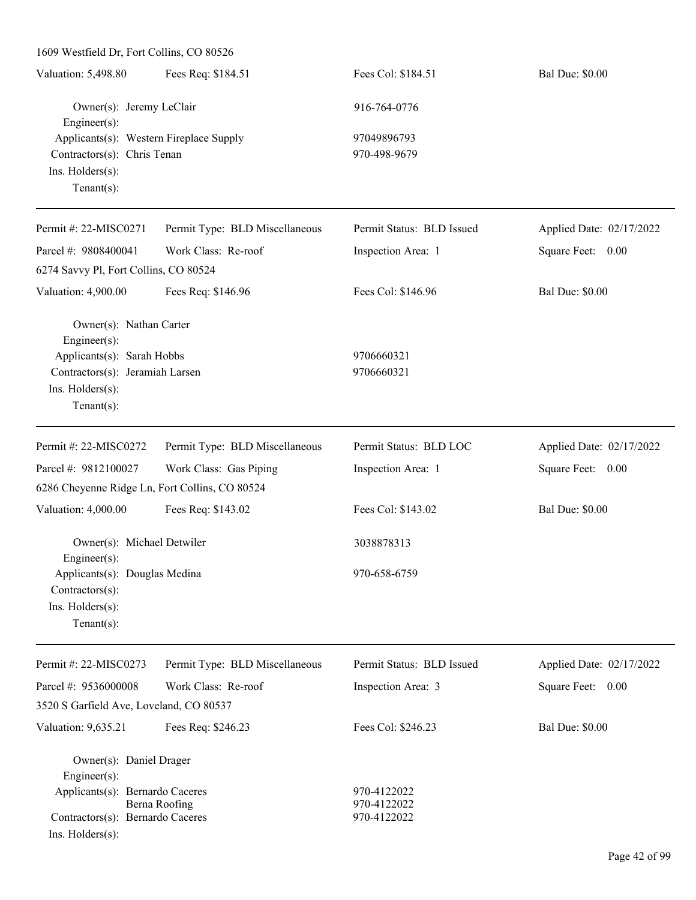| 1609 Westfield Dr, Fort Collins, CO 80526      |                                |                            |                          |
|------------------------------------------------|--------------------------------|----------------------------|--------------------------|
| Valuation: 5,498.80                            | Fees Req: \$184.51             | Fees Col: \$184.51         | <b>Bal Due: \$0.00</b>   |
| Owner(s): Jeremy LeClair<br>Engineer(s):       |                                | 916-764-0776               |                          |
| Applicants(s): Western Fireplace Supply        |                                | 97049896793                |                          |
| Contractors(s): Chris Tenan                    |                                | 970-498-9679               |                          |
| Ins. Holders(s):                               |                                |                            |                          |
| Tenant $(s)$ :                                 |                                |                            |                          |
| Permit #: 22-MISC0271                          | Permit Type: BLD Miscellaneous | Permit Status: BLD Issued  | Applied Date: 02/17/2022 |
| Parcel #: 9808400041                           | Work Class: Re-roof            | Inspection Area: 1         | Square Feet: 0.00        |
| 6274 Savvy Pl, Fort Collins, CO 80524          |                                |                            |                          |
| Valuation: 4,900.00                            | Fees Req: \$146.96             | Fees Col: \$146.96         | <b>Bal Due: \$0.00</b>   |
| Owner(s): Nathan Carter<br>Engineer(s):        |                                |                            |                          |
| Applicants(s): Sarah Hobbs                     |                                | 9706660321                 |                          |
| Contractors(s): Jeramiah Larsen                |                                | 9706660321                 |                          |
| Ins. Holders(s):                               |                                |                            |                          |
| Tenant $(s)$ :                                 |                                |                            |                          |
| Permit #: 22-MISC0272                          | Permit Type: BLD Miscellaneous | Permit Status: BLD LOC     | Applied Date: 02/17/2022 |
| Parcel #: 9812100027                           | Work Class: Gas Piping         | Inspection Area: 1         | Square Feet: 0.00        |
| 6286 Cheyenne Ridge Ln, Fort Collins, CO 80524 |                                |                            |                          |
| Valuation: 4,000.00                            | Fees Req: \$143.02             | Fees Col: \$143.02         | <b>Bal Due: \$0.00</b>   |
| Owner(s): Michael Detwiler<br>$Enginer(s)$ :   |                                | 3038878313                 |                          |
| Applicants(s): Douglas Medina                  |                                | 970-658-6759               |                          |
| Contractors(s):                                |                                |                            |                          |
| Ins. Holders(s):                               |                                |                            |                          |
| $Tenant(s)$ :                                  |                                |                            |                          |
| Permit #: 22-MISC0273                          | Permit Type: BLD Miscellaneous | Permit Status: BLD Issued  | Applied Date: 02/17/2022 |
| Parcel #: 9536000008                           | Work Class: Re-roof            | Inspection Area: 3         | Square Feet: 0.00        |
| 3520 S Garfield Ave, Loveland, CO 80537        |                                |                            |                          |
| Valuation: 9,635.21                            | Fees Req: \$246.23             | Fees Col: \$246.23         | <b>Bal Due: \$0.00</b>   |
| Owner(s): Daniel Drager                        |                                |                            |                          |
| Engineer(s):                                   |                                |                            |                          |
| Applicants(s): Bernardo Caceres                | Berna Roofing                  | 970-4122022<br>970-4122022 |                          |
| Contractors(s): Bernardo Caceres               |                                | 970-4122022                |                          |
| Ins. Holders(s):                               |                                |                            |                          |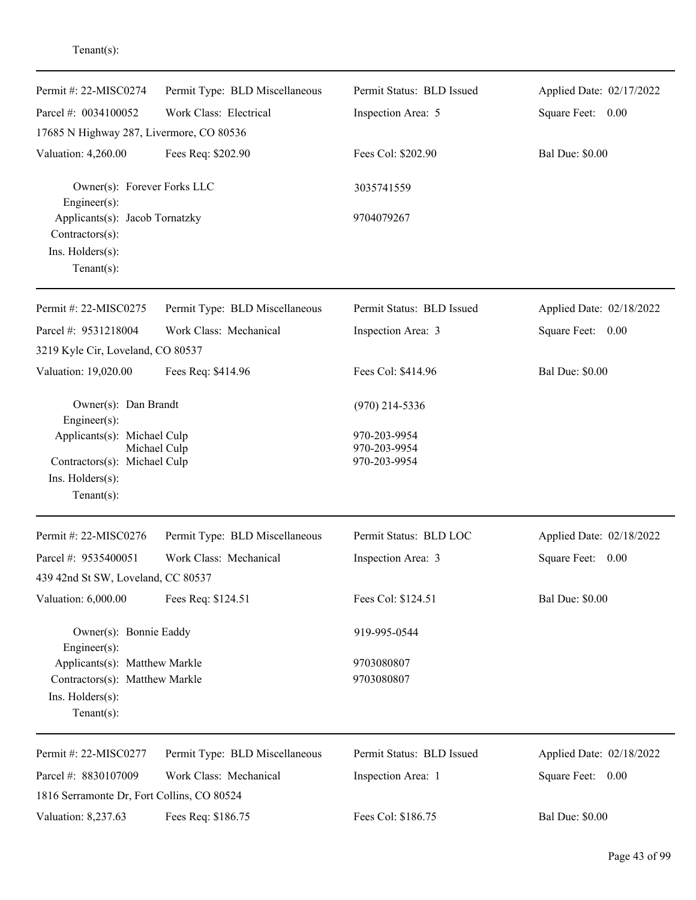| Permit #: 22-MISC0274                             | Permit Type: BLD Miscellaneous | Permit Status: BLD Issued    | Applied Date: 02/17/2022 |
|---------------------------------------------------|--------------------------------|------------------------------|--------------------------|
| Parcel #: 0034100052                              | Work Class: Electrical         | Inspection Area: 5           | Square Feet: 0.00        |
| 17685 N Highway 287, Livermore, CO 80536          |                                |                              |                          |
| Valuation: 4,260.00                               | Fees Req: \$202.90             | Fees Col: \$202.90           | <b>Bal Due: \$0.00</b>   |
| Owner(s): Forever Forks LLC<br>Engineer(s):       |                                | 3035741559                   |                          |
| Applicants(s): Jacob Tornatzky<br>Contractors(s): |                                | 9704079267                   |                          |
| Ins. Holders(s):                                  |                                |                              |                          |
| $Tenant(s)$ :                                     |                                |                              |                          |
| Permit #: 22-MISC0275                             | Permit Type: BLD Miscellaneous | Permit Status: BLD Issued    | Applied Date: 02/18/2022 |
| Parcel #: 9531218004                              | Work Class: Mechanical         | Inspection Area: 3           | Square Feet: 0.00        |
| 3219 Kyle Cir, Loveland, CO 80537                 |                                |                              |                          |
| Valuation: 19,020.00                              | Fees Req: \$414.96             | Fees Col: \$414.96           | <b>Bal Due: \$0.00</b>   |
| Owner(s): Dan Brandt<br>Engineer(s):              |                                | $(970)$ 214-5336             |                          |
| Applicants(s): Michael Culp                       |                                | 970-203-9954                 |                          |
| Michael Culp<br>Contractors(s): Michael Culp      |                                | 970-203-9954<br>970-203-9954 |                          |
| Ins. Holders(s):                                  |                                |                              |                          |
| $Tenant(s)$ :                                     |                                |                              |                          |
| Permit #: 22-MISC0276                             | Permit Type: BLD Miscellaneous | Permit Status: BLD LOC       | Applied Date: 02/18/2022 |
| Parcel #: 9535400051                              | Work Class: Mechanical         | Inspection Area: 3           | Square Feet:<br>0.00     |
| 439 42nd St SW, Loveland, CC 80537                |                                |                              |                          |
| Valuation: 6,000.00                               | Fees Req: \$124.51             | Fees Col: \$124.51           | <b>Bal Due: \$0.00</b>   |
| Owner(s): Bonnie Eaddy<br>Engineer(s):            |                                | 919-995-0544                 |                          |
| Applicants(s): Matthew Markle                     |                                | 9703080807                   |                          |
| Contractors(s): Matthew Markle                    |                                | 9703080807                   |                          |
| Ins. Holders(s):<br>$Tenant(s)$ :                 |                                |                              |                          |
| Permit #: 22-MISC0277                             | Permit Type: BLD Miscellaneous | Permit Status: BLD Issued    | Applied Date: 02/18/2022 |
| Parcel #: 8830107009                              | Work Class: Mechanical         | Inspection Area: 1           | Square Feet: 0.00        |
| 1816 Serramonte Dr, Fort Collins, CO 80524        |                                |                              |                          |
| Valuation: 8,237.63                               | Fees Req: \$186.75             | Fees Col: \$186.75           | <b>Bal Due: \$0.00</b>   |

## Tenant(s):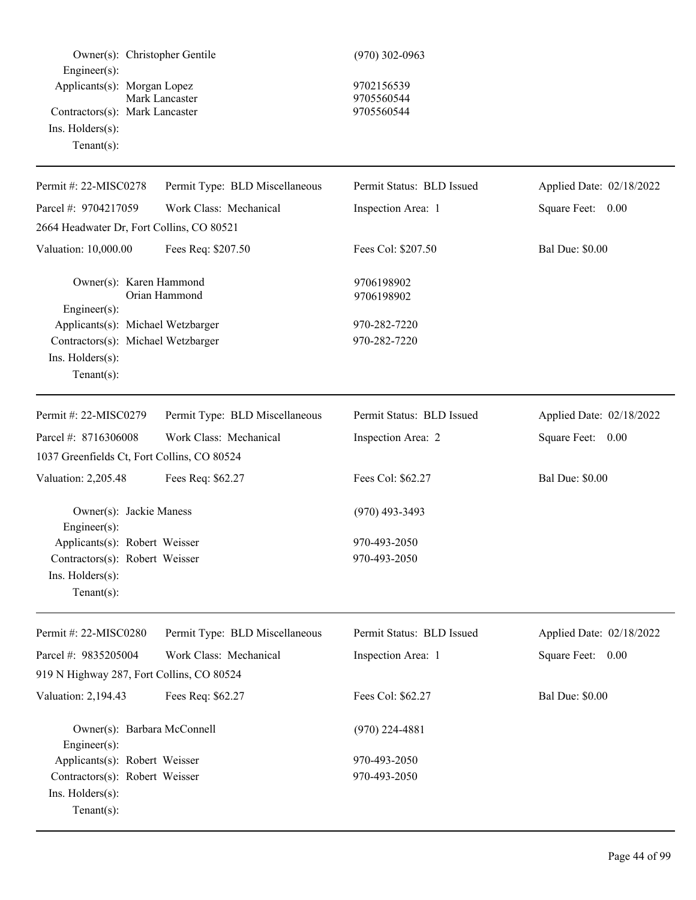| Owner(s): Christopher Gentile<br>Engineer(s):<br>Applicants(s): Morgan Lopez | Mark Lancaster                 | $(970)$ 302-0963<br>9702156539<br>9705560544 |                          |
|------------------------------------------------------------------------------|--------------------------------|----------------------------------------------|--------------------------|
| Contractors(s): Mark Lancaster<br>Ins. Holders(s):<br>$Tenant(s)$ :          |                                | 9705560544                                   |                          |
| Permit #: 22-MISC0278                                                        | Permit Type: BLD Miscellaneous | Permit Status: BLD Issued                    | Applied Date: 02/18/2022 |
| Parcel #: 9704217059                                                         | Work Class: Mechanical         | Inspection Area: 1                           | Square Feet: 0.00        |
| 2664 Headwater Dr, Fort Collins, CO 80521                                    |                                |                                              |                          |
| Valuation: 10,000.00                                                         | Fees Req: \$207.50             | Fees Col: \$207.50                           | <b>Bal Due: \$0.00</b>   |
| Owner(s): Karen Hammond<br>Engineer(s):                                      | Orian Hammond                  | 9706198902<br>9706198902                     |                          |
| Applicants(s): Michael Wetzbarger                                            |                                | 970-282-7220                                 |                          |
| Contractors(s): Michael Wetzbarger                                           |                                | 970-282-7220                                 |                          |
| Ins. Holders(s):<br>$Tenant(s)$ :                                            |                                |                                              |                          |
| Permit #: 22-MISC0279                                                        | Permit Type: BLD Miscellaneous | Permit Status: BLD Issued                    | Applied Date: 02/18/2022 |
| Parcel #: 8716306008                                                         | Work Class: Mechanical         | Inspection Area: 2                           | Square Feet: 0.00        |
| 1037 Greenfields Ct, Fort Collins, CO 80524                                  |                                |                                              |                          |
| Valuation: 2,205.48                                                          | Fees Req: \$62.27              | Fees Col: \$62.27                            | <b>Bal Due: \$0.00</b>   |
| Owner(s): Jackie Maness<br>Engineer(s):                                      |                                | $(970)$ 493-3493                             |                          |
| Applicants(s): Robert Weisser                                                |                                | 970-493-2050                                 |                          |
| Contractors(s): Robert Weisser<br>Ins. Holders(s):<br>$Tenant(s)$ :          |                                | 970-493-2050                                 |                          |
| Permit #: 22-MISC0280                                                        | Permit Type: BLD Miscellaneous | Permit Status: BLD Issued                    | Applied Date: 02/18/2022 |
| Parcel #: 9835205004                                                         | Work Class: Mechanical         | Inspection Area: 1                           | Square Feet: 0.00        |
| 919 N Highway 287, Fort Collins, CO 80524                                    |                                |                                              |                          |
| Valuation: 2,194.43                                                          | Fees Req: \$62.27              | Fees Col: \$62.27                            | <b>Bal Due: \$0.00</b>   |
| Owner(s): Barbara McConnell<br>$Engineering(s)$ :                            |                                | $(970)$ 224-4881                             |                          |
| Applicants(s): Robert Weisser                                                |                                | 970-493-2050                                 |                          |
| Contractors(s): Robert Weisser<br>Ins. Holders(s):<br>$Tenant(s)$ :          |                                | 970-493-2050                                 |                          |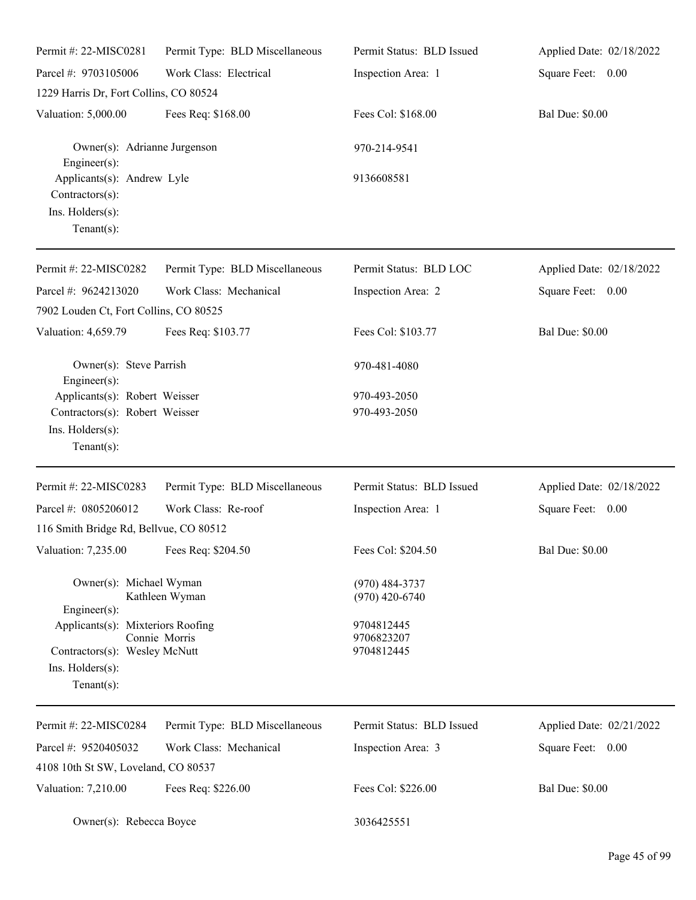| Permit#: 22-MISC0281                                                                                     | Permit Type: BLD Miscellaneous | Permit Status: BLD Issued              | Applied Date: 02/18/2022 |
|----------------------------------------------------------------------------------------------------------|--------------------------------|----------------------------------------|--------------------------|
| Parcel #: 9703105006                                                                                     | Work Class: Electrical         | Inspection Area: 1                     | Square Feet: 0.00        |
| 1229 Harris Dr, Fort Collins, CO 80524                                                                   |                                |                                        |                          |
| Valuation: 5,000.00                                                                                      | Fees Req: \$168.00             | Fees Col: \$168.00                     | <b>Bal Due: \$0.00</b>   |
| Owner(s): Adrianne Jurgenson<br>Engineer(s):                                                             |                                | 970-214-9541                           |                          |
| Applicants(s): Andrew Lyle<br>Contractors(s):<br>Ins. Holders(s):<br>$Tenant(s)$ :                       |                                | 9136608581                             |                          |
| Permit #: 22-MISC0282                                                                                    | Permit Type: BLD Miscellaneous | Permit Status: BLD LOC                 | Applied Date: 02/18/2022 |
| Parcel #: 9624213020                                                                                     | Work Class: Mechanical         | Inspection Area: 2                     | Square Feet: 0.00        |
| 7902 Louden Ct, Fort Collins, CO 80525                                                                   |                                |                                        |                          |
| Valuation: 4,659.79                                                                                      | Fees Req: \$103.77             | Fees Col: \$103.77                     | <b>Bal Due: \$0.00</b>   |
| Owner(s): Steve Parrish<br>$Engineering(s)$ :                                                            |                                | 970-481-4080                           |                          |
| Applicants(s): Robert Weisser                                                                            |                                | 970-493-2050                           |                          |
| Contractors(s): Robert Weisser<br>Ins. Holders(s):<br>$Tenant(s)$ :                                      |                                | 970-493-2050                           |                          |
| Permit #: 22-MISC0283                                                                                    | Permit Type: BLD Miscellaneous | Permit Status: BLD Issued              | Applied Date: 02/18/2022 |
| Parcel #: 0805206012                                                                                     | Work Class: Re-roof            | Inspection Area: 1                     | Square Feet: 0.00        |
| 116 Smith Bridge Rd, Bellvue, CO 80512                                                                   |                                |                                        |                          |
| Valuation: 7,235.00 Fees Req: \$204.50                                                                   |                                | Fees Col: \$204.50                     | <b>Bal Due: \$0.00</b>   |
| Owner(s): Michael Wyman<br>Engineer(s):                                                                  | Kathleen Wyman                 | $(970)$ 484-3737<br>$(970)$ 420-6740   |                          |
| Applicants(s): Mixteriors Roofing<br>Contractors(s): Wesley McNutt<br>Ins. Holders(s):<br>Tenant $(s)$ : | Connie Morris                  | 9704812445<br>9706823207<br>9704812445 |                          |
| Permit #: 22-MISC0284                                                                                    | Permit Type: BLD Miscellaneous | Permit Status: BLD Issued              | Applied Date: 02/21/2022 |
| Parcel #: 9520405032                                                                                     | Work Class: Mechanical         | Inspection Area: 3                     | Square Feet: 0.00        |
| 4108 10th St SW, Loveland, CO 80537                                                                      |                                |                                        |                          |
| Valuation: 7,210.00                                                                                      | Fees Req: \$226.00             | Fees Col: \$226.00                     | <b>Bal Due: \$0.00</b>   |
| Owner(s): Rebecca Boyce                                                                                  |                                | 3036425551                             |                          |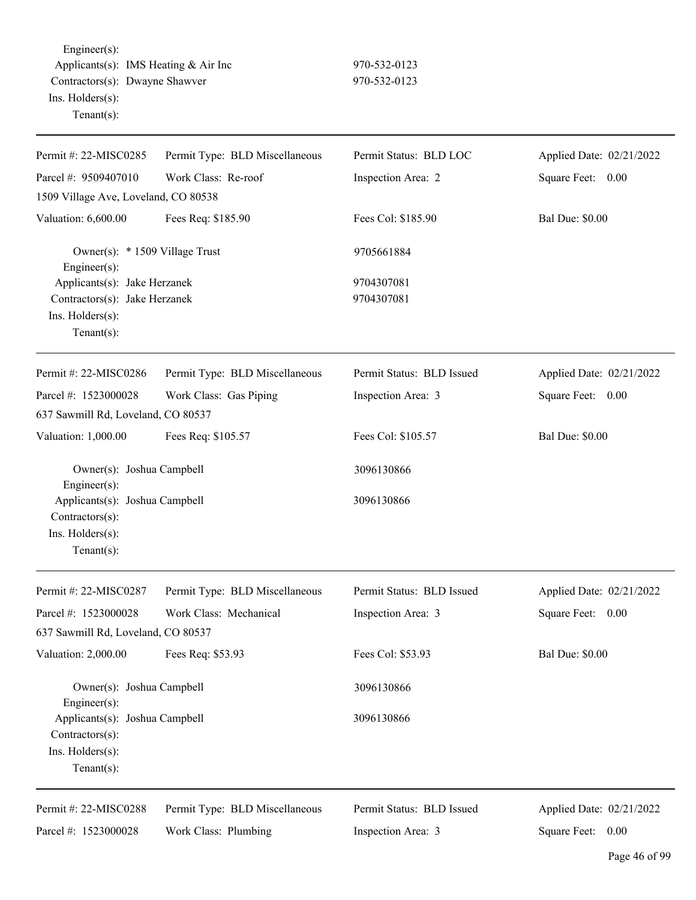Engineer(s): Applicants(s): IMS Heating & Air Inc 970-532-0123 Contractors(s): Dwayne Shawver 970-532-0123 Ins. Holders(s): Tenant(s):

| Permit #: 22-MISC0285                                                                              | Permit Type: BLD Miscellaneous | Permit Status: BLD LOC    | Applied Date: 02/21/2022 |
|----------------------------------------------------------------------------------------------------|--------------------------------|---------------------------|--------------------------|
| Parcel #: 9509407010                                                                               | Work Class: Re-roof            | Inspection Area: 2        | Square Feet: 0.00        |
| 1509 Village Ave, Loveland, CO 80538                                                               |                                |                           |                          |
| Valuation: 6,600.00                                                                                | Fees Req: \$185.90             | Fees Col: \$185.90        | <b>Bal Due: \$0.00</b>   |
| Owner(s): * 1509 Village Trust<br>Engineer $(s)$ :                                                 |                                | 9705661884                |                          |
| Applicants(s): Jake Herzanek<br>Contractors(s): Jake Herzanek<br>Ins. Holders(s):<br>$Tenant(s)$ : |                                | 9704307081<br>9704307081  |                          |
| Permit #: 22-MISC0286                                                                              | Permit Type: BLD Miscellaneous | Permit Status: BLD Issued | Applied Date: 02/21/2022 |
| Parcel #: 1523000028                                                                               | Work Class: Gas Piping         | Inspection Area: 3        | Square Feet:<br>0.00     |
| 637 Sawmill Rd, Loveland, CO 80537                                                                 |                                |                           |                          |
| Valuation: 1,000.00                                                                                | Fees Req: \$105.57             | Fees Col: \$105.57        | <b>Bal Due: \$0.00</b>   |
| Owner(s): Joshua Campbell<br>Engineer(s):                                                          |                                | 3096130866                |                          |
| Applicants(s): Joshua Campbell<br>Contractors(s):<br>Ins. Holders(s):<br>$Tenant(s)$ :             |                                | 3096130866                |                          |
| Permit #: 22-MISC0287                                                                              | Permit Type: BLD Miscellaneous | Permit Status: BLD Issued | Applied Date: 02/21/2022 |
| Parcel #: 1523000028                                                                               | Work Class: Mechanical         | Inspection Area: 3        | Square Feet: 0.00        |
| 637 Sawmill Rd, Loveland, CO 80537                                                                 |                                |                           |                          |
| Valuation: 2,000.00                                                                                | Fees Req: \$53.93              | Fees Col: \$53.93         | <b>Bal Due: \$0.00</b>   |
| Owner(s): Joshua Campbell<br>Engineer(s):                                                          |                                | 3096130866                |                          |
| Applicants(s): Joshua Campbell<br>Contractors(s):<br>Ins. Holders(s):<br>Tenant $(s)$ :            |                                | 3096130866                |                          |
| Permit #: 22-MISC0288                                                                              | Permit Type: BLD Miscellaneous | Permit Status: BLD Issued | Applied Date: 02/21/2022 |
| Parcel #: 1523000028                                                                               | Work Class: Plumbing           | Inspection Area: 3        | Square Feet: 0.00        |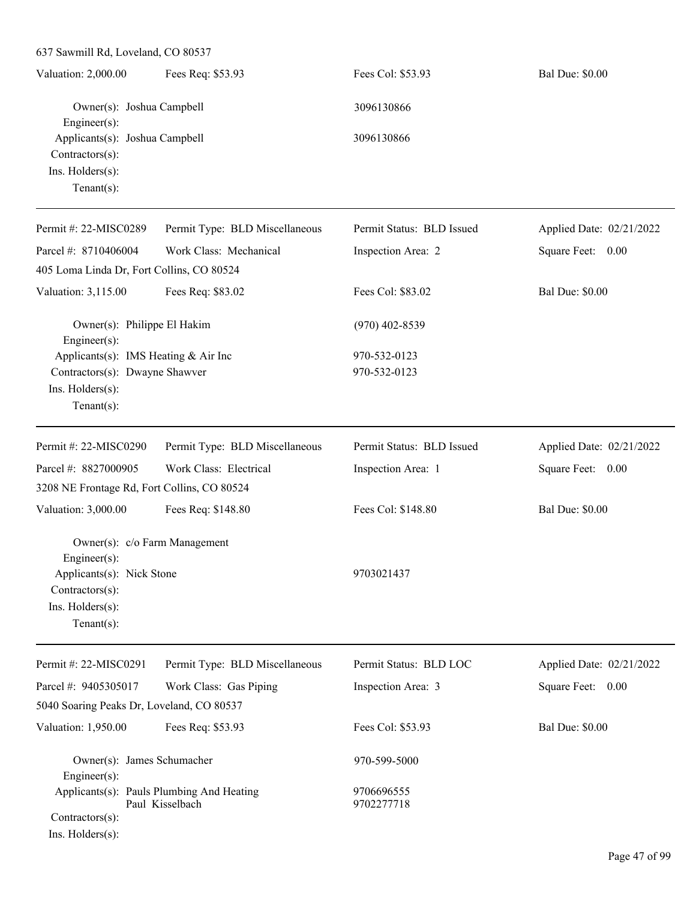| 637 Sawmill Rd, Loveland, CO 80537                                                                                                   |                                                              |                           |                          |
|--------------------------------------------------------------------------------------------------------------------------------------|--------------------------------------------------------------|---------------------------|--------------------------|
| Valuation: 2,000.00                                                                                                                  | Fees Req: \$53.93                                            | Fees Col: \$53.93         | <b>Bal Due: \$0.00</b>   |
| Owner(s): Joshua Campbell<br>Engineer(s):<br>Applicants(s): Joshua Campbell<br>Contractors(s):<br>Ins. Holders(s):<br>Tenant $(s)$ : |                                                              | 3096130866                |                          |
|                                                                                                                                      |                                                              | 3096130866                |                          |
| Permit #: 22-MISC0289                                                                                                                | Permit Type: BLD Miscellaneous                               | Permit Status: BLD Issued | Applied Date: 02/21/2022 |
| Parcel #: 8710406004                                                                                                                 | Work Class: Mechanical                                       | Inspection Area: 2        | Square Feet: 0.00        |
| 405 Loma Linda Dr, Fort Collins, CO 80524                                                                                            |                                                              |                           |                          |
| Valuation: 3,115.00                                                                                                                  | Fees Req: \$83.02                                            | Fees Col: \$83.02         | <b>Bal Due: \$0.00</b>   |
| Owner(s): Philippe El Hakim<br>Engineer(s):                                                                                          |                                                              | $(970)$ 402-8539          |                          |
| Applicants(s): IMS Heating & Air Inc                                                                                                 |                                                              | 970-532-0123              |                          |
| Contractors(s): Dwayne Shawver                                                                                                       |                                                              | 970-532-0123              |                          |
| Ins. Holders(s):<br>Tenant $(s)$ :                                                                                                   |                                                              |                           |                          |
| Permit #: 22-MISC0290                                                                                                                | Permit Type: BLD Miscellaneous                               | Permit Status: BLD Issued | Applied Date: 02/21/2022 |
| Parcel #: 8827000905                                                                                                                 | Work Class: Electrical                                       | Inspection Area: 1        | Square Feet: 0.00        |
| 3208 NE Frontage Rd, Fort Collins, CO 80524                                                                                          |                                                              |                           |                          |
| Valuation: 3,000.00                                                                                                                  | Fees Req: \$148.80                                           | Fees Col: \$148.80        | <b>Bal Due: \$0.00</b>   |
| Owner(s): c/o Farm Management<br>$Engineering(s)$ :                                                                                  |                                                              |                           |                          |
| Applicants(s): Nick Stone<br>Contractors(s):<br>Ins. Holders(s):<br>$Tenant(s)$ :                                                    |                                                              | 9703021437                |                          |
| Permit #: 22-MISC0291                                                                                                                | Permit Type: BLD Miscellaneous                               | Permit Status: BLD LOC    | Applied Date: 02/21/2022 |
|                                                                                                                                      |                                                              |                           |                          |
| Parcel #: 9405305017                                                                                                                 | Work Class: Gas Piping                                       | Inspection Area: 3        | Square Feet:<br>0.00     |
| 5040 Soaring Peaks Dr, Loveland, CO 80537                                                                                            |                                                              |                           |                          |
| Valuation: 1,950.00                                                                                                                  | Fees Req: \$53.93                                            | Fees Col: \$53.93         | <b>Bal Due: \$0.00</b>   |
| Owner(s): James Schumacher<br>Engineer(s):                                                                                           |                                                              | 970-599-5000              |                          |
| Contractors(s):<br>Ins. Holders(s):                                                                                                  | Applicants(s): Pauls Plumbing And Heating<br>Paul Kisselbach | 9706696555<br>9702277718  |                          |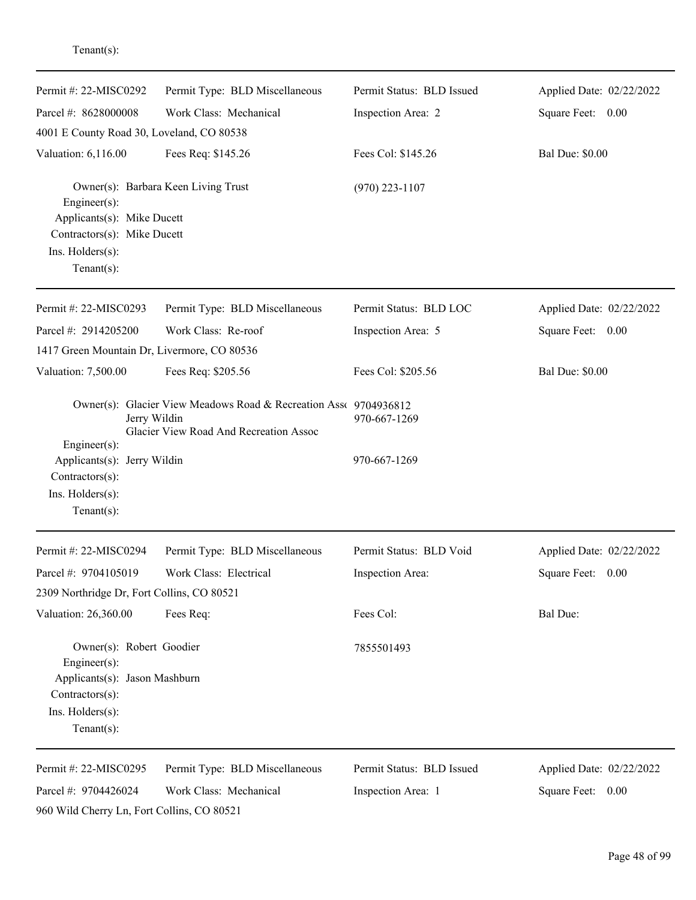| Permit #: 22-MISC0292                                                                                                                                  | Permit Type: BLD Miscellaneous                                                                             | Permit Status: BLD Issued | Applied Date: 02/22/2022 |
|--------------------------------------------------------------------------------------------------------------------------------------------------------|------------------------------------------------------------------------------------------------------------|---------------------------|--------------------------|
| Parcel #: 8628000008                                                                                                                                   | Work Class: Mechanical                                                                                     | Inspection Area: 2        | Square Feet: 0.00        |
| 4001 E County Road 30, Loveland, CO 80538                                                                                                              |                                                                                                            |                           |                          |
| Valuation: 6,116.00                                                                                                                                    | Fees Req: \$145.26                                                                                         | Fees Col: \$145.26        | <b>Bal Due: \$0.00</b>   |
| Owner(s): Barbara Keen Living Trust<br>Engineer(s):<br>Applicants(s): Mike Ducett<br>Contractors(s): Mike Ducett<br>Ins. Holders(s):<br>Tenant $(s)$ : |                                                                                                            | $(970)$ 223-1107          |                          |
|                                                                                                                                                        |                                                                                                            |                           |                          |
| Permit #: 22-MISC0293                                                                                                                                  | Permit Type: BLD Miscellaneous                                                                             | Permit Status: BLD LOC    | Applied Date: 02/22/2022 |
| Parcel #: 2914205200                                                                                                                                   | Work Class: Re-roof                                                                                        | Inspection Area: 5        | Square Feet: 0.00        |
| 1417 Green Mountain Dr, Livermore, CO 80536                                                                                                            |                                                                                                            |                           |                          |
| Valuation: 7,500.00                                                                                                                                    | Fees Req: \$205.56                                                                                         | Fees Col: \$205.56        | <b>Bal Due: \$0.00</b>   |
| Jerry Wildin<br>Engineer(s):                                                                                                                           | Owner(s): Glacier View Meadows Road & Recreation Ass( 9704936812<br>Glacier View Road And Recreation Assoc | 970-667-1269              |                          |
| Applicants(s): Jerry Wildin<br>Contractors(s):<br>Ins. Holders(s):<br>$Tenant(s)$ :                                                                    |                                                                                                            | 970-667-1269              |                          |
| Permit #: 22-MISC0294                                                                                                                                  | Permit Type: BLD Miscellaneous                                                                             | Permit Status: BLD Void   | Applied Date: 02/22/2022 |
| Parcel #: 9704105019                                                                                                                                   | Work Class: Electrical                                                                                     | Inspection Area:          | Square Feet:<br>0.00     |
| 2309 Northridge Dr, Fort Collins, CO 80521                                                                                                             |                                                                                                            |                           |                          |
| Valuation: 26,360.00                                                                                                                                   | Fees Req:                                                                                                  | Fees Col:                 | Bal Due:                 |
| Owner(s): Robert Goodier<br>Engineer(s):<br>Applicants(s): Jason Mashburn<br>Contractors(s):<br>Ins. Holders(s):<br>Tenant $(s)$ :                     |                                                                                                            | 7855501493                |                          |
|                                                                                                                                                        |                                                                                                            |                           |                          |
| Permit #: 22-MISC0295                                                                                                                                  | Permit Type: BLD Miscellaneous                                                                             | Permit Status: BLD Issued | Applied Date: 02/22/2022 |
| Parcel #: 9704426024<br>960 Wild Cherry Ln, Fort Collins, CO 80521                                                                                     | Work Class: Mechanical                                                                                     | Inspection Area: 1        | Square Feet: 0.00        |

Tenant(s):

Page 48 of 99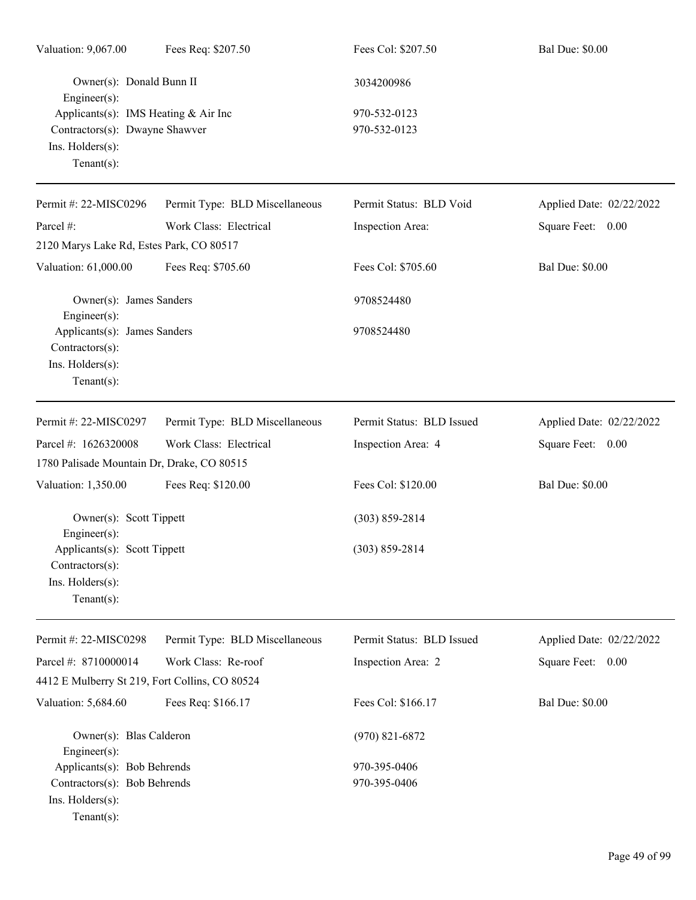| Valuation: 9,067.00                                                                               | Fees Req: \$207.50             | Fees Col: \$207.50           | <b>Bal Due: \$0.00</b>   |
|---------------------------------------------------------------------------------------------------|--------------------------------|------------------------------|--------------------------|
| Owner(s): Donald Bunn II<br>Engineer(s):                                                          |                                | 3034200986                   |                          |
| Applicants(s): IMS Heating & Air Inc                                                              |                                | 970-532-0123                 |                          |
| Contractors(s): Dwayne Shawver<br>Ins. Holders(s):<br>Tenant $(s)$ :                              |                                | 970-532-0123                 |                          |
| Permit #: 22-MISC0296                                                                             | Permit Type: BLD Miscellaneous | Permit Status: BLD Void      | Applied Date: 02/22/2022 |
| Parcel #:                                                                                         | Work Class: Electrical         | Inspection Area:             | Square Feet: 0.00        |
| 2120 Marys Lake Rd, Estes Park, CO 80517                                                          |                                |                              |                          |
| Valuation: 61,000.00                                                                              | Fees Req: \$705.60             | Fees Col: \$705.60           | <b>Bal Due: \$0.00</b>   |
| Owner(s): James Sanders<br>Engineer(s):                                                           |                                | 9708524480                   |                          |
| Applicants(s): James Sanders<br>Contractors(s):<br>Ins. Holders(s):<br>$Tenant(s)$ :              |                                | 9708524480                   |                          |
| Permit #: 22-MISC0297                                                                             | Permit Type: BLD Miscellaneous | Permit Status: BLD Issued    | Applied Date: 02/22/2022 |
| Parcel #: 1626320008                                                                              | Work Class: Electrical         | Inspection Area: 4           | Square Feet: 0.00        |
| 1780 Palisade Mountain Dr, Drake, CO 80515                                                        |                                |                              |                          |
| Valuation: 1,350.00                                                                               | Fees Req: \$120.00             | Fees Col: \$120.00           | <b>Bal Due: \$0.00</b>   |
| Owner(s): Scott Tippett<br>Engineer(s):                                                           |                                | $(303) 859 - 2814$           |                          |
| Applicants(s): Scott Tippett<br>Contractors(s):<br>Ins. Holders(s):<br>Tenant $(s)$ :             |                                | $(303) 859 - 2814$           |                          |
| Permit #: 22-MISC0298                                                                             | Permit Type: BLD Miscellaneous | Permit Status: BLD Issued    | Applied Date: 02/22/2022 |
| Parcel #: 8710000014                                                                              | Work Class: Re-roof            | Inspection Area: 2           | Square Feet: 0.00        |
| 4412 E Mulberry St 219, Fort Collins, CO 80524                                                    |                                |                              |                          |
| Valuation: 5,684.60                                                                               | Fees Req: \$166.17             | Fees Col: \$166.17           | <b>Bal Due: \$0.00</b>   |
| Owner(s): Blas Calderon<br>Engineer(s):                                                           |                                | $(970)$ 821-6872             |                          |
| Applicants(s): Bob Behrends<br>Contractors(s): Bob Behrends<br>Ins. Holders(s):<br>Tenant $(s)$ : |                                | 970-395-0406<br>970-395-0406 |                          |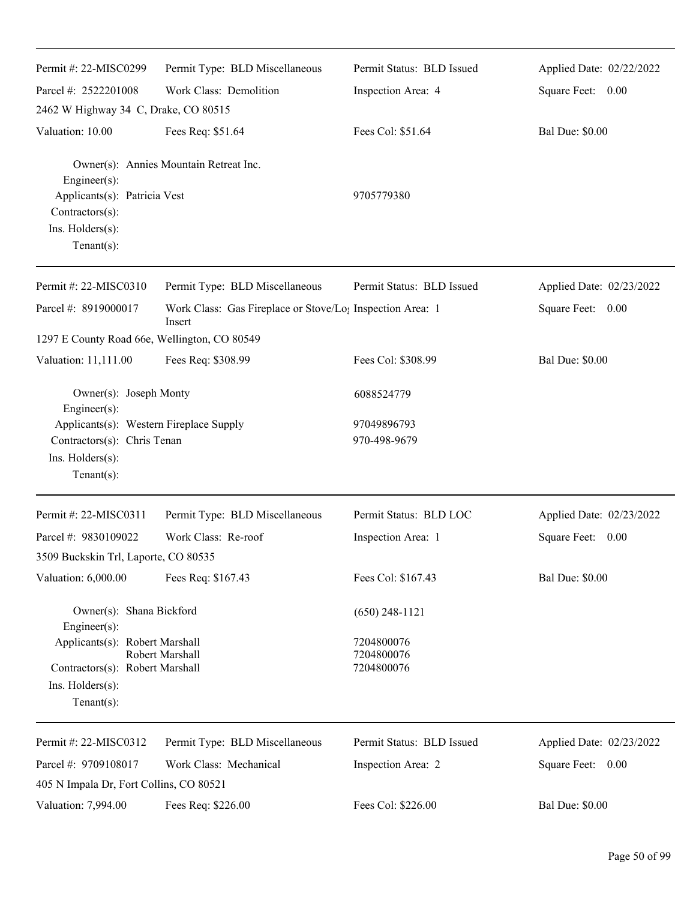| Permit #: 22-MISC0299                                                                                        | Permit Type: BLD Miscellaneous                                                  | Permit Status: BLD Issued   | Applied Date: 02/22/2022 |
|--------------------------------------------------------------------------------------------------------------|---------------------------------------------------------------------------------|-----------------------------|--------------------------|
| Parcel #: 2522201008                                                                                         | Work Class: Demolition                                                          | Inspection Area: 4          | Square Feet: 0.00        |
| 2462 W Highway 34 C, Drake, CO 80515                                                                         |                                                                                 |                             |                          |
| Valuation: 10.00                                                                                             | Fees Req: \$51.64                                                               | Fees Col: \$51.64           | <b>Bal Due: \$0.00</b>   |
| Engineer(s):<br>Applicants(s): Patricia Vest<br>Contractors(s):<br>Ins. Holders(s):<br>Tenant $(s)$ :        | Owner(s): Annies Mountain Retreat Inc.                                          | 9705779380                  |                          |
| Permit #: 22-MISC0310                                                                                        | Permit Type: BLD Miscellaneous                                                  | Permit Status: BLD Issued   | Applied Date: 02/23/2022 |
| Parcel #: 8919000017                                                                                         | Work Class: Gas Fireplace or Stove/Lo <sub>1</sub> Inspection Area: 1<br>Insert |                             | Square Feet: 0.00        |
| 1297 E County Road 66e, Wellington, CO 80549                                                                 |                                                                                 |                             |                          |
| Valuation: 11,111.00                                                                                         | Fees Req: \$308.99                                                              | Fees Col: \$308.99          | <b>Bal Due: \$0.00</b>   |
| Owner(s): Joseph Monty<br>Engineer(s):                                                                       |                                                                                 | 6088524779                  |                          |
| Applicants(s): Western Fireplace Supply<br>Contractors(s): Chris Tenan<br>Ins. Holders(s):<br>Tenant $(s)$ : |                                                                                 | 97049896793<br>970-498-9679 |                          |
| Permit #: 22-MISC0311                                                                                        | Permit Type: BLD Miscellaneous                                                  | Permit Status: BLD LOC      | Applied Date: 02/23/2022 |
| Parcel #: 9830109022                                                                                         | Work Class: Re-roof                                                             | Inspection Area: 1          | Square Feet:<br>0.00     |
| 3509 Buckskin Trl, Laporte, CO 80535                                                                         |                                                                                 |                             |                          |
| Valuation: 6,000.00                                                                                          | Fees Req: \$167.43                                                              | Fees Col: \$167.43          | <b>Bal Due: \$0.00</b>   |
| Owner(s): Shana Bickford<br>Engineer(s):                                                                     |                                                                                 | $(650)$ 248-1121            |                          |
| Applicants(s): Robert Marshall                                                                               |                                                                                 | 7204800076                  |                          |
| Contractors(s): Robert Marshall                                                                              | Robert Marshall                                                                 | 7204800076<br>7204800076    |                          |
| $Ins.$ Holders $(s)$ :<br>$Tenant(s)$ :                                                                      |                                                                                 |                             |                          |
| Permit #: 22-MISC0312                                                                                        | Permit Type: BLD Miscellaneous                                                  | Permit Status: BLD Issued   | Applied Date: 02/23/2022 |
| Parcel #: 9709108017                                                                                         | Work Class: Mechanical                                                          | Inspection Area: 2          | Square Feet: 0.00        |
| 405 N Impala Dr, Fort Collins, CO 80521                                                                      |                                                                                 |                             |                          |
| Valuation: 7,994.00                                                                                          | Fees Req: \$226.00                                                              | Fees Col: \$226.00          | <b>Bal Due: \$0.00</b>   |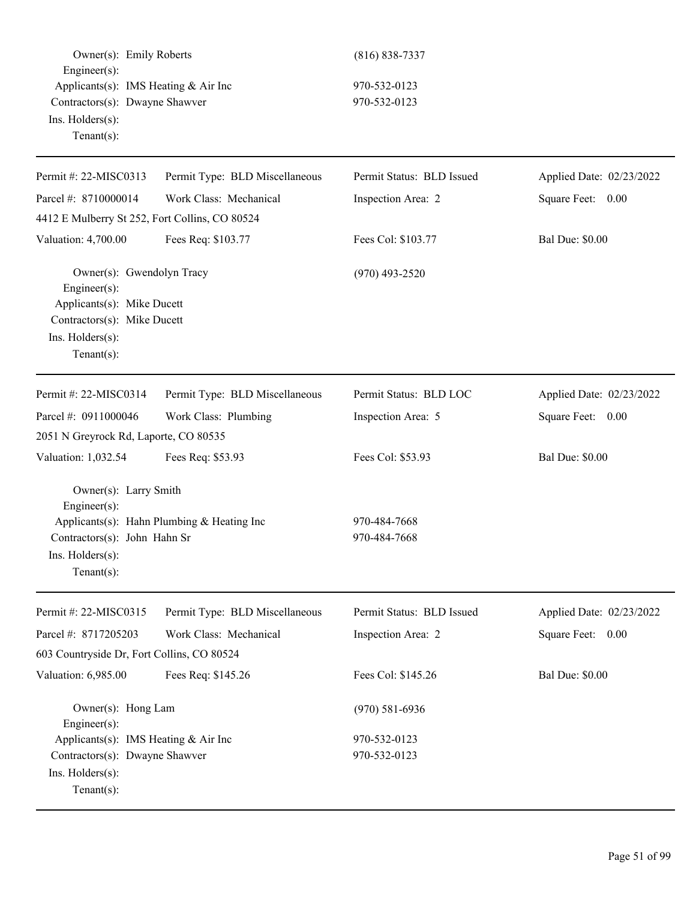| Owner(s): Emily Roberts<br>Engineer(s):<br>Applicants(s): IMS Heating & Air Inc                                                              |                                            | $(816) 838 - 7337$<br>970-532-0123 |                          |
|----------------------------------------------------------------------------------------------------------------------------------------------|--------------------------------------------|------------------------------------|--------------------------|
| Contractors(s): Dwayne Shawver<br>Ins. Holders(s):<br>Tenant $(s)$ :                                                                         |                                            | 970-532-0123                       |                          |
| Permit #: 22-MISC0313                                                                                                                        | Permit Type: BLD Miscellaneous             | Permit Status: BLD Issued          | Applied Date: 02/23/2022 |
| Parcel #: 8710000014                                                                                                                         | Work Class: Mechanical                     | Inspection Area: 2                 | Square Feet: 0.00        |
| 4412 E Mulberry St 252, Fort Collins, CO 80524                                                                                               |                                            |                                    |                          |
| Valuation: 4,700.00                                                                                                                          | Fees Req: \$103.77                         | Fees Col: \$103.77                 | <b>Bal Due: \$0.00</b>   |
| Owner(s): Gwendolyn Tracy<br>Engineer(s):<br>Applicants(s): Mike Ducett<br>Contractors(s): Mike Ducett<br>Ins. Holders(s):<br>Tenant $(s)$ : |                                            | $(970)$ 493-2520                   |                          |
| Permit #: 22-MISC0314                                                                                                                        | Permit Type: BLD Miscellaneous             | Permit Status: BLD LOC             | Applied Date: 02/23/2022 |
| Parcel #: 0911000046                                                                                                                         | Work Class: Plumbing                       | Inspection Area: 5                 | Square Feet: 0.00        |
| 2051 N Greyrock Rd, Laporte, CO 80535                                                                                                        |                                            |                                    |                          |
| Valuation: 1,032.54                                                                                                                          | Fees Req: \$53.93                          | Fees Col: \$53.93                  | <b>Bal Due: \$0.00</b>   |
| Owner(s): Larry Smith<br>Engineer(s):<br>Contractors(s): John Hahn Sr<br>$Ins.$ Holders $(s)$ :<br>Tenant $(s)$ :                            | Applicants(s): Hahn Plumbing & Heating Inc | 970-484-7668<br>970-484-7668       |                          |
| Permit #: 22-MISC0315                                                                                                                        | Permit Type: BLD Miscellaneous             | Permit Status: BLD Issued          | Applied Date: 02/23/2022 |
| Parcel #: 8717205203                                                                                                                         | Work Class: Mechanical                     | Inspection Area: 2                 | Square Feet: 0.00        |
| 603 Countryside Dr, Fort Collins, CO 80524                                                                                                   |                                            |                                    |                          |
| Valuation: 6,985.00                                                                                                                          | Fees Req: \$145.26                         | Fees Col: \$145.26                 | <b>Bal Due: \$0.00</b>   |
| Owner(s): Hong Lam<br>Engineer(s):                                                                                                           |                                            | $(970)$ 581-6936                   |                          |
| Applicants(s): IMS Heating & Air Inc                                                                                                         |                                            | 970-532-0123                       |                          |
| Contractors(s): Dwayne Shawver<br>Ins. Holders(s):<br>Tenant $(s)$ :                                                                         |                                            | 970-532-0123                       |                          |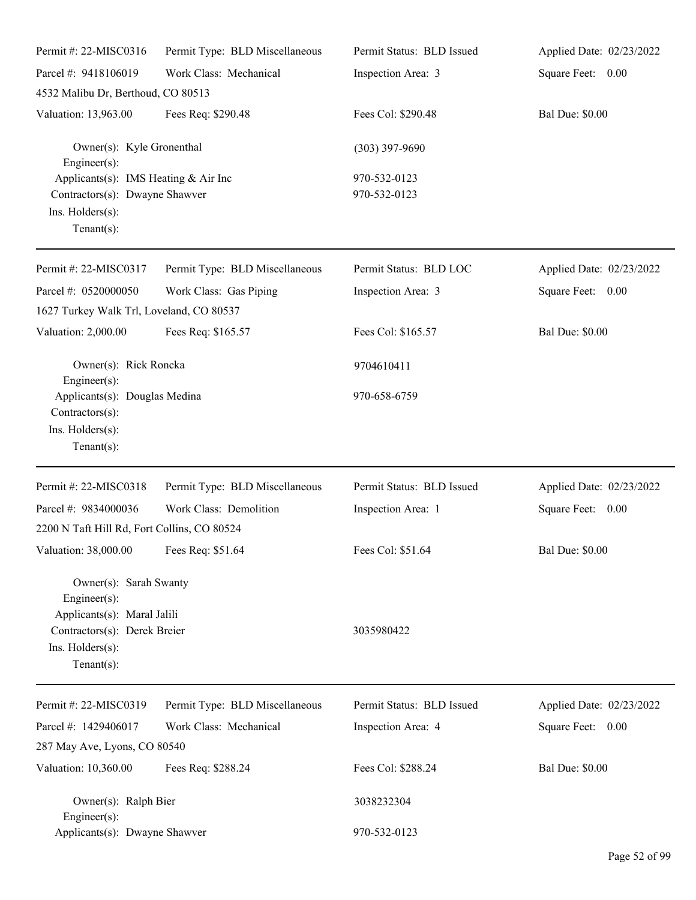| Permit #: 22-MISC0316                                                                                                                           | Permit Type: BLD Miscellaneous | Permit Status: BLD Issued    | Applied Date: 02/23/2022 |
|-------------------------------------------------------------------------------------------------------------------------------------------------|--------------------------------|------------------------------|--------------------------|
| Parcel #: 9418106019                                                                                                                            | Work Class: Mechanical         | Inspection Area: 3           | Square Feet: 0.00        |
| 4532 Malibu Dr, Berthoud, CO 80513                                                                                                              |                                |                              |                          |
| Valuation: 13,963.00                                                                                                                            | Fees Req: \$290.48             | Fees Col: \$290.48           | <b>Bal Due: \$0.00</b>   |
| Owner(s): Kyle Gronenthal<br>$Engineering(s)$ :                                                                                                 |                                | $(303)$ 397-9690             |                          |
| Applicants(s): IMS Heating & Air Inc<br>Contractors(s): Dwayne Shawver<br>Ins. Holders(s):<br>Tenant $(s)$ :                                    |                                | 970-532-0123<br>970-532-0123 |                          |
| Permit #: 22-MISC0317                                                                                                                           | Permit Type: BLD Miscellaneous | Permit Status: BLD LOC       | Applied Date: 02/23/2022 |
| Parcel #: 0520000050<br>1627 Turkey Walk Trl, Loveland, CO 80537                                                                                | Work Class: Gas Piping         | Inspection Area: 3           | Square Feet: 0.00        |
| Valuation: 2,000.00                                                                                                                             | Fees Req: \$165.57             | Fees Col: \$165.57           | <b>Bal Due: \$0.00</b>   |
| Owner(s): Rick Roncka<br>$Engineering(s)$ :                                                                                                     |                                | 9704610411                   |                          |
| Applicants(s): Douglas Medina<br>Contractors(s):<br>Ins. Holders(s):<br>Tenant $(s)$ :                                                          |                                | 970-658-6759                 |                          |
| Permit #: 22-MISC0318                                                                                                                           | Permit Type: BLD Miscellaneous | Permit Status: BLD Issued    | Applied Date: 02/23/2022 |
| Parcel #: 9834000036                                                                                                                            | Work Class: Demolition         | Inspection Area: 1           | Square Feet: 0.00        |
| 2200 N Taft Hill Rd, Fort Collins, CO 80524                                                                                                     |                                |                              |                          |
| Valuation: 38,000.00 Fees Req: \$51.64                                                                                                          |                                | Fees Col: \$51.64            | <b>Bal Due: \$0.00</b>   |
| Owner(s): Sarah Swanty<br>Engineer $(s)$ :<br>Applicants(s): Maral Jalili<br>Contractors(s): Derek Breier<br>Ins. Holders(s):<br>Tenant $(s)$ : |                                | 3035980422                   |                          |
| Permit #: 22-MISC0319                                                                                                                           | Permit Type: BLD Miscellaneous | Permit Status: BLD Issued    | Applied Date: 02/23/2022 |
| Parcel #: 1429406017<br>287 May Ave, Lyons, CO 80540                                                                                            | Work Class: Mechanical         | Inspection Area: 4           | Square Feet: 0.00        |
| Valuation: 10,360.00                                                                                                                            | Fees Req: \$288.24             | Fees Col: \$288.24           | <b>Bal Due: \$0.00</b>   |
| Owner(s): Ralph Bier<br>Engineer $(s)$ :                                                                                                        |                                | 3038232304                   |                          |
| Applicants(s): Dwayne Shawver                                                                                                                   |                                | 970-532-0123                 |                          |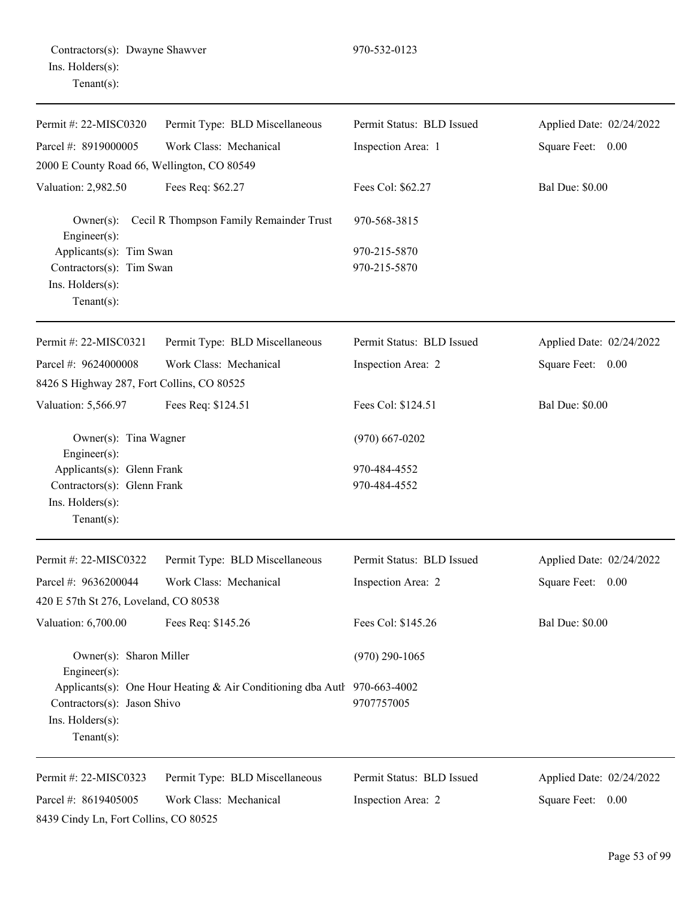| Permit #: 22-MISC0320                                                                          | Permit Type: BLD Miscellaneous                                           | Permit Status: BLD Issued    | Applied Date: 02/24/2022 |
|------------------------------------------------------------------------------------------------|--------------------------------------------------------------------------|------------------------------|--------------------------|
| Parcel #: 8919000005                                                                           | Work Class: Mechanical                                                   | Inspection Area: 1           | Square Feet: 0.00        |
| 2000 E County Road 66, Wellington, CO 80549                                                    |                                                                          |                              |                          |
| Valuation: 2,982.50                                                                            | Fees Req: \$62.27                                                        | Fees Col: \$62.27            | <b>Bal Due: \$0.00</b>   |
| $Owner(s)$ :<br>Engineer(s):                                                                   | Cecil R Thompson Family Remainder Trust                                  | 970-568-3815                 |                          |
| Applicants(s): Tim Swan<br>Contractors(s): Tim Swan<br>Ins. Holders(s):<br>$Tenant(s)$ :       |                                                                          | 970-215-5870<br>970-215-5870 |                          |
| Permit #: 22-MISC0321                                                                          | Permit Type: BLD Miscellaneous                                           | Permit Status: BLD Issued    | Applied Date: 02/24/2022 |
| Parcel #: 9624000008<br>8426 S Highway 287, Fort Collins, CO 80525                             | Work Class: Mechanical                                                   | Inspection Area: 2           | Square Feet: 0.00        |
| Valuation: 5,566.97                                                                            | Fees Req: \$124.51                                                       | Fees Col: \$124.51           | <b>Bal Due: \$0.00</b>   |
| Owner(s): Tina Wagner<br>Engineer(s):                                                          |                                                                          | $(970)$ 667-0202             |                          |
| Applicants(s): Glenn Frank<br>Contractors(s): Glenn Frank<br>Ins. Holders(s):<br>$Tenant(s)$ : |                                                                          | 970-484-4552<br>970-484-4552 |                          |
| Permit #: 22-MISC0322                                                                          | Permit Type: BLD Miscellaneous                                           | Permit Status: BLD Issued    | Applied Date: 02/24/2022 |
| Parcel #: 9636200044                                                                           | Work Class: Mechanical                                                   | Inspection Area: 2           | Square Feet: 0.00        |
| 420 E 57th St 276, Loveland, CO 80538                                                          |                                                                          |                              |                          |
| Valuation: 6,700.00                                                                            | Fees Req: \$145.26                                                       | Fees Col: \$145.26           | <b>Bal Due: \$0.00</b>   |
| Owner(s): Sharon Miller<br>Engineer $(s)$ :                                                    |                                                                          | $(970)$ 290-1065             |                          |
| Contractors(s): Jason Shivo<br>Ins. Holders(s):<br>$Tenant(s)$ :                               | Applicants(s): One Hour Heating & Air Conditioning dba Autl 970-663-4002 | 9707757005                   |                          |
| Permit #: 22-MISC0323                                                                          | Permit Type: BLD Miscellaneous                                           | Permit Status: BLD Issued    | Applied Date: 02/24/2022 |
| Parcel #: 8619405005<br>8439 Cindy Ln, Fort Collins, CO 80525                                  | Work Class: Mechanical                                                   | Inspection Area: 2           | Square Feet: 0.00        |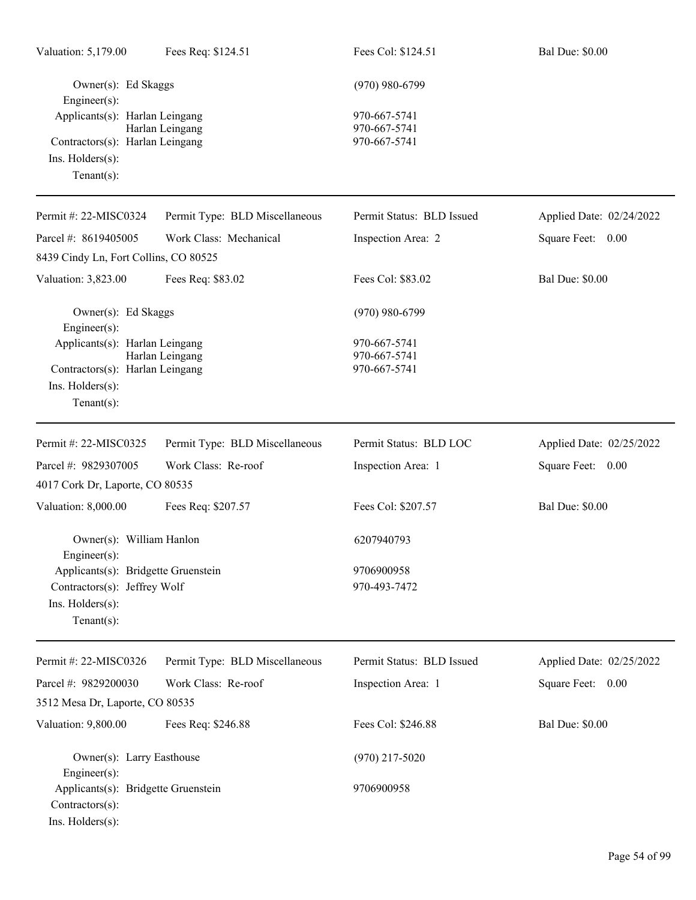| Valuation: 5,179.00                                                                                            | Fees Req: \$124.51             | Fees Col: \$124.51                           | <b>Bal Due: \$0.00</b>   |
|----------------------------------------------------------------------------------------------------------------|--------------------------------|----------------------------------------------|--------------------------|
| Owner(s): Ed Skaggs<br>Engineer(s):                                                                            |                                | $(970)$ 980-6799                             |                          |
| Applicants(s): Harlan Leingang<br>Contractors(s): Harlan Leingang<br>Ins. Holders(s):<br>Tenant $(s)$ :        | Harlan Leingang                | 970-667-5741<br>970-667-5741<br>970-667-5741 |                          |
| Permit #: 22-MISC0324                                                                                          | Permit Type: BLD Miscellaneous | Permit Status: BLD Issued                    | Applied Date: 02/24/2022 |
| Parcel #: 8619405005                                                                                           | Work Class: Mechanical         | Inspection Area: 2                           | Square Feet: 0.00        |
| 8439 Cindy Ln, Fort Collins, CO 80525                                                                          |                                |                                              |                          |
| Valuation: 3,823.00                                                                                            | Fees Req: \$83.02              | Fees Col: \$83.02                            | <b>Bal Due: \$0.00</b>   |
| Owner(s): Ed Skaggs<br>Engineer(s):                                                                            |                                | $(970)$ 980-6799                             |                          |
| Applicants(s): Harlan Leingang<br>Contractors(s): Harlan Leingang<br>Ins. $H$ olders $(s)$ :<br>Tenant $(s)$ : | Harlan Leingang                | 970-667-5741<br>970-667-5741<br>970-667-5741 |                          |
| Permit #: 22-MISC0325                                                                                          | Permit Type: BLD Miscellaneous | Permit Status: BLD LOC                       | Applied Date: 02/25/2022 |
| Parcel #: 9829307005                                                                                           | Work Class: Re-roof            | Inspection Area: 1                           | Square Feet: 0.00        |
| 4017 Cork Dr, Laporte, CO 80535                                                                                |                                |                                              |                          |
| Valuation: 8,000.00                                                                                            | Fees Req: \$207.57             | Fees Col: \$207.57                           | <b>Bal Due: \$0.00</b>   |
| Owner(s): William Hanlon<br>$Engineering(s)$ :                                                                 |                                | 6207940793                                   |                          |
| Applicants(s): Bridgette Gruenstein<br>Contractors(s): Jeffrey Wolf<br>Ins. Holders(s):<br>$Tenant(s)$ :       |                                | 9706900958<br>970-493-7472                   |                          |
| Permit #: 22-MISC0326                                                                                          | Permit Type: BLD Miscellaneous | Permit Status: BLD Issued                    | Applied Date: 02/25/2022 |
| Parcel #: 9829200030                                                                                           | Work Class: Re-roof            | Inspection Area: 1                           | Square Feet: 0.00        |
| 3512 Mesa Dr, Laporte, CO 80535                                                                                |                                |                                              |                          |
| Valuation: 9,800.00                                                                                            | Fees Req: \$246.88             | Fees Col: \$246.88                           | <b>Bal Due: \$0.00</b>   |
| Owner(s): Larry Easthouse<br>Engineer(s):<br>Applicants(s): Bridgette Gruenstein                               |                                | $(970)$ 217-5020<br>9706900958               |                          |
| Contractors(s):<br>Ins. Holders(s):                                                                            |                                |                                              |                          |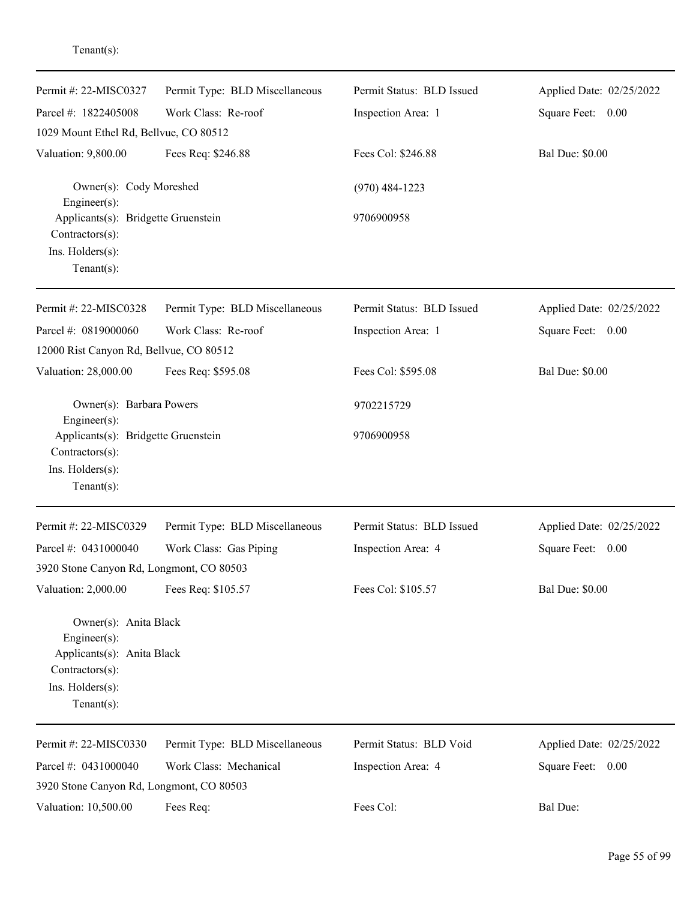| Permit #: 22-MISC0327                                                                                                           | Permit Type: BLD Miscellaneous | Permit Status: BLD Issued | Applied Date: 02/25/2022 |
|---------------------------------------------------------------------------------------------------------------------------------|--------------------------------|---------------------------|--------------------------|
| Parcel #: 1822405008                                                                                                            | Work Class: Re-roof            | Inspection Area: 1        | Square Feet: 0.00        |
| 1029 Mount Ethel Rd, Bellvue, CO 80512                                                                                          |                                |                           |                          |
| Valuation: 9,800.00                                                                                                             | Fees Req: \$246.88             | Fees Col: \$246.88        | <b>Bal Due: \$0.00</b>   |
| Owner(s): Cody Moreshed<br>Engineer(s):                                                                                         |                                | $(970)$ 484-1223          |                          |
| Applicants(s): Bridgette Gruenstein<br>Contractors(s):                                                                          |                                | 9706900958                |                          |
| Ins. Holders(s):<br>$Tenant(s)$ :                                                                                               |                                |                           |                          |
| Permit #: 22-MISC0328                                                                                                           | Permit Type: BLD Miscellaneous | Permit Status: BLD Issued | Applied Date: 02/25/2022 |
| Parcel #: 0819000060                                                                                                            | Work Class: Re-roof            | Inspection Area: 1        | Square Feet: 0.00        |
| 12000 Rist Canyon Rd, Bellvue, CO 80512                                                                                         |                                |                           |                          |
| Valuation: 28,000.00                                                                                                            | Fees Req: \$595.08             | Fees Col: \$595.08        | <b>Bal Due: \$0.00</b>   |
| Owner(s): Barbara Powers<br>Engineer(s):                                                                                        |                                | 9702215729                |                          |
| Applicants(s): Bridgette Gruenstein<br>Contractors(s):<br>Ins. Holders(s):<br>$Tenant(s)$ :                                     |                                | 9706900958                |                          |
| Permit #: 22-MISC0329                                                                                                           | Permit Type: BLD Miscellaneous | Permit Status: BLD Issued | Applied Date: 02/25/2022 |
| Parcel #: 0431000040                                                                                                            | Work Class: Gas Piping         | Inspection Area: 4        | Square Feet: 0.00        |
| 3920 Stone Canyon Rd, Longmont, CO 80503                                                                                        |                                |                           |                          |
| Valuation: 2,000.00                                                                                                             | Fees Req: \$105.57             | Fees Col: \$105.57        | <b>Bal Due: \$0.00</b>   |
| Owner(s): Anita Black<br>Engineer $(s)$ :<br>Applicants(s): Anita Black<br>Contractors(s):<br>Ins. Holders(s):<br>$Tenant(s)$ : |                                |                           |                          |
| Permit #: 22-MISC0330                                                                                                           | Permit Type: BLD Miscellaneous | Permit Status: BLD Void   | Applied Date: 02/25/2022 |
| Parcel #: 0431000040                                                                                                            | Work Class: Mechanical         | Inspection Area: 4        | Square Feet: 0.00        |
| 3920 Stone Canyon Rd, Longmont, CO 80503                                                                                        |                                |                           |                          |
| Valuation: 10,500.00                                                                                                            | Fees Req:                      | Fees Col:                 | Bal Due:                 |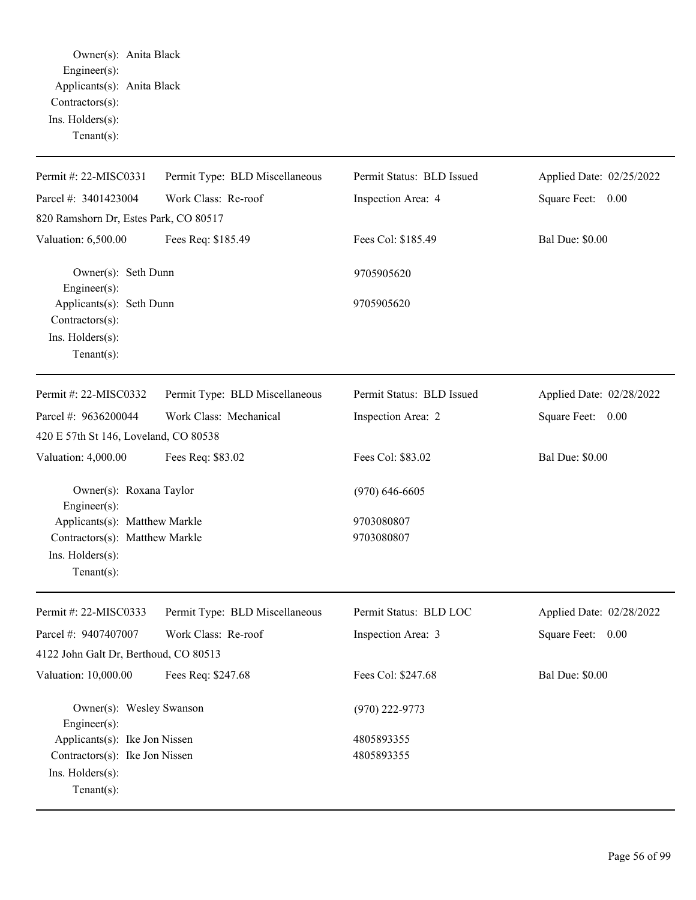Owner(s): Anita Black Engineer(s): Applicants(s): Anita Black Contractors(s): Ins. Holders(s): Tenant(s):

| Permit #: 22-MISC0331                       |                                | Permit Status: BLD Issued |                          |
|---------------------------------------------|--------------------------------|---------------------------|--------------------------|
|                                             | Permit Type: BLD Miscellaneous |                           | Applied Date: 02/25/2022 |
| Parcel #: 3401423004                        | Work Class: Re-roof            | Inspection Area: 4        | Square Feet: 0.00        |
| 820 Ramshorn Dr, Estes Park, CO 80517       |                                |                           |                          |
| Valuation: 6,500.00                         | Fees Req: \$185.49             | Fees Col: \$185.49        | <b>Bal Due: \$0.00</b>   |
| Owner(s): Seth Dunn<br>Engineer(s):         |                                | 9705905620                |                          |
| Applicants(s): Seth Dunn<br>Contractors(s): |                                | 9705905620                |                          |
| Ins. Holders(s):                            |                                |                           |                          |
| $Tenant(s)$ :                               |                                |                           |                          |
|                                             |                                |                           |                          |
| Permit #: 22-MISC0332                       | Permit Type: BLD Miscellaneous | Permit Status: BLD Issued | Applied Date: 02/28/2022 |
| Parcel #: 9636200044                        | Work Class: Mechanical         | Inspection Area: 2        | Square Feet: 0.00        |
| 420 E 57th St 146, Loveland, CO 80538       |                                |                           |                          |
| Valuation: 4,000.00                         | Fees Req: \$83.02              | Fees Col: \$83.02         | <b>Bal Due: \$0.00</b>   |
| Owner(s): Roxana Taylor<br>Engineer(s):     |                                | $(970) 646 - 6605$        |                          |
| Applicants(s): Matthew Markle               |                                | 9703080807                |                          |
| Contractors(s): Matthew Markle              |                                | 9703080807                |                          |
| Ins. Holders(s):                            |                                |                           |                          |
| $Tenant(s)$ :                               |                                |                           |                          |
| Permit #: 22-MISC0333                       | Permit Type: BLD Miscellaneous | Permit Status: BLD LOC    | Applied Date: 02/28/2022 |
| Parcel #: 9407407007                        | Work Class: Re-roof            | Inspection Area: 3        | Square Feet: 0.00        |
| 4122 John Galt Dr, Berthoud, CO 80513       |                                |                           |                          |
| Valuation: 10,000.00                        | Fees Req: \$247.68             | Fees Col: \$247.68        | <b>Bal Due: \$0.00</b>   |
|                                             |                                |                           |                          |
| Owner(s): Wesley Swanson<br>Engineer(s):    |                                | $(970)$ 222-9773          |                          |
| Applicants(s): Ike Jon Nissen               |                                | 4805893355                |                          |
| Contractors(s): Ike Jon Nissen              |                                | 4805893355                |                          |
| Ins. Holders(s):                            |                                |                           |                          |
| Tenant $(s)$ :                              |                                |                           |                          |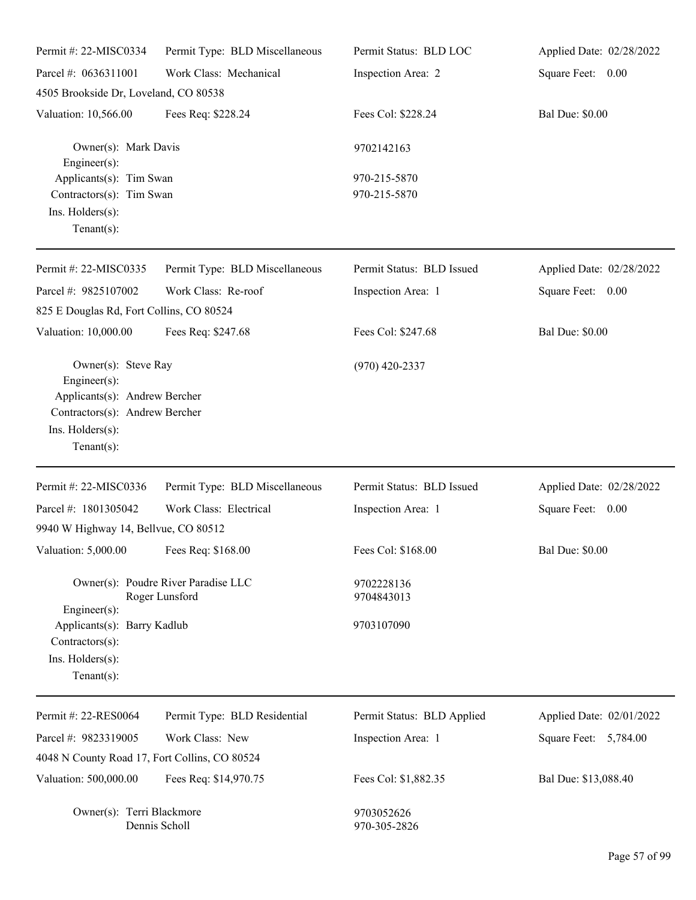| Permit #: 22-MISC0334                                                                                                                              | Permit Type: BLD Miscellaneous                        | Permit Status: BLD LOC       | Applied Date: 02/28/2022 |
|----------------------------------------------------------------------------------------------------------------------------------------------------|-------------------------------------------------------|------------------------------|--------------------------|
| Parcel #: 0636311001                                                                                                                               | Work Class: Mechanical                                | Inspection Area: 2           | Square Feet: 0.00        |
| 4505 Brookside Dr, Loveland, CO 80538                                                                                                              |                                                       |                              |                          |
| Valuation: 10,566.00                                                                                                                               | Fees Req: \$228.24                                    | Fees Col: \$228.24           | <b>Bal Due: \$0.00</b>   |
| Owner(s): Mark Davis<br>$Engineering(s)$ :                                                                                                         |                                                       | 9702142163                   |                          |
| Applicants(s): Tim Swan<br>Contractors(s): Tim Swan<br>Ins. Holders(s):<br>Tenant $(s)$ :                                                          |                                                       | 970-215-5870<br>970-215-5870 |                          |
| Permit #: 22-MISC0335                                                                                                                              | Permit Type: BLD Miscellaneous                        | Permit Status: BLD Issued    | Applied Date: 02/28/2022 |
| Parcel #: 9825107002<br>825 E Douglas Rd, Fort Collins, CO 80524                                                                                   | Work Class: Re-roof                                   | Inspection Area: 1           | Square Feet: 0.00        |
| Valuation: 10,000.00                                                                                                                               | Fees Req: \$247.68                                    | Fees Col: \$247.68           | <b>Bal Due: \$0.00</b>   |
| Owner(s): Steve Ray<br>$Engineering(s)$ :<br>Applicants(s): Andrew Bercher<br>Contractors(s): Andrew Bercher<br>Ins. Holders(s):<br>Tenant $(s)$ : |                                                       | $(970)$ 420-2337             |                          |
| Permit #: 22-MISC0336                                                                                                                              | Permit Type: BLD Miscellaneous                        | Permit Status: BLD Issued    | Applied Date: 02/28/2022 |
| Parcel #: 1801305042                                                                                                                               | Work Class: Electrical                                | Inspection Area: 1           | Square Feet: 0.00        |
| 9940 W Highway 14, Bellvue, CO 80512                                                                                                               |                                                       |                              |                          |
| Valuation: 5,000.00 Fees Req: \$168.00                                                                                                             |                                                       | Fees Col: \$168.00           | <b>Bal Due: \$0.00</b>   |
|                                                                                                                                                    | Owner(s): Poudre River Paradise LLC<br>Roger Lunsford | 9702228136<br>9704843013     |                          |
| Engineer $(s)$ :<br>Applicants(s): Barry Kadlub<br>$Contractors(s)$ :<br>Ins. Holders(s):<br>Tenant $(s)$ :                                        |                                                       | 9703107090                   |                          |
| Permit #: 22-RES0064                                                                                                                               | Permit Type: BLD Residential                          | Permit Status: BLD Applied   | Applied Date: 02/01/2022 |
| Parcel #: 9823319005                                                                                                                               | Work Class: New                                       | Inspection Area: 1           | Square Feet: 5,784.00    |
| 4048 N County Road 17, Fort Collins, CO 80524                                                                                                      |                                                       |                              |                          |
| Valuation: 500,000.00                                                                                                                              | Fees Req: \$14,970.75                                 | Fees Col: \$1,882.35         | Bal Due: \$13,088.40     |
| Owner(s): Terri Blackmore                                                                                                                          | Dennis Scholl                                         | 9703052626<br>970-305-2826   |                          |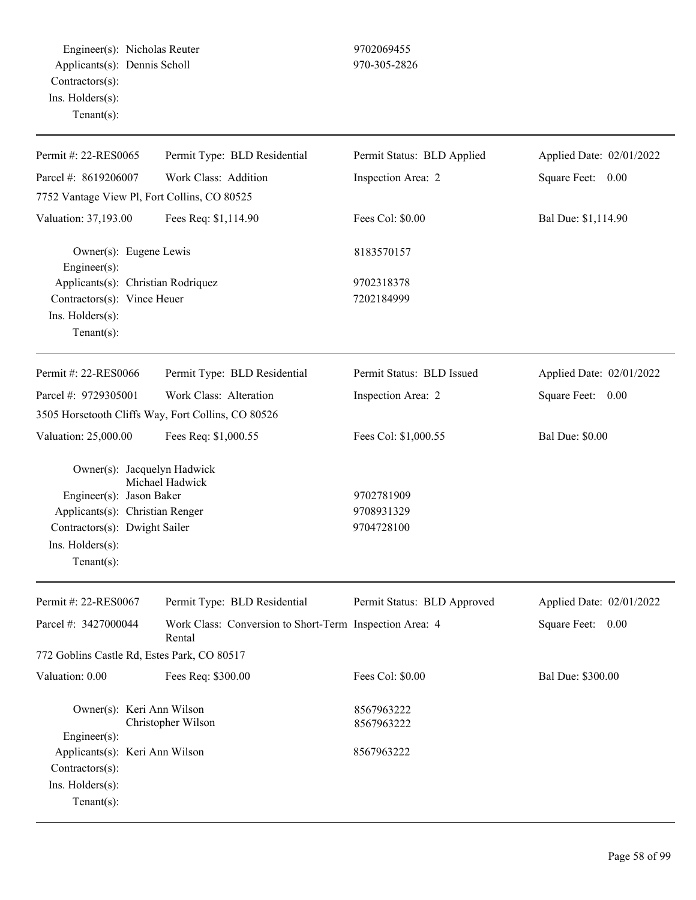Engineer(s): Nicholas Reuter 9702069455 Applicants(s): Dennis Scholl 970-305-2826 Contractors(s): Ins. Holders(s): Tenant(s):

| Permit #: 22-RES0065                                                                    | Permit Type: BLD Residential                                      | Permit Status: BLD Applied  | Applied Date: 02/01/2022 |
|-----------------------------------------------------------------------------------------|-------------------------------------------------------------------|-----------------------------|--------------------------|
| Parcel #: 8619206007                                                                    | Work Class: Addition                                              | Inspection Area: 2          | Square Feet:<br>0.00     |
| 7752 Vantage View Pl, Fort Collins, CO 80525                                            |                                                                   |                             |                          |
| Valuation: 37,193.00                                                                    | Fees Req: \$1,114.90                                              | Fees Col: \$0.00            | Bal Due: \$1,114.90      |
| Owner(s): Eugene Lewis<br>$Engineering(s)$ :                                            |                                                                   | 8183570157                  |                          |
| Applicants(s): Christian Rodriquez                                                      |                                                                   | 9702318378                  |                          |
| Contractors(s): Vince Heuer                                                             |                                                                   | 7202184999                  |                          |
| Ins. Holders(s):<br>Tenant $(s)$ :                                                      |                                                                   |                             |                          |
| Permit #: 22-RES0066                                                                    | Permit Type: BLD Residential                                      | Permit Status: BLD Issued   | Applied Date: 02/01/2022 |
| Parcel #: 9729305001                                                                    | Work Class: Alteration                                            | Inspection Area: 2          | Square Feet: 0.00        |
|                                                                                         | 3505 Horsetooth Cliffs Way, Fort Collins, CO 80526                |                             |                          |
| Valuation: 25,000.00                                                                    | Fees Req: \$1,000.55                                              | Fees Col: \$1,000.55        | <b>Bal Due: \$0.00</b>   |
| Owner(s): Jacquelyn Hadwick                                                             | Michael Hadwick                                                   |                             |                          |
| Engineer(s): Jason Baker                                                                |                                                                   | 9702781909                  |                          |
| Applicants(s): Christian Renger                                                         |                                                                   | 9708931329                  |                          |
| Contractors(s): Dwight Sailer                                                           |                                                                   | 9704728100                  |                          |
| Ins. Holders(s):<br>Tenant $(s)$ :                                                      |                                                                   |                             |                          |
| Permit #: 22-RES0067                                                                    | Permit Type: BLD Residential                                      | Permit Status: BLD Approved | Applied Date: 02/01/2022 |
| Parcel #: 3427000044                                                                    | Work Class: Conversion to Short-Term Inspection Area: 4<br>Rental |                             | Square Feet:<br>0.00     |
| 772 Goblins Castle Rd, Estes Park, CO 80517                                             |                                                                   |                             |                          |
| Valuation: 0.00                                                                         | Fees Req: \$300.00                                                | Fees Col: \$0.00            | Bal Due: \$300.00        |
| Owner(s): Keri Ann Wilson<br>Engineer(s):                                               | Christopher Wilson                                                | 8567963222<br>8567963222    |                          |
| Applicants(s): Keri Ann Wilson<br>Contractors(s):<br>Ins. Holders(s):<br>Tenant $(s)$ : |                                                                   | 8567963222                  |                          |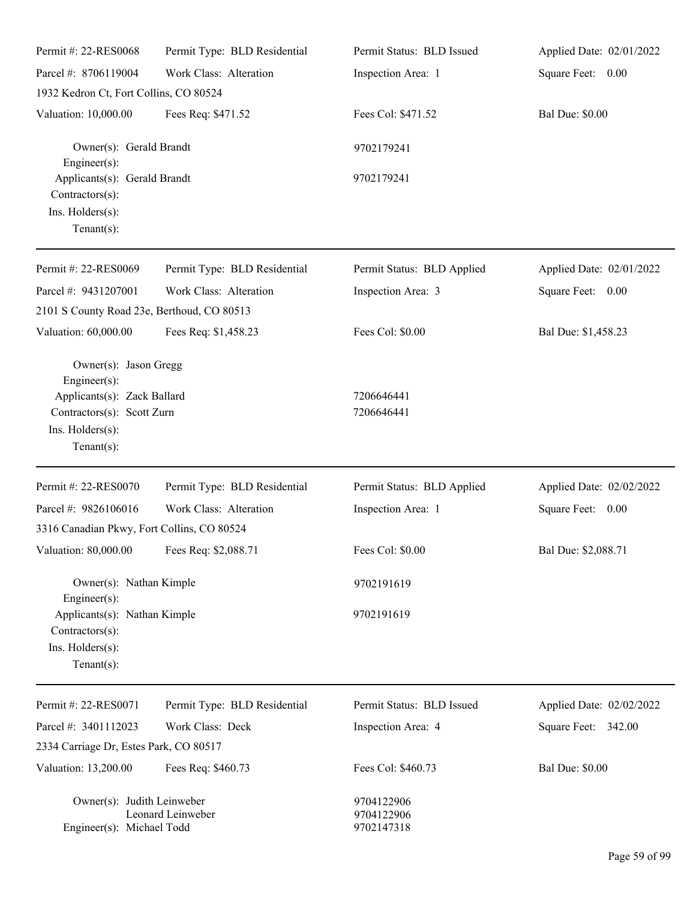| Permit #: 22-RES0068                                                                                                                     | Permit Type: BLD Residential | Permit Status: BLD Issued              | Applied Date: 02/01/2022 |
|------------------------------------------------------------------------------------------------------------------------------------------|------------------------------|----------------------------------------|--------------------------|
| Parcel #: 8706119004                                                                                                                     | Work Class: Alteration       | Inspection Area: 1                     | Square Feet: 0.00        |
| 1932 Kedron Ct, Fort Collins, CO 80524                                                                                                   |                              |                                        |                          |
| Valuation: 10,000.00                                                                                                                     | Fees Req: \$471.52           | Fees Col: \$471.52                     | <b>Bal Due: \$0.00</b>   |
| Owner(s): Gerald Brandt<br>Engineer(s):                                                                                                  |                              | 9702179241                             |                          |
| Applicants(s): Gerald Brandt<br>Contractors(s):<br>Ins. Holders(s):<br>Tenant $(s)$ :                                                    |                              | 9702179241                             |                          |
| Permit #: 22-RES0069                                                                                                                     | Permit Type: BLD Residential | Permit Status: BLD Applied             | Applied Date: 02/01/2022 |
| Parcel #: 9431207001                                                                                                                     | Work Class: Alteration       | Inspection Area: 3                     | Square Feet: 0.00        |
| 2101 S County Road 23e, Berthoud, CO 80513                                                                                               |                              |                                        |                          |
| Valuation: 60,000.00                                                                                                                     | Fees Req: \$1,458.23         | Fees Col: \$0.00                       | Bal Due: \$1,458.23      |
| Owner(s): Jason Gregg<br>Engineer(s):<br>Applicants(s): Zack Ballard<br>Contractors(s): Scott Zurn<br>Ins. Holders(s):<br>Tenant $(s)$ : |                              | 7206646441<br>7206646441               |                          |
| Permit #: 22-RES0070                                                                                                                     | Permit Type: BLD Residential | Permit Status: BLD Applied             | Applied Date: 02/02/2022 |
| Parcel #: 9826106016                                                                                                                     | Work Class: Alteration       | Inspection Area: 1                     | Square Feet: 0.00        |
| 3316 Canadian Pkwy, Fort Collins, CO 80524                                                                                               |                              |                                        |                          |
| Valuation: 80,000.00 Fees Req: \$2,088.71                                                                                                |                              | Fees Col: \$0.00                       | Bal Due: \$2,088.71      |
| Owner(s): Nathan Kimple<br>Engineer(s):                                                                                                  |                              | 9702191619                             |                          |
| Applicants(s): Nathan Kimple<br>Contractors(s):<br>Ins. Holders(s):<br>Tenant $(s)$ :                                                    |                              | 9702191619                             |                          |
| Permit #: 22-RES0071                                                                                                                     | Permit Type: BLD Residential | Permit Status: BLD Issued              | Applied Date: 02/02/2022 |
| Parcel #: 3401112023                                                                                                                     | Work Class: Deck             | Inspection Area: 4                     | Square Feet: 342.00      |
| 2334 Carriage Dr, Estes Park, CO 80517                                                                                                   |                              |                                        |                          |
| Valuation: 13,200.00                                                                                                                     | Fees Req: \$460.73           | Fees Col: \$460.73                     | <b>Bal Due: \$0.00</b>   |
| Owner(s): Judith Leinweber<br>Engineer(s): Michael Todd                                                                                  | Leonard Leinweber            | 9704122906<br>9704122906<br>9702147318 |                          |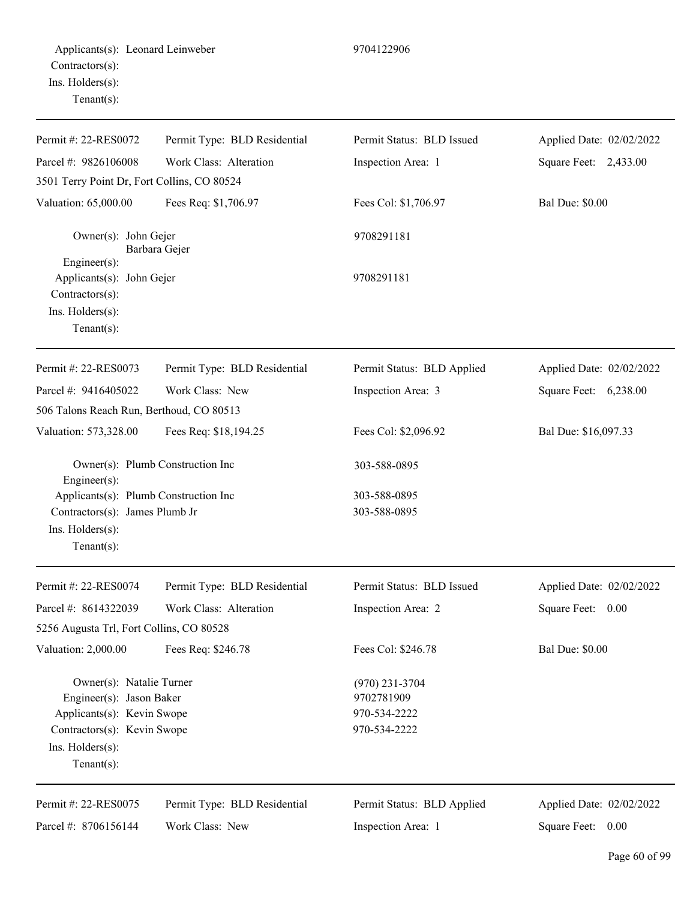Permit Type: BLD Residential Work Class: Alteration Permit Status: BLD Issued Inspection Area: 1 Applied Date: 02/02/2022 Square Feet: 2,433.00 3501 Terry Point Dr, Fort Collins, CO 80524 Valuation: 65,000.00 Fees Req: \$1,706.97 Fees Col: \$1,706.97 Bal Due: \$0.00 Owner(s): John Gejer 9708291181

Barbara Gejer Engineer(s): Applicants(s): John Gejer 9708291181 Contractors(s): Ins. Holders(s): Tenant(s):

Permit #: 22-RES0072 Parcel #: 9826106008

Permit #: 22-RES0073 Parcel #: 9416405022 Permit Type: BLD Residential Work Class: New Permit Status: BLD Applied Inspection Area: 3 Applied Date: 02/02/2022 Square Feet: 6,238.00 506 Talons Reach Run, Berthoud, CO 80513 Valuation: 573,328.00 Fees Req: \$18,194.25 Fees Col: \$2,096.92 Bal Due: \$16,097.33 Owner(s): Plumb Construction Inc 303-588-0895 Engineer(s): Applicants(s): Plumb Construction Inc 303-588-0895 Contractors(s): James Plumb Jr 303-588-0895 Ins. Holders(s): Tenant(s):  $P = 15.4202/202$ 

| Permit #: 22-RES0074                     | Permit Type: BLD Residential | Permit Status: BLD Issued  | Applied Date: 02/02/2022 |
|------------------------------------------|------------------------------|----------------------------|--------------------------|
| Parcel #: $8614322039$                   | Work Class: Alteration       | Inspection Area: 2         | Square Feet:<br>0.00     |
| 5256 Augusta Trl, Fort Collins, CO 80528 |                              |                            |                          |
| Valuation: 2,000.00                      | Fees Req: \$246.78           | Fees Col: \$246.78         | <b>Bal Due: \$0.00</b>   |
| Owner(s): Natalie Turner                 |                              | $(970)$ 231-3704           |                          |
| Engineer(s): Jason Baker                 |                              | 9702781909                 |                          |
| Applicants(s): Kevin Swope               |                              | 970-534-2222               |                          |
| Contractors(s): Kevin Swope              |                              | 970-534-2222               |                          |
| $Ins.$ Holders $(s)$ :                   |                              |                            |                          |
| $Tenant(s)$ :                            |                              |                            |                          |
| Permit #: 22-RES0075                     | Permit Type: BLD Residential | Permit Status: BLD Applied | Applied Date: 02/02/2022 |

Parcel #: 8706156144 Work Class: New Permit Status: BLD Applied

Inspection Area: 1

Applied Date: 02/02/2022 Square Feet: 0.00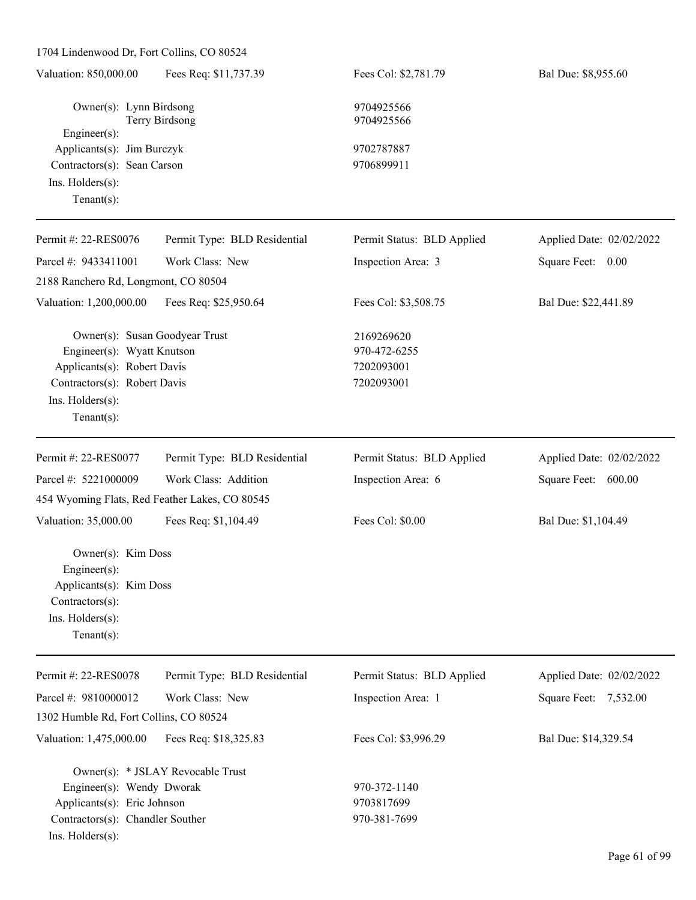1704 Lindenwood Dr, Fort Collins, CO 80524 Valuation: 850,000.00 Fees Req: \$11,737.39 Fees Col: \$2,781.79 Bal Due: \$8,955.60 Owner(s): Lynn Birdsong 9704925566 Terry Birdsong 9704925566 Engineer(s): Applicants(s): Jim Burczyk 9702787887 Contractors(s): Sean Carson 9706899911 Ins. Holders(s): Tenant(s): Permit #: 22-RES0076 Parcel #: 9433411001 Permit Type: BLD Residential Work Class: New Permit Status: BLD Applied Inspection Area: 3 Applied Date: 02/02/2022 Square Feet: 0.00 2188 Ranchero Rd, Longmont, CO 80504 Valuation: 1,200,000.00 Fees Req: \$25,950.64 Fees Col: \$3,508.75 Bal Due: \$22,441.89 Owner(s): Susan Goodyear Trust 2169269620 Engineer(s): Wyatt Knutson 970-472-6255 Applicants(s): Robert Davis 7202093001 Contractors(s): Robert Davis 7202093001 Ins. Holders(s): Tenant(s): Permit #: 22-RES0077 Parcel #: 5221000009 Permit Type: BLD Residential Work Class: Addition Permit Status: BLD Applied Inspection Area: 6 Applied Date: 02/02/2022 Square Feet: 600.00 454 Wyoming Flats, Red Feather Lakes, CO 80545 Valuation: 35,000.00 Fees Req: \$1,104.49 Fees Col: \$0.00 Bal Due: \$1,104.49 Owner(s): Kim Doss Engineer(s): Applicants(s): Kim Doss Contractors(s): Ins. Holders(s): Tenant(s): Permit #: 22-RES0078 Parcel #: 9810000012 Permit Type: BLD Residential Work Class: New Permit Status: BLD Applied Inspection Area: 1 Applied Date: 02/02/2022 Square Feet: 7,532.00 1302 Humble Rd, Fort Collins, CO 80524

Valuation: 1,475,000.00 Fees Req: \$18,325.83 Fees Col: \$3,996.29 Bal Due: \$14,329.54

Owner(s): \* JSLAY Revocable Trust Engineer(s): Wendy Dworak 970-372-1140 Applicants(s): Eric Johnson 9703817699 Contractors(s): Chandler Souther 970-381-7699 Ins. Holders(s):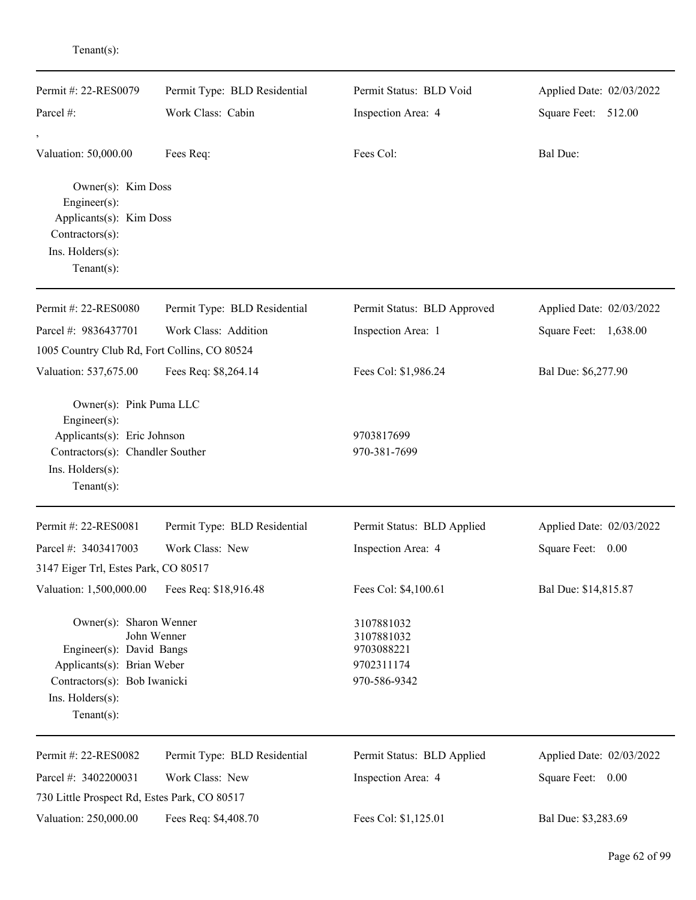| Permit #: 22-RES0079                                                                    | Permit Type: BLD Residential | Permit Status: BLD Void     | Applied Date: 02/03/2022 |
|-----------------------------------------------------------------------------------------|------------------------------|-----------------------------|--------------------------|
| Parcel #:                                                                               | Work Class: Cabin            | Inspection Area: 4          | Square Feet: 512.00      |
| Valuation: 50,000.00                                                                    | Fees Req:                    | Fees Col:                   | Bal Due:                 |
| Owner(s): Kim Doss<br>Engineer $(s)$ :<br>Applicants(s): Kim Doss<br>$Contractors(s)$ : |                              |                             |                          |
| Ins. Holders(s):<br>Tenant $(s)$ :                                                      |                              |                             |                          |
| Permit #: 22-RES0080                                                                    | Permit Type: BLD Residential | Permit Status: BLD Approved | Applied Date: 02/03/2022 |
| Parcel #: 9836437701                                                                    | Work Class: Addition         | Inspection Area: 1          | Square Feet: 1,638.00    |
| 1005 Country Club Rd, Fort Collins, CO 80524                                            |                              |                             |                          |
| Valuation: 537,675.00                                                                   | Fees Req: \$8,264.14         | Fees Col: \$1,986.24        | Bal Due: \$6,277.90      |
| Owner(s): Pink Puma LLC<br>Engineer $(s)$ :                                             |                              |                             |                          |
| Applicants(s): Eric Johnson                                                             |                              | 9703817699                  |                          |
| Contractors(s): Chandler Souther                                                        |                              | 970-381-7699                |                          |
| Ins. Holders(s):<br>Tenant $(s)$ :                                                      |                              |                             |                          |
| Permit #: 22-RES0081                                                                    | Permit Type: BLD Residential | Permit Status: BLD Applied  | Applied Date: 02/03/2022 |
| Parcel #: 3403417003                                                                    | Work Class: New              | Inspection Area: 4          | Square Feet: 0.00        |
| 3147 Eiger Trl, Estes Park, CO 80517                                                    |                              |                             |                          |
| Valuation: 1,500,000.00                                                                 | Fees Req: \$18,916.48        | Fees Col: \$4,100.61        | Bal Due: \$14,815.87     |
| Owner(s): Sharon Wenner                                                                 | John Wenner                  | 3107881032<br>3107881032    |                          |
| Engineer(s): David Bangs                                                                |                              | 9703088221                  |                          |
| Applicants(s): Brian Weber                                                              |                              | 9702311174                  |                          |
| Contractors(s): Bob Iwanicki<br>Ins. Holders(s):                                        |                              | 970-586-9342                |                          |
| Tenant $(s)$ :                                                                          |                              |                             |                          |
|                                                                                         |                              |                             |                          |
| Permit #: 22-RES0082                                                                    | Permit Type: BLD Residential | Permit Status: BLD Applied  | Applied Date: 02/03/2022 |
| Parcel #: 3402200031                                                                    | Work Class: New              | Inspection Area: 4          | Square Feet: 0.00        |
| 730 Little Prospect Rd, Estes Park, CO 80517                                            |                              |                             |                          |
| Valuation: 250,000.00                                                                   | Fees Req: \$4,408.70         | Fees Col: \$1,125.01        | Bal Due: \$3,283.69      |

Tenant(s):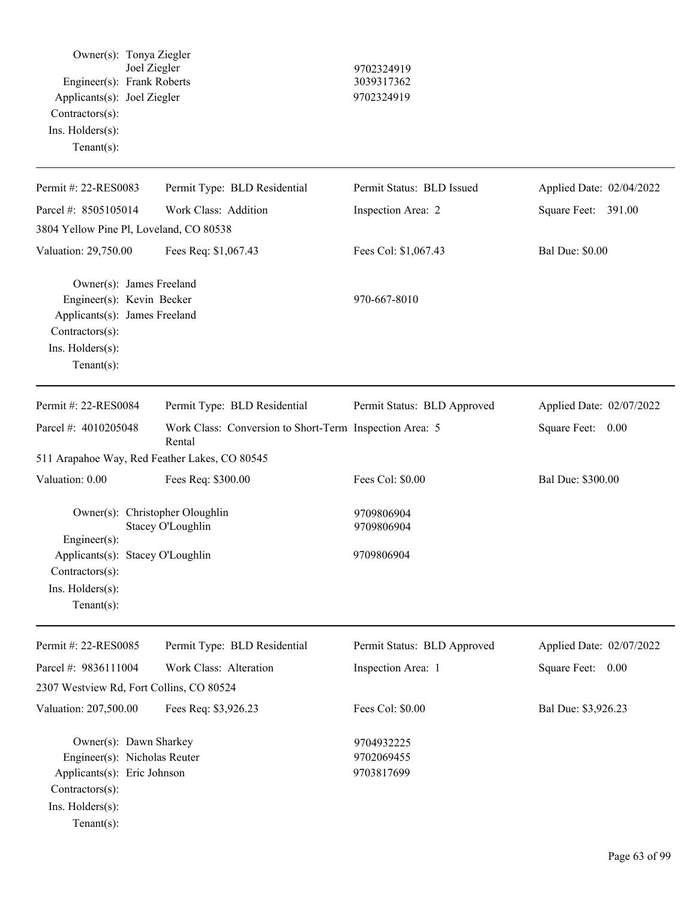| Owner(s): Tonya Ziegler<br>Joel Ziegler<br>Engineer(s): Frank Roberts<br>Applicants(s): Joel Ziegler<br>Contractors(s):<br>Ins. Holders(s):<br>Tenant $(s)$ : |                                                                   | 9702324919<br>3039317362<br>9702324919 |                          |
|---------------------------------------------------------------------------------------------------------------------------------------------------------------|-------------------------------------------------------------------|----------------------------------------|--------------------------|
| Permit #: 22-RES0083                                                                                                                                          | Permit Type: BLD Residential                                      | Permit Status: BLD Issued              | Applied Date: 02/04/2022 |
| Parcel #: 8505105014                                                                                                                                          | Work Class: Addition                                              | Inspection Area: 2                     | Square Feet: 391.00      |
| 3804 Yellow Pine Pl, Loveland, CO 80538                                                                                                                       |                                                                   |                                        |                          |
| Valuation: 29,750.00                                                                                                                                          | Fees Req: \$1,067.43                                              | Fees Col: \$1,067.43                   | <b>Bal Due: \$0.00</b>   |
| Owner(s): James Freeland<br>Engineer(s): Kevin Becker<br>Applicants(s): James Freeland<br>Contractors(s):<br>Ins. Holders(s):<br>Tenant $(s)$ :               |                                                                   | 970-667-8010                           |                          |
| Permit #: 22-RES0084                                                                                                                                          | Permit Type: BLD Residential                                      | Permit Status: BLD Approved            | Applied Date: 02/07/2022 |
| Parcel #: 4010205048                                                                                                                                          | Work Class: Conversion to Short-Term Inspection Area: 5<br>Rental |                                        | Square Feet: 0.00        |
| 511 Arapahoe Way, Red Feather Lakes, CO 80545                                                                                                                 |                                                                   |                                        |                          |
| Valuation: 0.00                                                                                                                                               | Fees Req: \$300.00                                                | Fees Col: \$0.00                       | Bal Due: \$300.00        |
| Owner(s): Christopher Oloughlin<br>$Engineering(s)$ :<br>Applicants(s): Stacey O'Loughlin<br>Contractors(s):<br>Ins. Holders(s):<br>Tenant $(s)$ :            | Stacey O'Loughlin                                                 | 9709806904<br>9709806904<br>9709806904 |                          |
| Permit #: 22-RES0085                                                                                                                                          | Permit Type: BLD Residential                                      | Permit Status: BLD Approved            | Applied Date: 02/07/2022 |
| Parcel #: 9836111004                                                                                                                                          | Work Class: Alteration                                            | Inspection Area: 1                     | Square Feet: 0.00        |
| 2307 Westview Rd, Fort Collins, CO 80524                                                                                                                      |                                                                   |                                        |                          |
| Valuation: 207,500.00                                                                                                                                         | Fees Req: \$3,926.23                                              | Fees Col: \$0.00                       | Bal Due: \$3,926.23      |
| Owner(s): Dawn Sharkey<br>Engineer(s): Nicholas Reuter<br>Applicants(s): Eric Johnson<br>Contractors(s):<br>Ins. Holders(s):<br>Tenant $(s)$ :                |                                                                   | 9704932225<br>9702069455<br>9703817699 |                          |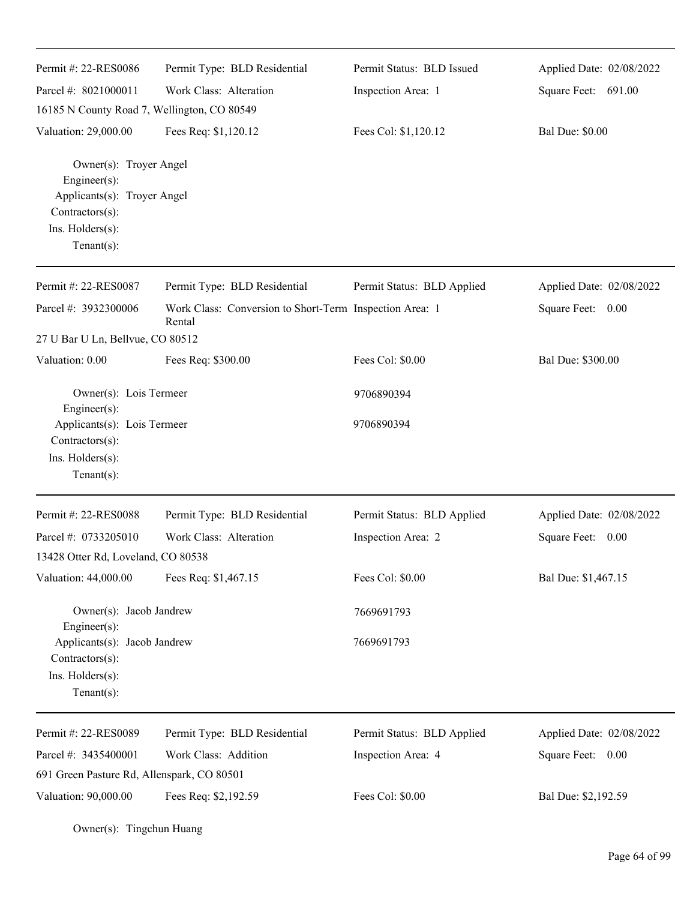| Permit #: 22-RES0086                                                                                                                  | Permit Type: BLD Residential                                      | Permit Status: BLD Issued  | Applied Date: 02/08/2022 |
|---------------------------------------------------------------------------------------------------------------------------------------|-------------------------------------------------------------------|----------------------------|--------------------------|
| Parcel #: 8021000011                                                                                                                  | Work Class: Alteration                                            | Inspection Area: 1         | Square Feet: 691.00      |
| 16185 N County Road 7, Wellington, CO 80549                                                                                           |                                                                   |                            |                          |
| Valuation: 29,000.00                                                                                                                  | Fees Req: \$1,120.12                                              | Fees Col: \$1,120.12       | <b>Bal Due: \$0.00</b>   |
| Owner(s): Troyer Angel<br>Engineer $(s)$ :<br>Applicants(s): Troyer Angel<br>$Contractors(s)$ :<br>Ins. Holders(s):<br>Tenant $(s)$ : |                                                                   |                            |                          |
| Permit #: 22-RES0087                                                                                                                  | Permit Type: BLD Residential                                      | Permit Status: BLD Applied | Applied Date: 02/08/2022 |
| Parcel #: 3932300006                                                                                                                  | Work Class: Conversion to Short-Term Inspection Area: 1<br>Rental |                            | Square Feet: 0.00        |
| 27 U Bar U Ln, Bellvue, CO 80512                                                                                                      |                                                                   |                            |                          |
| Valuation: 0.00                                                                                                                       | Fees Req: \$300.00                                                | Fees Col: \$0.00           | Bal Due: \$300.00        |
| Owner(s): Lois Termeer<br>$Engineering(s)$ :                                                                                          |                                                                   | 9706890394                 |                          |
| Applicants(s): Lois Termeer<br>Contractors(s):<br>Ins. Holders(s):<br>Tenant $(s)$ :                                                  |                                                                   | 9706890394                 |                          |
| Permit #: 22-RES0088                                                                                                                  | Permit Type: BLD Residential                                      | Permit Status: BLD Applied | Applied Date: 02/08/2022 |
| Parcel #: 0733205010                                                                                                                  | Work Class: Alteration                                            | Inspection Area: 2         | Square Feet:<br>0.00     |
| 13428 Otter Rd, Loveland, CO 80538                                                                                                    |                                                                   |                            |                          |
| Valuation: 44,000.00                                                                                                                  | Fees Req: \$1,467.15                                              | Fees Col: \$0.00           | Bal Due: \$1,467.15      |
| Owner(s): Jacob Jandrew<br>$Engineering(s)$ :                                                                                         |                                                                   | 7669691793                 |                          |
| Applicants(s): Jacob Jandrew<br>Contractors(s):<br>Ins. Holders(s):<br>Tenant $(s)$ :                                                 |                                                                   | 7669691793                 |                          |
| Permit #: 22-RES0089                                                                                                                  | Permit Type: BLD Residential                                      | Permit Status: BLD Applied | Applied Date: 02/08/2022 |
| Parcel #: 3435400001                                                                                                                  | Work Class: Addition                                              | Inspection Area: 4         | Square Feet:<br>0.00     |
| 691 Green Pasture Rd, Allenspark, CO 80501                                                                                            |                                                                   |                            |                          |
| Valuation: 90,000.00                                                                                                                  | Fees Req: \$2,192.59                                              | Fees Col: \$0.00           | Bal Due: \$2,192.59      |

Owner(s): Tingchun Huang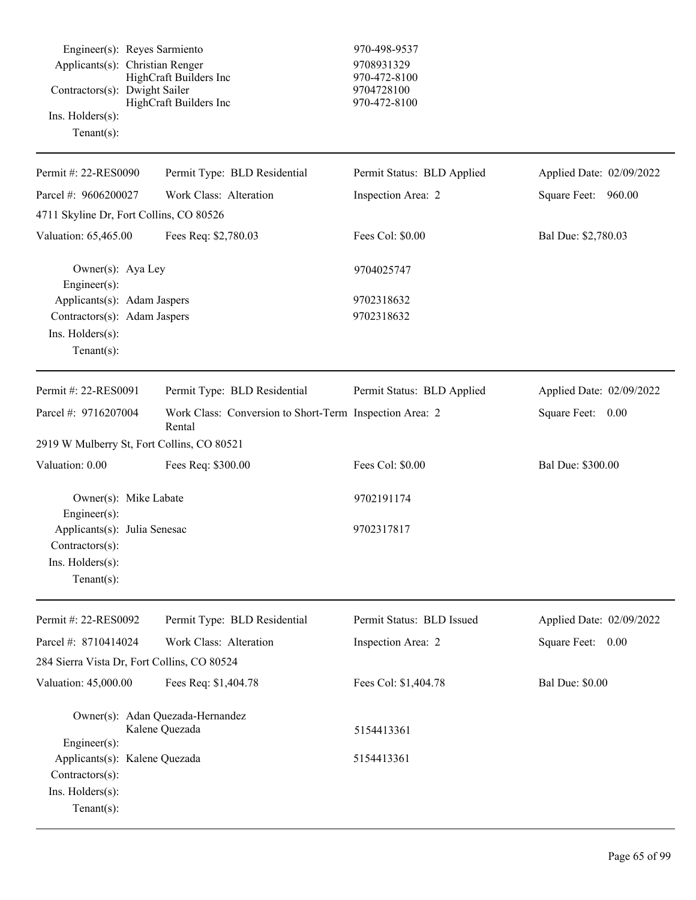Engineer(s): Reyes Sarmiento 970-498-9537 Applicants(s): Christian Renger 9708931329 HighCraft Builders Inc 970-472-8100 Contractors(s): Dwight Sailer 9704728100 HighCraft Builders Inc 970-472-8100 Ins. Holders(s): Tenant(s):

| Permit #: 22-RES0090                             | Permit Type: BLD Residential                                      | Permit Status: BLD Applied | Applied Date: 02/09/2022    |
|--------------------------------------------------|-------------------------------------------------------------------|----------------------------|-----------------------------|
| Parcel #: 9606200027                             | Work Class: Alteration                                            | Inspection Area: 2         | Square Feet: 960.00         |
| 4711 Skyline Dr, Fort Collins, CO 80526          |                                                                   |                            |                             |
| Valuation: 65,465.00                             | Fees Req: \$2,780.03                                              | Fees Col: \$0.00           | Bal Due: \$2,780.03         |
| Owner(s): Aya Ley<br>Engineer(s):                |                                                                   | 9704025747                 |                             |
| Applicants(s): Adam Jaspers                      |                                                                   | 9702318632                 |                             |
| Contractors(s): Adam Jaspers                     |                                                                   | 9702318632                 |                             |
| Ins. Holders(s):<br>Tenant $(s)$ :               |                                                                   |                            |                             |
| Permit #: 22-RES0091                             | Permit Type: BLD Residential                                      | Permit Status: BLD Applied | Applied Date: 02/09/2022    |
| Parcel #: 9716207004                             | Work Class: Conversion to Short-Term Inspection Area: 2<br>Rental |                            | Square Feet: 0.00           |
| 2919 W Mulberry St, Fort Collins, CO 80521       |                                                                   |                            |                             |
| Valuation: 0.00                                  | Fees Req: \$300.00                                                | Fees Col: \$0.00           | Bal Due: \$300.00           |
| Owner(s): Mike Labate<br>Engineer(s):            |                                                                   | 9702191174                 |                             |
| Applicants(s): Julia Senesac<br>Contractors(s):  |                                                                   | 9702317817                 |                             |
| Ins. Holders(s):                                 |                                                                   |                            |                             |
| $Tenant(s)$ :                                    |                                                                   |                            |                             |
| Permit #: 22-RES0092                             | Permit Type: BLD Residential                                      | Permit Status: BLD Issued  | Applied Date: 02/09/2022    |
| Parcel #: 8710414024                             | Work Class: Alteration                                            | Inspection Area: 2         | <b>Square Feet:</b><br>0.00 |
| 284 Sierra Vista Dr, Fort Collins, CO 80524      |                                                                   |                            |                             |
| Valuation: 45,000.00                             | Fees Req: \$1,404.78                                              | Fees Col: \$1,404.78       | <b>Bal Due: \$0.00</b>      |
|                                                  | Owner(s): Adan Quezada-Hernandez<br>Kalene Quezada                | 5154413361                 |                             |
| Engineer(s):                                     |                                                                   |                            |                             |
| Applicants(s): Kalene Quezada<br>Contractors(s): |                                                                   | 5154413361                 |                             |
| Ins. Holders(s):                                 |                                                                   |                            |                             |
| Tenant $(s)$ :                                   |                                                                   |                            |                             |
|                                                  |                                                                   |                            |                             |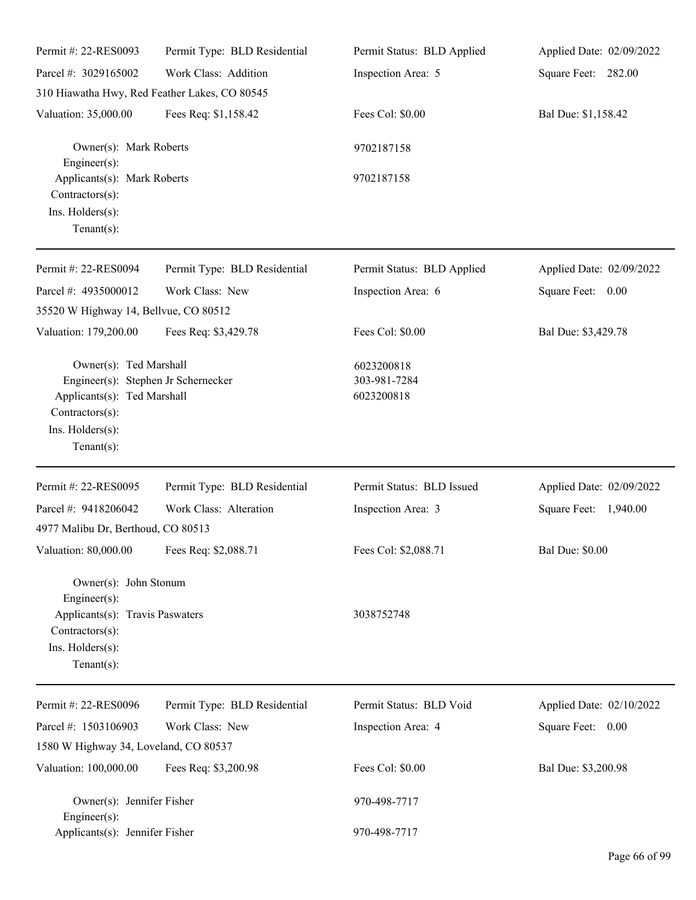| Permit #: 22-RES0093                                                                                                                                  | Permit Type: BLD Residential                  | Permit Status: BLD Applied               | Applied Date: 02/09/2022 |
|-------------------------------------------------------------------------------------------------------------------------------------------------------|-----------------------------------------------|------------------------------------------|--------------------------|
| Parcel #: 3029165002                                                                                                                                  | Work Class: Addition                          | Inspection Area: 5                       | Square Feet: 282.00      |
|                                                                                                                                                       | 310 Hiawatha Hwy, Red Feather Lakes, CO 80545 |                                          |                          |
| Valuation: 35,000.00                                                                                                                                  | Fees Req: \$1,158.42                          | Fees Col: \$0.00                         | Bal Due: \$1,158.42      |
| Owner(s): Mark Roberts<br>Engineer(s):                                                                                                                |                                               | 9702187158                               |                          |
| Applicants(s): Mark Roberts<br>Contractors(s):<br>Ins. Holders(s):<br>Tenant $(s)$ :                                                                  |                                               | 9702187158                               |                          |
| Permit #: 22-RES0094                                                                                                                                  | Permit Type: BLD Residential                  | Permit Status: BLD Applied               | Applied Date: 02/09/2022 |
| Parcel #: 4935000012<br>35520 W Highway 14, Bellvue, CO 80512                                                                                         | Work Class: New                               | Inspection Area: 6                       | Square Feet: 0.00        |
| Valuation: 179,200.00                                                                                                                                 | Fees Req: \$3,429.78                          | Fees Col: \$0.00                         | Bal Due: \$3,429.78      |
| Owner(s): Ted Marshall<br>Engineer(s): Stephen Jr Schernecker<br>Applicants(s): Ted Marshall<br>Contractors(s):<br>Ins. Holders(s):<br>Tenant $(s)$ : |                                               | 6023200818<br>303-981-7284<br>6023200818 |                          |
| Permit #: 22-RES0095                                                                                                                                  | Permit Type: BLD Residential                  | Permit Status: BLD Issued                | Applied Date: 02/09/2022 |
| Parcel #: 9418206042                                                                                                                                  | Work Class: Alteration                        | Inspection Area: 3                       | Square Feet: 1,940.00    |
| 4977 Malibu Dr, Berthoud, CO 80513                                                                                                                    |                                               |                                          |                          |
| Valuation: 80,000.00 Fees Req: \$2,088.71                                                                                                             |                                               | Fees Col: \$2,088.71                     | <b>Bal Due: \$0.00</b>   |
| Owner(s): John Stonum<br>Engineer(s):<br>Applicants(s): Travis Paswaters<br>$Contractors(s)$ :<br>Ins. Holders(s):<br>Tenant $(s)$ :                  |                                               | 3038752748                               |                          |
| Permit #: 22-RES0096                                                                                                                                  | Permit Type: BLD Residential                  | Permit Status: BLD Void                  | Applied Date: 02/10/2022 |
| Parcel #: 1503106903                                                                                                                                  | Work Class: New                               | Inspection Area: 4                       | Square Feet: 0.00        |
| 1580 W Highway 34, Loveland, CO 80537                                                                                                                 |                                               |                                          |                          |
| Valuation: 100,000.00                                                                                                                                 | Fees Req: \$3,200.98                          | Fees Col: \$0.00                         | Bal Due: \$3,200.98      |
| Owner(s): Jennifer Fisher<br>Engineer(s):                                                                                                             |                                               | 970-498-7717                             |                          |
| Applicants(s): Jennifer Fisher                                                                                                                        |                                               | 970-498-7717                             |                          |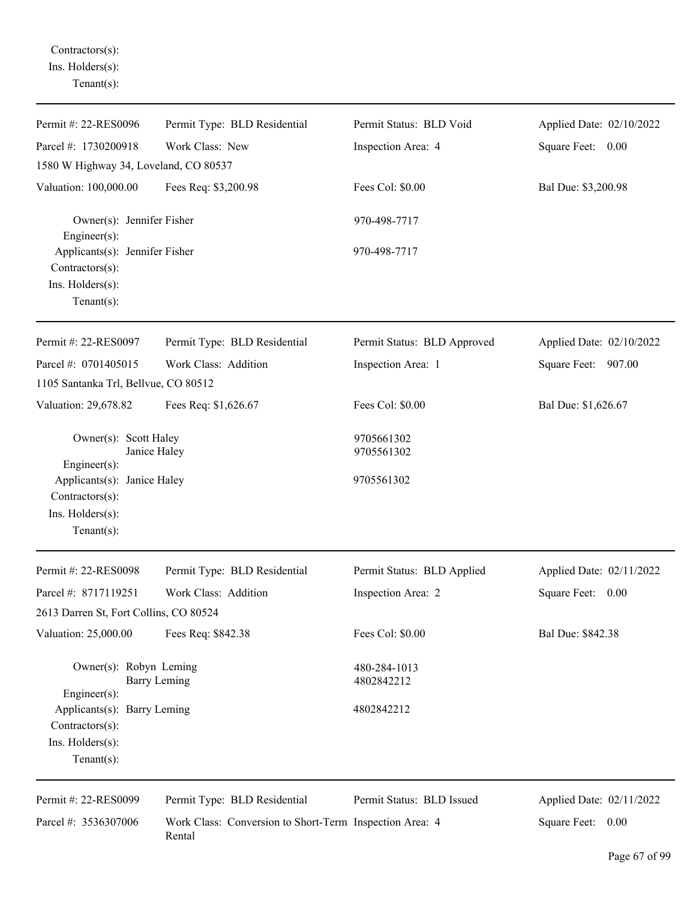Contractors(s): Ins. Holders(s): Tenant(s):

| Permit #: 22-RES0096                                                                    | Permit Type: BLD Residential                                      | Permit Status: BLD Void     | Applied Date: 02/10/2022 |
|-----------------------------------------------------------------------------------------|-------------------------------------------------------------------|-----------------------------|--------------------------|
| Parcel #: 1730200918                                                                    | Work Class: New                                                   | Inspection Area: 4          | Square Feet: 0.00        |
| 1580 W Highway 34, Loveland, CO 80537                                                   |                                                                   |                             |                          |
| Valuation: 100,000.00                                                                   | Fees Req: \$3,200.98                                              | Fees Col: \$0.00            | Bal Due: \$3,200.98      |
| Owner(s): Jennifer Fisher<br>$Engineering(s)$ :                                         |                                                                   | 970-498-7717                |                          |
| Applicants(s): Jennifer Fisher<br>Contractors(s):<br>Ins. Holders(s):<br>Tenant $(s)$ : |                                                                   | 970-498-7717                |                          |
| Permit #: 22-RES0097                                                                    | Permit Type: BLD Residential                                      | Permit Status: BLD Approved | Applied Date: 02/10/2022 |
| Parcel #: 0701405015<br>1105 Santanka Trl, Bellvue, CO 80512                            | Work Class: Addition                                              | Inspection Area: 1          | Square Feet: 907.00      |
| Valuation: 29,678.82                                                                    | Fees Req: \$1,626.67                                              | Fees Col: \$0.00            | Bal Due: \$1,626.67      |
| Owner(s): Scott Haley<br>Janice Haley<br>Engineer(s):                                   |                                                                   | 9705661302<br>9705561302    |                          |
| Applicants(s): Janice Haley<br>Contractors(s):<br>Ins. Holders(s):<br>Tenant $(s)$ :    |                                                                   | 9705561302                  |                          |
| Permit #: 22-RES0098                                                                    | Permit Type: BLD Residential                                      | Permit Status: BLD Applied  | Applied Date: 02/11/2022 |
| Parcel #: 8717119251                                                                    | Work Class: Addition                                              | Inspection Area: 2          | Square Feet: 0.00        |
| 2613 Darren St, Fort Collins, CO 80524                                                  |                                                                   |                             |                          |
| Valuation: 25,000.00                                                                    | Fees Req: \$842.38                                                | Fees Col: \$0.00            | Bal Due: \$842.38        |
| Owner(s): Robyn Leming<br><b>Barry Leming</b><br>Engineer(s):                           |                                                                   | 480-284-1013<br>4802842212  |                          |
| Applicants(s): Barry Leming<br>Contractors(s):<br>Ins. Holders(s):<br>Tenant $(s)$ :    |                                                                   | 4802842212                  |                          |
| Permit #: 22-RES0099                                                                    | Permit Type: BLD Residential                                      | Permit Status: BLD Issued   | Applied Date: 02/11/2022 |
| Parcel #: 3536307006                                                                    | Work Class: Conversion to Short-Term Inspection Area: 4<br>Rental |                             | Square Feet: 0.00        |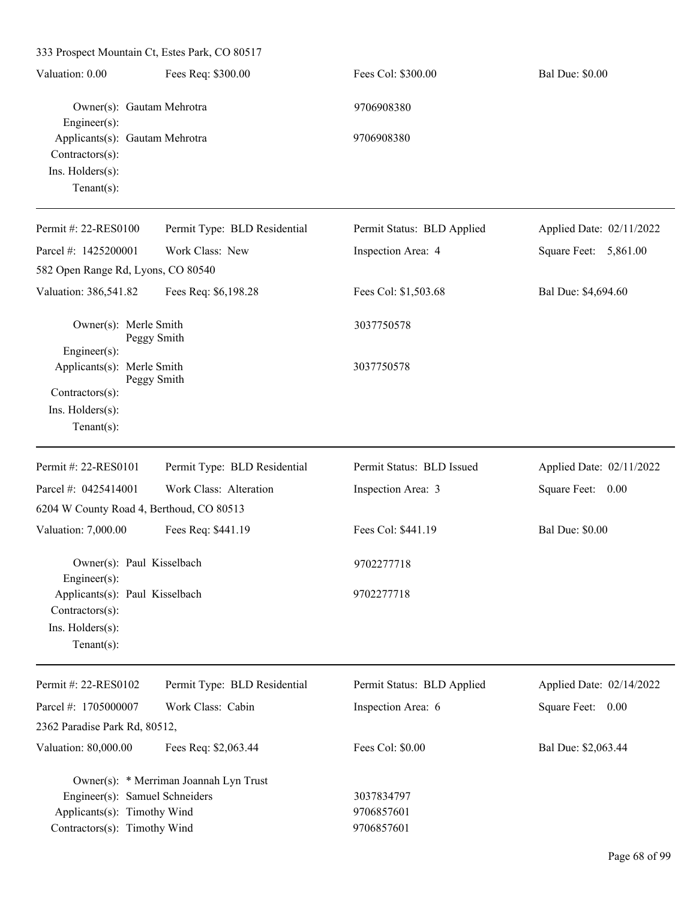| 333 Prospect Mountain Ct, Estes Park, CO 80517                                                |                                        |                                        |                          |
|-----------------------------------------------------------------------------------------------|----------------------------------------|----------------------------------------|--------------------------|
| Valuation: 0.00                                                                               | Fees Req: \$300.00                     | Fees Col: \$300.00                     | <b>Bal Due: \$0.00</b>   |
| Owner(s): Gautam Mehrotra<br>$Engineering(s)$ :                                               |                                        | 9706908380                             |                          |
| Applicants(s): Gautam Mehrotra<br>$Contractors(s)$ :<br>Ins. Holders(s):<br>Tenant $(s)$ :    |                                        | 9706908380                             |                          |
| Permit #: 22-RES0100                                                                          | Permit Type: BLD Residential           | Permit Status: BLD Applied             | Applied Date: 02/11/2022 |
| Parcel #: 1425200001                                                                          | Work Class: New                        | Inspection Area: 4                     | Square Feet: 5,861.00    |
| 582 Open Range Rd, Lyons, CO 80540                                                            |                                        |                                        |                          |
| Valuation: 386,541.82                                                                         | Fees Req: \$6,198.28                   | Fees Col: \$1,503.68                   | Bal Due: \$4,694.60      |
| Owner(s): Merle Smith<br>Engineer(s):                                                         | Peggy Smith                            | 3037750578                             |                          |
| Applicants(s): Merle Smith<br>Contractors(s):<br>Ins. Holders(s):<br>Tenant $(s)$ :           | Peggy Smith                            | 3037750578                             |                          |
| Permit #: 22-RES0101                                                                          | Permit Type: BLD Residential           | Permit Status: BLD Issued              | Applied Date: 02/11/2022 |
| Parcel #: 0425414001                                                                          | Work Class: Alteration                 | Inspection Area: 3                     | Square Feet: 0.00        |
| 6204 W County Road 4, Berthoud, CO 80513                                                      |                                        |                                        |                          |
| Valuation: 7,000.00                                                                           | Fees Req: \$441.19                     | Fees Col: \$441.19                     | <b>Bal Due: \$0.00</b>   |
| Owner(s): Paul Kisselbach<br>Engineer $(s)$ :                                                 |                                        | 9702277718                             |                          |
| Applicants(s): Paul Kisselbach<br>Contractors(s):<br>Ins. Holders(s):<br>Tenant $(s)$ :       |                                        | 9702277718                             |                          |
| Permit #: 22-RES0102                                                                          | Permit Type: BLD Residential           | Permit Status: BLD Applied             | Applied Date: 02/14/2022 |
| Parcel #: 1705000007                                                                          | Work Class: Cabin                      | Inspection Area: 6                     | Square Feet: 0.00        |
| 2362 Paradise Park Rd, 80512,                                                                 |                                        |                                        |                          |
| Valuation: 80,000.00                                                                          | Fees Req: \$2,063.44                   | Fees Col: \$0.00                       | Bal Due: \$2,063.44      |
| Engineer(s): Samuel Schneiders<br>Applicants(s): Timothy Wind<br>Contractors(s): Timothy Wind | Owner(s): * Merriman Joannah Lyn Trust | 3037834797<br>9706857601<br>9706857601 |                          |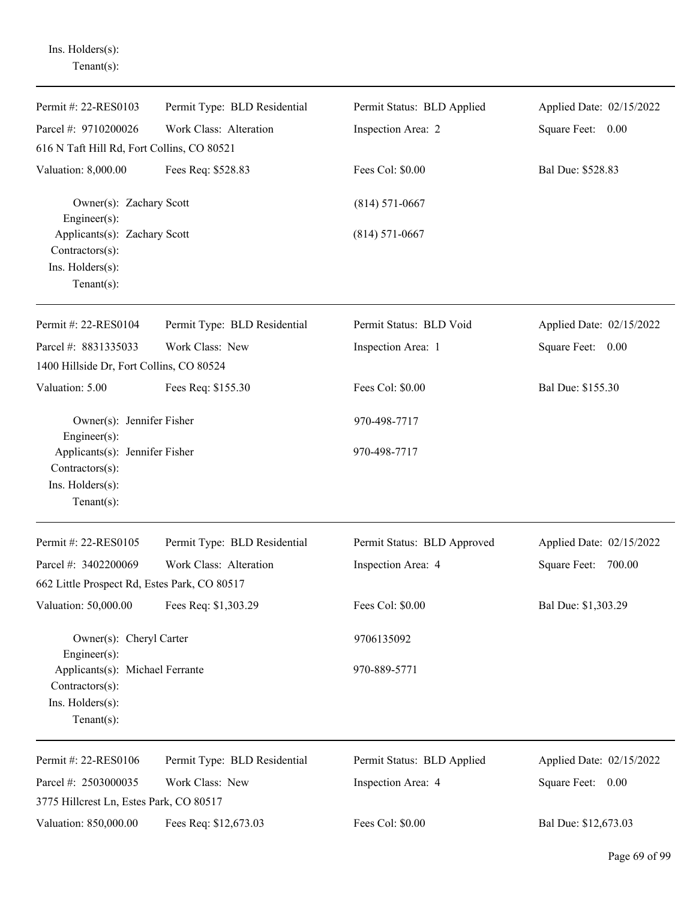Ins. Holders(s): Tenant(s):

| Permit #: 22-RES0103                                                                     | Permit Type: BLD Residential | Permit Status: BLD Applied  | Applied Date: 02/15/2022 |
|------------------------------------------------------------------------------------------|------------------------------|-----------------------------|--------------------------|
| Parcel #: 9710200026                                                                     | Work Class: Alteration       | Inspection Area: 2          | Square Feet: 0.00        |
| 616 N Taft Hill Rd, Fort Collins, CO 80521                                               |                              |                             |                          |
| Valuation: 8,000.00                                                                      | Fees Req: \$528.83           | Fees Col: \$0.00            | Bal Due: \$528.83        |
| Owner(s): Zachary Scott<br>Engineer $(s)$ :                                              |                              | $(814) 571 - 0667$          |                          |
| Applicants(s): Zachary Scott<br>Contractors(s):                                          |                              | $(814) 571 - 0667$          |                          |
| Ins. Holders(s):<br>Tenant $(s)$ :                                                       |                              |                             |                          |
| Permit #: 22-RES0104                                                                     | Permit Type: BLD Residential | Permit Status: BLD Void     | Applied Date: 02/15/2022 |
| Parcel #: 8831335033                                                                     | Work Class: New              | Inspection Area: 1          | Square Feet: 0.00        |
| 1400 Hillside Dr, Fort Collins, CO 80524                                                 |                              |                             |                          |
| Valuation: 5.00                                                                          | Fees Req: \$155.30           | Fees Col: \$0.00            | Bal Due: \$155.30        |
| Owner(s): Jennifer Fisher<br>$Engineering(s)$ :                                          |                              | 970-498-7717                |                          |
| Applicants(s): Jennifer Fisher<br>Contractors(s):<br>Ins. Holders(s):                    |                              | 970-498-7717                |                          |
| Tenant $(s)$ :                                                                           |                              |                             |                          |
| Permit #: 22-RES0105                                                                     | Permit Type: BLD Residential | Permit Status: BLD Approved | Applied Date: 02/15/2022 |
| Parcel #: 3402200069                                                                     | Work Class: Alteration       | Inspection Area: 4          | Square Feet: 700.00      |
| 662 Little Prospect Rd, Estes Park, CO 80517                                             |                              |                             |                          |
| Valuation: 50,000.00                                                                     | Fees Req: \$1,303.29         | Fees Col: \$0.00            | Bal Due: \$1,303.29      |
| Owner(s): Cheryl Carter<br>$Engineering(s)$ :                                            |                              | 9706135092                  |                          |
| Applicants(s): Michael Ferrante<br>Contractors(s):<br>Ins. Holders(s):<br>Tenant $(s)$ : |                              | 970-889-5771                |                          |
| Permit #: 22-RES0106                                                                     | Permit Type: BLD Residential | Permit Status: BLD Applied  | Applied Date: 02/15/2022 |
| Parcel #: 2503000035                                                                     | Work Class: New              | Inspection Area: 4          | Square Feet: 0.00        |
| 3775 Hillcrest Ln, Estes Park, CO 80517                                                  |                              |                             |                          |
| Valuation: 850,000.00                                                                    | Fees Req: \$12,673.03        | Fees Col: \$0.00            | Bal Due: \$12,673.03     |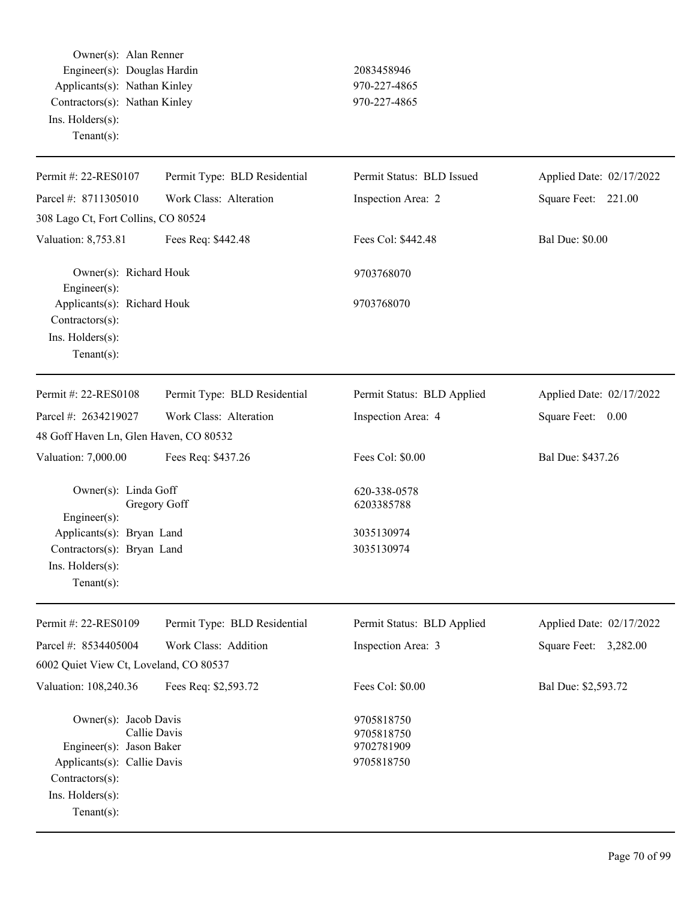Owner(s): Alan Renner Engineer(s): Douglas Hardin 2083458946 Applicants(s): Nathan Kinley 970-227-4865 Contractors(s): Nathan Kinley 970-227-4865 Ins. Holders(s): Tenant(s):

| Permit #: 22-RES0107                                                                                                                                     | Permit Type: BLD Residential | Permit Status: BLD Issued                            | Applied Date: 02/17/2022 |
|----------------------------------------------------------------------------------------------------------------------------------------------------------|------------------------------|------------------------------------------------------|--------------------------|
| Parcel #: 8711305010                                                                                                                                     | Work Class: Alteration       | Inspection Area: 2                                   | Square Feet: 221.00      |
| 308 Lago Ct, Fort Collins, CO 80524                                                                                                                      |                              |                                                      |                          |
| Valuation: 8,753.81                                                                                                                                      | Fees Req: \$442.48           | Fees Col: \$442.48                                   | <b>Bal Due: \$0.00</b>   |
| Owner(s): Richard Houk<br>Engineer(s):                                                                                                                   |                              | 9703768070                                           |                          |
| Applicants(s): Richard Houk<br>Contractors(s):<br>Ins. Holders(s):<br>$Tenant(s)$ :                                                                      |                              | 9703768070                                           |                          |
| Permit #: 22-RES0108                                                                                                                                     | Permit Type: BLD Residential | Permit Status: BLD Applied                           | Applied Date: 02/17/2022 |
| Parcel #: 2634219027                                                                                                                                     | Work Class: Alteration       | Inspection Area: 4                                   | Square Feet: 0.00        |
| 48 Goff Haven Ln, Glen Haven, CO 80532                                                                                                                   |                              |                                                      |                          |
| Valuation: 7,000.00                                                                                                                                      | Fees Req: \$437.26           | Fees Col: \$0.00                                     | Bal Due: \$437.26        |
| Owner(s): Linda Goff<br>Engineer(s):                                                                                                                     | Gregory Goff                 | 620-338-0578<br>6203385788                           |                          |
| Applicants(s): Bryan Land                                                                                                                                |                              | 3035130974                                           |                          |
| Contractors(s): Bryan Land<br>Ins. Holders(s):<br>$Tenant(s)$ :                                                                                          |                              | 3035130974                                           |                          |
| Permit #: 22-RES0109                                                                                                                                     | Permit Type: BLD Residential | Permit Status: BLD Applied                           | Applied Date: 02/17/2022 |
| Parcel #: 8534405004                                                                                                                                     | Work Class: Addition         | Inspection Area: 3                                   | Square Feet:<br>3,282.00 |
| 6002 Quiet View Ct, Loveland, CO 80537                                                                                                                   |                              |                                                      |                          |
| Valuation: 108,240.36                                                                                                                                    | Fees Req: \$2,593.72         | Fees Col: \$0.00                                     | Bal Due: \$2,593.72      |
| Owner(s): Jacob Davis<br>Callie Davis<br>Engineer(s): Jason Baker<br>Applicants(s): Callie Davis<br>Contractors(s):<br>Ins. Holders(s):<br>$Tenant(s)$ : |                              | 9705818750<br>9705818750<br>9702781909<br>9705818750 |                          |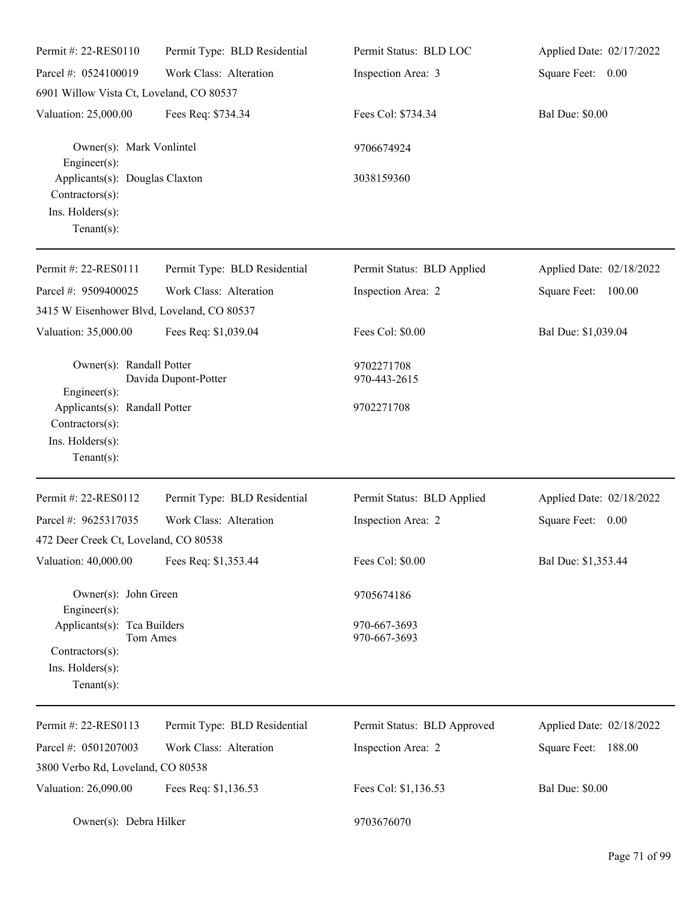| Permit #: 22-RES0110                                                                                             | Permit Type: BLD Residential | Permit Status: BLD LOC                   | Applied Date: 02/17/2022 |
|------------------------------------------------------------------------------------------------------------------|------------------------------|------------------------------------------|--------------------------|
| Parcel #: 0524100019                                                                                             | Work Class: Alteration       | Inspection Area: 3                       | Square Feet: 0.00        |
| 6901 Willow Vista Ct, Loveland, CO 80537                                                                         |                              |                                          |                          |
| Valuation: 25,000.00                                                                                             | Fees Req: \$734.34           | Fees Col: \$734.34                       | <b>Bal Due: \$0.00</b>   |
| Owner(s): Mark Vonlintel<br>Engineer $(s)$ :                                                                     |                              | 9706674924                               |                          |
| Applicants(s): Douglas Claxton<br>Contractors(s):<br>Ins. Holders(s):<br>Tenant $(s)$ :                          |                              | 3038159360                               |                          |
| Permit #: 22-RES0111                                                                                             | Permit Type: BLD Residential | Permit Status: BLD Applied               | Applied Date: 02/18/2022 |
| Parcel #: 9509400025                                                                                             | Work Class: Alteration       | Inspection Area: 2                       | Square Feet: 100.00      |
| 3415 W Eisenhower Blvd, Loveland, CO 80537                                                                       |                              |                                          |                          |
| Valuation: 35,000.00                                                                                             | Fees Req: \$1,039.04         | Fees Col: \$0.00                         | Bal Due: \$1,039.04      |
| Owner(s): Randall Potter<br>Engineer(s):<br>Applicants(s): Randall Potter<br>Contractors(s):<br>Ins. Holders(s): | Davida Dupont-Potter         | 9702271708<br>970-443-2615<br>9702271708 |                          |
| Tenant $(s)$ :                                                                                                   |                              |                                          |                          |
| Permit #: 22-RES0112                                                                                             | Permit Type: BLD Residential | Permit Status: BLD Applied               | Applied Date: 02/18/2022 |
| Parcel #: 9625317035                                                                                             | Work Class: Alteration       | Inspection Area: 2                       | Square Feet:<br>0.00     |
| 472 Deer Creek Ct, Loveland, CO 80538                                                                            |                              |                                          |                          |
| Valuation: 40,000.00                                                                                             | Fees Req: \$1,353.44         | Fees Col: \$0.00                         | Bal Due: \$1,353.44      |
| Owner(s): John Green<br>Engineer(s):                                                                             |                              | 9705674186                               |                          |
| Applicants(s): Tca Builders<br>Tom Ames<br>Contractors(s):<br>Ins. Holders(s):<br>Tenant $(s)$ :                 |                              | 970-667-3693<br>970-667-3693             |                          |
| Permit #: 22-RES0113                                                                                             | Permit Type: BLD Residential | Permit Status: BLD Approved              | Applied Date: 02/18/2022 |
| Parcel #: 0501207003                                                                                             | Work Class: Alteration       | Inspection Area: 2                       | 188.00<br>Square Feet:   |
| 3800 Verbo Rd, Loveland, CO 80538                                                                                |                              |                                          |                          |
| Valuation: 26,090.00                                                                                             | Fees Req: \$1,136.53         | Fees Col: \$1,136.53                     | <b>Bal Due: \$0.00</b>   |
| Owner(s): Debra Hilker                                                                                           |                              | 9703676070                               |                          |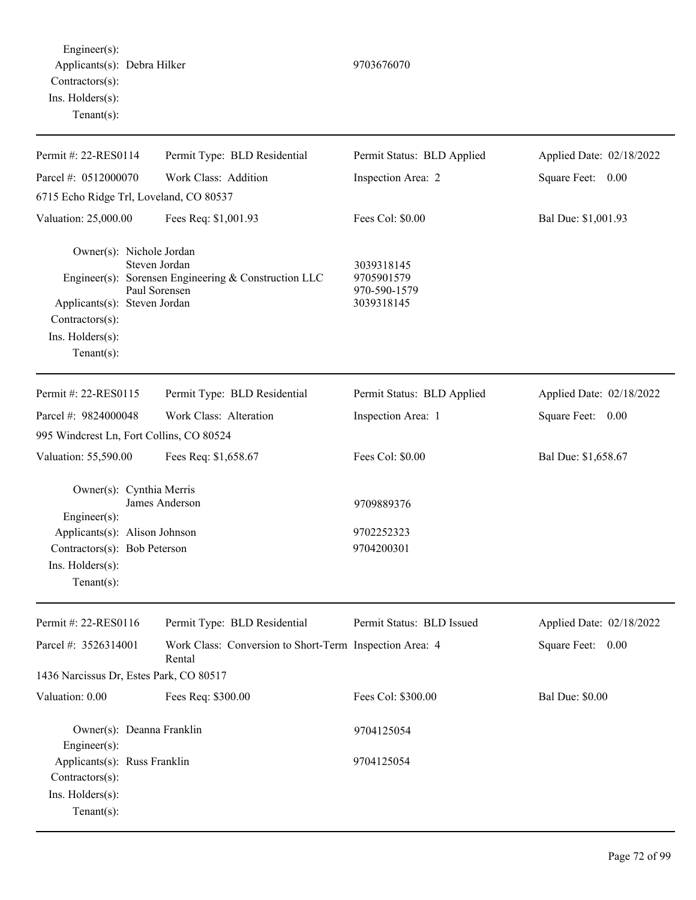Engineer(s): Applicants(s): Debra Hilker 9703676070 Contractors(s): Ins. Holders(s): Tenant(s):

| Permit #: 22-RES0114                                                                                                                            | Permit Type: BLD Residential                                                           | Permit Status: BLD Applied                             | Applied Date: 02/18/2022 |
|-------------------------------------------------------------------------------------------------------------------------------------------------|----------------------------------------------------------------------------------------|--------------------------------------------------------|--------------------------|
| Parcel #: 0512000070                                                                                                                            | Work Class: Addition                                                                   | Inspection Area: 2                                     | Square Feet: 0.00        |
| 6715 Echo Ridge Trl, Loveland, CO 80537                                                                                                         |                                                                                        |                                                        |                          |
| Valuation: 25,000.00                                                                                                                            | Fees Req: \$1,001.93                                                                   | Fees Col: \$0.00                                       | Bal Due: \$1,001.93      |
| Owner(s): Nichole Jordan<br>Applicants(s): Steven Jordan<br>Contractors(s):<br>Ins. Holders(s):<br>Tenant $(s)$ :                               | Steven Jordan<br>Engineer(s): Sorensen Engineering & Construction LLC<br>Paul Sorensen | 3039318145<br>9705901579<br>970-590-1579<br>3039318145 |                          |
| Permit #: 22-RES0115                                                                                                                            | Permit Type: BLD Residential                                                           | Permit Status: BLD Applied                             | Applied Date: 02/18/2022 |
| Parcel #: 9824000048                                                                                                                            | Work Class: Alteration                                                                 | Inspection Area: 1                                     | Square Feet: 0.00        |
| 995 Windcrest Ln, Fort Collins, CO 80524                                                                                                        |                                                                                        |                                                        |                          |
| Valuation: 55,590.00                                                                                                                            | Fees Req: \$1,658.67                                                                   | Fees Col: \$0.00                                       | Bal Due: \$1,658.67      |
| Owner(s): Cynthia Merris<br>Engineer(s):<br>Applicants(s): Alison Johnson<br>Contractors(s): Bob Peterson<br>Ins. Holders(s):<br>Tenant $(s)$ : | James Anderson                                                                         | 9709889376<br>9702252323<br>9704200301                 |                          |
| Permit #: 22-RES0116                                                                                                                            | Permit Type: BLD Residential                                                           | Permit Status: BLD Issued                              | Applied Date: 02/18/2022 |
| Parcel #: 3526314001                                                                                                                            | Work Class: Conversion to Short-Term Inspection Area: 4<br>Rental                      |                                                        | Square Feet: 0.00        |
| 1436 Narcissus Dr, Estes Park, CO 80517                                                                                                         |                                                                                        |                                                        |                          |
| Valuation: 0.00                                                                                                                                 | Fees Req: \$300.00                                                                     | Fees Col: \$300.00                                     | <b>Bal Due: \$0.00</b>   |
| Owner(s): Deanna Franklin<br>Engineer $(s)$ :                                                                                                   |                                                                                        | 9704125054                                             |                          |
| Applicants(s): Russ Franklin<br>$Contractors(s)$ :<br>Ins. Holders(s):<br>Tenant $(s)$ :                                                        |                                                                                        | 9704125054                                             |                          |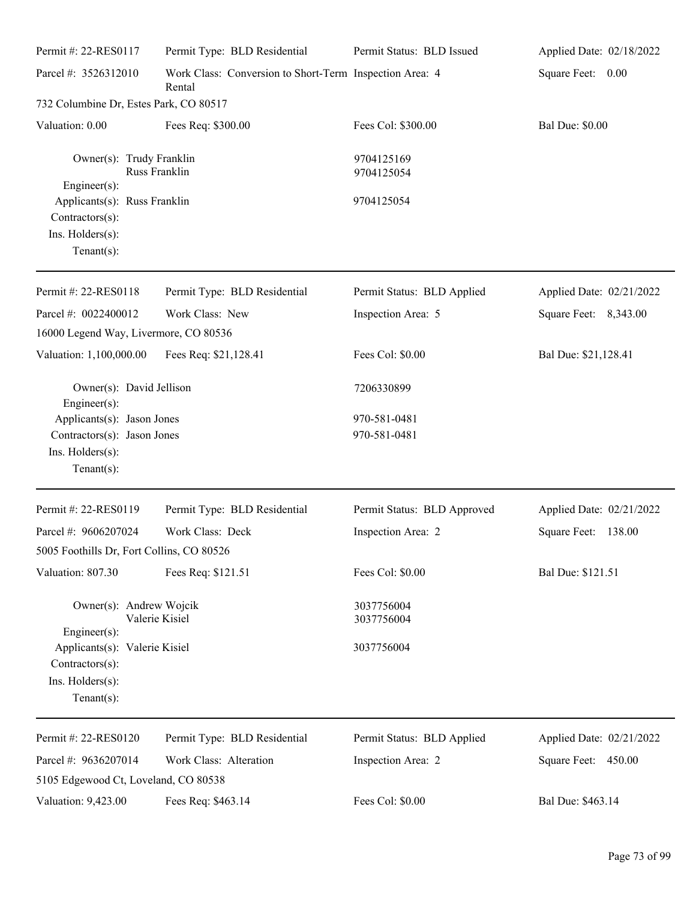| Permit #: 22-RES0117                                                                            | Permit Type: BLD Residential                                      | Permit Status: BLD Issued    | Applied Date: 02/18/2022      |
|-------------------------------------------------------------------------------------------------|-------------------------------------------------------------------|------------------------------|-------------------------------|
| Parcel #: 3526312010                                                                            | Work Class: Conversion to Short-Term Inspection Area: 4<br>Rental |                              | Square Feet: 0.00             |
| 732 Columbine Dr, Estes Park, CO 80517                                                          |                                                                   |                              |                               |
| Valuation: 0.00                                                                                 | Fees Req: \$300.00                                                | Fees Col: \$300.00           | <b>Bal Due: \$0.00</b>        |
| Owner(s): Trudy Franklin<br>$Engineering(s)$ :                                                  | Russ Franklin                                                     | 9704125169<br>9704125054     |                               |
| Applicants(s): Russ Franklin<br>$Contractors(s)$ :<br>Ins. Holders(s):<br>Tenant $(s)$ :        |                                                                   | 9704125054                   |                               |
| Permit #: 22-RES0118                                                                            | Permit Type: BLD Residential                                      | Permit Status: BLD Applied   | Applied Date: 02/21/2022      |
| Parcel #: 0022400012<br>16000 Legend Way, Livermore, CO 80536                                   | Work Class: New                                                   | Inspection Area: 5           | Square Feet: 8,343.00         |
| Valuation: 1,100,000.00                                                                         | Fees Req: \$21,128.41                                             | Fees Col: \$0.00             | Bal Due: \$21,128.41          |
| Owner(s): David Jellison<br>Engineer $(s)$ :                                                    |                                                                   | 7206330899                   |                               |
| Applicants(s): Jason Jones<br>Contractors(s): Jason Jones<br>Ins. Holders(s):<br>Tenant $(s)$ : |                                                                   | 970-581-0481<br>970-581-0481 |                               |
| Permit #: 22-RES0119                                                                            | Permit Type: BLD Residential                                      | Permit Status: BLD Approved  | Applied Date: 02/21/2022      |
| Parcel #: 9606207024                                                                            | Work Class: Deck                                                  | Inspection Area: 2           | <b>Square Feet:</b><br>138.00 |
| 5005 Foothills Dr, Fort Collins, CO 80526                                                       |                                                                   |                              |                               |
| Valuation: 807.30                                                                               | Fees Req: \$121.51                                                | Fees Col: \$0.00             | Bal Due: \$121.51             |
| Owner(s): Andrew Wojcik<br>Engineer $(s)$ :                                                     | Valerie Kisiel                                                    | 3037756004<br>3037756004     |                               |
| Applicants(s): Valerie Kisiel<br>Contractors(s):<br>Ins. Holders(s):<br>Tenant $(s)$ :          |                                                                   | 3037756004                   |                               |
| Permit #: 22-RES0120                                                                            | Permit Type: BLD Residential                                      | Permit Status: BLD Applied   | Applied Date: 02/21/2022      |
| Parcel #: 9636207014<br>5105 Edgewood Ct, Loveland, CO 80538                                    | Work Class: Alteration                                            | Inspection Area: 2           | Square Feet: 450.00           |
| Valuation: 9,423.00                                                                             | Fees Req: \$463.14                                                | Fees Col: \$0.00             | Bal Due: \$463.14             |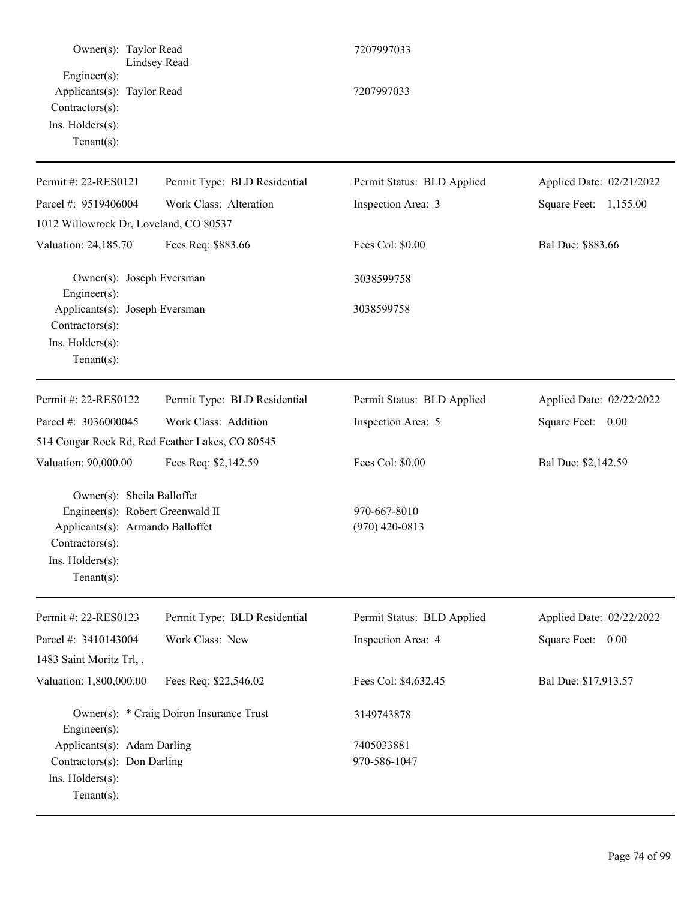| Owner(s): Taylor Read<br>Lindsey Read                                                                                                                      |                                                 | 7207997033                       |                          |  |
|------------------------------------------------------------------------------------------------------------------------------------------------------------|-------------------------------------------------|----------------------------------|--------------------------|--|
| $Engineering(s)$ :<br>Applicants(s): Taylor Read<br>Contractors(s):<br>Ins. Holders(s):<br>$Tenant(s)$ :                                                   |                                                 | 7207997033                       |                          |  |
| Permit #: 22-RES0121                                                                                                                                       | Permit Type: BLD Residential                    | Permit Status: BLD Applied       | Applied Date: 02/21/2022 |  |
| Parcel #: 9519406004                                                                                                                                       | Work Class: Alteration                          | Inspection Area: 3               | Square Feet: 1,155.00    |  |
| 1012 Willowrock Dr, Loveland, CO 80537                                                                                                                     |                                                 |                                  |                          |  |
| Valuation: 24,185.70                                                                                                                                       | Fees Req: \$883.66                              | Fees Col: \$0.00                 | Bal Due: \$883.66        |  |
| Owner(s): Joseph Eversman<br>Engineer(s):                                                                                                                  |                                                 | 3038599758                       |                          |  |
| Applicants(s): Joseph Eversman<br>Contractors(s):<br>Ins. Holders(s):<br>Tenant $(s)$ :                                                                    |                                                 | 3038599758                       |                          |  |
| Permit #: 22-RES0122                                                                                                                                       | Permit Type: BLD Residential                    | Permit Status: BLD Applied       | Applied Date: 02/22/2022 |  |
| Parcel #: 3036000045                                                                                                                                       | Work Class: Addition                            | Inspection Area: 5               | Square Feet: 0.00        |  |
|                                                                                                                                                            | 514 Cougar Rock Rd, Red Feather Lakes, CO 80545 |                                  |                          |  |
| Valuation: 90,000.00                                                                                                                                       | Fees Req: \$2,142.59                            | Fees Col: \$0.00                 | Bal Due: \$2,142.59      |  |
| Owner(s): Sheila Balloffet<br>Engineer(s): Robert Greenwald II<br>Applicants(s): Armando Balloffet<br>Contractors(s):<br>Ins. Holders(s):<br>$Tenant(s)$ : |                                                 | 970-667-8010<br>$(970)$ 420-0813 |                          |  |
| Permit #: 22-RES0123                                                                                                                                       | Permit Type: BLD Residential                    | Permit Status: BLD Applied       | Applied Date: 02/22/2022 |  |
| Parcel #: 3410143004                                                                                                                                       | Work Class: New                                 | Inspection Area: 4               | Square Feet: 0.00        |  |
| 1483 Saint Moritz Trl,,                                                                                                                                    |                                                 |                                  |                          |  |
| Valuation: 1,800,000.00                                                                                                                                    | Fees Req: \$22,546.02                           | Fees Col: \$4,632.45             | Bal Due: \$17,913.57     |  |
| Engineer $(s)$ :                                                                                                                                           | Owner(s): * Craig Doiron Insurance Trust        | 3149743878                       |                          |  |
| Applicants(s): Adam Darling                                                                                                                                |                                                 | 7405033881                       |                          |  |
| Contractors(s): Don Darling<br>Ins. Holders(s):<br>Tenant $(s)$ :                                                                                          |                                                 | 970-586-1047                     |                          |  |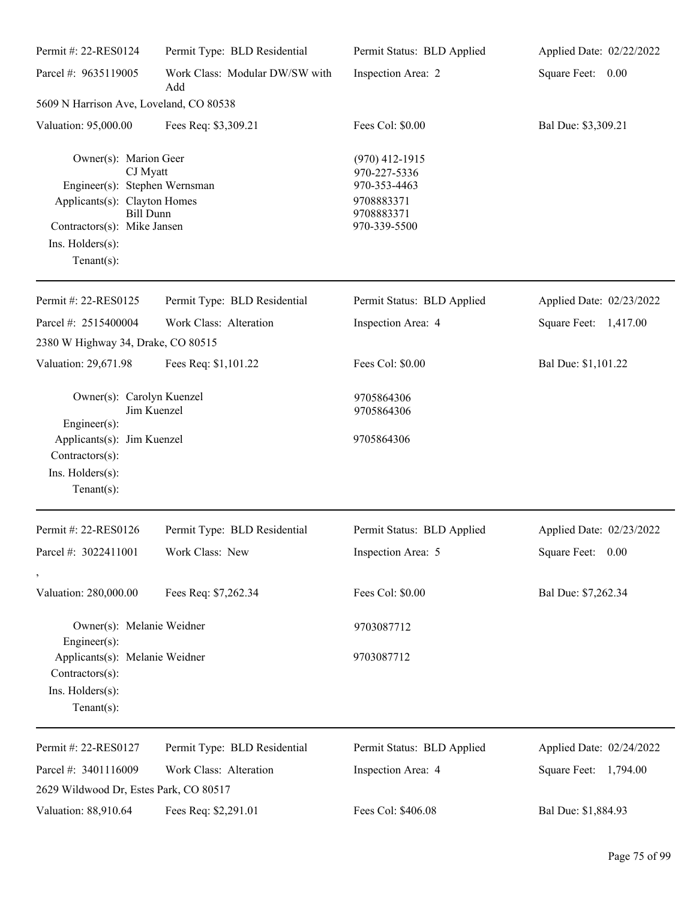| Permit #: 22-RES0124                                                                                                                                                                        | Permit Type: BLD Residential          | Permit Status: BLD Applied                                                                   | Applied Date: 02/22/2022 |
|---------------------------------------------------------------------------------------------------------------------------------------------------------------------------------------------|---------------------------------------|----------------------------------------------------------------------------------------------|--------------------------|
| Parcel #: 9635119005                                                                                                                                                                        | Work Class: Modular DW/SW with<br>Add | Inspection Area: 2                                                                           | Square Feet: 0.00        |
| 5609 N Harrison Ave, Loveland, CO 80538                                                                                                                                                     |                                       |                                                                                              |                          |
| Valuation: 95,000.00                                                                                                                                                                        | Fees Req: \$3,309.21                  | Fees Col: \$0.00                                                                             | Bal Due: \$3,309.21      |
| Owner(s): Marion Geer<br>CJ Myatt<br>Engineer(s): Stephen Wernsman<br>Applicants(s): Clayton Homes<br><b>Bill Dunn</b><br>Contractors(s): Mike Jansen<br>Ins. Holders(s):<br>Tenant $(s)$ : |                                       | $(970)$ 412-1915<br>970-227-5336<br>970-353-4463<br>9708883371<br>9708883371<br>970-339-5500 |                          |
| Permit #: 22-RES0125                                                                                                                                                                        | Permit Type: BLD Residential          | Permit Status: BLD Applied                                                                   | Applied Date: 02/23/2022 |
| Parcel #: 2515400004                                                                                                                                                                        | Work Class: Alteration                | Inspection Area: 4                                                                           | Square Feet: 1,417.00    |
| 2380 W Highway 34, Drake, CO 80515                                                                                                                                                          |                                       |                                                                                              |                          |
| Valuation: 29,671.98                                                                                                                                                                        | Fees Req: \$1,101.22                  | Fees Col: \$0.00                                                                             | Bal Due: \$1,101.22      |
| Owner(s): Carolyn Kuenzel<br>Jim Kuenzel<br>$Engineering(s)$ :                                                                                                                              |                                       | 9705864306<br>9705864306                                                                     |                          |
| Applicants(s): Jim Kuenzel<br>Contractors(s):<br>Ins. Holders(s):<br>Tenant $(s)$ :                                                                                                         |                                       | 9705864306                                                                                   |                          |
| Permit #: 22-RES0126                                                                                                                                                                        | Permit Type: BLD Residential          | Permit Status: BLD Applied                                                                   | Applied Date: 02/23/2022 |
| Parcel #: 3022411001<br>$\,$                                                                                                                                                                | Work Class: New                       | Inspection Area: 5                                                                           | Square Feet: 0.00        |
| Valuation: 280,000.00                                                                                                                                                                       | Fees Req: \$7,262.34                  | Fees Col: \$0.00                                                                             | Bal Due: \$7,262.34      |
| Owner(s): Melanie Weidner<br>$Engineering(s)$ :                                                                                                                                             |                                       | 9703087712                                                                                   |                          |
| Applicants(s): Melanie Weidner<br>Contractors(s):<br>Ins. Holders(s):<br>Tenant $(s)$ :                                                                                                     |                                       | 9703087712                                                                                   |                          |
| Permit #: 22-RES0127                                                                                                                                                                        | Permit Type: BLD Residential          | Permit Status: BLD Applied                                                                   | Applied Date: 02/24/2022 |
| Parcel #: 3401116009                                                                                                                                                                        | Work Class: Alteration                | Inspection Area: 4                                                                           | Square Feet: 1,794.00    |
| 2629 Wildwood Dr, Estes Park, CO 80517                                                                                                                                                      |                                       |                                                                                              |                          |
| Valuation: 88,910.64                                                                                                                                                                        | Fees Req: \$2,291.01                  | Fees Col: \$406.08                                                                           | Bal Due: \$1,884.93      |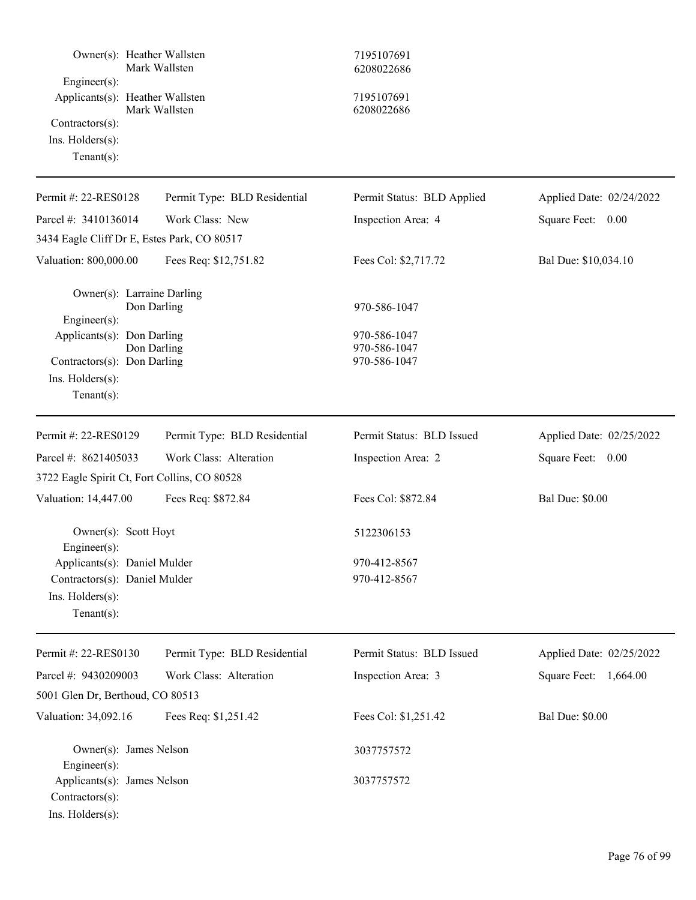| Owner(s): Heather Wallsten<br>Engineer(s):                                                             | Mark Wallsten                | 7195107691<br>6208022686                     |                          |
|--------------------------------------------------------------------------------------------------------|------------------------------|----------------------------------------------|--------------------------|
| Applicants(s): Heather Wallsten<br>Contractors(s):<br>Ins. $H$ olders $(s)$ :<br>Tenant $(s)$ :        | Mark Wallsten                | 7195107691<br>6208022686                     |                          |
| Permit #: 22-RES0128                                                                                   | Permit Type: BLD Residential | Permit Status: BLD Applied                   | Applied Date: 02/24/2022 |
| Parcel #: 3410136014                                                                                   | Work Class: New              | Inspection Area: 4                           | Square Feet: 0.00        |
| 3434 Eagle Cliff Dr E, Estes Park, CO 80517                                                            |                              |                                              |                          |
| Valuation: 800,000.00                                                                                  | Fees Req: \$12,751.82        | Fees Col: \$2,717.72                         | Bal Due: \$10,034.10     |
| Owner(s): Larraine Darling<br>Engineer(s):                                                             | Don Darling                  | 970-586-1047                                 |                          |
| Applicants(s): Don Darling<br>Contractors(s): Don Darling<br>Ins. $H$ olders $(s)$ :<br>Tenant $(s)$ : | Don Darling                  | 970-586-1047<br>970-586-1047<br>970-586-1047 |                          |
| Permit #: 22-RES0129                                                                                   | Permit Type: BLD Residential | Permit Status: BLD Issued                    | Applied Date: 02/25/2022 |
| Parcel #: 8621405033                                                                                   | Work Class: Alteration       | Inspection Area: 2                           | Square Feet: 0.00        |
| 3722 Eagle Spirit Ct, Fort Collins, CO 80528                                                           |                              |                                              |                          |
| Valuation: 14,447.00                                                                                   | Fees Req: \$872.84           | Fees Col: \$872.84                           | <b>Bal Due: \$0.00</b>   |
| Owner(s): Scott Hoyt<br>$Engineer(s)$ :                                                                |                              | 5122306153                                   |                          |
| Applicants(s): Daniel Mulder<br>Contractors(s): Daniel Mulder<br>Ins. Holders(s):<br>Tenant $(s)$ :    |                              | 970-412-8567<br>970-412-8567                 |                          |
| Permit #: 22-RES0130                                                                                   | Permit Type: BLD Residential | Permit Status: BLD Issued                    | Applied Date: 02/25/2022 |
| Parcel #: 9430209003                                                                                   | Work Class: Alteration       | Inspection Area: 3                           | 1,664.00<br>Square Feet: |
| 5001 Glen Dr, Berthoud, CO 80513                                                                       |                              |                                              |                          |
| Valuation: 34,092.16                                                                                   | Fees Req: \$1,251.42         | Fees Col: \$1,251.42                         | <b>Bal Due: \$0.00</b>   |
| Owner(s): James Nelson<br>Engineer(s):<br>Applicants(s): James Nelson                                  |                              | 3037757572<br>3037757572                     |                          |
| Contractors(s):<br>Ins. Holders(s):                                                                    |                              |                                              |                          |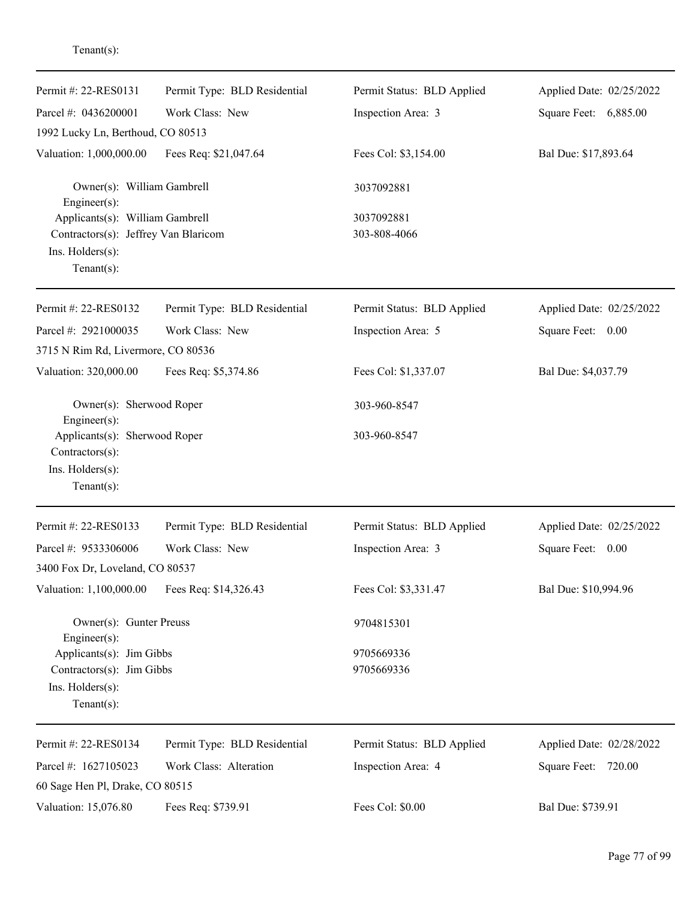| Permit #: 22-RES0131                                                                  | Permit Type: BLD Residential | Permit Status: BLD Applied | Applied Date: 02/25/2022 |
|---------------------------------------------------------------------------------------|------------------------------|----------------------------|--------------------------|
| Parcel #: 0436200001                                                                  | Work Class: New              | Inspection Area: 3         | Square Feet: 6,885.00    |
| 1992 Lucky Ln, Berthoud, CO 80513                                                     |                              |                            |                          |
| Valuation: 1,000,000.00                                                               | Fees Req: \$21,047.64        | Fees Col: \$3,154.00       | Bal Due: \$17,893.64     |
| Owner(s): William Gambrell<br>$Engineering(s)$ :                                      |                              | 3037092881                 |                          |
| Applicants(s): William Gambrell                                                       |                              | 3037092881                 |                          |
| Contractors(s): Jeffrey Van Blaricom                                                  |                              | 303-808-4066               |                          |
| Ins. Holders(s):<br>Tenant $(s)$ :                                                    |                              |                            |                          |
| Permit #: 22-RES0132                                                                  | Permit Type: BLD Residential | Permit Status: BLD Applied | Applied Date: 02/25/2022 |
| Parcel #: 2921000035                                                                  | Work Class: New              | Inspection Area: 5         | Square Feet: 0.00        |
| 3715 N Rim Rd, Livermore, CO 80536                                                    |                              |                            |                          |
| Valuation: 320,000.00                                                                 | Fees Req: \$5,374.86         | Fees Col: \$1,337.07       | Bal Due: \$4,037.79      |
| Owner(s): Sherwood Roper<br>$Engineering(s)$ :                                        |                              | 303-960-8547               |                          |
| Applicants(s): Sherwood Roper<br>Contractors(s):<br>Ins. Holders(s):<br>$Tenant(s)$ : |                              | 303-960-8547               |                          |
| Permit #: 22-RES0133                                                                  | Permit Type: BLD Residential | Permit Status: BLD Applied | Applied Date: 02/25/2022 |
| Parcel #: 9533306006                                                                  | Work Class: New              | Inspection Area: 3         | Square Feet: 0.00        |
| 3400 Fox Dr, Loveland, CO 80537                                                       |                              |                            |                          |
| Valuation: 1,100,000.00                                                               | Fees Req: \$14,326.43        | Fees Col: \$3,331.47       | Bal Due: \$10,994.96     |
| Owner(s): Gunter Preuss<br>$Engineering(s)$ :                                         |                              | 9704815301                 |                          |
| Applicants(s): Jim Gibbs                                                              |                              | 9705669336                 |                          |
| Contractors(s): Jim Gibbs                                                             |                              | 9705669336                 |                          |
| Ins. Holders(s):<br>$Tenant(s)$ :                                                     |                              |                            |                          |
| Permit #: 22-RES0134                                                                  | Permit Type: BLD Residential | Permit Status: BLD Applied | Applied Date: 02/28/2022 |
| Parcel #: 1627105023                                                                  | Work Class: Alteration       | Inspection Area: 4         | Square Feet: 720.00      |
| 60 Sage Hen Pl, Drake, CO 80515                                                       |                              |                            |                          |
| Valuation: 15,076.80                                                                  | Fees Req: \$739.91           | Fees Col: \$0.00           | Bal Due: \$739.91        |

Tenant(s):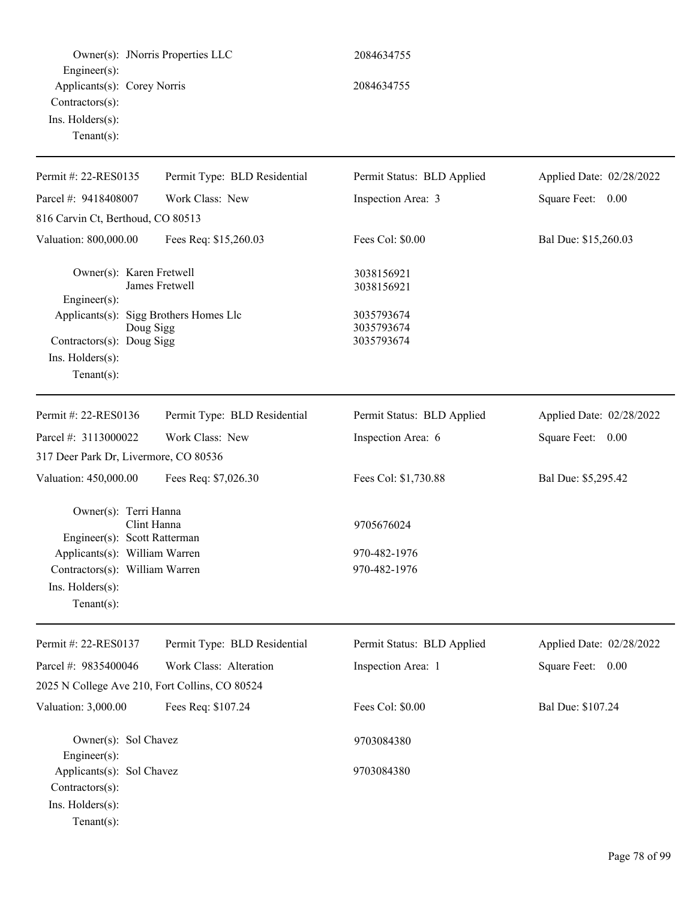|                                                                                                                        | Owner(s): JNorris Properties LLC | 2084634755                             |                          |
|------------------------------------------------------------------------------------------------------------------------|----------------------------------|----------------------------------------|--------------------------|
| Engineer(s):<br>Applicants(s): Corey Norris<br>Contractors(s):<br>Ins. Holders(s):<br>Tenant $(s)$ :                   |                                  | 2084634755                             |                          |
| Permit #: 22-RES0135                                                                                                   | Permit Type: BLD Residential     | Permit Status: BLD Applied             | Applied Date: 02/28/2022 |
| Parcel #: 9418408007                                                                                                   | Work Class: New                  | Inspection Area: 3                     | Square Feet: 0.00        |
| 816 Carvin Ct, Berthoud, CO 80513                                                                                      |                                  |                                        |                          |
| Valuation: 800,000.00                                                                                                  | Fees Req: \$15,260.03            | Fees Col: \$0.00                       | Bal Due: \$15,260.03     |
| Owner(s): Karen Fretwell<br>Engineer(s):                                                                               | James Fretwell                   | 3038156921<br>3038156921               |                          |
| Applicants(s): Sigg Brothers Homes Llc<br>Doug Sigg<br>Contractors(s): Doug Sigg<br>Ins. Holders(s):<br>Tenant $(s)$ : |                                  | 3035793674<br>3035793674<br>3035793674 |                          |
| Permit #: 22-RES0136                                                                                                   | Permit Type: BLD Residential     | Permit Status: BLD Applied             | Applied Date: 02/28/2022 |
| Parcel #: 3113000022                                                                                                   | Work Class: New                  | Inspection Area: 6                     | Square Feet: 0.00        |
| 317 Deer Park Dr, Livermore, CO 80536                                                                                  |                                  |                                        |                          |
| Valuation: 450,000.00                                                                                                  | Fees Req: \$7,026.30             | Fees Col: \$1,730.88                   | Bal Due: \$5,295.42      |
| Owner(s): Terri Hanna<br>Engineer(s): Scott Ratterman                                                                  | Clint Hanna                      | 9705676024                             |                          |
| Applicants(s): William Warren                                                                                          |                                  | 970-482-1976                           |                          |
| Contractors(s): William Warren<br>Ins. Holders(s):<br>$Tenant(s)$ :                                                    |                                  | 970-482-1976                           |                          |
| Permit #: 22-RES0137                                                                                                   | Permit Type: BLD Residential     | Permit Status: BLD Applied             | Applied Date: 02/28/2022 |
| Parcel #: 9835400046                                                                                                   | Work Class: Alteration           | Inspection Area: 1                     | Square Feet: 0.00        |
| 2025 N College Ave 210, Fort Collins, CO 80524                                                                         |                                  |                                        |                          |
| Valuation: 3,000.00                                                                                                    | Fees Req: \$107.24               | Fees Col: \$0.00                       | Bal Due: \$107.24        |
| Owner(s): Sol Chavez<br>$Engineering(s)$ :                                                                             |                                  | 9703084380                             |                          |
| Applicants(s): Sol Chavez<br>Contractors(s):<br>Ins. Holders(s):<br>$Tenant(s)$ :                                      |                                  | 9703084380                             |                          |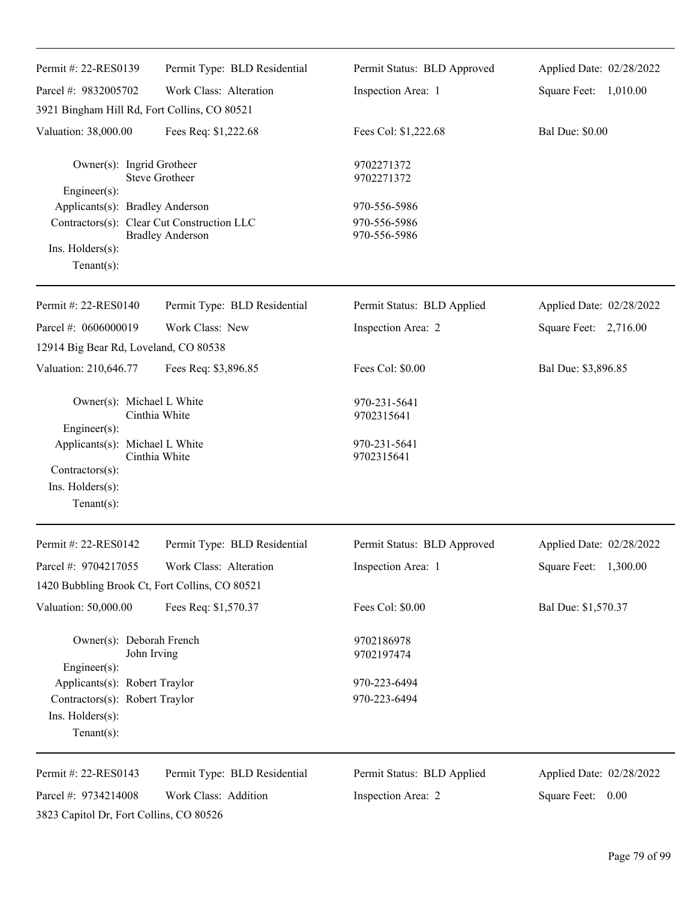| Permit #: 22-RES0139                                 | Permit Type: BLD Residential               | Permit Status: BLD Approved  | Applied Date: 02/28/2022 |
|------------------------------------------------------|--------------------------------------------|------------------------------|--------------------------|
| Parcel #: 9832005702                                 | Work Class: Alteration                     | Inspection Area: 1           | Square Feet: 1,010.00    |
| 3921 Bingham Hill Rd, Fort Collins, CO 80521         |                                            |                              |                          |
| Valuation: 38,000.00                                 | Fees Req: \$1,222.68                       | Fees Col: \$1,222.68         | <b>Bal Due: \$0.00</b>   |
| Owner(s): Ingrid Grotheer                            | <b>Steve Grotheer</b>                      | 9702271372<br>9702271372     |                          |
| $Engineering(s)$ :                                   |                                            |                              |                          |
| Applicants(s): Bradley Anderson                      | Contractors(s): Clear Cut Construction LLC | 970-556-5986<br>970-556-5986 |                          |
|                                                      | <b>Bradley Anderson</b>                    | 970-556-5986                 |                          |
| Ins. Holders(s):<br>Tenant $(s)$ :                   |                                            |                              |                          |
| Permit #: 22-RES0140                                 | Permit Type: BLD Residential               | Permit Status: BLD Applied   | Applied Date: 02/28/2022 |
| Parcel #: 0606000019                                 | Work Class: New                            | Inspection Area: 2           | Square Feet: 2,716.00    |
| 12914 Big Bear Rd, Loveland, CO 80538                |                                            |                              |                          |
| Valuation: 210,646.77                                | Fees Req: \$3,896.85                       | Fees Col: \$0.00             | Bal Due: \$3,896.85      |
| Owner(s): Michael L White                            | Cinthia White                              | 970-231-5641<br>9702315641   |                          |
| $Engineering(s)$ :<br>Applicants(s): Michael L White | Cinthia White                              | 970-231-5641<br>9702315641   |                          |
| Contractors(s):                                      |                                            |                              |                          |
| Ins. Holders(s):<br>Tenant $(s)$ :                   |                                            |                              |                          |
| Permit #: 22-RES0142                                 | Permit Type: BLD Residential               | Permit Status: BLD Approved  | Applied Date: 02/28/2022 |
| Parcel #: 9704217055                                 | Work Class: Alteration                     | Inspection Area: 1           | Square Feet: 1,300.00    |
| 1420 Bubbling Brook Ct, Fort Collins, CO 80521       |                                            |                              |                          |
| Valuation: 50,000.00                                 | Fees Req: \$1,570.37                       | Fees Col: \$0.00             | Bal Due: \$1,570.37      |
| Owner(s): Deborah French<br>Engineer(s):             | John Irving                                | 9702186978<br>9702197474     |                          |
| Applicants(s): Robert Traylor                        |                                            | 970-223-6494                 |                          |
| Contractors(s): Robert Traylor                       |                                            | 970-223-6494                 |                          |
| Ins. Holders(s):                                     |                                            |                              |                          |
| Tenant $(s)$ :                                       |                                            |                              |                          |
| Permit #: 22-RES0143                                 | Permit Type: BLD Residential               | Permit Status: BLD Applied   | Applied Date: 02/28/2022 |
| Parcel #: 9734214008                                 | Work Class: Addition                       | Inspection Area: 2           | Square Feet:<br>0.00     |
|                                                      |                                            |                              |                          |

3823 Capitol Dr, Fort Collins, CO 80526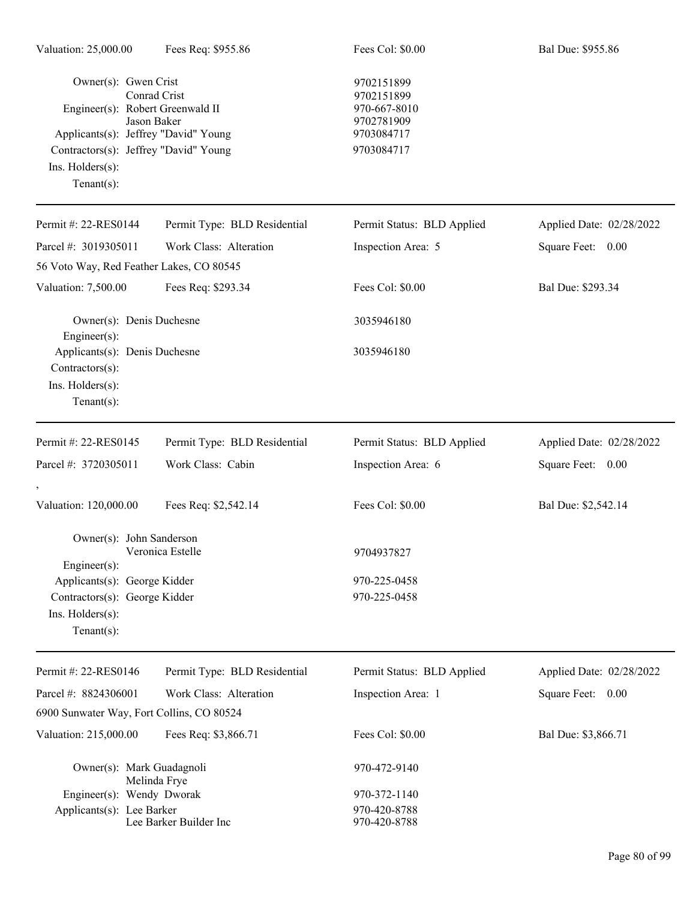| Owner(s): Gwen Crist<br>Engineer(s): Robert Greenwald II<br>Applicants(s): Jeffrey "David" Young<br>Contractors(s): Jeffrey "David" Young<br>Ins. Holders(s):<br>$Tenant(s)$ : | Conrad Crist<br>Jason Baker  | 9702151899<br>9702151899<br>970-667-8010<br>9702781909<br>9703084717<br>9703084717 |                          |
|--------------------------------------------------------------------------------------------------------------------------------------------------------------------------------|------------------------------|------------------------------------------------------------------------------------|--------------------------|
| Permit #: 22-RES0144                                                                                                                                                           | Permit Type: BLD Residential | Permit Status: BLD Applied                                                         | Applied Date: 02/28/2022 |
| Parcel #: 3019305011                                                                                                                                                           | Work Class: Alteration       | Inspection Area: 5                                                                 | Square Feet: 0.00        |
| 56 Voto Way, Red Feather Lakes, CO 80545                                                                                                                                       |                              |                                                                                    |                          |
| Valuation: 7,500.00                                                                                                                                                            | Fees Req: \$293.34           | Fees Col: \$0.00                                                                   | Bal Due: \$293.34        |
| Owner(s): Denis Duchesne<br>Engineer(s):                                                                                                                                       |                              | 3035946180                                                                         |                          |
| Applicants(s): Denis Duchesne<br>Contractors(s):<br>Ins. Holders(s):<br>Tenant $(s)$ :                                                                                         |                              | 3035946180                                                                         |                          |
| Permit #: 22-RES0145                                                                                                                                                           | Permit Type: BLD Residential | Permit Status: BLD Applied                                                         | Applied Date: 02/28/2022 |
| Parcel #: 3720305011                                                                                                                                                           | Work Class: Cabin            | Inspection Area: 6                                                                 | Square Feet: 0.00        |
| $^\circ$                                                                                                                                                                       |                              |                                                                                    |                          |
| Valuation: 120,000.00                                                                                                                                                          | Fees Req: \$2,542.14         | Fees Col: \$0.00                                                                   | Bal Due: \$2,542.14      |
| Owner(s): John Sanderson<br>$Engineering(s)$ :                                                                                                                                 | Veronica Estelle             | 9704937827                                                                         |                          |
| Applicants(s): George Kidder<br>Contractors(s): George Kidder<br>$Ins.$ Holders $(s)$ :<br>Tenant $(s)$ :                                                                      |                              | 970-225-0458<br>970-225-0458                                                       |                          |
| Permit #: 22-RES0146                                                                                                                                                           | Permit Type: BLD Residential | Permit Status: BLD Applied                                                         | Applied Date: 02/28/2022 |
| Parcel #: 8824306001                                                                                                                                                           | Work Class: Alteration       | Inspection Area: 1                                                                 | Square Feet: 0.00        |
| 6900 Sunwater Way, Fort Collins, CO 80524                                                                                                                                      |                              |                                                                                    |                          |
| Valuation: 215,000.00                                                                                                                                                          | Fees Req: \$3,866.71         | Fees Col: \$0.00                                                                   | Bal Due: \$3,866.71      |
| Owner(s): Mark Guadagnoli                                                                                                                                                      | Melinda Frye                 | 970-472-9140                                                                       |                          |
| Engineer(s): Wendy Dworak                                                                                                                                                      |                              | 970-372-1140                                                                       |                          |
| Applicants(s): Lee Barker                                                                                                                                                      | Lee Barker Builder Inc       | 970-420-8788<br>970-420-8788                                                       |                          |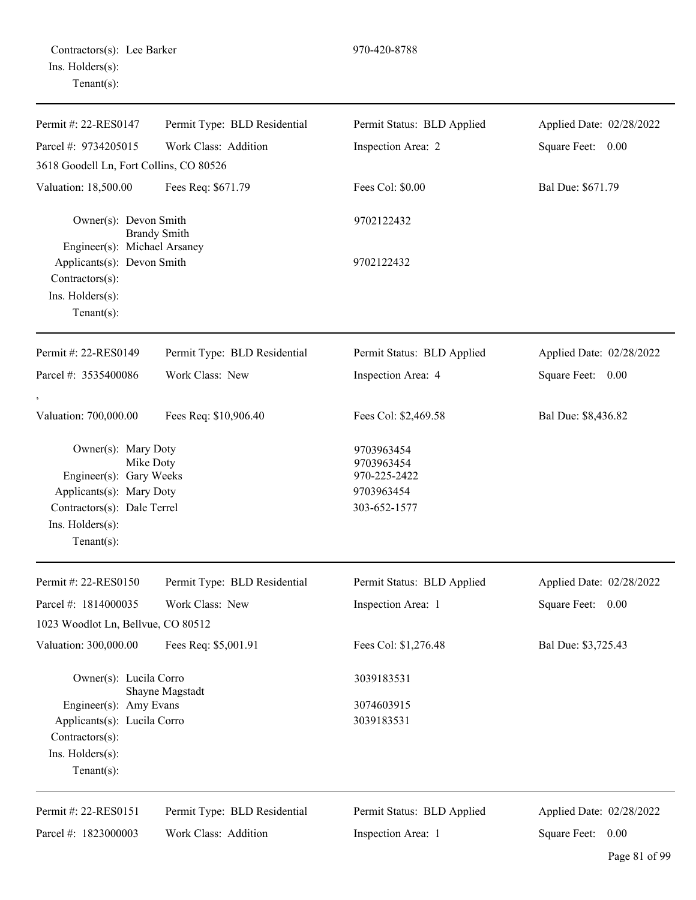| Permit #: 22-RES0147                                                                                                                                         | Permit Type: BLD Residential | Permit Status: BLD Applied                                             | Applied Date: 02/28/2022 |
|--------------------------------------------------------------------------------------------------------------------------------------------------------------|------------------------------|------------------------------------------------------------------------|--------------------------|
| Parcel #: 9734205015                                                                                                                                         | Work Class: Addition         | Inspection Area: 2                                                     | Square Feet: 0.00        |
| 3618 Goodell Ln, Fort Collins, CO 80526                                                                                                                      |                              |                                                                        |                          |
| Valuation: 18,500.00                                                                                                                                         | Fees Req: \$671.79           | Fees Col: \$0.00                                                       | Bal Due: \$671.79        |
| Owner(s): Devon Smith<br><b>Brandy Smith</b><br>Engineer(s): Michael Arsaney<br>Applicants(s): Devon Smith                                                   |                              | 9702122432<br>9702122432                                               |                          |
| $Contractors(s)$ :<br>Ins. Holders(s):<br>Tenant $(s)$ :                                                                                                     |                              |                                                                        |                          |
| Permit #: 22-RES0149                                                                                                                                         | Permit Type: BLD Residential | Permit Status: BLD Applied                                             | Applied Date: 02/28/2022 |
| Parcel #: 3535400086                                                                                                                                         | Work Class: New              | Inspection Area: 4                                                     | Square Feet: 0.00        |
| Valuation: 700,000.00                                                                                                                                        | Fees Req: \$10,906.40        | Fees Col: \$2,469.58                                                   | Bal Due: \$8,436.82      |
| Owner(s): Mary Doty<br>Mike Doty<br>Engineer(s): Gary Weeks<br>Applicants(s): Mary Doty<br>Contractors(s): Dale Terrel<br>Ins. Holders(s):<br>Tenant $(s)$ : |                              | 9703963454<br>9703963454<br>970-225-2422<br>9703963454<br>303-652-1577 |                          |
| Permit #: 22-RES0150                                                                                                                                         | Permit Type: BLD Residential | Permit Status: BLD Applied                                             | Applied Date: 02/28/2022 |
| Parcel #: 1814000035                                                                                                                                         | Work Class: New              | Inspection Area: 1                                                     | Square Feet: 0.00        |
| 1023 Woodlot Ln, Bellvue, CO 80512                                                                                                                           |                              |                                                                        |                          |
| Valuation: 300,000.00                                                                                                                                        | Fees Req: \$5,001.91         | Fees Col: \$1,276.48                                                   | Bal Due: \$3,725.43      |
| Owner(s): Lucila Corro                                                                                                                                       | Shayne Magstadt              | 3039183531                                                             |                          |
| Engineer(s): Amy Evans                                                                                                                                       |                              | 3074603915                                                             |                          |
| Applicants(s): Lucila Corro                                                                                                                                  |                              | 3039183531                                                             |                          |
| Contractors(s):                                                                                                                                              |                              |                                                                        |                          |
| Ins. Holders(s):<br>Tenant $(s)$ :                                                                                                                           |                              |                                                                        |                          |
| Permit #: 22-RES0151                                                                                                                                         | Permit Type: BLD Residential | Permit Status: BLD Applied                                             | Applied Date: 02/28/2022 |
| Parcel #: 1823000003                                                                                                                                         | Work Class: Addition         | Inspection Area: 1                                                     | Square Feet: 0.00        |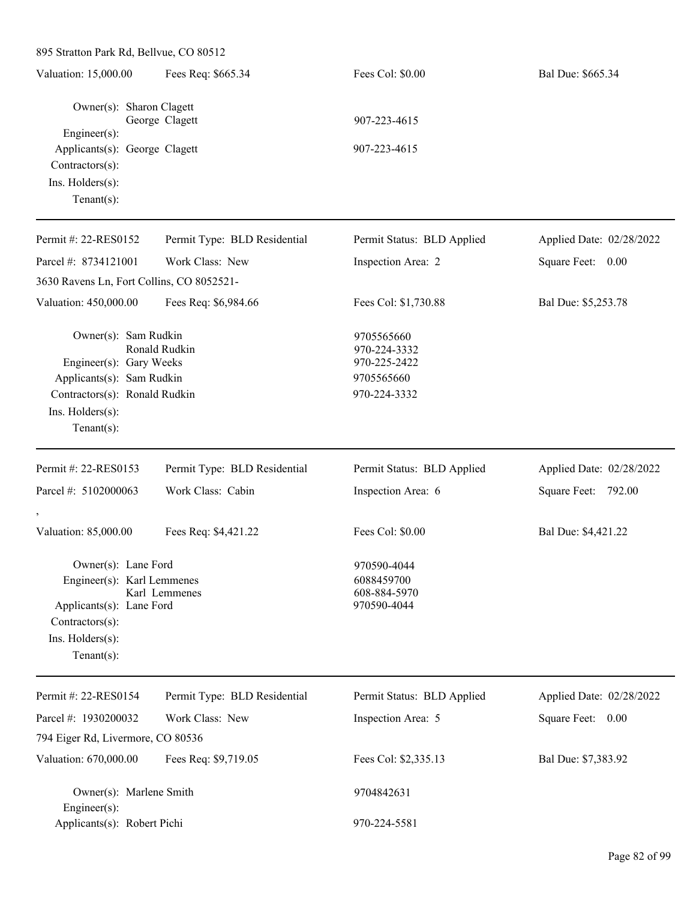| 895 Stratton Park Rd, Bellvue, CO 80512                                                                                                                              |                              |                                                                          |                          |
|----------------------------------------------------------------------------------------------------------------------------------------------------------------------|------------------------------|--------------------------------------------------------------------------|--------------------------|
| Valuation: 15,000.00                                                                                                                                                 | Fees Req: \$665.34           | Fees Col: \$0.00                                                         | Bal Due: \$665.34        |
| Owner(s): Sharon Clagett<br>Engineer(s):<br>Applicants(s): George Clagett<br>Contractors(s):<br>Ins. Holders(s):<br>Tenant $(s)$ :                                   | George Clagett               | 907-223-4615<br>907-223-4615                                             |                          |
| Permit #: 22-RES0152                                                                                                                                                 | Permit Type: BLD Residential | Permit Status: BLD Applied                                               | Applied Date: 02/28/2022 |
| Parcel #: 8734121001                                                                                                                                                 | Work Class: New              | Inspection Area: 2                                                       | Square Feet: 0.00        |
| 3630 Ravens Ln, Fort Collins, CO 8052521-                                                                                                                            |                              |                                                                          |                          |
| Valuation: 450,000.00                                                                                                                                                | Fees Req: \$6,984.66         | Fees Col: \$1,730.88                                                     | Bal Due: \$5,253.78      |
| Owner(s): Sam Rudkin<br>Ronald Rudkin<br>Engineer(s): Gary Weeks<br>Applicants(s): Sam Rudkin<br>Contractors(s): Ronald Rudkin<br>Ins. Holders(s):<br>Tenant $(s)$ : |                              | 9705565660<br>970-224-3332<br>970-225-2422<br>9705565660<br>970-224-3332 |                          |
| Permit #: 22-RES0153                                                                                                                                                 | Permit Type: BLD Residential | Permit Status: BLD Applied                                               | Applied Date: 02/28/2022 |
| Parcel #: 5102000063                                                                                                                                                 | Work Class: Cabin            | Inspection Area: 6                                                       | Square Feet: 792.00      |
| Valuation: 85,000.00                                                                                                                                                 | Fees Req: \$4,421.22         | Fees Col: \$0.00                                                         | Bal Due: \$4,421.22      |
| Owner(s): Lane Ford<br>Engineer(s): Karl Lemmenes<br>Applicants(s): Lane Ford<br>Contractors(s):<br>Ins. Holders(s):<br>Tenant $(s)$ :                               | Karl Lemmenes                | 970590-4044<br>6088459700<br>608-884-5970<br>970590-4044                 |                          |
| Permit #: 22-RES0154                                                                                                                                                 | Permit Type: BLD Residential | Permit Status: BLD Applied                                               | Applied Date: 02/28/2022 |
| Parcel #: 1930200032                                                                                                                                                 | Work Class: New              | Inspection Area: 5                                                       | Square Feet: 0.00        |
| 794 Eiger Rd, Livermore, CO 80536                                                                                                                                    |                              |                                                                          |                          |
| Valuation: 670,000.00                                                                                                                                                | Fees Req: \$9,719.05         | Fees Col: \$2,335.13                                                     | Bal Due: \$7,383.92      |
| Owner(s): Marlene Smith<br>$Engineer(s)$ :                                                                                                                           |                              | 9704842631                                                               |                          |
| Applicants(s): Robert Pichi                                                                                                                                          |                              | 970-224-5581                                                             |                          |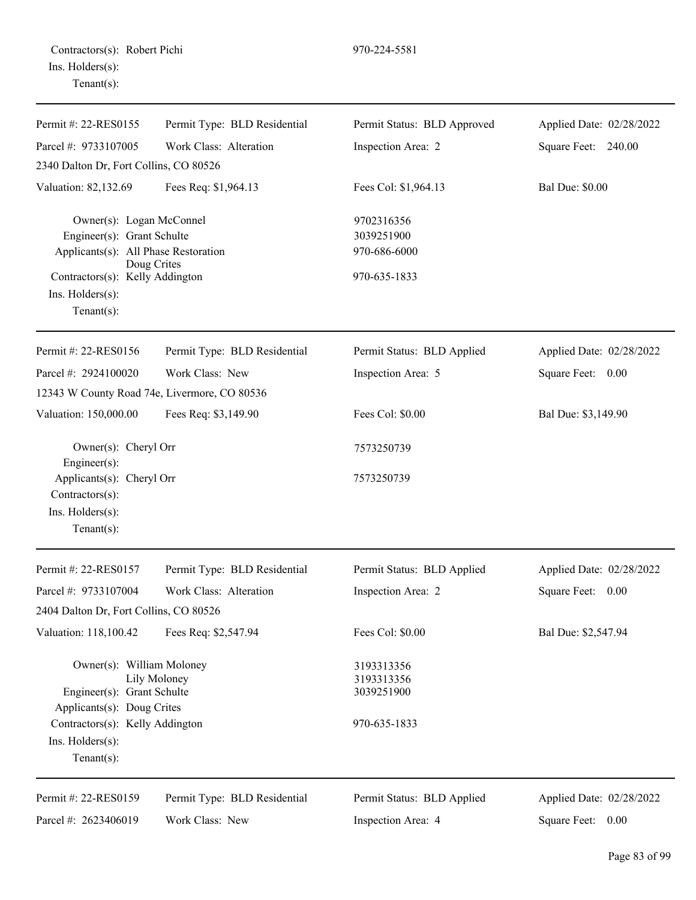| Permit #: 22-RES0155                                                                                                                     | Permit Type: BLD Residential                 | Permit Status: BLD Approved                            | Applied Date: 02/28/2022 |
|------------------------------------------------------------------------------------------------------------------------------------------|----------------------------------------------|--------------------------------------------------------|--------------------------|
| Parcel #: 9733107005                                                                                                                     | Work Class: Alteration                       | Inspection Area: 2                                     | Square Feet: 240.00      |
| 2340 Dalton Dr, Fort Collins, CO 80526                                                                                                   |                                              |                                                        |                          |
| Valuation: 82,132.69                                                                                                                     | Fees Req: \$1,964.13                         | Fees Col: \$1,964.13                                   | <b>Bal Due: \$0.00</b>   |
| Owner(s): Logan McConnel                                                                                                                 |                                              | 9702316356                                             |                          |
| Engineer(s): Grant Schulte                                                                                                               |                                              | 3039251900                                             |                          |
| Applicants(s): All Phase Restoration                                                                                                     | Doug Crites                                  | 970-686-6000                                           |                          |
| Contractors(s): Kelly Addington                                                                                                          |                                              | 970-635-1833                                           |                          |
| Ins. Holders(s):<br>Tenant $(s)$ :                                                                                                       |                                              |                                                        |                          |
| Permit #: 22-RES0156                                                                                                                     | Permit Type: BLD Residential                 | Permit Status: BLD Applied                             | Applied Date: 02/28/2022 |
| Parcel #: 2924100020                                                                                                                     | Work Class: New                              | Inspection Area: 5                                     | Square Feet: 0.00        |
|                                                                                                                                          | 12343 W County Road 74e, Livermore, CO 80536 |                                                        |                          |
| Valuation: 150,000.00                                                                                                                    | Fees Req: \$3,149.90                         | Fees Col: \$0.00                                       | Bal Due: \$3,149.90      |
| Owner(s): Cheryl Orr<br>Engineer(s):                                                                                                     |                                              | 7573250739                                             |                          |
| Applicants(s): Cheryl Orr<br>Contractors(s):<br>Ins. Holders(s):<br>Tenant $(s)$ :                                                       |                                              | 7573250739                                             |                          |
| Permit #: 22-RES0157                                                                                                                     | Permit Type: BLD Residential                 | Permit Status: BLD Applied                             | Applied Date: 02/28/2022 |
| Parcel #: 9733107004                                                                                                                     | Work Class: Alteration                       | Inspection Area: 2                                     | Square Feet:<br>0.00     |
| 2404 Dalton Dr, Fort Collins, CO 80526                                                                                                   |                                              |                                                        |                          |
| Valuation: 118,100.42                                                                                                                    | Fees Req: \$2,547.94                         | Fees Col: \$0.00                                       | Bal Due: \$2,547.94      |
| Owner(s): William Moloney<br>Lily Moloney<br>Engineer(s): Grant Schulte<br>Applicants(s): Doug Crites<br>Contractors(s): Kelly Addington |                                              | 3193313356<br>3193313356<br>3039251900<br>970-635-1833 |                          |
| Ins. Holders(s):<br>Tenant $(s)$ :                                                                                                       |                                              |                                                        |                          |
| Permit #: 22-RES0159                                                                                                                     | Permit Type: BLD Residential                 | Permit Status: BLD Applied                             | Applied Date: 02/28/2022 |
| Parcel #: 2623406019                                                                                                                     | Work Class: New                              | Inspection Area: 4                                     | Square Feet: 0.00        |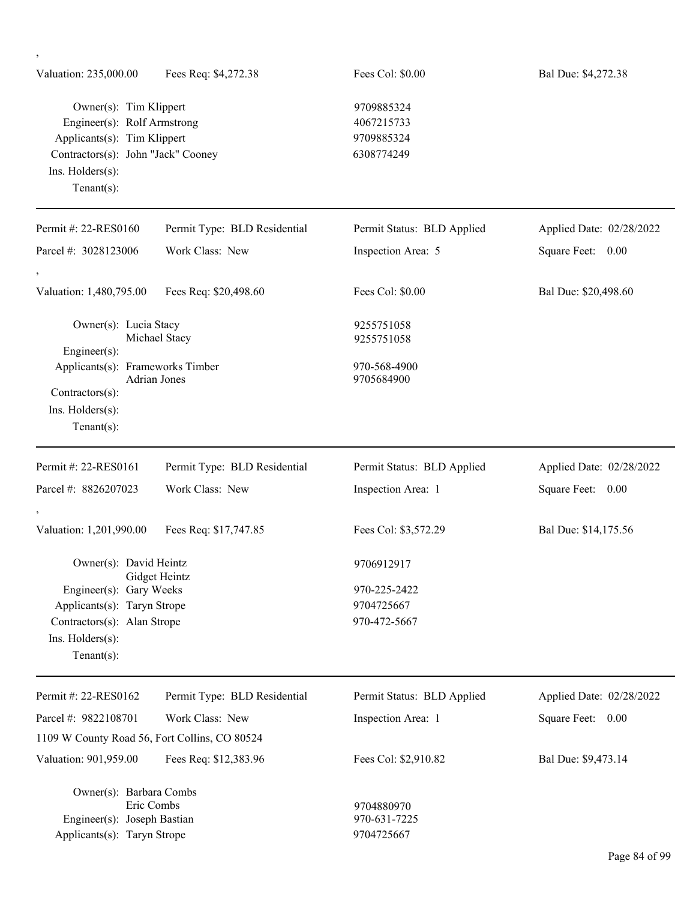| Valuation: 235,000.00                                                                                                                                            | Fees Req: \$4,272.38         | Fees Col: \$0.00                                     | Bal Due: \$4,272.38      |
|------------------------------------------------------------------------------------------------------------------------------------------------------------------|------------------------------|------------------------------------------------------|--------------------------|
| Owner(s): Tim Klippert<br>Engineer(s): Rolf Armstrong<br>Applicants(s): Tim Klippert<br>Contractors(s): John "Jack" Cooney<br>Ins. Holders(s):<br>Tenant $(s)$ : |                              | 9709885324<br>4067215733<br>9709885324<br>6308774249 |                          |
| Permit #: 22-RES0160                                                                                                                                             | Permit Type: BLD Residential | Permit Status: BLD Applied                           | Applied Date: 02/28/2022 |
| Parcel #: 3028123006                                                                                                                                             | Work Class: New              | Inspection Area: 5                                   | Square Feet:<br>0.00     |
| Valuation: 1,480,795.00                                                                                                                                          | Fees Req: \$20,498.60        | Fees Col: \$0.00                                     | Bal Due: \$20,498.60     |
| Owner(s): Lucia Stacy<br>Engineer(s):                                                                                                                            | Michael Stacy                | 9255751058<br>9255751058                             |                          |
| Applicants(s): Frameworks Timber<br>Contractors(s):<br>Ins. Holders(s):<br>Tenant $(s)$ :                                                                        | <b>Adrian Jones</b>          | 970-568-4900<br>9705684900                           |                          |
| Permit #: 22-RES0161                                                                                                                                             | Permit Type: BLD Residential | Permit Status: BLD Applied                           | Applied Date: 02/28/2022 |
| Parcel #: 8826207023                                                                                                                                             | Work Class: New              | Inspection Area: 1                                   | Square Feet:<br>0.00     |
| Valuation: 1,201,990.00                                                                                                                                          | Fees Req: \$17,747.85        | Fees Col: \$3,572.29                                 | Bal Due: \$14,175.56     |
| Owner(s): David Heintz                                                                                                                                           | Gidget Heintz                | 9706912917                                           |                          |
| Engineer(s): Gary Weeks<br>Applicants(s): Taryn Strope<br>Contractors(s): Alan Strope<br>Ins. Holders(s):<br>Tenant $(s)$ :                                      |                              | 970-225-2422<br>9704725667<br>970-472-5667           |                          |
| Permit #: 22-RES0162                                                                                                                                             | Permit Type: BLD Residential | Permit Status: BLD Applied                           | Applied Date: 02/28/2022 |
| Parcel #: 9822108701                                                                                                                                             | Work Class: New              | Inspection Area: 1                                   | Square Feet: 0.00        |
| 1109 W County Road 56, Fort Collins, CO 80524                                                                                                                    |                              |                                                      |                          |
| Valuation: 901,959.00                                                                                                                                            | Fees Req: \$12,383.96        | Fees Col: \$2,910.82                                 | Bal Due: \$9,473.14      |
| Owner(s): Barbara Combs<br>Eric Combs<br>Engineer(s): Joseph Bastian<br>Applicants(s): Taryn Strope                                                              |                              | 9704880970<br>970-631-7225<br>9704725667             |                          |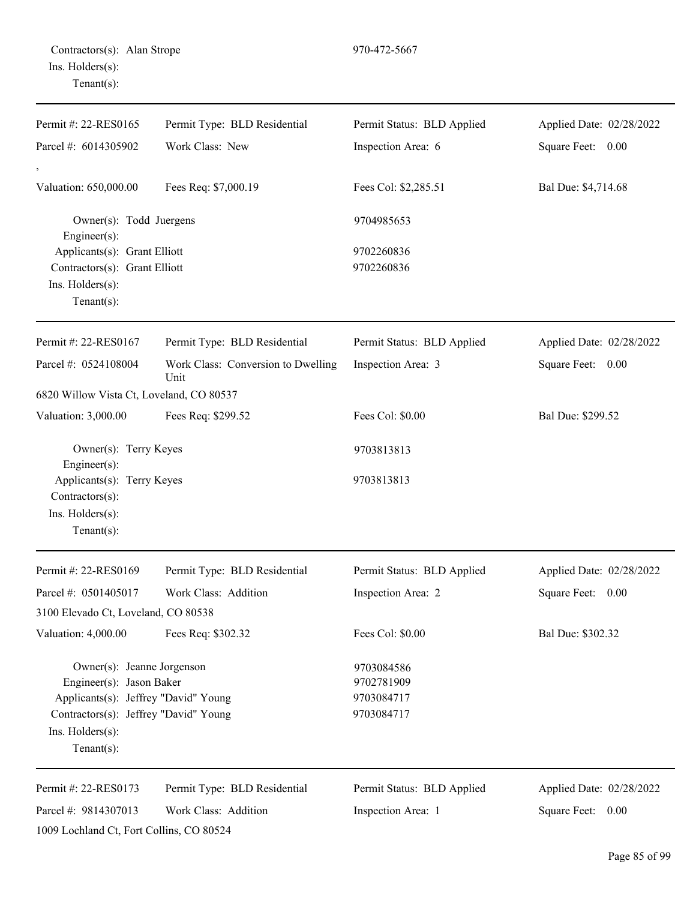| Permit #: 22-RES0165                                                              | Permit Type: BLD Residential               | Permit Status: BLD Applied | Applied Date: 02/28/2022 |
|-----------------------------------------------------------------------------------|--------------------------------------------|----------------------------|--------------------------|
|                                                                                   |                                            |                            |                          |
| Parcel #: 6014305902                                                              | Work Class: New                            | Inspection Area: 6         | Square Feet: 0.00        |
| Valuation: 650,000.00                                                             | Fees Req: \$7,000.19                       | Fees Col: \$2,285.51       | Bal Due: \$4,714.68      |
| Owner(s): Todd Juergens<br>Engineer(s):                                           |                                            | 9704985653                 |                          |
| Applicants(s): Grant Elliott                                                      |                                            | 9702260836                 |                          |
| Contractors(s): Grant Elliott                                                     |                                            | 9702260836                 |                          |
| Ins. Holders(s):<br>Tenant $(s)$ :                                                |                                            |                            |                          |
| Permit #: 22-RES0167                                                              | Permit Type: BLD Residential               | Permit Status: BLD Applied | Applied Date: 02/28/2022 |
| Parcel #: 0524108004                                                              | Work Class: Conversion to Dwelling<br>Unit | Inspection Area: 3         | Square Feet: 0.00        |
| 6820 Willow Vista Ct, Loveland, CO 80537                                          |                                            |                            |                          |
| Valuation: 3,000.00                                                               | Fees Req: \$299.52                         | Fees Col: \$0.00           | Bal Due: \$299.52        |
| Owner(s): Terry Keyes                                                             |                                            | 9703813813                 |                          |
| Engineer(s):<br>Applicants(s): Terry Keyes<br>Contractors(s):<br>Ins. Holders(s): |                                            | 9703813813                 |                          |
| $Tenant(s)$ :                                                                     |                                            |                            |                          |
| Permit #: 22-RES0169                                                              | Permit Type: BLD Residential               | Permit Status: BLD Applied | Applied Date: 02/28/2022 |
| Parcel #: 0501405017                                                              | Work Class: Addition                       | Inspection Area: 2         | Square Feet:<br>0.00     |
| 3100 Elevado Ct, Loveland, CO 80538                                               |                                            |                            |                          |
| Valuation: 4,000.00                                                               | Fees Req: \$302.32                         | Fees Col: \$0.00           | Bal Due: \$302.32        |
| Owner(s): Jeanne Jorgenson                                                        |                                            | 9703084586                 |                          |
| Engineer(s): Jason Baker                                                          |                                            | 9702781909                 |                          |
| Applicants(s): Jeffrey "David" Young                                              |                                            | 9703084717                 |                          |
| Contractors(s): Jeffrey "David" Young<br>Ins. Holders(s):<br>Tenant $(s)$ :       |                                            | 9703084717                 |                          |
| Permit #: 22-RES0173                                                              | Permit Type: BLD Residential               | Permit Status: BLD Applied | Applied Date: 02/28/2022 |
| Parcel #: 9814307013                                                              | Work Class: Addition                       | Inspection Area: 1         | Square Feet: 0.00        |
| 1009 Lochland Ct, Fort Collins, CO 80524                                          |                                            |                            |                          |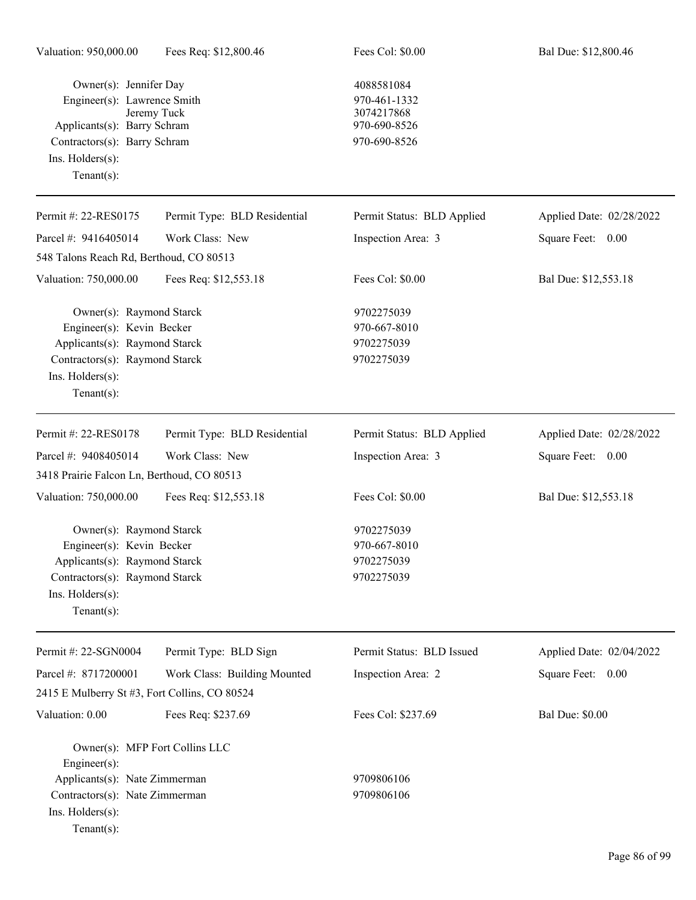| Owner(s): Jennifer Day<br>Engineer(s): Lawrence Smith<br>Applicants(s): Barry Schram<br>Contractors(s): Barry Schram<br>Ins. $H$ olders $(s)$ :<br>Tenant $(s)$ :     | Jeremy Tuck                  | 4088581084<br>970-461-1332<br>3074217868<br>970-690-8526<br>970-690-8526 |                          |
|-----------------------------------------------------------------------------------------------------------------------------------------------------------------------|------------------------------|--------------------------------------------------------------------------|--------------------------|
| Permit #: 22-RES0175                                                                                                                                                  | Permit Type: BLD Residential | Permit Status: BLD Applied                                               | Applied Date: 02/28/2022 |
| Parcel #: 9416405014                                                                                                                                                  | Work Class: New              | Inspection Area: 3                                                       | Square Feet: 0.00        |
| 548 Talons Reach Rd, Berthoud, CO 80513                                                                                                                               |                              |                                                                          |                          |
| Valuation: 750,000.00                                                                                                                                                 | Fees Req: \$12,553.18        | Fees Col: \$0.00                                                         | Bal Due: \$12,553.18     |
| Owner(s): Raymond Starck<br>Engineer(s): Kevin Becker<br>Applicants(s): Raymond Starck<br>Contractors(s): Raymond Starck<br>Ins. $H$ olders $(s)$ :<br>Tenant $(s)$ : |                              | 9702275039<br>970-667-8010<br>9702275039<br>9702275039                   |                          |
| Permit #: 22-RES0178                                                                                                                                                  | Permit Type: BLD Residential | Permit Status: BLD Applied                                               | Applied Date: 02/28/2022 |
| Parcel #: 9408405014                                                                                                                                                  | Work Class: New              | Inspection Area: 3                                                       | Square Feet: 0.00        |
| 3418 Prairie Falcon Ln, Berthoud, CO 80513                                                                                                                            |                              |                                                                          |                          |
| Valuation: 750,000.00                                                                                                                                                 | Fees Req: \$12,553.18        | Fees Col: \$0.00                                                         | Bal Due: \$12,553.18     |
| Owner(s): Raymond Starck<br>Engineer(s): Kevin Becker<br>Applicants(s): Raymond Starck<br>Contractors(s): Raymond Starck<br>Ins. Holders(s):<br>Tenant $(s)$ :        |                              | 9702275039<br>970-667-8010<br>9702275039<br>9702275039                   |                          |
| Permit #: 22-SGN0004                                                                                                                                                  | Permit Type: BLD Sign        | Permit Status: BLD Issued                                                | Applied Date: 02/04/2022 |
| Parcel #: 8717200001                                                                                                                                                  | Work Class: Building Mounted | Inspection Area: 2                                                       | Square Feet: 0.00        |
| 2415 E Mulberry St #3, Fort Collins, CO 80524                                                                                                                         |                              |                                                                          |                          |
| Valuation: 0.00                                                                                                                                                       | Fees Req: \$237.69           | Fees Col: \$237.69                                                       | <b>Bal Due: \$0.00</b>   |
| Owner(s): MFP Fort Collins LLC<br>$Engineering(s)$ :<br>Applicants(s): Nate Zimmerman<br>Contractors(s): Nate Zimmerman<br>Ins. Holders(s):<br>Tenant $(s)$ :         |                              | 9709806106<br>9709806106                                                 |                          |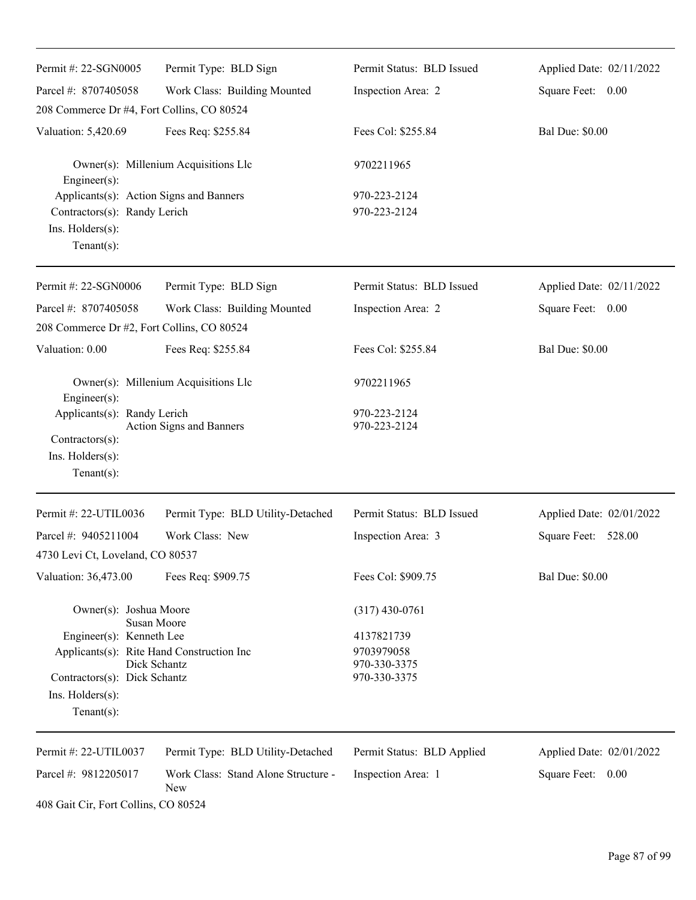| Permit #: 22-SGN0005                                                                                                                                        | Permit Type: BLD Sign                      | Permit Status: BLD Issued                                | Applied Date: 02/11/2022 |
|-------------------------------------------------------------------------------------------------------------------------------------------------------------|--------------------------------------------|----------------------------------------------------------|--------------------------|
| Parcel #: 8707405058                                                                                                                                        | Work Class: Building Mounted               | Inspection Area: 2                                       | Square Feet: 0.00        |
| 208 Commerce Dr #4, Fort Collins, CO 80524                                                                                                                  |                                            |                                                          |                          |
| Valuation: 5,420.69                                                                                                                                         | Fees Req: \$255.84                         | Fees Col: \$255.84                                       | <b>Bal Due: \$0.00</b>   |
| Engineer(s):                                                                                                                                                | Owner(s): Millenium Acquisitions Llc       | 9702211965                                               |                          |
| Applicants(s): Action Signs and Banners<br>Contractors(s): Randy Lerich<br>Ins. Holders(s):<br>Tenant $(s)$ :                                               |                                            | 970-223-2124<br>970-223-2124                             |                          |
| Permit #: 22-SGN0006                                                                                                                                        | Permit Type: BLD Sign                      | Permit Status: BLD Issued                                | Applied Date: 02/11/2022 |
| Parcel #: 8707405058<br>208 Commerce Dr #2, Fort Collins, CO 80524                                                                                          | Work Class: Building Mounted               | Inspection Area: 2                                       | Square Feet: 0.00        |
| Valuation: 0.00                                                                                                                                             | Fees Req: \$255.84                         | Fees Col: \$255.84                                       | <b>Bal Due: \$0.00</b>   |
| Engineer(s):                                                                                                                                                | Owner(s): Millenium Acquisitions Llc       | 9702211965                                               |                          |
| Applicants(s): Randy Lerich<br>Contractors(s):<br>Ins. Holders(s):<br>Tenant $(s)$ :                                                                        | Action Signs and Banners                   | 970-223-2124<br>970-223-2124                             |                          |
| Permit #: 22-UTIL0036                                                                                                                                       | Permit Type: BLD Utility-Detached          | Permit Status: BLD Issued                                | Applied Date: 02/01/2022 |
| Parcel #: 9405211004<br>4730 Levi Ct, Loveland, CO 80537                                                                                                    | Work Class: New                            | Inspection Area: 3                                       | Square Feet: 528.00      |
| Valuation: 36,473.00                                                                                                                                        | Fees Req: \$909.75                         | Fees Col: \$909.75                                       | <b>Bal Due: \$0.00</b>   |
| Owner(s): Joshua Moore<br><b>Susan Moore</b>                                                                                                                |                                            | $(317)$ 430-0761                                         |                          |
| Engineer(s): Kenneth Lee<br>Applicants(s): Rite Hand Construction Inc<br>Dick Schantz<br>Contractors(s): Dick Schantz<br>Ins. Holders(s):<br>Tenant $(s)$ : |                                            | 4137821739<br>9703979058<br>970-330-3375<br>970-330-3375 |                          |
| Permit #: 22-UTIL0037                                                                                                                                       | Permit Type: BLD Utility-Detached          | Permit Status: BLD Applied                               | Applied Date: 02/01/2022 |
| Parcel #: 9812205017                                                                                                                                        | Work Class: Stand Alone Structure -<br>New | Inspection Area: 1                                       | Square Feet: 0.00        |

408 Gait Cir, Fort Collins, CO 80524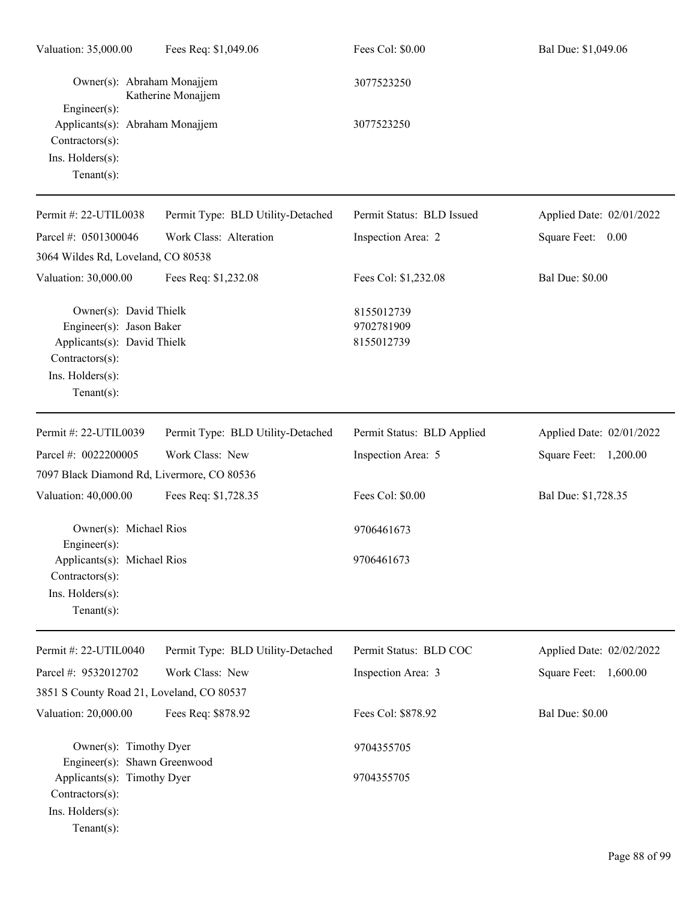| Valuation: 35,000.00                                                                                                                       | Fees Req: \$1,049.06              | Fees Col: \$0.00                       | Bal Due: \$1,049.06      |
|--------------------------------------------------------------------------------------------------------------------------------------------|-----------------------------------|----------------------------------------|--------------------------|
| Owner(s): Abraham Monajjem<br>Engineer(s):                                                                                                 | Katherine Monajjem                | 3077523250                             |                          |
| Applicants(s): Abraham Monajjem<br>Contractors(s):<br>Ins. Holders(s):<br>Tenant $(s)$ :                                                   |                                   | 3077523250                             |                          |
| Permit #: 22-UTIL0038                                                                                                                      | Permit Type: BLD Utility-Detached | Permit Status: BLD Issued              | Applied Date: 02/01/2022 |
| Parcel #: 0501300046                                                                                                                       | Work Class: Alteration            | Inspection Area: 2                     | Square Feet: 0.00        |
| 3064 Wildes Rd, Loveland, CO 80538                                                                                                         |                                   |                                        |                          |
| Valuation: 30,000.00                                                                                                                       | Fees Req: \$1,232.08              | Fees Col: \$1,232.08                   | <b>Bal Due: \$0.00</b>   |
| Owner(s): David Thielk<br>Engineer(s): Jason Baker<br>Applicants(s): David Thielk<br>Contractors(s):<br>Ins. Holders(s):<br>Tenant $(s)$ : |                                   | 8155012739<br>9702781909<br>8155012739 |                          |
| Permit #: 22-UTIL0039                                                                                                                      | Permit Type: BLD Utility-Detached | Permit Status: BLD Applied             | Applied Date: 02/01/2022 |
| Parcel #: 0022200005                                                                                                                       | Work Class: New                   | Inspection Area: 5                     | Square Feet: 1,200.00    |
| 7097 Black Diamond Rd, Livermore, CO 80536                                                                                                 |                                   |                                        |                          |
| Valuation: 40,000.00                                                                                                                       | Fees Req: \$1,728.35              | Fees Col: \$0.00                       | Bal Due: \$1,728.35      |
| Owner(s): Michael Rios                                                                                                                     |                                   | 9706461673                             |                          |
| $Engineering(s)$ :<br>Applicants(s): Michael Rios<br>Contractors(s):<br>Ins. Holders(s):<br>Tenant $(s)$ :                                 |                                   | 9706461673                             |                          |
| Permit #: 22-UTIL0040                                                                                                                      | Permit Type: BLD Utility-Detached | Permit Status: BLD COC                 | Applied Date: 02/02/2022 |
| Parcel #: 9532012702                                                                                                                       | Work Class: New                   | Inspection Area: 3                     | Square Feet: 1,600.00    |
| 3851 S County Road 21, Loveland, CO 80537                                                                                                  |                                   |                                        |                          |
| Valuation: 20,000.00                                                                                                                       | Fees Req: \$878.92                | Fees Col: \$878.92                     | <b>Bal Due: \$0.00</b>   |
| Owner(s): Timothy Dyer<br>Engineer(s): Shawn Greenwood                                                                                     |                                   | 9704355705                             |                          |
| Applicants(s): Timothy Dyer<br>Contractors(s):<br>Ins. Holders(s):<br>Tenant $(s)$ :                                                       |                                   | 9704355705                             |                          |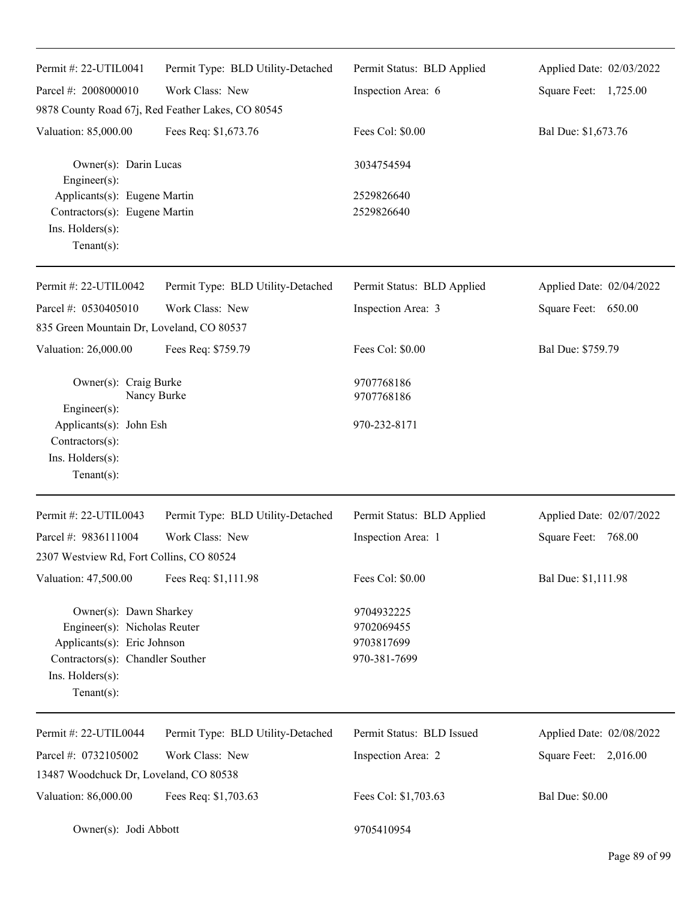| Permit #: 22-UTIL0041                                                                                                                                           | Permit Type: BLD Utility-Detached                 | Permit Status: BLD Applied                             | Applied Date: 02/03/2022 |
|-----------------------------------------------------------------------------------------------------------------------------------------------------------------|---------------------------------------------------|--------------------------------------------------------|--------------------------|
| Parcel #: 2008000010                                                                                                                                            | Work Class: New                                   | Inspection Area: 6                                     | Square Feet: 1,725.00    |
|                                                                                                                                                                 | 9878 County Road 67j, Red Feather Lakes, CO 80545 |                                                        |                          |
| Valuation: 85,000.00                                                                                                                                            | Fees Req: \$1,673.76                              | Fees Col: \$0.00                                       | Bal Due: \$1,673.76      |
| Owner(s): Darin Lucas<br>$Engineering(s)$ :                                                                                                                     |                                                   | 3034754594                                             |                          |
| Applicants(s): Eugene Martin<br>Contractors(s): Eugene Martin<br>Ins. Holders(s):<br>Tenant $(s)$ :                                                             |                                                   | 2529826640<br>2529826640                               |                          |
| Permit #: 22-UTIL0042                                                                                                                                           | Permit Type: BLD Utility-Detached                 | Permit Status: BLD Applied                             | Applied Date: 02/04/2022 |
| Parcel #: 0530405010                                                                                                                                            | Work Class: New                                   | Inspection Area: 3                                     | Square Feet: 650.00      |
| 835 Green Mountain Dr, Loveland, CO 80537                                                                                                                       |                                                   |                                                        |                          |
| Valuation: 26,000.00                                                                                                                                            | Fees Req: \$759.79                                | Fees Col: \$0.00                                       | Bal Due: \$759.79        |
| Owner(s): Craig Burke<br>Nancy Burke<br>Engineer(s):                                                                                                            |                                                   | 9707768186<br>9707768186                               |                          |
| Applicants(s): John Esh<br>Contractors(s):<br>Ins. Holders(s):<br>Tenant $(s)$ :                                                                                |                                                   | 970-232-8171                                           |                          |
| Permit #: 22-UTIL0043                                                                                                                                           | Permit Type: BLD Utility-Detached                 | Permit Status: BLD Applied                             | Applied Date: 02/07/2022 |
| Parcel #: 9836111004                                                                                                                                            | Work Class: New                                   | Inspection Area: 1                                     | Square Feet:<br>768.00   |
| 2307 Westview Rd, Fort Collins, CO 80524                                                                                                                        |                                                   |                                                        |                          |
| Valuation: 47,500.00                                                                                                                                            | Fees Req: \$1,111.98                              | Fees Col: \$0.00                                       | Bal Due: \$1,111.98      |
| Owner(s): Dawn Sharkey<br>Engineer(s): Nicholas Reuter<br>Applicants(s): Eric Johnson<br>Contractors(s): Chandler Souther<br>Ins. Holders(s):<br>Tenant $(s)$ : |                                                   | 9704932225<br>9702069455<br>9703817699<br>970-381-7699 |                          |
| Permit #: 22-UTIL0044                                                                                                                                           | Permit Type: BLD Utility-Detached                 | Permit Status: BLD Issued                              | Applied Date: 02/08/2022 |
| Parcel #: 0732105002                                                                                                                                            | Work Class: New                                   | Inspection Area: 2                                     | Square Feet: 2,016.00    |
| 13487 Woodchuck Dr, Loveland, CO 80538                                                                                                                          |                                                   |                                                        |                          |
| Valuation: 86,000.00                                                                                                                                            | Fees Req: \$1,703.63                              | Fees Col: \$1,703.63                                   | <b>Bal Due: \$0.00</b>   |
| Owner(s): Jodi Abbott                                                                                                                                           |                                                   | 9705410954                                             |                          |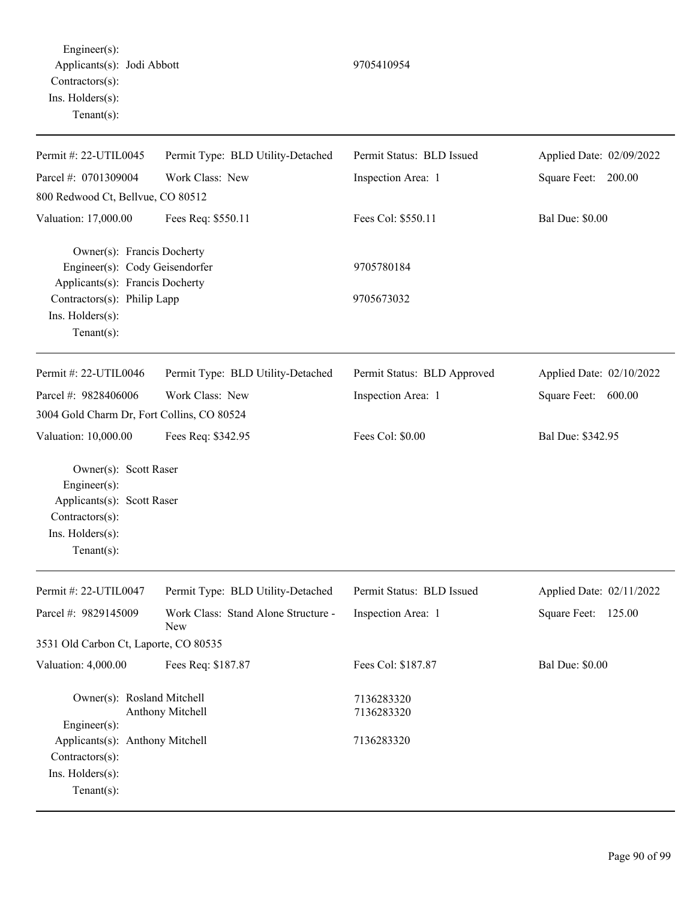Engineer(s): Applicants(s): Jodi Abbott 9705410954 Contractors(s): Ins. Holders(s): Tenant(s):

| Permit #: 22-UTIL0045                                                                                                                                               | Permit Type: BLD Utility-Detached          | Permit Status: BLD Issued   | Applied Date: 02/09/2022 |
|---------------------------------------------------------------------------------------------------------------------------------------------------------------------|--------------------------------------------|-----------------------------|--------------------------|
| Parcel #: 0701309004                                                                                                                                                | Work Class: New                            | Inspection Area: 1          | Square Feet: 200.00      |
| 800 Redwood Ct, Bellvue, CO 80512                                                                                                                                   |                                            |                             |                          |
| Valuation: 17,000.00                                                                                                                                                | Fees Req: \$550.11                         | Fees Col: \$550.11          | <b>Bal Due: \$0.00</b>   |
| Owner(s): Francis Docherty<br>Engineer(s): Cody Geisendorfer<br>Applicants(s): Francis Docherty<br>Contractors(s): Philip Lapp<br>Ins. Holders(s):<br>$Tenant(s)$ : |                                            | 9705780184<br>9705673032    |                          |
| Permit #: 22-UTIL0046                                                                                                                                               | Permit Type: BLD Utility-Detached          | Permit Status: BLD Approved | Applied Date: 02/10/2022 |
| Parcel #: 9828406006                                                                                                                                                | Work Class: New                            | Inspection Area: 1          | Square Feet: 600.00      |
| 3004 Gold Charm Dr, Fort Collins, CO 80524                                                                                                                          |                                            |                             |                          |
| Valuation: 10,000.00                                                                                                                                                | Fees Req: \$342.95                         | Fees Col: \$0.00            | Bal Due: \$342.95        |
| Owner(s): Scott Raser<br>Engineer(s):<br>Applicants(s): Scott Raser<br>Contractors(s):<br>Ins. Holders(s):<br>$Tenant(s)$ :                                         |                                            |                             |                          |
| Permit #: 22-UTIL0047                                                                                                                                               | Permit Type: BLD Utility-Detached          | Permit Status: BLD Issued   | Applied Date: 02/11/2022 |
| Parcel #: 9829145009                                                                                                                                                | Work Class: Stand Alone Structure -<br>New | Inspection Area: 1          | Square Feet: 125.00      |
| 3531 Old Carbon Ct, Laporte, CO 80535                                                                                                                               |                                            |                             |                          |
| Valuation: 4,000.00                                                                                                                                                 | Fees Req: \$187.87                         | Fees Col: \$187.87          | <b>Bal Due: \$0.00</b>   |
| Owner(s): Rosland Mitchell<br>Engineer(s):                                                                                                                          | Anthony Mitchell                           | 7136283320<br>7136283320    |                          |
| Applicants(s): Anthony Mitchell<br>Contractors(s):<br>Ins. Holders(s):<br>$Tenant(s)$ :                                                                             |                                            | 7136283320                  |                          |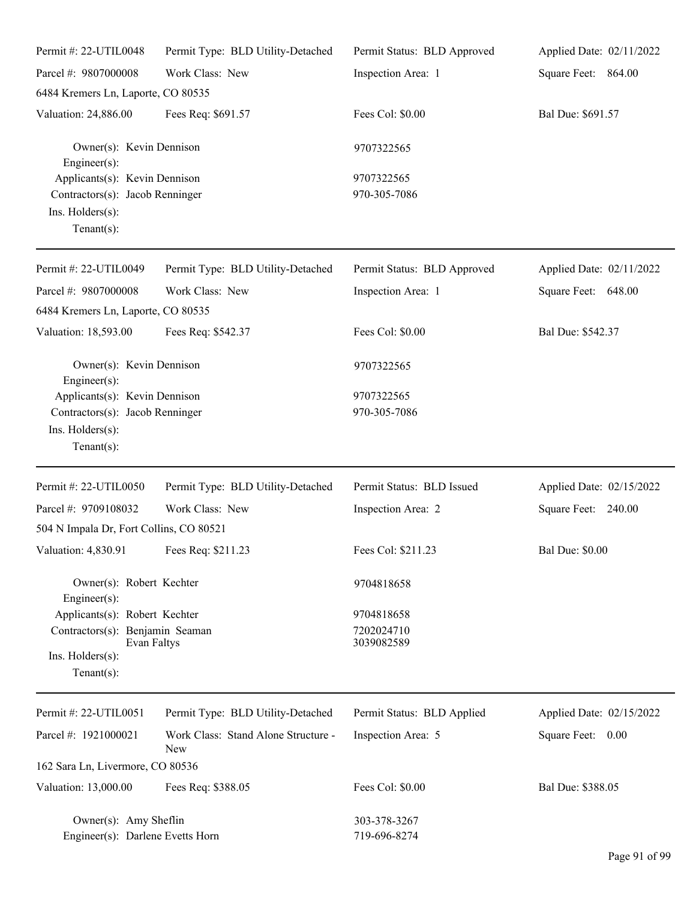| Permit #: 22-UTIL0048                                                                                                 | Permit Type: BLD Utility-Detached                 | Permit Status: BLD Approved            | Applied Date: 02/11/2022 |
|-----------------------------------------------------------------------------------------------------------------------|---------------------------------------------------|----------------------------------------|--------------------------|
| Parcel #: 9807000008                                                                                                  | Work Class: New                                   | Inspection Area: 1                     | Square Feet: 864.00      |
| 6484 Kremers Ln, Laporte, CO 80535                                                                                    |                                                   |                                        |                          |
| Valuation: 24,886.00                                                                                                  | Fees Req: \$691.57                                | Fees Col: \$0.00                       | Bal Due: \$691.57        |
| Owner(s): Kevin Dennison<br>Engineer(s):                                                                              |                                                   | 9707322565                             |                          |
| Applicants(s): Kevin Dennison<br>Contractors(s): Jacob Renninger<br>Ins. Holders(s):<br>Tenant $(s)$ :                |                                                   | 9707322565<br>970-305-7086             |                          |
| Permit #: 22-UTIL0049                                                                                                 | Permit Type: BLD Utility-Detached                 | Permit Status: BLD Approved            | Applied Date: 02/11/2022 |
| Parcel #: 9807000008                                                                                                  | Work Class: New                                   | Inspection Area: 1                     | Square Feet: 648.00      |
| 6484 Kremers Ln, Laporte, CO 80535                                                                                    |                                                   |                                        |                          |
| Valuation: 18,593.00                                                                                                  | Fees Req: \$542.37                                | Fees Col: \$0.00                       | Bal Due: \$542.37        |
| Owner(s): Kevin Dennison<br>Engineer(s):                                                                              |                                                   | 9707322565                             |                          |
| Applicants(s): Kevin Dennison<br>Contractors(s): Jacob Renninger<br>Ins. Holders(s):<br>Tenant $(s)$ :                |                                                   | 9707322565<br>970-305-7086             |                          |
| Permit #: 22-UTIL0050                                                                                                 | Permit Type: BLD Utility-Detached                 | Permit Status: BLD Issued              | Applied Date: 02/15/2022 |
| Parcel #: 9709108032                                                                                                  | Work Class: New                                   | Inspection Area: 2                     | Square Feet: 240.00      |
| 504 N Impala Dr, Fort Collins, CO 80521                                                                               |                                                   |                                        |                          |
| Valuation: 4,830.91 Fees Req: \$211.23                                                                                |                                                   | Fees Col: \$211.23                     | <b>Bal Due: \$0.00</b>   |
| Owner(s): Robert Kechter<br>Engineer(s):                                                                              |                                                   | 9704818658                             |                          |
| Applicants(s): Robert Kechter<br>Contractors(s): Benjamin Seaman<br>Evan Faltys<br>Ins. Holders(s):<br>Tenant $(s)$ : |                                                   | 9704818658<br>7202024710<br>3039082589 |                          |
| Permit #: 22-UTIL0051                                                                                                 | Permit Type: BLD Utility-Detached                 | Permit Status: BLD Applied             | Applied Date: 02/15/2022 |
| Parcel #: 1921000021                                                                                                  | Work Class: Stand Alone Structure -<br><b>New</b> | Inspection Area: 5                     | Square Feet: 0.00        |
| 162 Sara Ln, Livermore, CO 80536                                                                                      |                                                   |                                        |                          |
| Valuation: 13,000.00                                                                                                  | Fees Req: \$388.05                                | Fees Col: \$0.00                       | Bal Due: \$388.05        |
| Owner(s): Amy Sheflin<br>Engineer(s): Darlene Evetts Horn                                                             |                                                   | 303-378-3267<br>719-696-8274           |                          |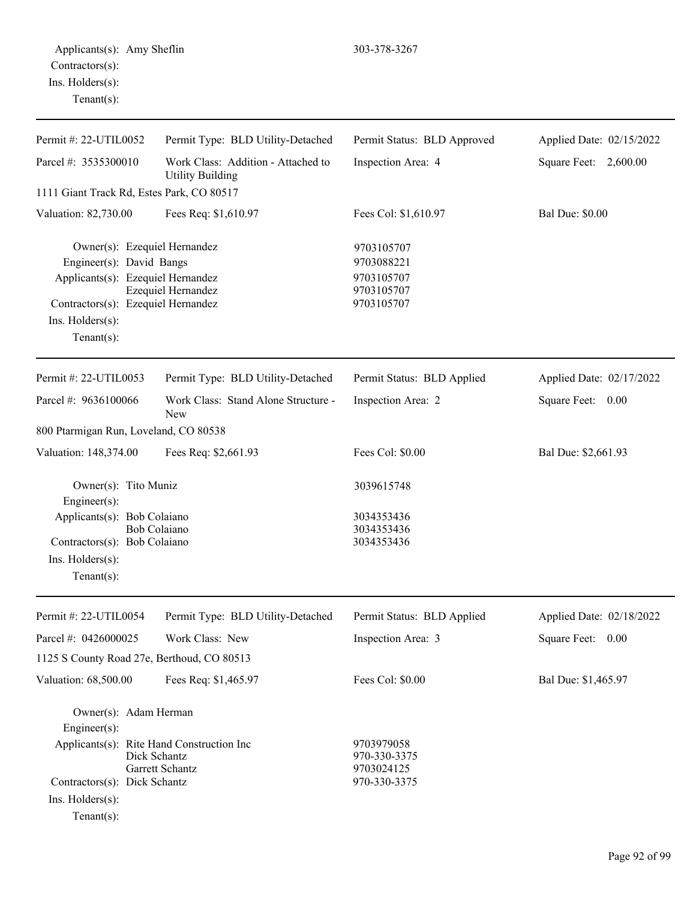| Permit #: 22-UTIL0052                                                                                                                                                           | Permit Type: BLD Utility-Detached                             | Permit Status: BLD Approved                                        | Applied Date: 02/15/2022 |
|---------------------------------------------------------------------------------------------------------------------------------------------------------------------------------|---------------------------------------------------------------|--------------------------------------------------------------------|--------------------------|
| Parcel #: 3535300010                                                                                                                                                            | Work Class: Addition - Attached to<br><b>Utility Building</b> | Inspection Area: 4                                                 | Square Feet: 2,600.00    |
| 1111 Giant Track Rd, Estes Park, CO 80517                                                                                                                                       |                                                               |                                                                    |                          |
| Valuation: 82,730.00                                                                                                                                                            | Fees Req: \$1,610.97                                          | Fees Col: \$1,610.97                                               | <b>Bal Due: \$0.00</b>   |
| Owner(s): Ezequiel Hernandez<br>Engineer(s): David Bangs<br>Applicants(s): Ezequiel Hernandez<br>Contractors(s): Ezequiel Hernandez<br>$Ins.$ Holders $(s)$ :<br>Tenant $(s)$ : | Ezequiel Hernandez                                            | 9703105707<br>9703088221<br>9703105707<br>9703105707<br>9703105707 |                          |
| Permit #: 22-UTIL0053                                                                                                                                                           | Permit Type: BLD Utility-Detached                             | Permit Status: BLD Applied                                         | Applied Date: 02/17/2022 |
| Parcel #: 9636100066                                                                                                                                                            | Work Class: Stand Alone Structure -<br>New                    | Inspection Area: 2                                                 | Square Feet:<br>0.00     |
| 800 Ptarmigan Run, Loveland, CO 80538                                                                                                                                           |                                                               |                                                                    |                          |
| Valuation: 148,374.00                                                                                                                                                           | Fees Req: \$2,661.93                                          | Fees Col: \$0.00                                                   | Bal Due: \$2,661.93      |
| Owner(s): Tito Muniz<br>Engineer(s):                                                                                                                                            |                                                               | 3039615748                                                         |                          |
| Applicants(s): Bob Colaiano<br>Contractors(s): Bob Colaiano<br>Ins. Holders(s):<br>Tenant $(s)$ :                                                                               | <b>Bob Colaiano</b>                                           | 3034353436<br>3034353436<br>3034353436                             |                          |
| Permit #: 22-UTIL0054                                                                                                                                                           | Permit Type: BLD Utility-Detached                             | Permit Status: BLD Applied                                         | Applied Date: 02/18/2022 |
| Parcel #: 0426000025                                                                                                                                                            | Work Class: New                                               | Inspection Area: 3                                                 | Square Feet: 0.00        |
| 1125 S County Road 27e, Berthoud, CO 80513                                                                                                                                      |                                                               |                                                                    |                          |
| Valuation: 68,500.00                                                                                                                                                            | Fees Req: \$1,465.97                                          | Fees Col: \$0.00                                                   | Bal Due: \$1,465.97      |
| Owner(s): Adam Herman<br>$Engineering(s)$ :<br>Applicants(s): Rite Hand Construction Inc                                                                                        |                                                               | 9703979058                                                         |                          |
|                                                                                                                                                                                 | Dick Schantz<br>$\overline{u}$ $\overline{c}$ $\overline{c}$  | 970-330-3375<br>0702024125                                         |                          |

Garrett Schantz<br>Dick Schantz<br>970-330-3375<br>970-330-3375

Ins. Holders(s):

Tenant(s):

Contractors(s): Dick Schantz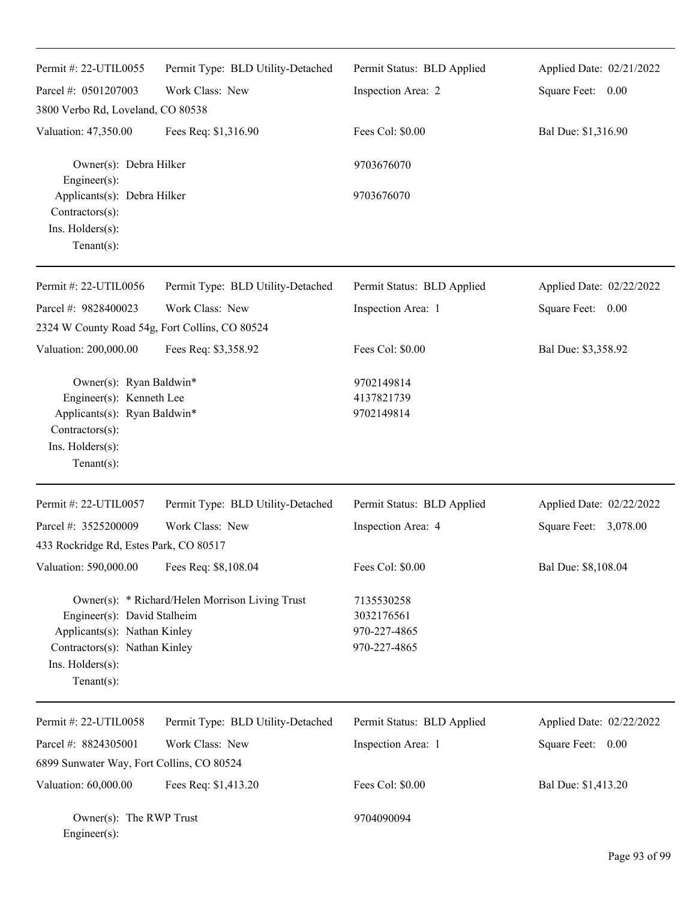| Permit #: 22-UTIL0055                                                                                                                       | Permit Type: BLD Utility-Detached               | Permit Status: BLD Applied                               | Applied Date: 02/21/2022 |
|---------------------------------------------------------------------------------------------------------------------------------------------|-------------------------------------------------|----------------------------------------------------------|--------------------------|
| Parcel #: 0501207003                                                                                                                        | Work Class: New                                 | Inspection Area: 2                                       | Square Feet: 0.00        |
| 3800 Verbo Rd, Loveland, CO 80538                                                                                                           |                                                 |                                                          |                          |
| Valuation: 47,350.00                                                                                                                        | Fees Req: \$1,316.90                            | Fees Col: \$0.00                                         | Bal Due: \$1,316.90      |
| Owner(s): Debra Hilker<br>Engineer(s):                                                                                                      |                                                 | 9703676070                                               |                          |
| Applicants(s): Debra Hilker<br>Contractors(s):<br>Ins. Holders(s):<br>$Tenant(s)$ :                                                         |                                                 | 9703676070                                               |                          |
| Permit #: 22-UTIL0056                                                                                                                       | Permit Type: BLD Utility-Detached               | Permit Status: BLD Applied                               | Applied Date: 02/22/2022 |
| Parcel #: 9828400023                                                                                                                        | Work Class: New                                 | Inspection Area: 1                                       | Square Feet: 0.00        |
| 2324 W County Road 54g, Fort Collins, CO 80524                                                                                              |                                                 |                                                          |                          |
| Valuation: 200,000.00                                                                                                                       | Fees Req: \$3,358.92                            | Fees Col: \$0.00                                         | Bal Due: \$3,358.92      |
| Owner(s): Ryan Baldwin*<br>Engineer(s): Kenneth Lee<br>Applicants(s): Ryan Baldwin*<br>Contractors(s):<br>Ins. Holders(s):<br>$Tenant(s)$ : |                                                 | 9702149814<br>4137821739<br>9702149814                   |                          |
| Permit #: 22-UTIL0057                                                                                                                       | Permit Type: BLD Utility-Detached               | Permit Status: BLD Applied                               | Applied Date: 02/22/2022 |
| Parcel #: 3525200009                                                                                                                        | Work Class: New                                 | Inspection Area: 4                                       | Square Feet: 3,078.00    |
| 433 Rockridge Rd, Estes Park, CO 80517                                                                                                      |                                                 |                                                          |                          |
| Valuation: 590,000.00                                                                                                                       | Fees Req: \$8,108.04                            | Fees Col: \$0.00                                         | Bal Due: \$8,108.04      |
| Engineer(s): David Stalheim<br>Applicants(s): Nathan Kinley<br>Contractors(s): Nathan Kinley<br>Ins. Holders(s):<br>$Tenant(s)$ :           | Owner(s): * Richard/Helen Morrison Living Trust | 7135530258<br>3032176561<br>970-227-4865<br>970-227-4865 |                          |
| Permit #: 22-UTIL0058                                                                                                                       | Permit Type: BLD Utility-Detached               | Permit Status: BLD Applied                               | Applied Date: 02/22/2022 |
| Parcel #: 8824305001                                                                                                                        | Work Class: New                                 | Inspection Area: 1                                       | Square Feet: 0.00        |
| 6899 Sunwater Way, Fort Collins, CO 80524                                                                                                   |                                                 |                                                          |                          |
| Valuation: 60,000.00                                                                                                                        | Fees Req: \$1,413.20                            | Fees Col: \$0.00                                         | Bal Due: \$1,413.20      |
| Owner(s): The RWP Trust<br>Engineer(s):                                                                                                     |                                                 | 9704090094                                               |                          |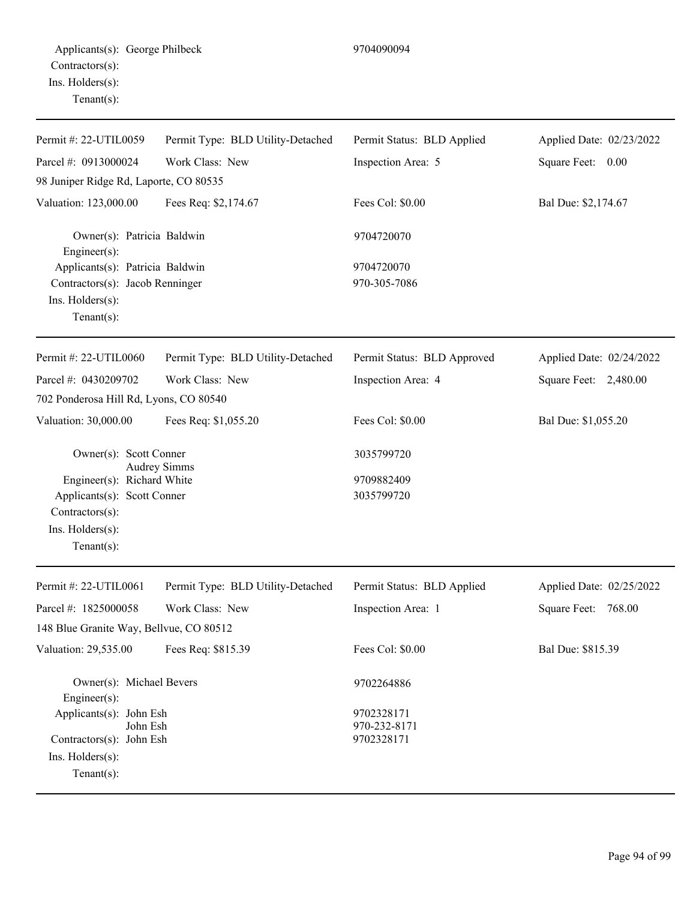| Permit #: 22-UTIL0059                          | Permit Type: BLD Utility-Detached | Permit Status: BLD Applied  | Applied Date: 02/23/2022 |
|------------------------------------------------|-----------------------------------|-----------------------------|--------------------------|
| Parcel #: 0913000024                           | Work Class: New                   | Inspection Area: 5          | Square Feet: 0.00        |
| 98 Juniper Ridge Rd, Laporte, CO 80535         |                                   |                             |                          |
| Valuation: 123,000.00                          | Fees Req: \$2,174.67              | Fees Col: \$0.00            | Bal Due: \$2,174.67      |
| Owner(s): Patricia Baldwin<br>Engineer(s):     |                                   | 9704720070                  |                          |
| Applicants(s): Patricia Baldwin                |                                   | 9704720070                  |                          |
| Contractors(s): Jacob Renninger                |                                   | 970-305-7086                |                          |
| Ins. Holders(s):<br>$Tenant(s)$ :              |                                   |                             |                          |
| Permit #: 22-UTIL0060                          | Permit Type: BLD Utility-Detached | Permit Status: BLD Approved | Applied Date: 02/24/2022 |
| Parcel #: 0430209702                           | Work Class: New                   | Inspection Area: 4          | Square Feet: 2,480.00    |
| 702 Ponderosa Hill Rd, Lyons, CO 80540         |                                   |                             |                          |
| Valuation: 30,000.00                           | Fees Req: \$1,055.20              | Fees Col: \$0.00            | Bal Due: \$1,055.20      |
| Owner(s): Scott Conner                         | <b>Audrey Simms</b>               | 3035799720                  |                          |
| Engineer(s): Richard White                     |                                   | 9709882409                  |                          |
| Applicants(s): Scott Conner<br>Contractors(s): |                                   | 3035799720                  |                          |
| Ins. Holders(s):                               |                                   |                             |                          |
| $Tenant(s)$ :                                  |                                   |                             |                          |
| Permit #: 22-UTIL0061                          | Permit Type: BLD Utility-Detached | Permit Status: BLD Applied  | Applied Date: 02/25/2022 |
| Parcel #: 1825000058                           | Work Class: New                   | Inspection Area: 1          | 768.00<br>Square Feet:   |
| 148 Blue Granite Way, Bellvue, CO 80512        |                                   |                             |                          |
| Valuation: 29,535.00                           | Fees Req: \$815.39                | Fees Col: \$0.00            | Bal Due: \$815.39        |
| Owner(s): Michael Bevers<br>Engineer(s):       |                                   | 9702264886                  |                          |
| Applicants(s): John Esh                        |                                   | 9702328171                  |                          |
| John Esh<br>Contractors(s): John Esh           |                                   | 970-232-8171<br>9702328171  |                          |
| Ins. Holders(s):                               |                                   |                             |                          |
| $Tenant(s)$ :                                  |                                   |                             |                          |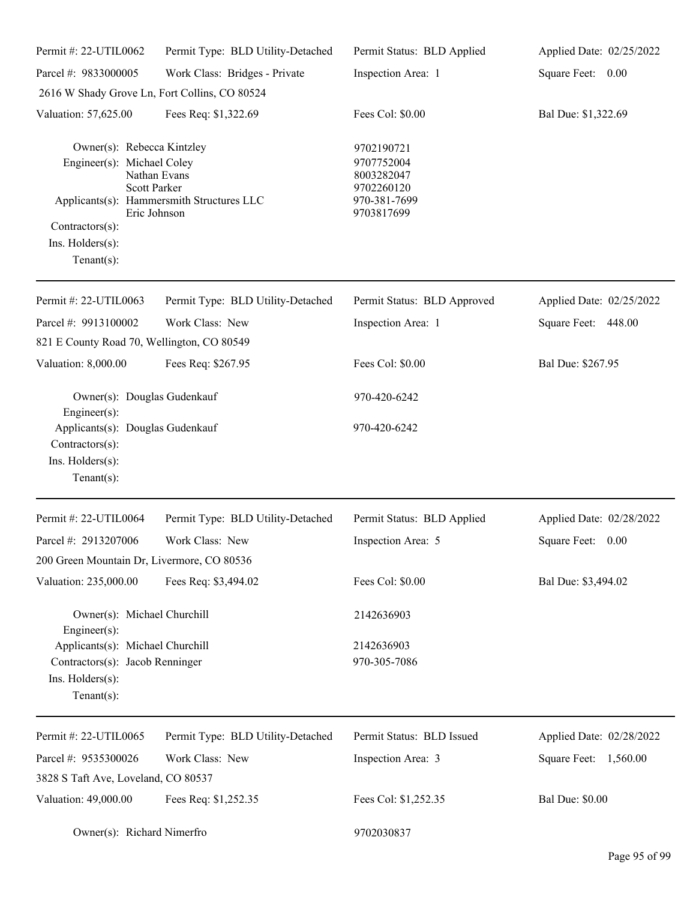| Permit #: 22-UTIL0062                                                                                                                    | Permit Type: BLD Utility-Detached                                         | Permit Status: BLD Applied                                                         | Applied Date: 02/25/2022 |
|------------------------------------------------------------------------------------------------------------------------------------------|---------------------------------------------------------------------------|------------------------------------------------------------------------------------|--------------------------|
| Parcel #: 9833000005                                                                                                                     | Work Class: Bridges - Private                                             | Inspection Area: 1                                                                 | Square Feet: 0.00        |
| 2616 W Shady Grove Ln, Fort Collins, CO 80524                                                                                            |                                                                           |                                                                                    |                          |
| Valuation: 57,625.00                                                                                                                     | Fees Req: \$1,322.69                                                      | Fees Col: \$0.00                                                                   | Bal Due: \$1,322.69      |
| Owner(s): Rebecca Kintzley<br>Engineer(s): Michael Coley<br><b>Scott Parker</b><br>Contractors(s):<br>Ins. Holders(s):<br>Tenant $(s)$ : | Nathan Evans<br>Applicants(s): Hammersmith Structures LLC<br>Eric Johnson | 9702190721<br>9707752004<br>8003282047<br>9702260120<br>970-381-7699<br>9703817699 |                          |
| Permit #: 22-UTIL0063                                                                                                                    | Permit Type: BLD Utility-Detached                                         | Permit Status: BLD Approved                                                        | Applied Date: 02/25/2022 |
| Parcel #: 9913100002<br>821 E County Road 70, Wellington, CO 80549                                                                       | Work Class: New                                                           | Inspection Area: 1                                                                 | Square Feet: 448.00      |
| Valuation: 8,000.00                                                                                                                      | Fees Req: \$267.95                                                        | Fees Col: \$0.00                                                                   | Bal Due: \$267.95        |
| Owner(s): Douglas Gudenkauf<br>$Engineering(s)$ :                                                                                        |                                                                           | 970-420-6242                                                                       |                          |
| Applicants(s): Douglas Gudenkauf<br>Contractors(s):<br>Ins. Holders(s):<br>Tenant $(s)$ :                                                |                                                                           | 970-420-6242                                                                       |                          |
| Permit #: 22-UTIL0064                                                                                                                    | Permit Type: BLD Utility-Detached                                         | Permit Status: BLD Applied                                                         | Applied Date: 02/28/2022 |
| Parcel #: 2913207006                                                                                                                     | Work Class: New                                                           | Inspection Area: 5                                                                 | Square Feet: 0.00        |
| 200 Green Mountain Dr, Livermore, CO 80536                                                                                               |                                                                           |                                                                                    |                          |
| Valuation: 235,000.00                                                                                                                    | Fees Req: \$3,494.02                                                      | Fees Col: \$0.00                                                                   | Bal Due: \$3,494.02      |
| Owner(s): Michael Churchill<br>$Engineering(s)$ :                                                                                        |                                                                           | 2142636903                                                                         |                          |
| Applicants(s): Michael Churchill<br>Contractors(s): Jacob Renninger<br>Ins. Holders(s):<br>Tenant $(s)$ :                                |                                                                           | 2142636903<br>970-305-7086                                                         |                          |
| Permit #: 22-UTIL0065                                                                                                                    | Permit Type: BLD Utility-Detached                                         | Permit Status: BLD Issued                                                          | Applied Date: 02/28/2022 |
| Parcel #: 9535300026                                                                                                                     | Work Class: New                                                           | Inspection Area: 3                                                                 | Square Feet: 1,560.00    |
| 3828 S Taft Ave, Loveland, CO 80537                                                                                                      |                                                                           |                                                                                    |                          |
| Valuation: 49,000.00                                                                                                                     | Fees Req: \$1,252.35                                                      | Fees Col: \$1,252.35                                                               | <b>Bal Due: \$0.00</b>   |
| Owner(s): Richard Nimerfro                                                                                                               |                                                                           | 9702030837                                                                         |                          |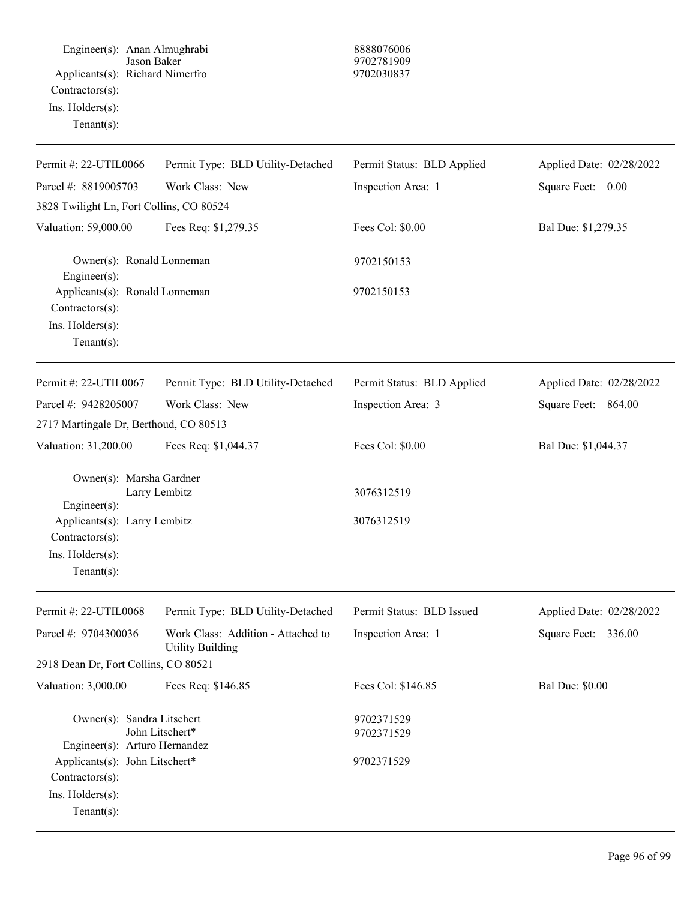Engineer(s): Anan Almughrabi 8888076006 Jason Baker 9702781909 Applicants(s): Richard Nimerfro 9702030837 Contractors(s): Ins. Holders(s): Tenant(s):

| Permit #: 22-UTIL0066                                                                  | Permit Type: BLD Utility-Detached                             | Permit Status: BLD Applied | Applied Date: 02/28/2022 |
|----------------------------------------------------------------------------------------|---------------------------------------------------------------|----------------------------|--------------------------|
| Parcel #: 8819005703                                                                   | Work Class: New                                               | Inspection Area: 1         | Square Feet: 0.00        |
| 3828 Twilight Ln, Fort Collins, CO 80524                                               |                                                               |                            |                          |
| Valuation: 59,000.00                                                                   | Fees Req: \$1,279.35                                          | Fees Col: \$0.00           | Bal Due: \$1,279.35      |
| Owner(s): Ronald Lonneman<br>Engineer(s):                                              |                                                               | 9702150153                 |                          |
| Applicants(s): Ronald Lonneman<br>Contractors(s):                                      |                                                               | 9702150153                 |                          |
| Ins. Holders(s):<br>Tenant $(s)$ :                                                     |                                                               |                            |                          |
| Permit #: 22-UTIL0067                                                                  | Permit Type: BLD Utility-Detached                             | Permit Status: BLD Applied | Applied Date: 02/28/2022 |
| Parcel #: 9428205007                                                                   | Work Class: New                                               | Inspection Area: 3         | Square Feet: 864.00      |
| 2717 Martingale Dr, Berthoud, CO 80513                                                 |                                                               |                            |                          |
| Valuation: 31,200.00                                                                   | Fees Req: \$1,044.37                                          | Fees Col: \$0.00           | Bal Due: \$1,044.37      |
| Owner(s): Marsha Gardner                                                               | Larry Lembitz                                                 | 3076312519                 |                          |
| Engineer(s):<br>Applicants(s): Larry Lembitz<br>Contractors(s):                        |                                                               | 3076312519                 |                          |
| Ins. Holders(s):<br>$Tenant(s)$ :                                                      |                                                               |                            |                          |
| Permit #: 22-UTIL0068                                                                  | Permit Type: BLD Utility-Detached                             | Permit Status: BLD Issued  | Applied Date: 02/28/2022 |
| Parcel #: 9704300036                                                                   | Work Class: Addition - Attached to<br><b>Utility Building</b> | Inspection Area: 1         | Square Feet:<br>336.00   |
| 2918 Dean Dr, Fort Collins, CO 80521                                                   |                                                               |                            |                          |
| Valuation: 3,000.00                                                                    | Fees Req: \$146.85                                            | Fees Col: \$146.85         | <b>Bal Due: \$0.00</b>   |
| Owner(s): Sandra Litschert<br>Engineer(s): Arturo Hernandez                            | John Litschert*                                               | 9702371529<br>9702371529   |                          |
| Applicants(s): John Litschert*<br>Contractors(s):<br>Ins. Holders(s):<br>$Tenant(s)$ : |                                                               | 9702371529                 |                          |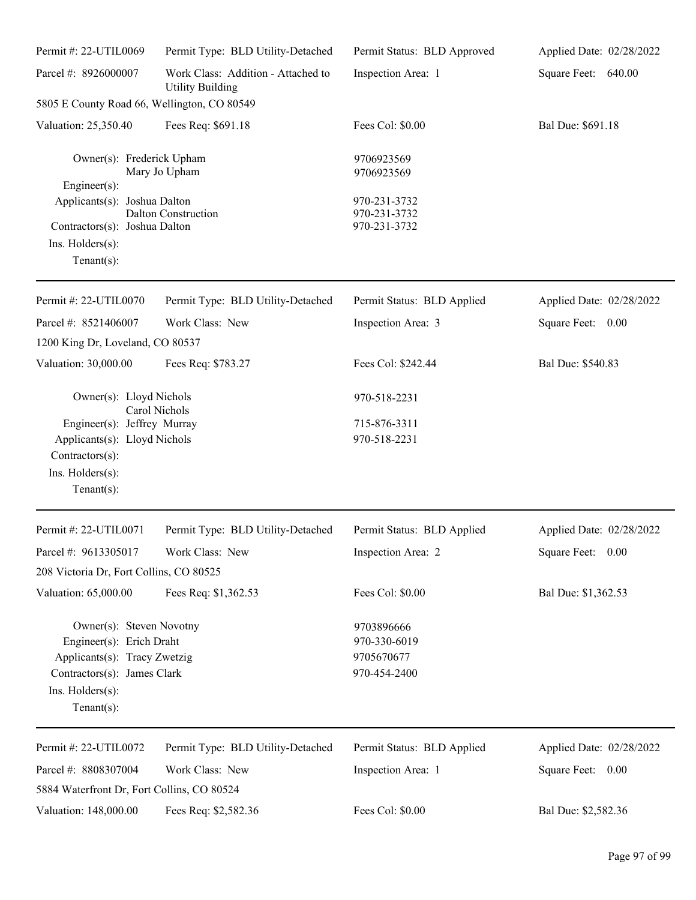| Permit #: 22-UTIL0069                                                                                                                                     | Permit Type: BLD Utility-Detached                             | Permit Status: BLD Approved                              | Applied Date: 02/28/2022 |
|-----------------------------------------------------------------------------------------------------------------------------------------------------------|---------------------------------------------------------------|----------------------------------------------------------|--------------------------|
| Parcel #: 8926000007                                                                                                                                      | Work Class: Addition - Attached to<br><b>Utility Building</b> | Inspection Area: 1                                       | Square Feet: 640.00      |
| 5805 E County Road 66, Wellington, CO 80549                                                                                                               |                                                               |                                                          |                          |
| Valuation: 25,350.40                                                                                                                                      | Fees Req: \$691.18                                            | Fees Col: \$0.00                                         | Bal Due: \$691.18        |
| Owner(s): Frederick Upham<br>Mary Jo Upham<br>Engineer(s):<br>Applicants(s): Joshua Dalton<br>Dalton Construction                                         |                                                               | 9706923569<br>9706923569                                 |                          |
|                                                                                                                                                           |                                                               | 970-231-3732<br>970-231-3732                             |                          |
| Contractors(s): Joshua Dalton<br>$Ins.$ Holders $(s)$ :<br>Tenant $(s)$ :                                                                                 |                                                               | 970-231-3732                                             |                          |
| Permit #: 22-UTIL0070                                                                                                                                     | Permit Type: BLD Utility-Detached                             | Permit Status: BLD Applied                               | Applied Date: 02/28/2022 |
| Parcel #: 8521406007                                                                                                                                      | Work Class: New                                               | Inspection Area: 3                                       | Square Feet: 0.00        |
| 1200 King Dr, Loveland, CO 80537                                                                                                                          |                                                               |                                                          |                          |
| Valuation: 30,000.00                                                                                                                                      | Fees Req: \$783.27                                            | Fees Col: \$242.44                                       | Bal Due: \$540.83        |
| Owner(s): Lloyd Nichols<br>Carol Nichols                                                                                                                  |                                                               | 970-518-2231                                             |                          |
| Engineer(s): Jeffrey Murray<br>Applicants(s): Lloyd Nichols<br>Contractors(s):                                                                            |                                                               | 715-876-3311                                             |                          |
|                                                                                                                                                           |                                                               | 970-518-2231                                             |                          |
| Ins. Holders(s):<br>Tenant $(s)$ :                                                                                                                        |                                                               |                                                          |                          |
| Permit #: 22-UTIL0071                                                                                                                                     | Permit Type: BLD Utility-Detached                             | Permit Status: BLD Applied                               | Applied Date: 02/28/2022 |
| Parcel #: 9613305017                                                                                                                                      | Work Class: New                                               | Inspection Area: 2                                       | Square Feet: 0.00        |
| 208 Victoria Dr, Fort Collins, CO 80525                                                                                                                   |                                                               |                                                          |                          |
| Valuation: 65,000.00                                                                                                                                      | Fees Req: \$1,362.53                                          | Fees Col: \$0.00                                         | Bal Due: \$1,362.53      |
| Owner(s): Steven Novotny<br>Engineer(s): Erich Draht<br>Applicants(s): Tracy Zwetzig<br>Contractors(s): James Clark<br>Ins. Holders(s):<br>Tenant $(s)$ : |                                                               | 9703896666<br>970-330-6019<br>9705670677<br>970-454-2400 |                          |
| Permit #: 22-UTIL0072                                                                                                                                     | Permit Type: BLD Utility-Detached                             | Permit Status: BLD Applied                               | Applied Date: 02/28/2022 |
| Parcel #: 8808307004                                                                                                                                      | Work Class: New                                               | Inspection Area: 1                                       | Square Feet: 0.00        |
| 5884 Waterfront Dr, Fort Collins, CO 80524                                                                                                                |                                                               |                                                          |                          |
| Valuation: 148,000.00                                                                                                                                     | Fees Req: \$2,582.36                                          | Fees Col: \$0.00                                         | Bal Due: \$2,582.36      |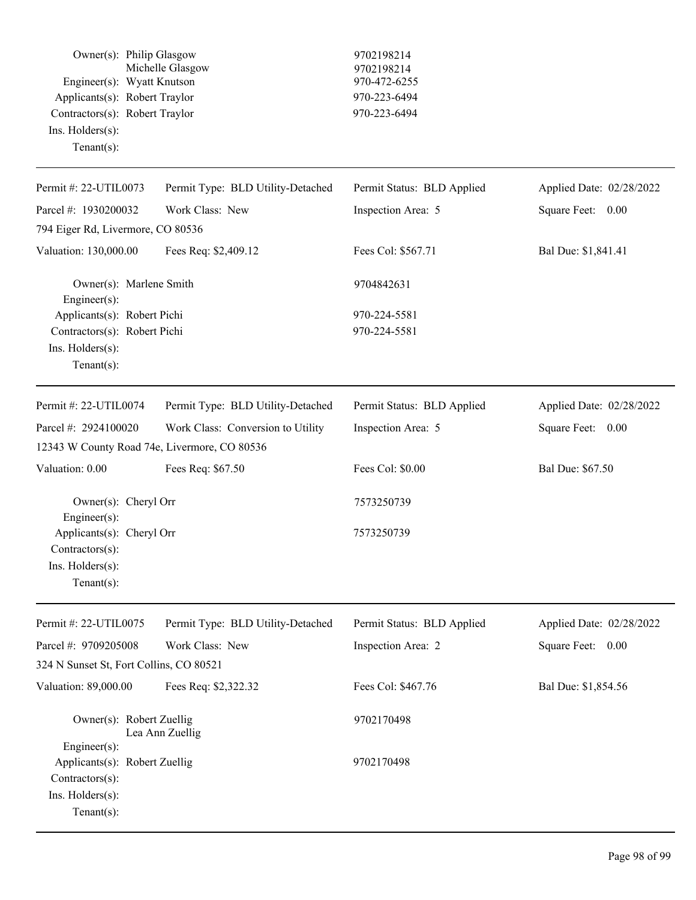| Owner(s): Philip Glasgow<br>Engineer(s): Wyatt Knutson<br>Applicants(s): Robert Traylor<br>Contractors(s): Robert Traylor<br>Ins. Holders(s):<br>Tenant $(s)$ : | Michelle Glasgow                  | 9702198214<br>9702198214<br>970-472-6255<br>970-223-6494<br>970-223-6494 |                          |
|-----------------------------------------------------------------------------------------------------------------------------------------------------------------|-----------------------------------|--------------------------------------------------------------------------|--------------------------|
| Permit #: 22-UTIL0073                                                                                                                                           | Permit Type: BLD Utility-Detached | Permit Status: BLD Applied                                               | Applied Date: 02/28/2022 |
| Parcel #: 1930200032                                                                                                                                            | Work Class: New                   | Inspection Area: 5                                                       | Square Feet:<br>0.00     |
| 794 Eiger Rd, Livermore, CO 80536                                                                                                                               |                                   |                                                                          |                          |
| Valuation: 130,000.00                                                                                                                                           | Fees Req: \$2,409.12              | Fees Col: \$567.71                                                       | Bal Due: \$1,841.41      |
| Owner(s): Marlene Smith<br>Engineer(s):                                                                                                                         |                                   | 9704842631                                                               |                          |
| Applicants(s): Robert Pichi<br>Contractors(s): Robert Pichi<br>Ins. Holders(s):<br>Tenant $(s)$ :                                                               |                                   | 970-224-5581<br>970-224-5581                                             |                          |
| Permit #: 22-UTIL0074                                                                                                                                           | Permit Type: BLD Utility-Detached | Permit Status: BLD Applied                                               | Applied Date: 02/28/2022 |
| Parcel #: 2924100020                                                                                                                                            | Work Class: Conversion to Utility | Inspection Area: 5                                                       | Square Feet: 0.00        |
| 12343 W County Road 74e, Livermore, CO 80536                                                                                                                    |                                   |                                                                          |                          |
| Valuation: 0.00                                                                                                                                                 | Fees Req: \$67.50                 | Fees Col: \$0.00                                                         | Bal Due: \$67.50         |
| Owner(s): Cheryl Orr<br>Engineer(s):<br>Applicants(s): Cheryl Orr<br>$Contractors(s)$ :<br>Ins. Holders(s):<br>Tenant $(s)$ :                                   |                                   | 7573250739<br>7573250739                                                 |                          |
| Permit #: 22-UTIL0075                                                                                                                                           | Permit Type: BLD Utility-Detached | Permit Status: BLD Applied                                               | Applied Date: 02/28/2022 |
| Parcel #: 9709205008                                                                                                                                            | Work Class: New                   | Inspection Area: 2                                                       | Square Feet: 0.00        |
| 324 N Sunset St, Fort Collins, CO 80521                                                                                                                         |                                   |                                                                          |                          |
| Valuation: 89,000.00                                                                                                                                            | Fees Req: \$2,322.32              | Fees Col: \$467.76                                                       | Bal Due: \$1,854.56      |
| Owner(s): Robert Zuellig<br>Lea Ann Zuellig<br>Engineer(s):                                                                                                     |                                   | 9702170498                                                               |                          |
| Applicants(s): Robert Zuellig<br>Contractors(s):<br>Ins. Holders(s):<br>Tenant $(s)$ :                                                                          |                                   | 9702170498                                                               |                          |